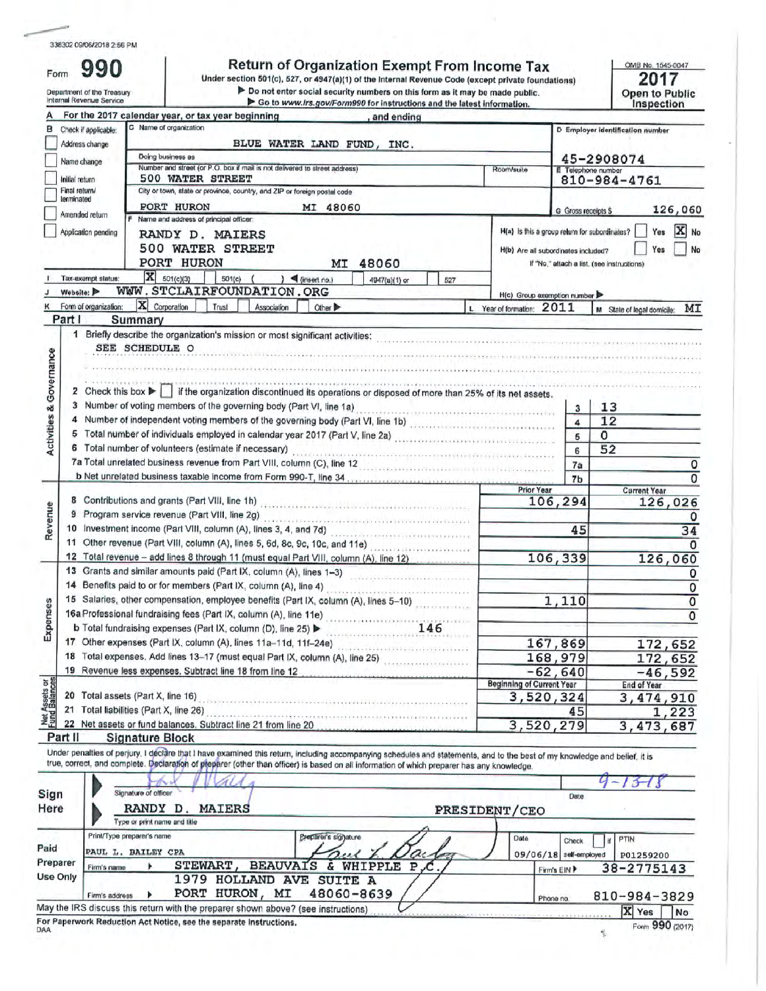Form

990

# Return of Organization Exempt From Income Tax<br>Under section 501(c), 527, or 4947(a)(1) of the Internal Revenue Code (except private foundations)

2017 **Open to Public<br>Inspection** 

OMB No. 1545-0047

| For the 2017 calendar year, or tax year beginning<br>and ending<br>C Name of organization<br>Check if applicable:<br>D Employer identification number<br>Address change<br>BLUE WATER LAND FUND, INC.<br>Doing business as<br>45-2908074<br>Name change<br>Number and street (or P.O. box if mail is not delivered to street address)<br>E Telephone number<br>Room/suite<br><b>500 WATER STREET</b><br>Initial return<br>810-984-4761<br>City or town, state or province, country, and ZIP or foreign postal code<br>Final return/<br>lerminated<br>PORT HURON<br>MI 48060<br>G Gross receipts \$<br>Amended return<br>Name and address of principal officer:<br>H(a) Is this a group return for subordinates?<br>Application pending<br>Yes<br>RANDY D. MAIERS<br>500 WATER STREET<br>Yes<br>H(b) Are all subordinates included?<br>PORT HURON<br>MI<br>48060<br>If "No," attach a list. (see instructions)<br>$\overline{\mathbf{X}}$ 501(c)(3)<br>$501(c)$ (<br>$\sum$ (insert no.)<br>Tax-exempt status:<br>4947(a)(1) or<br>527<br>WWW.STCLAIRFOUNDATION.ORG<br>Website:<br>H(c) Group exemption number<br>$ \mathbf{X} $ Corporation<br>Trust<br>Association<br>Other $\blacktriangleright$<br>L Year of formation: 2011<br>Summary<br>1 Briefly describe the organization's mission or most significant activities:<br>SEE SCHEDULE O<br>2 Check this box $\blacktriangleright$ if the organization discontinued its operations or disposed of more than 25% of its net assets.<br>3 Number of voting members of the governing body (Part VI, line 1a)<br>13<br>3<br>Number of independent voting members of the governing body (Part VI, line 1b)<br>12<br>4<br>$\overline{\mathbf{4}}$<br>Total number of individuals employed in calendar year 2017 (Part V, line 2a)<br>$\Omega$<br>5<br>5<br>6 Total number of volunteers (estimate if necessary)<br>52<br>6<br>$\label{thm:main} \begin{minipage}[t]{0.9\textwidth} \begin{minipage}[t]{0.9\textwidth} \centering \begin{minipage}[t]{0.9\textwidth} \centering \end{minipage}[t]{0.9\textwidth} \begin{minipage}[t]{0.9\textwidth} \centering \end{minipage}[t]{0.9\textwidth} \begin{minipage}[t]{0.9\textwidth} \centering \end{minipage}[t]{0.9\textwidth} \begin{minipage}[t]{0.9\textwidth} \centering \end{minipage}[t]{0.9\textwidth} \begin{minipage}[t]{0.9\textwidth} \centering \end{minipage}[t]{0.9\textwidth} \begin$<br>Ta Total unrelated business revenue from Part VIII, column (C), line 12<br>Section: The Column Constitution of the Column Column (C), line 12<br>The Column Column Column Column Column Column Column Column Column Column Column<br>7a<br>7 <sub>b</sub><br><b>Prior Year</b><br><b>Current Year</b><br>106,294<br>10 Investment income (Part VIII, column (A), lines 3, 4, and 7d)<br>45<br>11 Other revenue (Part VIII, column (A), lines 5, 6d, 8c, 9c, 10c, and 11e)<br>12 Total revenue - add lines 8 through 11 (must equal Part VIII, column (A), line 12)<br>106,339<br>126,060<br>13 Grants and similar amounts paid (Part IX, column (A), lines 1-3)<br>. US 2000 CORRUSSOR PERSONAL PERSONAL<br>14 Benefits paid to or for members (Part IX, column (A), line 4)<br>15 Salaries, other compensation, employee benefits (Part IX, column (A), lines 5-10)<br>1,110<br>15 Salahes, Jule, Companies (Part IX, column (A), line 11e)<br>16a Professional fundraising fees (Part IX, column (A), line 11e)<br>.<br>Vermije i kojevskem častnište<br>167,869<br>17 Other expenses (Part IX, column (A), lines 11a-11d, 11f-24e)<br>18 Total expenses. Add lines 13-17 (must equal Part IX, column (A), line 25)<br>168,979<br>19 Revenue less expenses. Subtract line 18 from line 12<br>$-62, 640$<br>$-46,592$<br><b>Beginning of Current Year</b><br><b>End of Year</b><br>3,520,324<br>3, 474, 910<br>45<br>22 Net assets or fund balances. Subtract line 21 from line 20<br>3,520,279<br>3, 473, 687<br><b>Signature Block</b> | Department of the Treasury<br>Internal Revenue Service | Do not enter social security numbers on this form as it may be made public.<br>Go to www.irs.gov/Form990 for instructions and the latest information. |  | <b>Open to Public</b><br>Inspection |
|-------------------------------------------------------------------------------------------------------------------------------------------------------------------------------------------------------------------------------------------------------------------------------------------------------------------------------------------------------------------------------------------------------------------------------------------------------------------------------------------------------------------------------------------------------------------------------------------------------------------------------------------------------------------------------------------------------------------------------------------------------------------------------------------------------------------------------------------------------------------------------------------------------------------------------------------------------------------------------------------------------------------------------------------------------------------------------------------------------------------------------------------------------------------------------------------------------------------------------------------------------------------------------------------------------------------------------------------------------------------------------------------------------------------------------------------------------------------------------------------------------------------------------------------------------------------------------------------------------------------------------------------------------------------------------------------------------------------------------------------------------------------------------------------------------------------------------------------------------------------------------------------------------------------------------------------------------------------------------------------------------------------------------------------------------------------------------------------------------------------------------------------------------------------------------------------------------------------------------------------------------------------------------------------------------------------------------------------------------------------------------------------------------------------------------------------------------------------------------------------------------------------------------------------------------------------------------------------------------------------------------------------------------------------------------------------------------------------------------------------------------------------------------------------------------------------------------------------------------------------------------------------------------------------------------------------------------------------------------------------------------------------------------------------------------------------------------------------------------------------------------------------------------------------------------------------------------------------------------------------------------------------------------------------------------------------------------------------------------------------------------------------------------------------------------------------------------------------------------------------------------------------------------------------------------------------------------------------------------------------------------------------------------------------------------------------------------------------------------------------------------------------------------------------------------------------------------------------------------------------------------------------------------------------------------------------------|--------------------------------------------------------|-------------------------------------------------------------------------------------------------------------------------------------------------------|--|-------------------------------------|
|                                                                                                                                                                                                                                                                                                                                                                                                                                                                                                                                                                                                                                                                                                                                                                                                                                                                                                                                                                                                                                                                                                                                                                                                                                                                                                                                                                                                                                                                                                                                                                                                                                                                                                                                                                                                                                                                                                                                                                                                                                                                                                                                                                                                                                                                                                                                                                                                                                                                                                                                                                                                                                                                                                                                                                                                                                                                                                                                                                                                                                                                                                                                                                                                                                                                                                                                                                                                                                                                                                                                                                                                                                                                                                                                                                                                                                                                                                                                                 |                                                        |                                                                                                                                                       |  |                                     |
|                                                                                                                                                                                                                                                                                                                                                                                                                                                                                                                                                                                                                                                                                                                                                                                                                                                                                                                                                                                                                                                                                                                                                                                                                                                                                                                                                                                                                                                                                                                                                                                                                                                                                                                                                                                                                                                                                                                                                                                                                                                                                                                                                                                                                                                                                                                                                                                                                                                                                                                                                                                                                                                                                                                                                                                                                                                                                                                                                                                                                                                                                                                                                                                                                                                                                                                                                                                                                                                                                                                                                                                                                                                                                                                                                                                                                                                                                                                                                 | в                                                      |                                                                                                                                                       |  |                                     |
|                                                                                                                                                                                                                                                                                                                                                                                                                                                                                                                                                                                                                                                                                                                                                                                                                                                                                                                                                                                                                                                                                                                                                                                                                                                                                                                                                                                                                                                                                                                                                                                                                                                                                                                                                                                                                                                                                                                                                                                                                                                                                                                                                                                                                                                                                                                                                                                                                                                                                                                                                                                                                                                                                                                                                                                                                                                                                                                                                                                                                                                                                                                                                                                                                                                                                                                                                                                                                                                                                                                                                                                                                                                                                                                                                                                                                                                                                                                                                 |                                                        |                                                                                                                                                       |  |                                     |
|                                                                                                                                                                                                                                                                                                                                                                                                                                                                                                                                                                                                                                                                                                                                                                                                                                                                                                                                                                                                                                                                                                                                                                                                                                                                                                                                                                                                                                                                                                                                                                                                                                                                                                                                                                                                                                                                                                                                                                                                                                                                                                                                                                                                                                                                                                                                                                                                                                                                                                                                                                                                                                                                                                                                                                                                                                                                                                                                                                                                                                                                                                                                                                                                                                                                                                                                                                                                                                                                                                                                                                                                                                                                                                                                                                                                                                                                                                                                                 |                                                        |                                                                                                                                                       |  |                                     |
|                                                                                                                                                                                                                                                                                                                                                                                                                                                                                                                                                                                                                                                                                                                                                                                                                                                                                                                                                                                                                                                                                                                                                                                                                                                                                                                                                                                                                                                                                                                                                                                                                                                                                                                                                                                                                                                                                                                                                                                                                                                                                                                                                                                                                                                                                                                                                                                                                                                                                                                                                                                                                                                                                                                                                                                                                                                                                                                                                                                                                                                                                                                                                                                                                                                                                                                                                                                                                                                                                                                                                                                                                                                                                                                                                                                                                                                                                                                                                 |                                                        |                                                                                                                                                       |  |                                     |
|                                                                                                                                                                                                                                                                                                                                                                                                                                                                                                                                                                                                                                                                                                                                                                                                                                                                                                                                                                                                                                                                                                                                                                                                                                                                                                                                                                                                                                                                                                                                                                                                                                                                                                                                                                                                                                                                                                                                                                                                                                                                                                                                                                                                                                                                                                                                                                                                                                                                                                                                                                                                                                                                                                                                                                                                                                                                                                                                                                                                                                                                                                                                                                                                                                                                                                                                                                                                                                                                                                                                                                                                                                                                                                                                                                                                                                                                                                                                                 |                                                        |                                                                                                                                                       |  |                                     |
|                                                                                                                                                                                                                                                                                                                                                                                                                                                                                                                                                                                                                                                                                                                                                                                                                                                                                                                                                                                                                                                                                                                                                                                                                                                                                                                                                                                                                                                                                                                                                                                                                                                                                                                                                                                                                                                                                                                                                                                                                                                                                                                                                                                                                                                                                                                                                                                                                                                                                                                                                                                                                                                                                                                                                                                                                                                                                                                                                                                                                                                                                                                                                                                                                                                                                                                                                                                                                                                                                                                                                                                                                                                                                                                                                                                                                                                                                                                                                 |                                                        |                                                                                                                                                       |  | 126,060                             |
|                                                                                                                                                                                                                                                                                                                                                                                                                                                                                                                                                                                                                                                                                                                                                                                                                                                                                                                                                                                                                                                                                                                                                                                                                                                                                                                                                                                                                                                                                                                                                                                                                                                                                                                                                                                                                                                                                                                                                                                                                                                                                                                                                                                                                                                                                                                                                                                                                                                                                                                                                                                                                                                                                                                                                                                                                                                                                                                                                                                                                                                                                                                                                                                                                                                                                                                                                                                                                                                                                                                                                                                                                                                                                                                                                                                                                                                                                                                                                 |                                                        |                                                                                                                                                       |  | X No                                |
|                                                                                                                                                                                                                                                                                                                                                                                                                                                                                                                                                                                                                                                                                                                                                                                                                                                                                                                                                                                                                                                                                                                                                                                                                                                                                                                                                                                                                                                                                                                                                                                                                                                                                                                                                                                                                                                                                                                                                                                                                                                                                                                                                                                                                                                                                                                                                                                                                                                                                                                                                                                                                                                                                                                                                                                                                                                                                                                                                                                                                                                                                                                                                                                                                                                                                                                                                                                                                                                                                                                                                                                                                                                                                                                                                                                                                                                                                                                                                 |                                                        |                                                                                                                                                       |  |                                     |
|                                                                                                                                                                                                                                                                                                                                                                                                                                                                                                                                                                                                                                                                                                                                                                                                                                                                                                                                                                                                                                                                                                                                                                                                                                                                                                                                                                                                                                                                                                                                                                                                                                                                                                                                                                                                                                                                                                                                                                                                                                                                                                                                                                                                                                                                                                                                                                                                                                                                                                                                                                                                                                                                                                                                                                                                                                                                                                                                                                                                                                                                                                                                                                                                                                                                                                                                                                                                                                                                                                                                                                                                                                                                                                                                                                                                                                                                                                                                                 |                                                        |                                                                                                                                                       |  |                                     |
|                                                                                                                                                                                                                                                                                                                                                                                                                                                                                                                                                                                                                                                                                                                                                                                                                                                                                                                                                                                                                                                                                                                                                                                                                                                                                                                                                                                                                                                                                                                                                                                                                                                                                                                                                                                                                                                                                                                                                                                                                                                                                                                                                                                                                                                                                                                                                                                                                                                                                                                                                                                                                                                                                                                                                                                                                                                                                                                                                                                                                                                                                                                                                                                                                                                                                                                                                                                                                                                                                                                                                                                                                                                                                                                                                                                                                                                                                                                                                 |                                                        |                                                                                                                                                       |  |                                     |
|                                                                                                                                                                                                                                                                                                                                                                                                                                                                                                                                                                                                                                                                                                                                                                                                                                                                                                                                                                                                                                                                                                                                                                                                                                                                                                                                                                                                                                                                                                                                                                                                                                                                                                                                                                                                                                                                                                                                                                                                                                                                                                                                                                                                                                                                                                                                                                                                                                                                                                                                                                                                                                                                                                                                                                                                                                                                                                                                                                                                                                                                                                                                                                                                                                                                                                                                                                                                                                                                                                                                                                                                                                                                                                                                                                                                                                                                                                                                                 | K Form of organization:                                |                                                                                                                                                       |  | M State of legal domicile: MI       |
|                                                                                                                                                                                                                                                                                                                                                                                                                                                                                                                                                                                                                                                                                                                                                                                                                                                                                                                                                                                                                                                                                                                                                                                                                                                                                                                                                                                                                                                                                                                                                                                                                                                                                                                                                                                                                                                                                                                                                                                                                                                                                                                                                                                                                                                                                                                                                                                                                                                                                                                                                                                                                                                                                                                                                                                                                                                                                                                                                                                                                                                                                                                                                                                                                                                                                                                                                                                                                                                                                                                                                                                                                                                                                                                                                                                                                                                                                                                                                 | Part I                                                 |                                                                                                                                                       |  |                                     |
|                                                                                                                                                                                                                                                                                                                                                                                                                                                                                                                                                                                                                                                                                                                                                                                                                                                                                                                                                                                                                                                                                                                                                                                                                                                                                                                                                                                                                                                                                                                                                                                                                                                                                                                                                                                                                                                                                                                                                                                                                                                                                                                                                                                                                                                                                                                                                                                                                                                                                                                                                                                                                                                                                                                                                                                                                                                                                                                                                                                                                                                                                                                                                                                                                                                                                                                                                                                                                                                                                                                                                                                                                                                                                                                                                                                                                                                                                                                                                 | Activities & Governance                                |                                                                                                                                                       |  |                                     |
|                                                                                                                                                                                                                                                                                                                                                                                                                                                                                                                                                                                                                                                                                                                                                                                                                                                                                                                                                                                                                                                                                                                                                                                                                                                                                                                                                                                                                                                                                                                                                                                                                                                                                                                                                                                                                                                                                                                                                                                                                                                                                                                                                                                                                                                                                                                                                                                                                                                                                                                                                                                                                                                                                                                                                                                                                                                                                                                                                                                                                                                                                                                                                                                                                                                                                                                                                                                                                                                                                                                                                                                                                                                                                                                                                                                                                                                                                                                                                 |                                                        |                                                                                                                                                       |  |                                     |
|                                                                                                                                                                                                                                                                                                                                                                                                                                                                                                                                                                                                                                                                                                                                                                                                                                                                                                                                                                                                                                                                                                                                                                                                                                                                                                                                                                                                                                                                                                                                                                                                                                                                                                                                                                                                                                                                                                                                                                                                                                                                                                                                                                                                                                                                                                                                                                                                                                                                                                                                                                                                                                                                                                                                                                                                                                                                                                                                                                                                                                                                                                                                                                                                                                                                                                                                                                                                                                                                                                                                                                                                                                                                                                                                                                                                                                                                                                                                                 |                                                        |                                                                                                                                                       |  |                                     |
|                                                                                                                                                                                                                                                                                                                                                                                                                                                                                                                                                                                                                                                                                                                                                                                                                                                                                                                                                                                                                                                                                                                                                                                                                                                                                                                                                                                                                                                                                                                                                                                                                                                                                                                                                                                                                                                                                                                                                                                                                                                                                                                                                                                                                                                                                                                                                                                                                                                                                                                                                                                                                                                                                                                                                                                                                                                                                                                                                                                                                                                                                                                                                                                                                                                                                                                                                                                                                                                                                                                                                                                                                                                                                                                                                                                                                                                                                                                                                 |                                                        |                                                                                                                                                       |  |                                     |
|                                                                                                                                                                                                                                                                                                                                                                                                                                                                                                                                                                                                                                                                                                                                                                                                                                                                                                                                                                                                                                                                                                                                                                                                                                                                                                                                                                                                                                                                                                                                                                                                                                                                                                                                                                                                                                                                                                                                                                                                                                                                                                                                                                                                                                                                                                                                                                                                                                                                                                                                                                                                                                                                                                                                                                                                                                                                                                                                                                                                                                                                                                                                                                                                                                                                                                                                                                                                                                                                                                                                                                                                                                                                                                                                                                                                                                                                                                                                                 |                                                        |                                                                                                                                                       |  |                                     |
|                                                                                                                                                                                                                                                                                                                                                                                                                                                                                                                                                                                                                                                                                                                                                                                                                                                                                                                                                                                                                                                                                                                                                                                                                                                                                                                                                                                                                                                                                                                                                                                                                                                                                                                                                                                                                                                                                                                                                                                                                                                                                                                                                                                                                                                                                                                                                                                                                                                                                                                                                                                                                                                                                                                                                                                                                                                                                                                                                                                                                                                                                                                                                                                                                                                                                                                                                                                                                                                                                                                                                                                                                                                                                                                                                                                                                                                                                                                                                 |                                                        |                                                                                                                                                       |  |                                     |
|                                                                                                                                                                                                                                                                                                                                                                                                                                                                                                                                                                                                                                                                                                                                                                                                                                                                                                                                                                                                                                                                                                                                                                                                                                                                                                                                                                                                                                                                                                                                                                                                                                                                                                                                                                                                                                                                                                                                                                                                                                                                                                                                                                                                                                                                                                                                                                                                                                                                                                                                                                                                                                                                                                                                                                                                                                                                                                                                                                                                                                                                                                                                                                                                                                                                                                                                                                                                                                                                                                                                                                                                                                                                                                                                                                                                                                                                                                                                                 |                                                        |                                                                                                                                                       |  | 126,026                             |
|                                                                                                                                                                                                                                                                                                                                                                                                                                                                                                                                                                                                                                                                                                                                                                                                                                                                                                                                                                                                                                                                                                                                                                                                                                                                                                                                                                                                                                                                                                                                                                                                                                                                                                                                                                                                                                                                                                                                                                                                                                                                                                                                                                                                                                                                                                                                                                                                                                                                                                                                                                                                                                                                                                                                                                                                                                                                                                                                                                                                                                                                                                                                                                                                                                                                                                                                                                                                                                                                                                                                                                                                                                                                                                                                                                                                                                                                                                                                                 | Revenue                                                |                                                                                                                                                       |  |                                     |
|                                                                                                                                                                                                                                                                                                                                                                                                                                                                                                                                                                                                                                                                                                                                                                                                                                                                                                                                                                                                                                                                                                                                                                                                                                                                                                                                                                                                                                                                                                                                                                                                                                                                                                                                                                                                                                                                                                                                                                                                                                                                                                                                                                                                                                                                                                                                                                                                                                                                                                                                                                                                                                                                                                                                                                                                                                                                                                                                                                                                                                                                                                                                                                                                                                                                                                                                                                                                                                                                                                                                                                                                                                                                                                                                                                                                                                                                                                                                                 |                                                        |                                                                                                                                                       |  | 34                                  |
|                                                                                                                                                                                                                                                                                                                                                                                                                                                                                                                                                                                                                                                                                                                                                                                                                                                                                                                                                                                                                                                                                                                                                                                                                                                                                                                                                                                                                                                                                                                                                                                                                                                                                                                                                                                                                                                                                                                                                                                                                                                                                                                                                                                                                                                                                                                                                                                                                                                                                                                                                                                                                                                                                                                                                                                                                                                                                                                                                                                                                                                                                                                                                                                                                                                                                                                                                                                                                                                                                                                                                                                                                                                                                                                                                                                                                                                                                                                                                 |                                                        |                                                                                                                                                       |  |                                     |
|                                                                                                                                                                                                                                                                                                                                                                                                                                                                                                                                                                                                                                                                                                                                                                                                                                                                                                                                                                                                                                                                                                                                                                                                                                                                                                                                                                                                                                                                                                                                                                                                                                                                                                                                                                                                                                                                                                                                                                                                                                                                                                                                                                                                                                                                                                                                                                                                                                                                                                                                                                                                                                                                                                                                                                                                                                                                                                                                                                                                                                                                                                                                                                                                                                                                                                                                                                                                                                                                                                                                                                                                                                                                                                                                                                                                                                                                                                                                                 |                                                        |                                                                                                                                                       |  |                                     |
|                                                                                                                                                                                                                                                                                                                                                                                                                                                                                                                                                                                                                                                                                                                                                                                                                                                                                                                                                                                                                                                                                                                                                                                                                                                                                                                                                                                                                                                                                                                                                                                                                                                                                                                                                                                                                                                                                                                                                                                                                                                                                                                                                                                                                                                                                                                                                                                                                                                                                                                                                                                                                                                                                                                                                                                                                                                                                                                                                                                                                                                                                                                                                                                                                                                                                                                                                                                                                                                                                                                                                                                                                                                                                                                                                                                                                                                                                                                                                 |                                                        |                                                                                                                                                       |  |                                     |
|                                                                                                                                                                                                                                                                                                                                                                                                                                                                                                                                                                                                                                                                                                                                                                                                                                                                                                                                                                                                                                                                                                                                                                                                                                                                                                                                                                                                                                                                                                                                                                                                                                                                                                                                                                                                                                                                                                                                                                                                                                                                                                                                                                                                                                                                                                                                                                                                                                                                                                                                                                                                                                                                                                                                                                                                                                                                                                                                                                                                                                                                                                                                                                                                                                                                                                                                                                                                                                                                                                                                                                                                                                                                                                                                                                                                                                                                                                                                                 |                                                        |                                                                                                                                                       |  |                                     |
|                                                                                                                                                                                                                                                                                                                                                                                                                                                                                                                                                                                                                                                                                                                                                                                                                                                                                                                                                                                                                                                                                                                                                                                                                                                                                                                                                                                                                                                                                                                                                                                                                                                                                                                                                                                                                                                                                                                                                                                                                                                                                                                                                                                                                                                                                                                                                                                                                                                                                                                                                                                                                                                                                                                                                                                                                                                                                                                                                                                                                                                                                                                                                                                                                                                                                                                                                                                                                                                                                                                                                                                                                                                                                                                                                                                                                                                                                                                                                 |                                                        |                                                                                                                                                       |  |                                     |
|                                                                                                                                                                                                                                                                                                                                                                                                                                                                                                                                                                                                                                                                                                                                                                                                                                                                                                                                                                                                                                                                                                                                                                                                                                                                                                                                                                                                                                                                                                                                                                                                                                                                                                                                                                                                                                                                                                                                                                                                                                                                                                                                                                                                                                                                                                                                                                                                                                                                                                                                                                                                                                                                                                                                                                                                                                                                                                                                                                                                                                                                                                                                                                                                                                                                                                                                                                                                                                                                                                                                                                                                                                                                                                                                                                                                                                                                                                                                                 | Expenses                                               |                                                                                                                                                       |  |                                     |
|                                                                                                                                                                                                                                                                                                                                                                                                                                                                                                                                                                                                                                                                                                                                                                                                                                                                                                                                                                                                                                                                                                                                                                                                                                                                                                                                                                                                                                                                                                                                                                                                                                                                                                                                                                                                                                                                                                                                                                                                                                                                                                                                                                                                                                                                                                                                                                                                                                                                                                                                                                                                                                                                                                                                                                                                                                                                                                                                                                                                                                                                                                                                                                                                                                                                                                                                                                                                                                                                                                                                                                                                                                                                                                                                                                                                                                                                                                                                                 |                                                        |                                                                                                                                                       |  | 172,652                             |
|                                                                                                                                                                                                                                                                                                                                                                                                                                                                                                                                                                                                                                                                                                                                                                                                                                                                                                                                                                                                                                                                                                                                                                                                                                                                                                                                                                                                                                                                                                                                                                                                                                                                                                                                                                                                                                                                                                                                                                                                                                                                                                                                                                                                                                                                                                                                                                                                                                                                                                                                                                                                                                                                                                                                                                                                                                                                                                                                                                                                                                                                                                                                                                                                                                                                                                                                                                                                                                                                                                                                                                                                                                                                                                                                                                                                                                                                                                                                                 |                                                        |                                                                                                                                                       |  | 172,652                             |
|                                                                                                                                                                                                                                                                                                                                                                                                                                                                                                                                                                                                                                                                                                                                                                                                                                                                                                                                                                                                                                                                                                                                                                                                                                                                                                                                                                                                                                                                                                                                                                                                                                                                                                                                                                                                                                                                                                                                                                                                                                                                                                                                                                                                                                                                                                                                                                                                                                                                                                                                                                                                                                                                                                                                                                                                                                                                                                                                                                                                                                                                                                                                                                                                                                                                                                                                                                                                                                                                                                                                                                                                                                                                                                                                                                                                                                                                                                                                                 |                                                        |                                                                                                                                                       |  |                                     |
|                                                                                                                                                                                                                                                                                                                                                                                                                                                                                                                                                                                                                                                                                                                                                                                                                                                                                                                                                                                                                                                                                                                                                                                                                                                                                                                                                                                                                                                                                                                                                                                                                                                                                                                                                                                                                                                                                                                                                                                                                                                                                                                                                                                                                                                                                                                                                                                                                                                                                                                                                                                                                                                                                                                                                                                                                                                                                                                                                                                                                                                                                                                                                                                                                                                                                                                                                                                                                                                                                                                                                                                                                                                                                                                                                                                                                                                                                                                                                 |                                                        |                                                                                                                                                       |  |                                     |
|                                                                                                                                                                                                                                                                                                                                                                                                                                                                                                                                                                                                                                                                                                                                                                                                                                                                                                                                                                                                                                                                                                                                                                                                                                                                                                                                                                                                                                                                                                                                                                                                                                                                                                                                                                                                                                                                                                                                                                                                                                                                                                                                                                                                                                                                                                                                                                                                                                                                                                                                                                                                                                                                                                                                                                                                                                                                                                                                                                                                                                                                                                                                                                                                                                                                                                                                                                                                                                                                                                                                                                                                                                                                                                                                                                                                                                                                                                                                                 |                                                        |                                                                                                                                                       |  | 1,223                               |
|                                                                                                                                                                                                                                                                                                                                                                                                                                                                                                                                                                                                                                                                                                                                                                                                                                                                                                                                                                                                                                                                                                                                                                                                                                                                                                                                                                                                                                                                                                                                                                                                                                                                                                                                                                                                                                                                                                                                                                                                                                                                                                                                                                                                                                                                                                                                                                                                                                                                                                                                                                                                                                                                                                                                                                                                                                                                                                                                                                                                                                                                                                                                                                                                                                                                                                                                                                                                                                                                                                                                                                                                                                                                                                                                                                                                                                                                                                                                                 |                                                        |                                                                                                                                                       |  |                                     |
| Under penalties of perjury, I declare that I have examined this return, including accompanying schedules and statements, and to the best of my knowledge and belief, it is                                                                                                                                                                                                                                                                                                                                                                                                                                                                                                                                                                                                                                                                                                                                                                                                                                                                                                                                                                                                                                                                                                                                                                                                                                                                                                                                                                                                                                                                                                                                                                                                                                                                                                                                                                                                                                                                                                                                                                                                                                                                                                                                                                                                                                                                                                                                                                                                                                                                                                                                                                                                                                                                                                                                                                                                                                                                                                                                                                                                                                                                                                                                                                                                                                                                                                                                                                                                                                                                                                                                                                                                                                                                                                                                                                      | Net Assets or<br>Fund Balances<br>Part II              |                                                                                                                                                       |  |                                     |
|                                                                                                                                                                                                                                                                                                                                                                                                                                                                                                                                                                                                                                                                                                                                                                                                                                                                                                                                                                                                                                                                                                                                                                                                                                                                                                                                                                                                                                                                                                                                                                                                                                                                                                                                                                                                                                                                                                                                                                                                                                                                                                                                                                                                                                                                                                                                                                                                                                                                                                                                                                                                                                                                                                                                                                                                                                                                                                                                                                                                                                                                                                                                                                                                                                                                                                                                                                                                                                                                                                                                                                                                                                                                                                                                                                                                                                                                                                                                                 |                                                        | true, correct, and complete. Declaration of preparer (other than officer) is based on all information of which preparer has any knowledge.            |  | $15 - 11$                           |
| Signature of officer<br>Date<br>RANDY D.<br><b>MAIERS</b><br>PRESIDENT/CEO<br>Type or print name and litle                                                                                                                                                                                                                                                                                                                                                                                                                                                                                                                                                                                                                                                                                                                                                                                                                                                                                                                                                                                                                                                                                                                                                                                                                                                                                                                                                                                                                                                                                                                                                                                                                                                                                                                                                                                                                                                                                                                                                                                                                                                                                                                                                                                                                                                                                                                                                                                                                                                                                                                                                                                                                                                                                                                                                                                                                                                                                                                                                                                                                                                                                                                                                                                                                                                                                                                                                                                                                                                                                                                                                                                                                                                                                                                                                                                                                                      |                                                        |                                                                                                                                                       |  |                                     |
| Print/Type preparer's name<br>Preparer's signature<br>Date<br>PTIN<br>Check                                                                                                                                                                                                                                                                                                                                                                                                                                                                                                                                                                                                                                                                                                                                                                                                                                                                                                                                                                                                                                                                                                                                                                                                                                                                                                                                                                                                                                                                                                                                                                                                                                                                                                                                                                                                                                                                                                                                                                                                                                                                                                                                                                                                                                                                                                                                                                                                                                                                                                                                                                                                                                                                                                                                                                                                                                                                                                                                                                                                                                                                                                                                                                                                                                                                                                                                                                                                                                                                                                                                                                                                                                                                                                                                                                                                                                                                     |                                                        |                                                                                                                                                       |  |                                     |
| PAUL L. BAILEY CPA<br>09/06/18 self-employed<br>P01259200                                                                                                                                                                                                                                                                                                                                                                                                                                                                                                                                                                                                                                                                                                                                                                                                                                                                                                                                                                                                                                                                                                                                                                                                                                                                                                                                                                                                                                                                                                                                                                                                                                                                                                                                                                                                                                                                                                                                                                                                                                                                                                                                                                                                                                                                                                                                                                                                                                                                                                                                                                                                                                                                                                                                                                                                                                                                                                                                                                                                                                                                                                                                                                                                                                                                                                                                                                                                                                                                                                                                                                                                                                                                                                                                                                                                                                                                                       |                                                        |                                                                                                                                                       |  |                                     |
| STEWART, BEAUVAIS & WHIPPLE<br>P<br>Firm's name<br>JС<br>Firm's EIN                                                                                                                                                                                                                                                                                                                                                                                                                                                                                                                                                                                                                                                                                                                                                                                                                                                                                                                                                                                                                                                                                                                                                                                                                                                                                                                                                                                                                                                                                                                                                                                                                                                                                                                                                                                                                                                                                                                                                                                                                                                                                                                                                                                                                                                                                                                                                                                                                                                                                                                                                                                                                                                                                                                                                                                                                                                                                                                                                                                                                                                                                                                                                                                                                                                                                                                                                                                                                                                                                                                                                                                                                                                                                                                                                                                                                                                                             |                                                        |                                                                                                                                                       |  |                                     |
| 1979 HOLLAND AVE SUITE A                                                                                                                                                                                                                                                                                                                                                                                                                                                                                                                                                                                                                                                                                                                                                                                                                                                                                                                                                                                                                                                                                                                                                                                                                                                                                                                                                                                                                                                                                                                                                                                                                                                                                                                                                                                                                                                                                                                                                                                                                                                                                                                                                                                                                                                                                                                                                                                                                                                                                                                                                                                                                                                                                                                                                                                                                                                                                                                                                                                                                                                                                                                                                                                                                                                                                                                                                                                                                                                                                                                                                                                                                                                                                                                                                                                                                                                                                                                        | Sign<br>Here<br>Paid<br>Preparer<br>Use Only           |                                                                                                                                                       |  | 38-2775143                          |
| PORT HURON, MI<br>48060-8639<br>Firm's address<br>Phone no.<br>May the IRS discuss this return with the preparer shown above? (see instructions)<br>X Yes                                                                                                                                                                                                                                                                                                                                                                                                                                                                                                                                                                                                                                                                                                                                                                                                                                                                                                                                                                                                                                                                                                                                                                                                                                                                                                                                                                                                                                                                                                                                                                                                                                                                                                                                                                                                                                                                                                                                                                                                                                                                                                                                                                                                                                                                                                                                                                                                                                                                                                                                                                                                                                                                                                                                                                                                                                                                                                                                                                                                                                                                                                                                                                                                                                                                                                                                                                                                                                                                                                                                                                                                                                                                                                                                                                                       |                                                        |                                                                                                                                                       |  | 810-984-3829                        |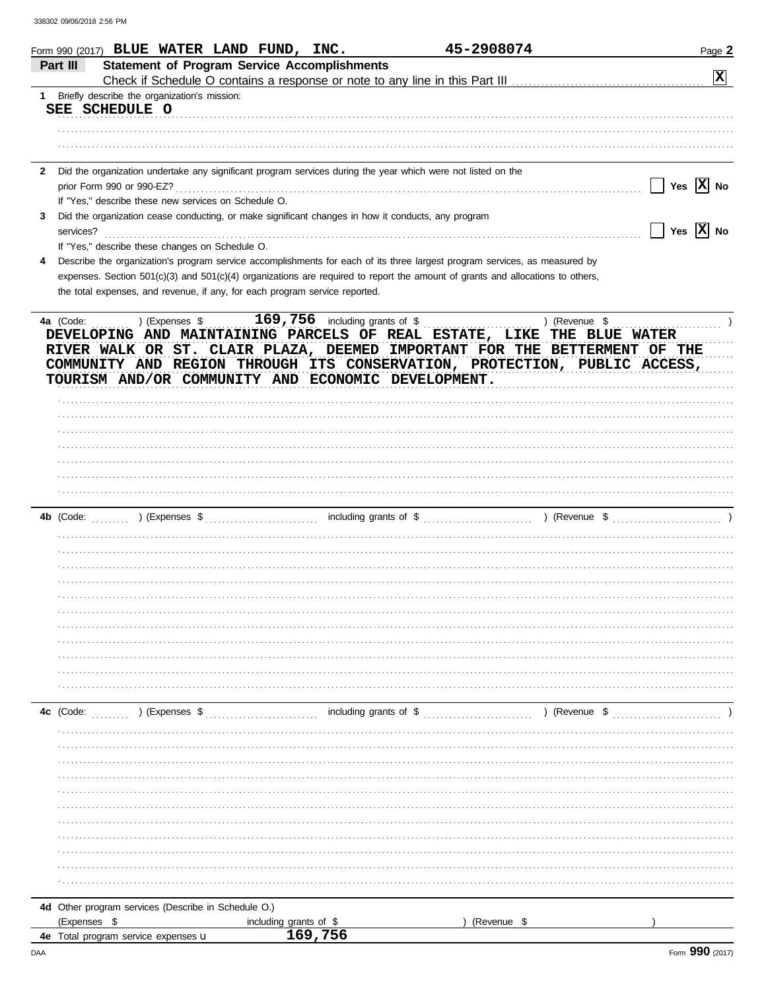|              | Form 990 (2017) BLUE WATER LAND FUND, INC.                                                                                     |                                    | 45-2908074                                       | Page 2                     |
|--------------|--------------------------------------------------------------------------------------------------------------------------------|------------------------------------|--------------------------------------------------|----------------------------|
|              | <b>Statement of Program Service Accomplishments</b><br>Part III                                                                |                                    |                                                  |                            |
|              |                                                                                                                                |                                    |                                                  | $ \mathbf{x} $             |
| 1.           | Briefly describe the organization's mission:                                                                                   |                                    |                                                  |                            |
|              | SEE SCHEDULE O                                                                                                                 |                                    |                                                  |                            |
|              |                                                                                                                                |                                    |                                                  |                            |
|              |                                                                                                                                |                                    |                                                  |                            |
|              |                                                                                                                                |                                    |                                                  |                            |
|              |                                                                                                                                |                                    |                                                  |                            |
| $\mathbf{2}$ | Did the organization undertake any significant program services during the year which were not listed on the                   |                                    |                                                  | Yes $X$ No                 |
|              | prior Form 990 or 990-EZ?                                                                                                      |                                    |                                                  |                            |
|              | If "Yes," describe these new services on Schedule O.                                                                           |                                    |                                                  |                            |
| 3            | Did the organization cease conducting, or make significant changes in how it conducts, any program                             |                                    |                                                  |                            |
|              | services?                                                                                                                      |                                    |                                                  | $\sqrt{}$ Yes $\sqrt{}$ No |
|              | If "Yes," describe these changes on Schedule O.                                                                                |                                    |                                                  |                            |
| 4            | Describe the organization's program service accomplishments for each of its three largest program services, as measured by     |                                    |                                                  |                            |
|              | expenses. Section 501(c)(3) and 501(c)(4) organizations are required to report the amount of grants and allocations to others, |                                    |                                                  |                            |
|              | the total expenses, and revenue, if any, for each program service reported.                                                    |                                    |                                                  |                            |
|              |                                                                                                                                |                                    |                                                  |                            |
|              | 4a (Code:<br>) (Expenses \$                                                                                                    | 169,756<br>including grants of \$  |                                                  | ) (Revenue \$              |
|              | DEVELOPING AND MAINTAINING PARCELS OF REAL ESTATE, LIKE THE BLUE WATER                                                         |                                    |                                                  |                            |
|              | RIVER WALK OR ST. CLAIR PLAZA, DEEMED IMPORTANT FOR THE BETTERMENT OF THE                                                      |                                    |                                                  |                            |
|              | COMMUNITY AND REGION THROUGH ITS CONSERVATION, PROTECTION, PUBLIC ACCESS,                                                      |                                    |                                                  |                            |
|              | TOURISM AND/OR COMMUNITY AND ECONOMIC DEVELOPMENT.                                                                             |                                    |                                                  |                            |
|              |                                                                                                                                |                                    |                                                  |                            |
|              |                                                                                                                                |                                    |                                                  |                            |
|              |                                                                                                                                |                                    |                                                  |                            |
|              |                                                                                                                                |                                    |                                                  |                            |
|              |                                                                                                                                |                                    |                                                  |                            |
|              |                                                                                                                                |                                    |                                                  |                            |
|              |                                                                                                                                |                                    |                                                  |                            |
|              |                                                                                                                                |                                    |                                                  |                            |
|              |                                                                                                                                |                                    |                                                  |                            |
|              |                                                                                                                                |                                    |                                                  |                            |
|              |                                                                                                                                |                                    |                                                  |                            |
|              |                                                                                                                                |                                    |                                                  |                            |
|              |                                                                                                                                |                                    |                                                  |                            |
|              |                                                                                                                                |                                    |                                                  |                            |
|              |                                                                                                                                |                                    |                                                  |                            |
|              |                                                                                                                                |                                    |                                                  |                            |
|              |                                                                                                                                |                                    |                                                  |                            |
|              |                                                                                                                                |                                    |                                                  |                            |
|              |                                                                                                                                |                                    |                                                  |                            |
|              |                                                                                                                                |                                    |                                                  |                            |
|              |                                                                                                                                |                                    |                                                  |                            |
|              |                                                                                                                                |                                    |                                                  |                            |
|              | 4c (Code:<br>) (Expenses \$                                                                                                    |                                    | including grants of \$ (Revenue \$) (Revenue \$) |                            |
|              |                                                                                                                                |                                    |                                                  |                            |
|              |                                                                                                                                |                                    |                                                  |                            |
|              |                                                                                                                                |                                    |                                                  |                            |
|              |                                                                                                                                |                                    |                                                  |                            |
|              |                                                                                                                                |                                    |                                                  |                            |
|              |                                                                                                                                |                                    |                                                  |                            |
|              |                                                                                                                                |                                    |                                                  |                            |
|              |                                                                                                                                |                                    |                                                  |                            |
|              |                                                                                                                                |                                    |                                                  |                            |
|              |                                                                                                                                |                                    |                                                  |                            |
|              |                                                                                                                                |                                    |                                                  |                            |
|              |                                                                                                                                |                                    |                                                  |                            |
|              |                                                                                                                                |                                    |                                                  |                            |
|              | 4d Other program services (Describe in Schedule O.)                                                                            |                                    |                                                  |                            |
|              | (Expenses \$                                                                                                                   |                                    | (Revenue \$                                      |                            |
|              | 4e Total program service expenses u                                                                                            | including grants of $$$<br>169,756 |                                                  |                            |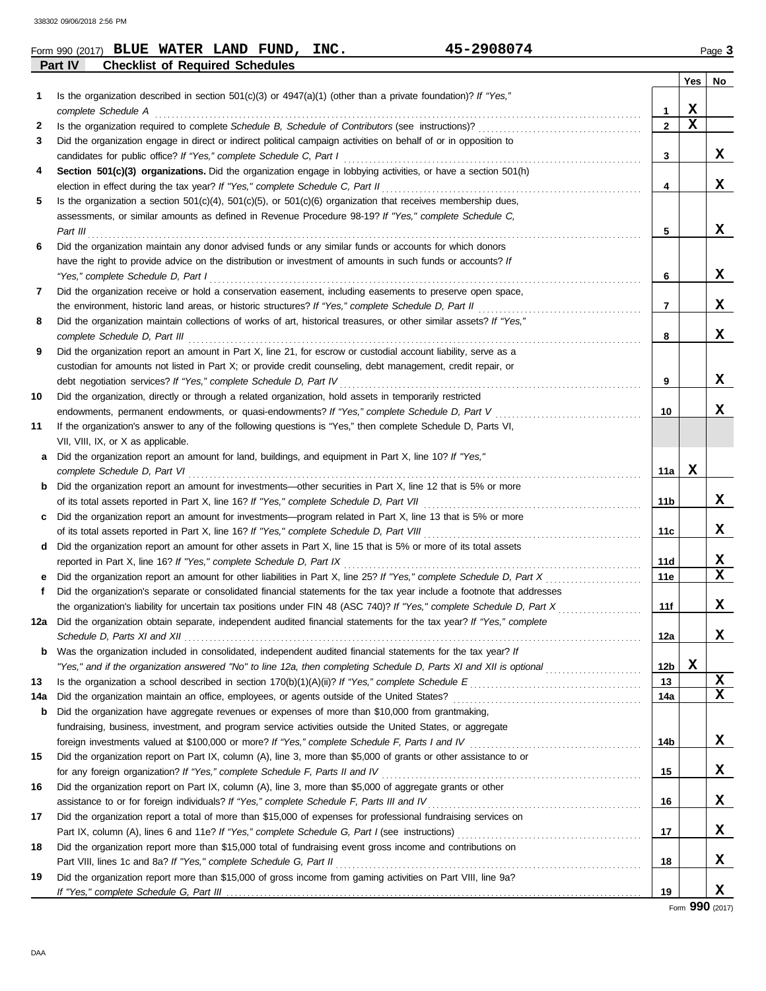|           | 45-2908074<br>Form 990 (2017) BLUE WATER LAND FUND, INC.                                                                                                                                                                                      |                     |             | Page 3 |
|-----------|-----------------------------------------------------------------------------------------------------------------------------------------------------------------------------------------------------------------------------------------------|---------------------|-------------|--------|
|           | Part IV<br><b>Checklist of Required Schedules</b>                                                                                                                                                                                             |                     |             |        |
|           |                                                                                                                                                                                                                                               |                     | Yes         | No     |
| 1         | Is the organization described in section $501(c)(3)$ or $4947(a)(1)$ (other than a private foundation)? If "Yes,"                                                                                                                             |                     | X           |        |
| 2         | complete Schedule A<br>Is the organization required to complete Schedule B, Schedule of Contributors (see instructions)?                                                                                                                      | 1<br>$\overline{2}$ | $\mathbf x$ |        |
| 3         | Did the organization engage in direct or indirect political campaign activities on behalf of or in opposition to                                                                                                                              |                     |             |        |
|           | candidates for public office? If "Yes," complete Schedule C, Part I                                                                                                                                                                           | 3                   |             | X      |
| 4         | Section 501(c)(3) organizations. Did the organization engage in lobbying activities, or have a section 501(h)                                                                                                                                 |                     |             |        |
|           | election in effect during the tax year? If "Yes," complete Schedule C, Part II                                                                                                                                                                | 4                   |             | X      |
| 5         | Is the organization a section $501(c)(4)$ , $501(c)(5)$ , or $501(c)(6)$ organization that receives membership dues,                                                                                                                          |                     |             |        |
|           | assessments, or similar amounts as defined in Revenue Procedure 98-19? If "Yes," complete Schedule C,                                                                                                                                         |                     |             |        |
|           | Part III                                                                                                                                                                                                                                      | 5                   |             | X      |
| 6         | Did the organization maintain any donor advised funds or any similar funds or accounts for which donors                                                                                                                                       |                     |             |        |
|           | have the right to provide advice on the distribution or investment of amounts in such funds or accounts? If                                                                                                                                   |                     |             |        |
|           | "Yes," complete Schedule D, Part I                                                                                                                                                                                                            | 6                   |             | X      |
| 7         | Did the organization receive or hold a conservation easement, including easements to preserve open space,                                                                                                                                     |                     |             |        |
|           | the environment, historic land areas, or historic structures? If "Yes," complete Schedule D, Part II                                                                                                                                          | 7                   |             | X      |
| 8         | Did the organization maintain collections of works of art, historical treasures, or other similar assets? If "Yes,"                                                                                                                           |                     |             |        |
|           | complete Schedule D, Part III                                                                                                                                                                                                                 | 8                   |             | X      |
| 9         | Did the organization report an amount in Part X, line 21, for escrow or custodial account liability, serve as a                                                                                                                               |                     |             |        |
|           | custodian for amounts not listed in Part X; or provide credit counseling, debt management, credit repair, or                                                                                                                                  |                     |             |        |
|           | debt negotiation services? If "Yes," complete Schedule D, Part IV                                                                                                                                                                             | 9                   |             | X      |
| 10        | Did the organization, directly or through a related organization, hold assets in temporarily restricted                                                                                                                                       |                     |             |        |
|           | endowments, permanent endowments, or quasi-endowments? If "Yes," complete Schedule D, Part V                                                                                                                                                  | 10                  |             | x      |
| 11        | If the organization's answer to any of the following questions is "Yes," then complete Schedule D, Parts VI,                                                                                                                                  |                     |             |        |
|           | VII, VIII, IX, or X as applicable.                                                                                                                                                                                                            |                     |             |        |
| a         | Did the organization report an amount for land, buildings, and equipment in Part X, line 10? If "Yes,"                                                                                                                                        |                     |             |        |
|           | complete Schedule D, Part VI                                                                                                                                                                                                                  | 11a                 | X           |        |
|           | <b>b</b> Did the organization report an amount for investments—other securities in Part X, line 12 that is 5% or more                                                                                                                         |                     |             |        |
|           | of its total assets reported in Part X, line 16? If "Yes," complete Schedule D, Part VII                                                                                                                                                      | 11b                 |             | X      |
| C         | Did the organization report an amount for investments—program related in Part X, line 13 that is 5% or more                                                                                                                                   |                     |             |        |
|           | of its total assets reported in Part X, line 16? If "Yes," complete Schedule D, Part VIII                                                                                                                                                     | 11с                 |             | X      |
| d         | Did the organization report an amount for other assets in Part X, line 15 that is 5% or more of its total assets                                                                                                                              |                     |             |        |
|           | reported in Part X, line 16? If "Yes," complete Schedule D, Part IX                                                                                                                                                                           | 11d                 |             | X      |
|           | Did the organization report an amount for other liabilities in Part X, line 25? If "Yes," complete Schedule D, Part X                                                                                                                         | 11e                 |             | X      |
| f         | Did the organization's separate or consolidated financial statements for the tax year include a footnote that addresses                                                                                                                       |                     |             |        |
|           |                                                                                                                                                                                                                                               | 11f                 |             | X      |
|           | 12a Did the organization obtain separate, independent audited financial statements for the tax year? If "Yes," complete                                                                                                                       |                     |             |        |
|           |                                                                                                                                                                                                                                               | 12a                 |             | X      |
|           | <b>b</b> Was the organization included in consolidated, independent audited financial statements for the tax year? If                                                                                                                         |                     | X           |        |
|           | "Yes," and if the organization answered "No" to line 12a, then completing Schedule D, Parts XI and XII is optional                                                                                                                            | 12b<br>13           |             | X      |
| 13<br>14a | Is the organization a school described in section 170(b)(1)(A)(ii)? If "Yes," complete Schedule E<br>Schedule E<br>Schedule E<br>Schedule E<br>Schedule E<br>Schedule E<br>Schedule E<br>Schedule E<br>Schedule Times and the schedule of the | 14a                 |             | X      |
|           | <b>b</b> Did the organization have aggregate revenues or expenses of more than \$10,000 from grantmaking,                                                                                                                                     |                     |             |        |
|           | fundraising, business, investment, and program service activities outside the United States, or aggregate                                                                                                                                     |                     |             |        |
|           | foreign investments valued at \$100,000 or more? If "Yes," complete Schedule F, Parts I and IV [[[[[[[[[[[[[[[                                                                                                                                | 14b                 |             | X      |
| 15        | Did the organization report on Part IX, column (A), line 3, more than \$5,000 of grants or other assistance to or                                                                                                                             |                     |             |        |
|           | for any foreign organization? If "Yes," complete Schedule F, Parts II and IV                                                                                                                                                                  | 15                  |             | X      |
| 16        | Did the organization report on Part IX, column (A), line 3, more than \$5,000 of aggregate grants or other                                                                                                                                    |                     |             |        |
|           | assistance to or for foreign individuals? If "Yes," complete Schedule F, Parts III and IV                                                                                                                                                     | 16                  |             | X      |
| 17        | Did the organization report a total of more than \$15,000 of expenses for professional fundraising services on                                                                                                                                |                     |             |        |
|           |                                                                                                                                                                                                                                               | 17                  |             | X      |
| 18        | Did the organization report more than \$15,000 total of fundraising event gross income and contributions on                                                                                                                                   |                     |             |        |
|           | Part VIII, lines 1c and 8a? If "Yes," complete Schedule G, Part II                                                                                                                                                                            | 18                  |             | X      |
| 19        | Did the organization report more than \$15,000 of gross income from gaming activities on Part VIII, line 9a?                                                                                                                                  |                     |             |        |

Form **990** (2017)

**X**

**19**

If "Yes," complete Schedule G, Part III

| 990 (2017) BLUE WATER LA |  |  |
|--------------------------|--|--|
|                          |  |  |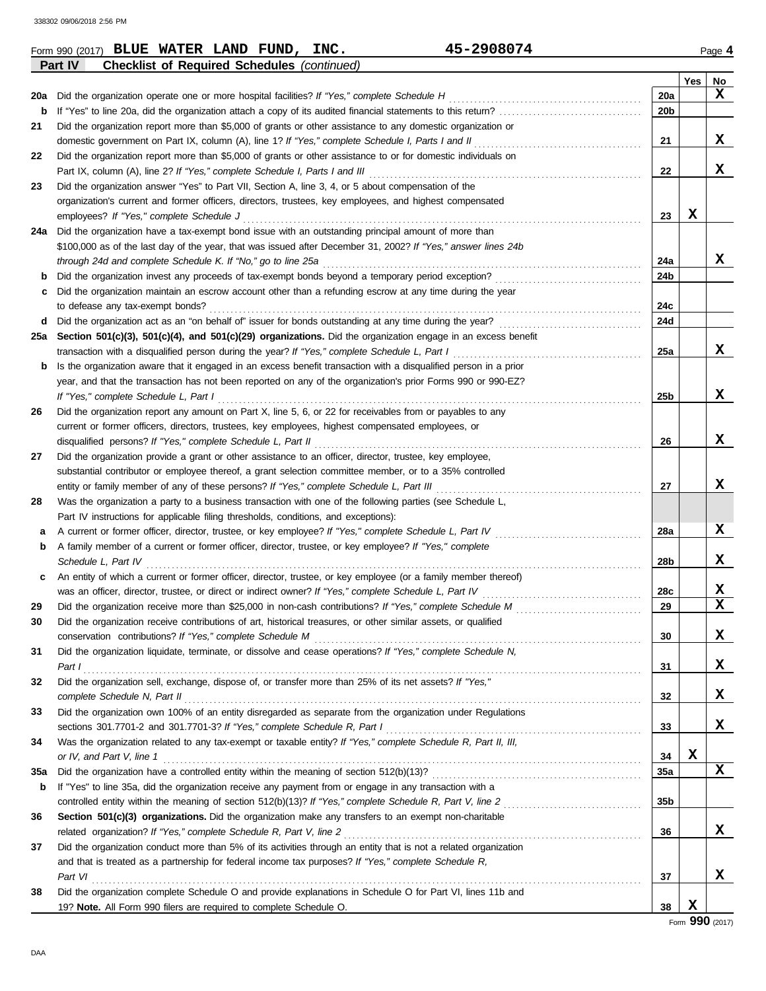| Form 990 (2017) | <b>WATER</b><br><b>BLUE</b>            | FUND<br><b>LAND</b> | INC.        | 2908074 | Page <b>4</b> |
|-----------------|----------------------------------------|---------------------|-------------|---------|---------------|
| <b>Part IV</b>  | <b>Checklist of Required Schedules</b> |                     | (continued) |         |               |

| Yes<br>No<br>X<br>20a<br>20a<br>20 <sub>b</sub><br>b<br>Did the organization report more than \$5,000 of grants or other assistance to any domestic organization or<br>21<br>X<br>21<br>domestic government on Part IX, column (A), line 1? If "Yes," complete Schedule I, Parts I and II<br>Did the organization report more than \$5,000 of grants or other assistance to or for domestic individuals on<br>22<br>X<br>22<br>Did the organization answer "Yes" to Part VII, Section A, line 3, 4, or 5 about compensation of the<br>23<br>organization's current and former officers, directors, trustees, key employees, and highest compensated<br>х<br>23<br>employees? If "Yes," complete Schedule J<br>Did the organization have a tax-exempt bond issue with an outstanding principal amount of more than<br>24a<br>\$100,000 as of the last day of the year, that was issued after December 31, 2002? If "Yes," answer lines 24b<br>x<br>24a<br>24b<br>Did the organization maintain an escrow account other than a refunding escrow at any time during the year<br>c<br>24c<br>24d<br>d<br>Section 501(c)(3), 501(c)(4), and 501(c)(29) organizations. Did the organization engage in an excess benefit<br>25a<br>x<br>transaction with a disqualified person during the year? If "Yes," complete Schedule L, Part I<br>25a<br>Is the organization aware that it engaged in an excess benefit transaction with a disqualified person in a prior<br>b<br>year, and that the transaction has not been reported on any of the organization's prior Forms 990 or 990-EZ?<br>x<br>If "Yes," complete Schedule L, Part I<br>25b<br>Did the organization report any amount on Part X, line 5, 6, or 22 for receivables from or payables to any<br>26<br>current or former officers, directors, trustees, key employees, highest compensated employees, or<br>x<br>disqualified persons? If "Yes," complete Schedule L, Part II<br>26<br>Did the organization provide a grant or other assistance to an officer, director, trustee, key employee,<br>27<br>substantial contributor or employee thereof, a grant selection committee member, or to a 35% controlled<br>x<br>entity or family member of any of these persons? If "Yes," complete Schedule L, Part III<br>27<br>Was the organization a party to a business transaction with one of the following parties (see Schedule L,<br>28<br>Part IV instructions for applicable filing thresholds, conditions, and exceptions):<br>x<br>A current or former officer, director, trustee, or key employee? If "Yes," complete Schedule L, Part IV<br>28a<br>а<br>A family member of a current or former officer, director, trustee, or key employee? If "Yes," complete<br>b<br>x<br>Schedule L, Part IV<br>28b<br>An entity of which a current or former officer, director, trustee, or key employee (or a family member thereof)<br>c<br>X<br>28c<br>$\mathbf x$<br>29<br>29<br>30<br>Did the organization receive contributions of art, historical treasures, or other similar assets, or qualified<br>X<br>30<br>Did the organization liquidate, terminate, or dissolve and cease operations? If "Yes," complete Schedule N,<br>31<br>X<br>31<br>Part $\mathbf{I}$<br>Did the organization sell, exchange, dispose of, or transfer more than 25% of its net assets? If "Yes,"<br>32<br>x<br>32<br>complete Schedule N, Part II<br>Did the organization own 100% of an entity disregarded as separate from the organization under Regulations<br>33<br>x<br>33<br>Was the organization related to any tax-exempt or taxable entity? If "Yes," complete Schedule R, Part II, III,<br>34<br>X<br>34<br>X<br>35a<br>35a<br>If "Yes" to line 35a, did the organization receive any payment from or engage in any transaction with a<br>b<br>35b<br>Section 501(c)(3) organizations. Did the organization make any transfers to an exempt non-charitable<br>36<br>x<br>36<br>Did the organization conduct more than 5% of its activities through an entity that is not a related organization<br>37<br>and that is treated as a partnership for federal income tax purposes? If "Yes," complete Schedule R,<br>x<br>37<br>Part VI<br>Did the organization complete Schedule O and provide explanations in Schedule O for Part VI, lines 11b and<br>38 | Part IV<br><b>Checklist of Required Schedules (continued)</b>      |    |   |  |
|---------------------------------------------------------------------------------------------------------------------------------------------------------------------------------------------------------------------------------------------------------------------------------------------------------------------------------------------------------------------------------------------------------------------------------------------------------------------------------------------------------------------------------------------------------------------------------------------------------------------------------------------------------------------------------------------------------------------------------------------------------------------------------------------------------------------------------------------------------------------------------------------------------------------------------------------------------------------------------------------------------------------------------------------------------------------------------------------------------------------------------------------------------------------------------------------------------------------------------------------------------------------------------------------------------------------------------------------------------------------------------------------------------------------------------------------------------------------------------------------------------------------------------------------------------------------------------------------------------------------------------------------------------------------------------------------------------------------------------------------------------------------------------------------------------------------------------------------------------------------------------------------------------------------------------------------------------------------------------------------------------------------------------------------------------------------------------------------------------------------------------------------------------------------------------------------------------------------------------------------------------------------------------------------------------------------------------------------------------------------------------------------------------------------------------------------------------------------------------------------------------------------------------------------------------------------------------------------------------------------------------------------------------------------------------------------------------------------------------------------------------------------------------------------------------------------------------------------------------------------------------------------------------------------------------------------------------------------------------------------------------------------------------------------------------------------------------------------------------------------------------------------------------------------------------------------------------------------------------------------------------------------------------------------------------------------------------------------------------------------------------------------------------------------------------------------------------------------------------------------------------------------------------------------------------------------------------------------------------------------------------------------------------------------------------------------------------------------------------------------------------------------------------------------------------------------------------------------------------------------------------------------------------------------------------------------------------------------------------------------------------------------------------------------------------------------------------------------------------------------------------------------------------------------------------------------------------------------------------------------------------------------------------------------------------|--------------------------------------------------------------------|----|---|--|
|                                                                                                                                                                                                                                                                                                                                                                                                                                                                                                                                                                                                                                                                                                                                                                                                                                                                                                                                                                                                                                                                                                                                                                                                                                                                                                                                                                                                                                                                                                                                                                                                                                                                                                                                                                                                                                                                                                                                                                                                                                                                                                                                                                                                                                                                                                                                                                                                                                                                                                                                                                                                                                                                                                                                                                                                                                                                                                                                                                                                                                                                                                                                                                                                                                                                                                                                                                                                                                                                                                                                                                                                                                                                                                                                                                                                                                                                                                                                                                                                                                                                                                                                                                                                                                                                                                         |                                                                    |    |   |  |
|                                                                                                                                                                                                                                                                                                                                                                                                                                                                                                                                                                                                                                                                                                                                                                                                                                                                                                                                                                                                                                                                                                                                                                                                                                                                                                                                                                                                                                                                                                                                                                                                                                                                                                                                                                                                                                                                                                                                                                                                                                                                                                                                                                                                                                                                                                                                                                                                                                                                                                                                                                                                                                                                                                                                                                                                                                                                                                                                                                                                                                                                                                                                                                                                                                                                                                                                                                                                                                                                                                                                                                                                                                                                                                                                                                                                                                                                                                                                                                                                                                                                                                                                                                                                                                                                                                         |                                                                    |    |   |  |
|                                                                                                                                                                                                                                                                                                                                                                                                                                                                                                                                                                                                                                                                                                                                                                                                                                                                                                                                                                                                                                                                                                                                                                                                                                                                                                                                                                                                                                                                                                                                                                                                                                                                                                                                                                                                                                                                                                                                                                                                                                                                                                                                                                                                                                                                                                                                                                                                                                                                                                                                                                                                                                                                                                                                                                                                                                                                                                                                                                                                                                                                                                                                                                                                                                                                                                                                                                                                                                                                                                                                                                                                                                                                                                                                                                                                                                                                                                                                                                                                                                                                                                                                                                                                                                                                                                         |                                                                    |    |   |  |
|                                                                                                                                                                                                                                                                                                                                                                                                                                                                                                                                                                                                                                                                                                                                                                                                                                                                                                                                                                                                                                                                                                                                                                                                                                                                                                                                                                                                                                                                                                                                                                                                                                                                                                                                                                                                                                                                                                                                                                                                                                                                                                                                                                                                                                                                                                                                                                                                                                                                                                                                                                                                                                                                                                                                                                                                                                                                                                                                                                                                                                                                                                                                                                                                                                                                                                                                                                                                                                                                                                                                                                                                                                                                                                                                                                                                                                                                                                                                                                                                                                                                                                                                                                                                                                                                                                         |                                                                    |    |   |  |
|                                                                                                                                                                                                                                                                                                                                                                                                                                                                                                                                                                                                                                                                                                                                                                                                                                                                                                                                                                                                                                                                                                                                                                                                                                                                                                                                                                                                                                                                                                                                                                                                                                                                                                                                                                                                                                                                                                                                                                                                                                                                                                                                                                                                                                                                                                                                                                                                                                                                                                                                                                                                                                                                                                                                                                                                                                                                                                                                                                                                                                                                                                                                                                                                                                                                                                                                                                                                                                                                                                                                                                                                                                                                                                                                                                                                                                                                                                                                                                                                                                                                                                                                                                                                                                                                                                         |                                                                    |    |   |  |
|                                                                                                                                                                                                                                                                                                                                                                                                                                                                                                                                                                                                                                                                                                                                                                                                                                                                                                                                                                                                                                                                                                                                                                                                                                                                                                                                                                                                                                                                                                                                                                                                                                                                                                                                                                                                                                                                                                                                                                                                                                                                                                                                                                                                                                                                                                                                                                                                                                                                                                                                                                                                                                                                                                                                                                                                                                                                                                                                                                                                                                                                                                                                                                                                                                                                                                                                                                                                                                                                                                                                                                                                                                                                                                                                                                                                                                                                                                                                                                                                                                                                                                                                                                                                                                                                                                         |                                                                    |    |   |  |
|                                                                                                                                                                                                                                                                                                                                                                                                                                                                                                                                                                                                                                                                                                                                                                                                                                                                                                                                                                                                                                                                                                                                                                                                                                                                                                                                                                                                                                                                                                                                                                                                                                                                                                                                                                                                                                                                                                                                                                                                                                                                                                                                                                                                                                                                                                                                                                                                                                                                                                                                                                                                                                                                                                                                                                                                                                                                                                                                                                                                                                                                                                                                                                                                                                                                                                                                                                                                                                                                                                                                                                                                                                                                                                                                                                                                                                                                                                                                                                                                                                                                                                                                                                                                                                                                                                         |                                                                    |    |   |  |
|                                                                                                                                                                                                                                                                                                                                                                                                                                                                                                                                                                                                                                                                                                                                                                                                                                                                                                                                                                                                                                                                                                                                                                                                                                                                                                                                                                                                                                                                                                                                                                                                                                                                                                                                                                                                                                                                                                                                                                                                                                                                                                                                                                                                                                                                                                                                                                                                                                                                                                                                                                                                                                                                                                                                                                                                                                                                                                                                                                                                                                                                                                                                                                                                                                                                                                                                                                                                                                                                                                                                                                                                                                                                                                                                                                                                                                                                                                                                                                                                                                                                                                                                                                                                                                                                                                         |                                                                    |    |   |  |
|                                                                                                                                                                                                                                                                                                                                                                                                                                                                                                                                                                                                                                                                                                                                                                                                                                                                                                                                                                                                                                                                                                                                                                                                                                                                                                                                                                                                                                                                                                                                                                                                                                                                                                                                                                                                                                                                                                                                                                                                                                                                                                                                                                                                                                                                                                                                                                                                                                                                                                                                                                                                                                                                                                                                                                                                                                                                                                                                                                                                                                                                                                                                                                                                                                                                                                                                                                                                                                                                                                                                                                                                                                                                                                                                                                                                                                                                                                                                                                                                                                                                                                                                                                                                                                                                                                         |                                                                    |    |   |  |
|                                                                                                                                                                                                                                                                                                                                                                                                                                                                                                                                                                                                                                                                                                                                                                                                                                                                                                                                                                                                                                                                                                                                                                                                                                                                                                                                                                                                                                                                                                                                                                                                                                                                                                                                                                                                                                                                                                                                                                                                                                                                                                                                                                                                                                                                                                                                                                                                                                                                                                                                                                                                                                                                                                                                                                                                                                                                                                                                                                                                                                                                                                                                                                                                                                                                                                                                                                                                                                                                                                                                                                                                                                                                                                                                                                                                                                                                                                                                                                                                                                                                                                                                                                                                                                                                                                         |                                                                    |    |   |  |
|                                                                                                                                                                                                                                                                                                                                                                                                                                                                                                                                                                                                                                                                                                                                                                                                                                                                                                                                                                                                                                                                                                                                                                                                                                                                                                                                                                                                                                                                                                                                                                                                                                                                                                                                                                                                                                                                                                                                                                                                                                                                                                                                                                                                                                                                                                                                                                                                                                                                                                                                                                                                                                                                                                                                                                                                                                                                                                                                                                                                                                                                                                                                                                                                                                                                                                                                                                                                                                                                                                                                                                                                                                                                                                                                                                                                                                                                                                                                                                                                                                                                                                                                                                                                                                                                                                         |                                                                    |    |   |  |
|                                                                                                                                                                                                                                                                                                                                                                                                                                                                                                                                                                                                                                                                                                                                                                                                                                                                                                                                                                                                                                                                                                                                                                                                                                                                                                                                                                                                                                                                                                                                                                                                                                                                                                                                                                                                                                                                                                                                                                                                                                                                                                                                                                                                                                                                                                                                                                                                                                                                                                                                                                                                                                                                                                                                                                                                                                                                                                                                                                                                                                                                                                                                                                                                                                                                                                                                                                                                                                                                                                                                                                                                                                                                                                                                                                                                                                                                                                                                                                                                                                                                                                                                                                                                                                                                                                         |                                                                    |    |   |  |
|                                                                                                                                                                                                                                                                                                                                                                                                                                                                                                                                                                                                                                                                                                                                                                                                                                                                                                                                                                                                                                                                                                                                                                                                                                                                                                                                                                                                                                                                                                                                                                                                                                                                                                                                                                                                                                                                                                                                                                                                                                                                                                                                                                                                                                                                                                                                                                                                                                                                                                                                                                                                                                                                                                                                                                                                                                                                                                                                                                                                                                                                                                                                                                                                                                                                                                                                                                                                                                                                                                                                                                                                                                                                                                                                                                                                                                                                                                                                                                                                                                                                                                                                                                                                                                                                                                         |                                                                    |    |   |  |
|                                                                                                                                                                                                                                                                                                                                                                                                                                                                                                                                                                                                                                                                                                                                                                                                                                                                                                                                                                                                                                                                                                                                                                                                                                                                                                                                                                                                                                                                                                                                                                                                                                                                                                                                                                                                                                                                                                                                                                                                                                                                                                                                                                                                                                                                                                                                                                                                                                                                                                                                                                                                                                                                                                                                                                                                                                                                                                                                                                                                                                                                                                                                                                                                                                                                                                                                                                                                                                                                                                                                                                                                                                                                                                                                                                                                                                                                                                                                                                                                                                                                                                                                                                                                                                                                                                         |                                                                    |    |   |  |
|                                                                                                                                                                                                                                                                                                                                                                                                                                                                                                                                                                                                                                                                                                                                                                                                                                                                                                                                                                                                                                                                                                                                                                                                                                                                                                                                                                                                                                                                                                                                                                                                                                                                                                                                                                                                                                                                                                                                                                                                                                                                                                                                                                                                                                                                                                                                                                                                                                                                                                                                                                                                                                                                                                                                                                                                                                                                                                                                                                                                                                                                                                                                                                                                                                                                                                                                                                                                                                                                                                                                                                                                                                                                                                                                                                                                                                                                                                                                                                                                                                                                                                                                                                                                                                                                                                         |                                                                    |    |   |  |
|                                                                                                                                                                                                                                                                                                                                                                                                                                                                                                                                                                                                                                                                                                                                                                                                                                                                                                                                                                                                                                                                                                                                                                                                                                                                                                                                                                                                                                                                                                                                                                                                                                                                                                                                                                                                                                                                                                                                                                                                                                                                                                                                                                                                                                                                                                                                                                                                                                                                                                                                                                                                                                                                                                                                                                                                                                                                                                                                                                                                                                                                                                                                                                                                                                                                                                                                                                                                                                                                                                                                                                                                                                                                                                                                                                                                                                                                                                                                                                                                                                                                                                                                                                                                                                                                                                         |                                                                    |    |   |  |
|                                                                                                                                                                                                                                                                                                                                                                                                                                                                                                                                                                                                                                                                                                                                                                                                                                                                                                                                                                                                                                                                                                                                                                                                                                                                                                                                                                                                                                                                                                                                                                                                                                                                                                                                                                                                                                                                                                                                                                                                                                                                                                                                                                                                                                                                                                                                                                                                                                                                                                                                                                                                                                                                                                                                                                                                                                                                                                                                                                                                                                                                                                                                                                                                                                                                                                                                                                                                                                                                                                                                                                                                                                                                                                                                                                                                                                                                                                                                                                                                                                                                                                                                                                                                                                                                                                         |                                                                    |    |   |  |
|                                                                                                                                                                                                                                                                                                                                                                                                                                                                                                                                                                                                                                                                                                                                                                                                                                                                                                                                                                                                                                                                                                                                                                                                                                                                                                                                                                                                                                                                                                                                                                                                                                                                                                                                                                                                                                                                                                                                                                                                                                                                                                                                                                                                                                                                                                                                                                                                                                                                                                                                                                                                                                                                                                                                                                                                                                                                                                                                                                                                                                                                                                                                                                                                                                                                                                                                                                                                                                                                                                                                                                                                                                                                                                                                                                                                                                                                                                                                                                                                                                                                                                                                                                                                                                                                                                         |                                                                    |    |   |  |
|                                                                                                                                                                                                                                                                                                                                                                                                                                                                                                                                                                                                                                                                                                                                                                                                                                                                                                                                                                                                                                                                                                                                                                                                                                                                                                                                                                                                                                                                                                                                                                                                                                                                                                                                                                                                                                                                                                                                                                                                                                                                                                                                                                                                                                                                                                                                                                                                                                                                                                                                                                                                                                                                                                                                                                                                                                                                                                                                                                                                                                                                                                                                                                                                                                                                                                                                                                                                                                                                                                                                                                                                                                                                                                                                                                                                                                                                                                                                                                                                                                                                                                                                                                                                                                                                                                         |                                                                    |    |   |  |
|                                                                                                                                                                                                                                                                                                                                                                                                                                                                                                                                                                                                                                                                                                                                                                                                                                                                                                                                                                                                                                                                                                                                                                                                                                                                                                                                                                                                                                                                                                                                                                                                                                                                                                                                                                                                                                                                                                                                                                                                                                                                                                                                                                                                                                                                                                                                                                                                                                                                                                                                                                                                                                                                                                                                                                                                                                                                                                                                                                                                                                                                                                                                                                                                                                                                                                                                                                                                                                                                                                                                                                                                                                                                                                                                                                                                                                                                                                                                                                                                                                                                                                                                                                                                                                                                                                         |                                                                    |    |   |  |
|                                                                                                                                                                                                                                                                                                                                                                                                                                                                                                                                                                                                                                                                                                                                                                                                                                                                                                                                                                                                                                                                                                                                                                                                                                                                                                                                                                                                                                                                                                                                                                                                                                                                                                                                                                                                                                                                                                                                                                                                                                                                                                                                                                                                                                                                                                                                                                                                                                                                                                                                                                                                                                                                                                                                                                                                                                                                                                                                                                                                                                                                                                                                                                                                                                                                                                                                                                                                                                                                                                                                                                                                                                                                                                                                                                                                                                                                                                                                                                                                                                                                                                                                                                                                                                                                                                         |                                                                    |    |   |  |
|                                                                                                                                                                                                                                                                                                                                                                                                                                                                                                                                                                                                                                                                                                                                                                                                                                                                                                                                                                                                                                                                                                                                                                                                                                                                                                                                                                                                                                                                                                                                                                                                                                                                                                                                                                                                                                                                                                                                                                                                                                                                                                                                                                                                                                                                                                                                                                                                                                                                                                                                                                                                                                                                                                                                                                                                                                                                                                                                                                                                                                                                                                                                                                                                                                                                                                                                                                                                                                                                                                                                                                                                                                                                                                                                                                                                                                                                                                                                                                                                                                                                                                                                                                                                                                                                                                         |                                                                    |    |   |  |
|                                                                                                                                                                                                                                                                                                                                                                                                                                                                                                                                                                                                                                                                                                                                                                                                                                                                                                                                                                                                                                                                                                                                                                                                                                                                                                                                                                                                                                                                                                                                                                                                                                                                                                                                                                                                                                                                                                                                                                                                                                                                                                                                                                                                                                                                                                                                                                                                                                                                                                                                                                                                                                                                                                                                                                                                                                                                                                                                                                                                                                                                                                                                                                                                                                                                                                                                                                                                                                                                                                                                                                                                                                                                                                                                                                                                                                                                                                                                                                                                                                                                                                                                                                                                                                                                                                         |                                                                    |    |   |  |
|                                                                                                                                                                                                                                                                                                                                                                                                                                                                                                                                                                                                                                                                                                                                                                                                                                                                                                                                                                                                                                                                                                                                                                                                                                                                                                                                                                                                                                                                                                                                                                                                                                                                                                                                                                                                                                                                                                                                                                                                                                                                                                                                                                                                                                                                                                                                                                                                                                                                                                                                                                                                                                                                                                                                                                                                                                                                                                                                                                                                                                                                                                                                                                                                                                                                                                                                                                                                                                                                                                                                                                                                                                                                                                                                                                                                                                                                                                                                                                                                                                                                                                                                                                                                                                                                                                         |                                                                    |    |   |  |
|                                                                                                                                                                                                                                                                                                                                                                                                                                                                                                                                                                                                                                                                                                                                                                                                                                                                                                                                                                                                                                                                                                                                                                                                                                                                                                                                                                                                                                                                                                                                                                                                                                                                                                                                                                                                                                                                                                                                                                                                                                                                                                                                                                                                                                                                                                                                                                                                                                                                                                                                                                                                                                                                                                                                                                                                                                                                                                                                                                                                                                                                                                                                                                                                                                                                                                                                                                                                                                                                                                                                                                                                                                                                                                                                                                                                                                                                                                                                                                                                                                                                                                                                                                                                                                                                                                         |                                                                    |    |   |  |
|                                                                                                                                                                                                                                                                                                                                                                                                                                                                                                                                                                                                                                                                                                                                                                                                                                                                                                                                                                                                                                                                                                                                                                                                                                                                                                                                                                                                                                                                                                                                                                                                                                                                                                                                                                                                                                                                                                                                                                                                                                                                                                                                                                                                                                                                                                                                                                                                                                                                                                                                                                                                                                                                                                                                                                                                                                                                                                                                                                                                                                                                                                                                                                                                                                                                                                                                                                                                                                                                                                                                                                                                                                                                                                                                                                                                                                                                                                                                                                                                                                                                                                                                                                                                                                                                                                         |                                                                    |    |   |  |
|                                                                                                                                                                                                                                                                                                                                                                                                                                                                                                                                                                                                                                                                                                                                                                                                                                                                                                                                                                                                                                                                                                                                                                                                                                                                                                                                                                                                                                                                                                                                                                                                                                                                                                                                                                                                                                                                                                                                                                                                                                                                                                                                                                                                                                                                                                                                                                                                                                                                                                                                                                                                                                                                                                                                                                                                                                                                                                                                                                                                                                                                                                                                                                                                                                                                                                                                                                                                                                                                                                                                                                                                                                                                                                                                                                                                                                                                                                                                                                                                                                                                                                                                                                                                                                                                                                         |                                                                    |    |   |  |
|                                                                                                                                                                                                                                                                                                                                                                                                                                                                                                                                                                                                                                                                                                                                                                                                                                                                                                                                                                                                                                                                                                                                                                                                                                                                                                                                                                                                                                                                                                                                                                                                                                                                                                                                                                                                                                                                                                                                                                                                                                                                                                                                                                                                                                                                                                                                                                                                                                                                                                                                                                                                                                                                                                                                                                                                                                                                                                                                                                                                                                                                                                                                                                                                                                                                                                                                                                                                                                                                                                                                                                                                                                                                                                                                                                                                                                                                                                                                                                                                                                                                                                                                                                                                                                                                                                         |                                                                    |    |   |  |
|                                                                                                                                                                                                                                                                                                                                                                                                                                                                                                                                                                                                                                                                                                                                                                                                                                                                                                                                                                                                                                                                                                                                                                                                                                                                                                                                                                                                                                                                                                                                                                                                                                                                                                                                                                                                                                                                                                                                                                                                                                                                                                                                                                                                                                                                                                                                                                                                                                                                                                                                                                                                                                                                                                                                                                                                                                                                                                                                                                                                                                                                                                                                                                                                                                                                                                                                                                                                                                                                                                                                                                                                                                                                                                                                                                                                                                                                                                                                                                                                                                                                                                                                                                                                                                                                                                         |                                                                    |    |   |  |
|                                                                                                                                                                                                                                                                                                                                                                                                                                                                                                                                                                                                                                                                                                                                                                                                                                                                                                                                                                                                                                                                                                                                                                                                                                                                                                                                                                                                                                                                                                                                                                                                                                                                                                                                                                                                                                                                                                                                                                                                                                                                                                                                                                                                                                                                                                                                                                                                                                                                                                                                                                                                                                                                                                                                                                                                                                                                                                                                                                                                                                                                                                                                                                                                                                                                                                                                                                                                                                                                                                                                                                                                                                                                                                                                                                                                                                                                                                                                                                                                                                                                                                                                                                                                                                                                                                         |                                                                    |    |   |  |
|                                                                                                                                                                                                                                                                                                                                                                                                                                                                                                                                                                                                                                                                                                                                                                                                                                                                                                                                                                                                                                                                                                                                                                                                                                                                                                                                                                                                                                                                                                                                                                                                                                                                                                                                                                                                                                                                                                                                                                                                                                                                                                                                                                                                                                                                                                                                                                                                                                                                                                                                                                                                                                                                                                                                                                                                                                                                                                                                                                                                                                                                                                                                                                                                                                                                                                                                                                                                                                                                                                                                                                                                                                                                                                                                                                                                                                                                                                                                                                                                                                                                                                                                                                                                                                                                                                         |                                                                    |    |   |  |
|                                                                                                                                                                                                                                                                                                                                                                                                                                                                                                                                                                                                                                                                                                                                                                                                                                                                                                                                                                                                                                                                                                                                                                                                                                                                                                                                                                                                                                                                                                                                                                                                                                                                                                                                                                                                                                                                                                                                                                                                                                                                                                                                                                                                                                                                                                                                                                                                                                                                                                                                                                                                                                                                                                                                                                                                                                                                                                                                                                                                                                                                                                                                                                                                                                                                                                                                                                                                                                                                                                                                                                                                                                                                                                                                                                                                                                                                                                                                                                                                                                                                                                                                                                                                                                                                                                         |                                                                    |    |   |  |
|                                                                                                                                                                                                                                                                                                                                                                                                                                                                                                                                                                                                                                                                                                                                                                                                                                                                                                                                                                                                                                                                                                                                                                                                                                                                                                                                                                                                                                                                                                                                                                                                                                                                                                                                                                                                                                                                                                                                                                                                                                                                                                                                                                                                                                                                                                                                                                                                                                                                                                                                                                                                                                                                                                                                                                                                                                                                                                                                                                                                                                                                                                                                                                                                                                                                                                                                                                                                                                                                                                                                                                                                                                                                                                                                                                                                                                                                                                                                                                                                                                                                                                                                                                                                                                                                                                         |                                                                    |    |   |  |
|                                                                                                                                                                                                                                                                                                                                                                                                                                                                                                                                                                                                                                                                                                                                                                                                                                                                                                                                                                                                                                                                                                                                                                                                                                                                                                                                                                                                                                                                                                                                                                                                                                                                                                                                                                                                                                                                                                                                                                                                                                                                                                                                                                                                                                                                                                                                                                                                                                                                                                                                                                                                                                                                                                                                                                                                                                                                                                                                                                                                                                                                                                                                                                                                                                                                                                                                                                                                                                                                                                                                                                                                                                                                                                                                                                                                                                                                                                                                                                                                                                                                                                                                                                                                                                                                                                         |                                                                    |    |   |  |
|                                                                                                                                                                                                                                                                                                                                                                                                                                                                                                                                                                                                                                                                                                                                                                                                                                                                                                                                                                                                                                                                                                                                                                                                                                                                                                                                                                                                                                                                                                                                                                                                                                                                                                                                                                                                                                                                                                                                                                                                                                                                                                                                                                                                                                                                                                                                                                                                                                                                                                                                                                                                                                                                                                                                                                                                                                                                                                                                                                                                                                                                                                                                                                                                                                                                                                                                                                                                                                                                                                                                                                                                                                                                                                                                                                                                                                                                                                                                                                                                                                                                                                                                                                                                                                                                                                         |                                                                    |    |   |  |
|                                                                                                                                                                                                                                                                                                                                                                                                                                                                                                                                                                                                                                                                                                                                                                                                                                                                                                                                                                                                                                                                                                                                                                                                                                                                                                                                                                                                                                                                                                                                                                                                                                                                                                                                                                                                                                                                                                                                                                                                                                                                                                                                                                                                                                                                                                                                                                                                                                                                                                                                                                                                                                                                                                                                                                                                                                                                                                                                                                                                                                                                                                                                                                                                                                                                                                                                                                                                                                                                                                                                                                                                                                                                                                                                                                                                                                                                                                                                                                                                                                                                                                                                                                                                                                                                                                         |                                                                    |    |   |  |
|                                                                                                                                                                                                                                                                                                                                                                                                                                                                                                                                                                                                                                                                                                                                                                                                                                                                                                                                                                                                                                                                                                                                                                                                                                                                                                                                                                                                                                                                                                                                                                                                                                                                                                                                                                                                                                                                                                                                                                                                                                                                                                                                                                                                                                                                                                                                                                                                                                                                                                                                                                                                                                                                                                                                                                                                                                                                                                                                                                                                                                                                                                                                                                                                                                                                                                                                                                                                                                                                                                                                                                                                                                                                                                                                                                                                                                                                                                                                                                                                                                                                                                                                                                                                                                                                                                         |                                                                    |    |   |  |
|                                                                                                                                                                                                                                                                                                                                                                                                                                                                                                                                                                                                                                                                                                                                                                                                                                                                                                                                                                                                                                                                                                                                                                                                                                                                                                                                                                                                                                                                                                                                                                                                                                                                                                                                                                                                                                                                                                                                                                                                                                                                                                                                                                                                                                                                                                                                                                                                                                                                                                                                                                                                                                                                                                                                                                                                                                                                                                                                                                                                                                                                                                                                                                                                                                                                                                                                                                                                                                                                                                                                                                                                                                                                                                                                                                                                                                                                                                                                                                                                                                                                                                                                                                                                                                                                                                         |                                                                    |    |   |  |
|                                                                                                                                                                                                                                                                                                                                                                                                                                                                                                                                                                                                                                                                                                                                                                                                                                                                                                                                                                                                                                                                                                                                                                                                                                                                                                                                                                                                                                                                                                                                                                                                                                                                                                                                                                                                                                                                                                                                                                                                                                                                                                                                                                                                                                                                                                                                                                                                                                                                                                                                                                                                                                                                                                                                                                                                                                                                                                                                                                                                                                                                                                                                                                                                                                                                                                                                                                                                                                                                                                                                                                                                                                                                                                                                                                                                                                                                                                                                                                                                                                                                                                                                                                                                                                                                                                         |                                                                    |    |   |  |
|                                                                                                                                                                                                                                                                                                                                                                                                                                                                                                                                                                                                                                                                                                                                                                                                                                                                                                                                                                                                                                                                                                                                                                                                                                                                                                                                                                                                                                                                                                                                                                                                                                                                                                                                                                                                                                                                                                                                                                                                                                                                                                                                                                                                                                                                                                                                                                                                                                                                                                                                                                                                                                                                                                                                                                                                                                                                                                                                                                                                                                                                                                                                                                                                                                                                                                                                                                                                                                                                                                                                                                                                                                                                                                                                                                                                                                                                                                                                                                                                                                                                                                                                                                                                                                                                                                         |                                                                    |    |   |  |
|                                                                                                                                                                                                                                                                                                                                                                                                                                                                                                                                                                                                                                                                                                                                                                                                                                                                                                                                                                                                                                                                                                                                                                                                                                                                                                                                                                                                                                                                                                                                                                                                                                                                                                                                                                                                                                                                                                                                                                                                                                                                                                                                                                                                                                                                                                                                                                                                                                                                                                                                                                                                                                                                                                                                                                                                                                                                                                                                                                                                                                                                                                                                                                                                                                                                                                                                                                                                                                                                                                                                                                                                                                                                                                                                                                                                                                                                                                                                                                                                                                                                                                                                                                                                                                                                                                         |                                                                    |    |   |  |
|                                                                                                                                                                                                                                                                                                                                                                                                                                                                                                                                                                                                                                                                                                                                                                                                                                                                                                                                                                                                                                                                                                                                                                                                                                                                                                                                                                                                                                                                                                                                                                                                                                                                                                                                                                                                                                                                                                                                                                                                                                                                                                                                                                                                                                                                                                                                                                                                                                                                                                                                                                                                                                                                                                                                                                                                                                                                                                                                                                                                                                                                                                                                                                                                                                                                                                                                                                                                                                                                                                                                                                                                                                                                                                                                                                                                                                                                                                                                                                                                                                                                                                                                                                                                                                                                                                         |                                                                    |    |   |  |
|                                                                                                                                                                                                                                                                                                                                                                                                                                                                                                                                                                                                                                                                                                                                                                                                                                                                                                                                                                                                                                                                                                                                                                                                                                                                                                                                                                                                                                                                                                                                                                                                                                                                                                                                                                                                                                                                                                                                                                                                                                                                                                                                                                                                                                                                                                                                                                                                                                                                                                                                                                                                                                                                                                                                                                                                                                                                                                                                                                                                                                                                                                                                                                                                                                                                                                                                                                                                                                                                                                                                                                                                                                                                                                                                                                                                                                                                                                                                                                                                                                                                                                                                                                                                                                                                                                         |                                                                    |    |   |  |
|                                                                                                                                                                                                                                                                                                                                                                                                                                                                                                                                                                                                                                                                                                                                                                                                                                                                                                                                                                                                                                                                                                                                                                                                                                                                                                                                                                                                                                                                                                                                                                                                                                                                                                                                                                                                                                                                                                                                                                                                                                                                                                                                                                                                                                                                                                                                                                                                                                                                                                                                                                                                                                                                                                                                                                                                                                                                                                                                                                                                                                                                                                                                                                                                                                                                                                                                                                                                                                                                                                                                                                                                                                                                                                                                                                                                                                                                                                                                                                                                                                                                                                                                                                                                                                                                                                         |                                                                    |    |   |  |
|                                                                                                                                                                                                                                                                                                                                                                                                                                                                                                                                                                                                                                                                                                                                                                                                                                                                                                                                                                                                                                                                                                                                                                                                                                                                                                                                                                                                                                                                                                                                                                                                                                                                                                                                                                                                                                                                                                                                                                                                                                                                                                                                                                                                                                                                                                                                                                                                                                                                                                                                                                                                                                                                                                                                                                                                                                                                                                                                                                                                                                                                                                                                                                                                                                                                                                                                                                                                                                                                                                                                                                                                                                                                                                                                                                                                                                                                                                                                                                                                                                                                                                                                                                                                                                                                                                         |                                                                    |    |   |  |
|                                                                                                                                                                                                                                                                                                                                                                                                                                                                                                                                                                                                                                                                                                                                                                                                                                                                                                                                                                                                                                                                                                                                                                                                                                                                                                                                                                                                                                                                                                                                                                                                                                                                                                                                                                                                                                                                                                                                                                                                                                                                                                                                                                                                                                                                                                                                                                                                                                                                                                                                                                                                                                                                                                                                                                                                                                                                                                                                                                                                                                                                                                                                                                                                                                                                                                                                                                                                                                                                                                                                                                                                                                                                                                                                                                                                                                                                                                                                                                                                                                                                                                                                                                                                                                                                                                         |                                                                    |    |   |  |
|                                                                                                                                                                                                                                                                                                                                                                                                                                                                                                                                                                                                                                                                                                                                                                                                                                                                                                                                                                                                                                                                                                                                                                                                                                                                                                                                                                                                                                                                                                                                                                                                                                                                                                                                                                                                                                                                                                                                                                                                                                                                                                                                                                                                                                                                                                                                                                                                                                                                                                                                                                                                                                                                                                                                                                                                                                                                                                                                                                                                                                                                                                                                                                                                                                                                                                                                                                                                                                                                                                                                                                                                                                                                                                                                                                                                                                                                                                                                                                                                                                                                                                                                                                                                                                                                                                         |                                                                    |    |   |  |
|                                                                                                                                                                                                                                                                                                                                                                                                                                                                                                                                                                                                                                                                                                                                                                                                                                                                                                                                                                                                                                                                                                                                                                                                                                                                                                                                                                                                                                                                                                                                                                                                                                                                                                                                                                                                                                                                                                                                                                                                                                                                                                                                                                                                                                                                                                                                                                                                                                                                                                                                                                                                                                                                                                                                                                                                                                                                                                                                                                                                                                                                                                                                                                                                                                                                                                                                                                                                                                                                                                                                                                                                                                                                                                                                                                                                                                                                                                                                                                                                                                                                                                                                                                                                                                                                                                         |                                                                    |    |   |  |
|                                                                                                                                                                                                                                                                                                                                                                                                                                                                                                                                                                                                                                                                                                                                                                                                                                                                                                                                                                                                                                                                                                                                                                                                                                                                                                                                                                                                                                                                                                                                                                                                                                                                                                                                                                                                                                                                                                                                                                                                                                                                                                                                                                                                                                                                                                                                                                                                                                                                                                                                                                                                                                                                                                                                                                                                                                                                                                                                                                                                                                                                                                                                                                                                                                                                                                                                                                                                                                                                                                                                                                                                                                                                                                                                                                                                                                                                                                                                                                                                                                                                                                                                                                                                                                                                                                         |                                                                    |    |   |  |
|                                                                                                                                                                                                                                                                                                                                                                                                                                                                                                                                                                                                                                                                                                                                                                                                                                                                                                                                                                                                                                                                                                                                                                                                                                                                                                                                                                                                                                                                                                                                                                                                                                                                                                                                                                                                                                                                                                                                                                                                                                                                                                                                                                                                                                                                                                                                                                                                                                                                                                                                                                                                                                                                                                                                                                                                                                                                                                                                                                                                                                                                                                                                                                                                                                                                                                                                                                                                                                                                                                                                                                                                                                                                                                                                                                                                                                                                                                                                                                                                                                                                                                                                                                                                                                                                                                         |                                                                    |    |   |  |
|                                                                                                                                                                                                                                                                                                                                                                                                                                                                                                                                                                                                                                                                                                                                                                                                                                                                                                                                                                                                                                                                                                                                                                                                                                                                                                                                                                                                                                                                                                                                                                                                                                                                                                                                                                                                                                                                                                                                                                                                                                                                                                                                                                                                                                                                                                                                                                                                                                                                                                                                                                                                                                                                                                                                                                                                                                                                                                                                                                                                                                                                                                                                                                                                                                                                                                                                                                                                                                                                                                                                                                                                                                                                                                                                                                                                                                                                                                                                                                                                                                                                                                                                                                                                                                                                                                         |                                                                    |    |   |  |
|                                                                                                                                                                                                                                                                                                                                                                                                                                                                                                                                                                                                                                                                                                                                                                                                                                                                                                                                                                                                                                                                                                                                                                                                                                                                                                                                                                                                                                                                                                                                                                                                                                                                                                                                                                                                                                                                                                                                                                                                                                                                                                                                                                                                                                                                                                                                                                                                                                                                                                                                                                                                                                                                                                                                                                                                                                                                                                                                                                                                                                                                                                                                                                                                                                                                                                                                                                                                                                                                                                                                                                                                                                                                                                                                                                                                                                                                                                                                                                                                                                                                                                                                                                                                                                                                                                         |                                                                    |    |   |  |
|                                                                                                                                                                                                                                                                                                                                                                                                                                                                                                                                                                                                                                                                                                                                                                                                                                                                                                                                                                                                                                                                                                                                                                                                                                                                                                                                                                                                                                                                                                                                                                                                                                                                                                                                                                                                                                                                                                                                                                                                                                                                                                                                                                                                                                                                                                                                                                                                                                                                                                                                                                                                                                                                                                                                                                                                                                                                                                                                                                                                                                                                                                                                                                                                                                                                                                                                                                                                                                                                                                                                                                                                                                                                                                                                                                                                                                                                                                                                                                                                                                                                                                                                                                                                                                                                                                         |                                                                    |    |   |  |
|                                                                                                                                                                                                                                                                                                                                                                                                                                                                                                                                                                                                                                                                                                                                                                                                                                                                                                                                                                                                                                                                                                                                                                                                                                                                                                                                                                                                                                                                                                                                                                                                                                                                                                                                                                                                                                                                                                                                                                                                                                                                                                                                                                                                                                                                                                                                                                                                                                                                                                                                                                                                                                                                                                                                                                                                                                                                                                                                                                                                                                                                                                                                                                                                                                                                                                                                                                                                                                                                                                                                                                                                                                                                                                                                                                                                                                                                                                                                                                                                                                                                                                                                                                                                                                                                                                         |                                                                    |    |   |  |
|                                                                                                                                                                                                                                                                                                                                                                                                                                                                                                                                                                                                                                                                                                                                                                                                                                                                                                                                                                                                                                                                                                                                                                                                                                                                                                                                                                                                                                                                                                                                                                                                                                                                                                                                                                                                                                                                                                                                                                                                                                                                                                                                                                                                                                                                                                                                                                                                                                                                                                                                                                                                                                                                                                                                                                                                                                                                                                                                                                                                                                                                                                                                                                                                                                                                                                                                                                                                                                                                                                                                                                                                                                                                                                                                                                                                                                                                                                                                                                                                                                                                                                                                                                                                                                                                                                         |                                                                    |    |   |  |
|                                                                                                                                                                                                                                                                                                                                                                                                                                                                                                                                                                                                                                                                                                                                                                                                                                                                                                                                                                                                                                                                                                                                                                                                                                                                                                                                                                                                                                                                                                                                                                                                                                                                                                                                                                                                                                                                                                                                                                                                                                                                                                                                                                                                                                                                                                                                                                                                                                                                                                                                                                                                                                                                                                                                                                                                                                                                                                                                                                                                                                                                                                                                                                                                                                                                                                                                                                                                                                                                                                                                                                                                                                                                                                                                                                                                                                                                                                                                                                                                                                                                                                                                                                                                                                                                                                         | 19? Note. All Form 990 filers are required to complete Schedule O. | 38 | X |  |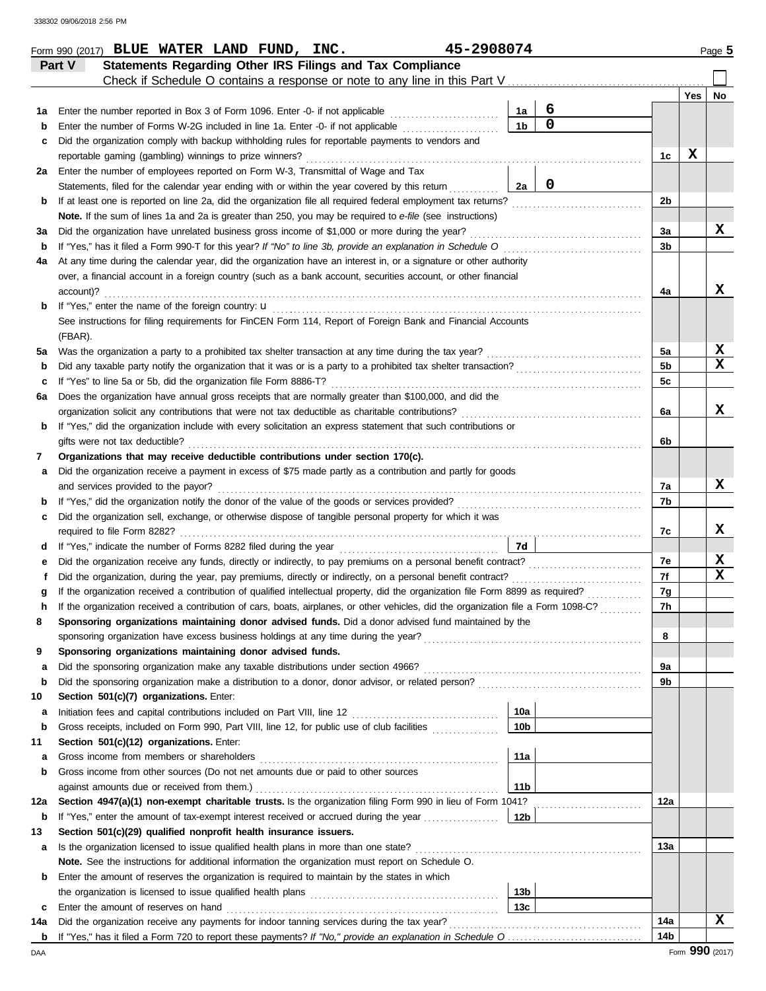| Check if Schedule O contains a response or note to any line in this Part V<br>Yes<br>No<br>6<br>Enter the number reported in Box 3 of Form 1096. Enter -0- if not applicable<br>1a<br>1a<br>$\mathbf 0$<br>1 <sub>b</sub><br>Enter the number of Forms W-2G included in line 1a. Enter -0- if not applicable<br>b<br>Did the organization comply with backup withholding rules for reportable payments to vendors and<br>c<br>X<br>reportable gaming (gambling) winnings to prize winners?<br>1c<br>Enter the number of employees reported on Form W-3, Transmittal of Wage and Tax<br>2a<br>$\mathbf 0$<br>2a<br>Statements, filed for the calendar year ending with or within the year covered by this return<br>If at least one is reported on line 2a, did the organization file all required federal employment tax returns?<br>2b<br>b<br>Note. If the sum of lines 1a and 2a is greater than 250, you may be required to e-file (see instructions)<br>x<br>Did the organization have unrelated business gross income of \$1,000 or more during the year?<br>За<br>За<br>If "Yes," has it filed a Form 990-T for this year? If "No" to line 3b, provide an explanation in Schedule O<br>3b<br>b<br>At any time during the calendar year, did the organization have an interest in, or a signature or other authority<br>4a<br>over, a financial account in a foreign country (such as a bank account, securities account, or other financial<br>x<br>account)?<br>4a<br>If "Yes," enter the name of the foreign country: <b>u</b><br>b<br>See instructions for filing requirements for FinCEN Form 114, Report of Foreign Bank and Financial Accounts<br>(FBAR).<br>X<br>5a<br>Was the organization a party to a prohibited tax shelter transaction at any time during the tax year?<br>5a<br>$\mathbf x$<br>5 <sub>b</sub><br>b<br>If "Yes" to line 5a or 5b, did the organization file Form 8886-T?<br>5c<br>c<br>Does the organization have annual gross receipts that are normally greater than \$100,000, and did the<br>6а<br>x<br>organization solicit any contributions that were not tax deductible as charitable contributions?<br>6a<br>If "Yes," did the organization include with every solicitation an express statement that such contributions or<br>b<br>gifts were not tax deductible?<br>6b<br>Organizations that may receive deductible contributions under section 170(c).<br>7<br>Did the organization receive a payment in excess of \$75 made partly as a contribution and partly for goods<br>а<br>x<br>and services provided to the payor?<br>7a<br>7b<br>b<br>Did the organization sell, exchange, or otherwise dispose of tangible personal property for which it was<br>c<br>x<br>7c<br>7d<br>d<br>X<br>7e<br>е<br>$\mathbf x$<br>7f<br>Did the organization, during the year, pay premiums, directly or indirectly, on a personal benefit contract?<br>f<br>If the organization received a contribution of qualified intellectual property, did the organization file Form 8899 as required?<br>7g<br>g<br>If the organization received a contribution of cars, boats, airplanes, or other vehicles, did the organization file a Form 1098-C?<br>7h<br>h<br>Sponsoring organizations maintaining donor advised funds. Did a donor advised fund maintained by the<br>8<br>sponsoring organization have excess business holdings at any time during the year?<br>Sponsoring organizations maintaining donor advised funds.<br>9<br>Did the sponsoring organization make any taxable distributions under section 4966?<br>9a<br>а<br>9b<br>b<br>Section 501(c)(7) organizations. Enter:<br>10<br>10a<br>а<br>10 <sub>b</sub><br>Gross receipts, included on Form 990, Part VIII, line 12, for public use of club facilities<br>b<br>Section 501(c)(12) organizations. Enter:<br>11<br>11a<br>Gross income from members or shareholders<br>а<br>Gross income from other sources (Do not net amounts due or paid to other sources<br>b<br>11 <sub>b</sub><br>against amounts due or received from them.)<br>Section 4947(a)(1) non-exempt charitable trusts. Is the organization filing Form 990 in lieu of Form 1041?<br>12a<br>12a<br>b<br>Section 501(c)(29) qualified nonprofit health insurance issuers.<br>13<br>Is the organization licensed to issue qualified health plans in more than one state?<br>13а<br>а<br>Note. See the instructions for additional information the organization must report on Schedule O.<br>Enter the amount of reserves the organization is required to maintain by the states in which<br>b<br>13 <sub>b</sub><br>13 <sub>c</sub><br>Enter the amount of reserves on hand<br>c<br>x<br>Did the organization receive any payments for indoor tanning services during the tax year?<br>14a<br>14a<br>14 <sub>b</sub><br>b<br>DAA | Statements Regarding Other IRS Filings and Tax Compliance<br>Part V |  |  |  |
|-----------------------------------------------------------------------------------------------------------------------------------------------------------------------------------------------------------------------------------------------------------------------------------------------------------------------------------------------------------------------------------------------------------------------------------------------------------------------------------------------------------------------------------------------------------------------------------------------------------------------------------------------------------------------------------------------------------------------------------------------------------------------------------------------------------------------------------------------------------------------------------------------------------------------------------------------------------------------------------------------------------------------------------------------------------------------------------------------------------------------------------------------------------------------------------------------------------------------------------------------------------------------------------------------------------------------------------------------------------------------------------------------------------------------------------------------------------------------------------------------------------------------------------------------------------------------------------------------------------------------------------------------------------------------------------------------------------------------------------------------------------------------------------------------------------------------------------------------------------------------------------------------------------------------------------------------------------------------------------------------------------------------------------------------------------------------------------------------------------------------------------------------------------------------------------------------------------------------------------------------------------------------------------------------------------------------------------------------------------------------------------------------------------------------------------------------------------------------------------------------------------------------------------------------------------------------------------------------------------------------------------------------------------------------------------------------------------------------------------------------------------------------------------------------------------------------------------------------------------------------------------------------------------------------------------------------------------------------------------------------------------------------------------------------------------------------------------------------------------------------------------------------------------------------------------------------------------------------------------------------------------------------------------------------------------------------------------------------------------------------------------------------------------------------------------------------------------------------------------------------------------------------------------------------------------------------------------------------------------------------------------------------------------------------------------------------------------------------------------------------------------------------------------------------------------------------------------------------------------------------------------------------------------------------------------------------------------------------------------------------------------------------------------------------------------------------------------------------------------------------------------------------------------------------------------------------------------------------------------------------------------------------------------------------------------------------------------------------------------------------------------------------------------------------------------------------------------------------------------------------------------------------------------------------------------------------------------------------------------------------------------------------------------------------------------------------------------------------------------------------------------------------------------------------------|---------------------------------------------------------------------|--|--|--|
|                                                                                                                                                                                                                                                                                                                                                                                                                                                                                                                                                                                                                                                                                                                                                                                                                                                                                                                                                                                                                                                                                                                                                                                                                                                                                                                                                                                                                                                                                                                                                                                                                                                                                                                                                                                                                                                                                                                                                                                                                                                                                                                                                                                                                                                                                                                                                                                                                                                                                                                                                                                                                                                                                                                                                                                                                                                                                                                                                                                                                                                                                                                                                                                                                                                                                                                                                                                                                                                                                                                                                                                                                                                                                                                                                                                                                                                                                                                                                                                                                                                                                                                                                                                                                                                                                                                                                                                                                                                                                                                                                                                                                                                                                                                                                                                                     |                                                                     |  |  |  |
|                                                                                                                                                                                                                                                                                                                                                                                                                                                                                                                                                                                                                                                                                                                                                                                                                                                                                                                                                                                                                                                                                                                                                                                                                                                                                                                                                                                                                                                                                                                                                                                                                                                                                                                                                                                                                                                                                                                                                                                                                                                                                                                                                                                                                                                                                                                                                                                                                                                                                                                                                                                                                                                                                                                                                                                                                                                                                                                                                                                                                                                                                                                                                                                                                                                                                                                                                                                                                                                                                                                                                                                                                                                                                                                                                                                                                                                                                                                                                                                                                                                                                                                                                                                                                                                                                                                                                                                                                                                                                                                                                                                                                                                                                                                                                                                                     |                                                                     |  |  |  |
|                                                                                                                                                                                                                                                                                                                                                                                                                                                                                                                                                                                                                                                                                                                                                                                                                                                                                                                                                                                                                                                                                                                                                                                                                                                                                                                                                                                                                                                                                                                                                                                                                                                                                                                                                                                                                                                                                                                                                                                                                                                                                                                                                                                                                                                                                                                                                                                                                                                                                                                                                                                                                                                                                                                                                                                                                                                                                                                                                                                                                                                                                                                                                                                                                                                                                                                                                                                                                                                                                                                                                                                                                                                                                                                                                                                                                                                                                                                                                                                                                                                                                                                                                                                                                                                                                                                                                                                                                                                                                                                                                                                                                                                                                                                                                                                                     |                                                                     |  |  |  |
|                                                                                                                                                                                                                                                                                                                                                                                                                                                                                                                                                                                                                                                                                                                                                                                                                                                                                                                                                                                                                                                                                                                                                                                                                                                                                                                                                                                                                                                                                                                                                                                                                                                                                                                                                                                                                                                                                                                                                                                                                                                                                                                                                                                                                                                                                                                                                                                                                                                                                                                                                                                                                                                                                                                                                                                                                                                                                                                                                                                                                                                                                                                                                                                                                                                                                                                                                                                                                                                                                                                                                                                                                                                                                                                                                                                                                                                                                                                                                                                                                                                                                                                                                                                                                                                                                                                                                                                                                                                                                                                                                                                                                                                                                                                                                                                                     |                                                                     |  |  |  |
|                                                                                                                                                                                                                                                                                                                                                                                                                                                                                                                                                                                                                                                                                                                                                                                                                                                                                                                                                                                                                                                                                                                                                                                                                                                                                                                                                                                                                                                                                                                                                                                                                                                                                                                                                                                                                                                                                                                                                                                                                                                                                                                                                                                                                                                                                                                                                                                                                                                                                                                                                                                                                                                                                                                                                                                                                                                                                                                                                                                                                                                                                                                                                                                                                                                                                                                                                                                                                                                                                                                                                                                                                                                                                                                                                                                                                                                                                                                                                                                                                                                                                                                                                                                                                                                                                                                                                                                                                                                                                                                                                                                                                                                                                                                                                                                                     |                                                                     |  |  |  |
|                                                                                                                                                                                                                                                                                                                                                                                                                                                                                                                                                                                                                                                                                                                                                                                                                                                                                                                                                                                                                                                                                                                                                                                                                                                                                                                                                                                                                                                                                                                                                                                                                                                                                                                                                                                                                                                                                                                                                                                                                                                                                                                                                                                                                                                                                                                                                                                                                                                                                                                                                                                                                                                                                                                                                                                                                                                                                                                                                                                                                                                                                                                                                                                                                                                                                                                                                                                                                                                                                                                                                                                                                                                                                                                                                                                                                                                                                                                                                                                                                                                                                                                                                                                                                                                                                                                                                                                                                                                                                                                                                                                                                                                                                                                                                                                                     |                                                                     |  |  |  |
|                                                                                                                                                                                                                                                                                                                                                                                                                                                                                                                                                                                                                                                                                                                                                                                                                                                                                                                                                                                                                                                                                                                                                                                                                                                                                                                                                                                                                                                                                                                                                                                                                                                                                                                                                                                                                                                                                                                                                                                                                                                                                                                                                                                                                                                                                                                                                                                                                                                                                                                                                                                                                                                                                                                                                                                                                                                                                                                                                                                                                                                                                                                                                                                                                                                                                                                                                                                                                                                                                                                                                                                                                                                                                                                                                                                                                                                                                                                                                                                                                                                                                                                                                                                                                                                                                                                                                                                                                                                                                                                                                                                                                                                                                                                                                                                                     |                                                                     |  |  |  |
|                                                                                                                                                                                                                                                                                                                                                                                                                                                                                                                                                                                                                                                                                                                                                                                                                                                                                                                                                                                                                                                                                                                                                                                                                                                                                                                                                                                                                                                                                                                                                                                                                                                                                                                                                                                                                                                                                                                                                                                                                                                                                                                                                                                                                                                                                                                                                                                                                                                                                                                                                                                                                                                                                                                                                                                                                                                                                                                                                                                                                                                                                                                                                                                                                                                                                                                                                                                                                                                                                                                                                                                                                                                                                                                                                                                                                                                                                                                                                                                                                                                                                                                                                                                                                                                                                                                                                                                                                                                                                                                                                                                                                                                                                                                                                                                                     |                                                                     |  |  |  |
|                                                                                                                                                                                                                                                                                                                                                                                                                                                                                                                                                                                                                                                                                                                                                                                                                                                                                                                                                                                                                                                                                                                                                                                                                                                                                                                                                                                                                                                                                                                                                                                                                                                                                                                                                                                                                                                                                                                                                                                                                                                                                                                                                                                                                                                                                                                                                                                                                                                                                                                                                                                                                                                                                                                                                                                                                                                                                                                                                                                                                                                                                                                                                                                                                                                                                                                                                                                                                                                                                                                                                                                                                                                                                                                                                                                                                                                                                                                                                                                                                                                                                                                                                                                                                                                                                                                                                                                                                                                                                                                                                                                                                                                                                                                                                                                                     |                                                                     |  |  |  |
|                                                                                                                                                                                                                                                                                                                                                                                                                                                                                                                                                                                                                                                                                                                                                                                                                                                                                                                                                                                                                                                                                                                                                                                                                                                                                                                                                                                                                                                                                                                                                                                                                                                                                                                                                                                                                                                                                                                                                                                                                                                                                                                                                                                                                                                                                                                                                                                                                                                                                                                                                                                                                                                                                                                                                                                                                                                                                                                                                                                                                                                                                                                                                                                                                                                                                                                                                                                                                                                                                                                                                                                                                                                                                                                                                                                                                                                                                                                                                                                                                                                                                                                                                                                                                                                                                                                                                                                                                                                                                                                                                                                                                                                                                                                                                                                                     |                                                                     |  |  |  |
| Form 990 (2017)                                                                                                                                                                                                                                                                                                                                                                                                                                                                                                                                                                                                                                                                                                                                                                                                                                                                                                                                                                                                                                                                                                                                                                                                                                                                                                                                                                                                                                                                                                                                                                                                                                                                                                                                                                                                                                                                                                                                                                                                                                                                                                                                                                                                                                                                                                                                                                                                                                                                                                                                                                                                                                                                                                                                                                                                                                                                                                                                                                                                                                                                                                                                                                                                                                                                                                                                                                                                                                                                                                                                                                                                                                                                                                                                                                                                                                                                                                                                                                                                                                                                                                                                                                                                                                                                                                                                                                                                                                                                                                                                                                                                                                                                                                                                                                                     |                                                                     |  |  |  |
|                                                                                                                                                                                                                                                                                                                                                                                                                                                                                                                                                                                                                                                                                                                                                                                                                                                                                                                                                                                                                                                                                                                                                                                                                                                                                                                                                                                                                                                                                                                                                                                                                                                                                                                                                                                                                                                                                                                                                                                                                                                                                                                                                                                                                                                                                                                                                                                                                                                                                                                                                                                                                                                                                                                                                                                                                                                                                                                                                                                                                                                                                                                                                                                                                                                                                                                                                                                                                                                                                                                                                                                                                                                                                                                                                                                                                                                                                                                                                                                                                                                                                                                                                                                                                                                                                                                                                                                                                                                                                                                                                                                                                                                                                                                                                                                                     |                                                                     |  |  |  |
|                                                                                                                                                                                                                                                                                                                                                                                                                                                                                                                                                                                                                                                                                                                                                                                                                                                                                                                                                                                                                                                                                                                                                                                                                                                                                                                                                                                                                                                                                                                                                                                                                                                                                                                                                                                                                                                                                                                                                                                                                                                                                                                                                                                                                                                                                                                                                                                                                                                                                                                                                                                                                                                                                                                                                                                                                                                                                                                                                                                                                                                                                                                                                                                                                                                                                                                                                                                                                                                                                                                                                                                                                                                                                                                                                                                                                                                                                                                                                                                                                                                                                                                                                                                                                                                                                                                                                                                                                                                                                                                                                                                                                                                                                                                                                                                                     |                                                                     |  |  |  |
|                                                                                                                                                                                                                                                                                                                                                                                                                                                                                                                                                                                                                                                                                                                                                                                                                                                                                                                                                                                                                                                                                                                                                                                                                                                                                                                                                                                                                                                                                                                                                                                                                                                                                                                                                                                                                                                                                                                                                                                                                                                                                                                                                                                                                                                                                                                                                                                                                                                                                                                                                                                                                                                                                                                                                                                                                                                                                                                                                                                                                                                                                                                                                                                                                                                                                                                                                                                                                                                                                                                                                                                                                                                                                                                                                                                                                                                                                                                                                                                                                                                                                                                                                                                                                                                                                                                                                                                                                                                                                                                                                                                                                                                                                                                                                                                                     |                                                                     |  |  |  |
|                                                                                                                                                                                                                                                                                                                                                                                                                                                                                                                                                                                                                                                                                                                                                                                                                                                                                                                                                                                                                                                                                                                                                                                                                                                                                                                                                                                                                                                                                                                                                                                                                                                                                                                                                                                                                                                                                                                                                                                                                                                                                                                                                                                                                                                                                                                                                                                                                                                                                                                                                                                                                                                                                                                                                                                                                                                                                                                                                                                                                                                                                                                                                                                                                                                                                                                                                                                                                                                                                                                                                                                                                                                                                                                                                                                                                                                                                                                                                                                                                                                                                                                                                                                                                                                                                                                                                                                                                                                                                                                                                                                                                                                                                                                                                                                                     |                                                                     |  |  |  |
|                                                                                                                                                                                                                                                                                                                                                                                                                                                                                                                                                                                                                                                                                                                                                                                                                                                                                                                                                                                                                                                                                                                                                                                                                                                                                                                                                                                                                                                                                                                                                                                                                                                                                                                                                                                                                                                                                                                                                                                                                                                                                                                                                                                                                                                                                                                                                                                                                                                                                                                                                                                                                                                                                                                                                                                                                                                                                                                                                                                                                                                                                                                                                                                                                                                                                                                                                                                                                                                                                                                                                                                                                                                                                                                                                                                                                                                                                                                                                                                                                                                                                                                                                                                                                                                                                                                                                                                                                                                                                                                                                                                                                                                                                                                                                                                                     |                                                                     |  |  |  |
|                                                                                                                                                                                                                                                                                                                                                                                                                                                                                                                                                                                                                                                                                                                                                                                                                                                                                                                                                                                                                                                                                                                                                                                                                                                                                                                                                                                                                                                                                                                                                                                                                                                                                                                                                                                                                                                                                                                                                                                                                                                                                                                                                                                                                                                                                                                                                                                                                                                                                                                                                                                                                                                                                                                                                                                                                                                                                                                                                                                                                                                                                                                                                                                                                                                                                                                                                                                                                                                                                                                                                                                                                                                                                                                                                                                                                                                                                                                                                                                                                                                                                                                                                                                                                                                                                                                                                                                                                                                                                                                                                                                                                                                                                                                                                                                                     |                                                                     |  |  |  |
|                                                                                                                                                                                                                                                                                                                                                                                                                                                                                                                                                                                                                                                                                                                                                                                                                                                                                                                                                                                                                                                                                                                                                                                                                                                                                                                                                                                                                                                                                                                                                                                                                                                                                                                                                                                                                                                                                                                                                                                                                                                                                                                                                                                                                                                                                                                                                                                                                                                                                                                                                                                                                                                                                                                                                                                                                                                                                                                                                                                                                                                                                                                                                                                                                                                                                                                                                                                                                                                                                                                                                                                                                                                                                                                                                                                                                                                                                                                                                                                                                                                                                                                                                                                                                                                                                                                                                                                                                                                                                                                                                                                                                                                                                                                                                                                                     |                                                                     |  |  |  |
|                                                                                                                                                                                                                                                                                                                                                                                                                                                                                                                                                                                                                                                                                                                                                                                                                                                                                                                                                                                                                                                                                                                                                                                                                                                                                                                                                                                                                                                                                                                                                                                                                                                                                                                                                                                                                                                                                                                                                                                                                                                                                                                                                                                                                                                                                                                                                                                                                                                                                                                                                                                                                                                                                                                                                                                                                                                                                                                                                                                                                                                                                                                                                                                                                                                                                                                                                                                                                                                                                                                                                                                                                                                                                                                                                                                                                                                                                                                                                                                                                                                                                                                                                                                                                                                                                                                                                                                                                                                                                                                                                                                                                                                                                                                                                                                                     |                                                                     |  |  |  |
|                                                                                                                                                                                                                                                                                                                                                                                                                                                                                                                                                                                                                                                                                                                                                                                                                                                                                                                                                                                                                                                                                                                                                                                                                                                                                                                                                                                                                                                                                                                                                                                                                                                                                                                                                                                                                                                                                                                                                                                                                                                                                                                                                                                                                                                                                                                                                                                                                                                                                                                                                                                                                                                                                                                                                                                                                                                                                                                                                                                                                                                                                                                                                                                                                                                                                                                                                                                                                                                                                                                                                                                                                                                                                                                                                                                                                                                                                                                                                                                                                                                                                                                                                                                                                                                                                                                                                                                                                                                                                                                                                                                                                                                                                                                                                                                                     |                                                                     |  |  |  |
|                                                                                                                                                                                                                                                                                                                                                                                                                                                                                                                                                                                                                                                                                                                                                                                                                                                                                                                                                                                                                                                                                                                                                                                                                                                                                                                                                                                                                                                                                                                                                                                                                                                                                                                                                                                                                                                                                                                                                                                                                                                                                                                                                                                                                                                                                                                                                                                                                                                                                                                                                                                                                                                                                                                                                                                                                                                                                                                                                                                                                                                                                                                                                                                                                                                                                                                                                                                                                                                                                                                                                                                                                                                                                                                                                                                                                                                                                                                                                                                                                                                                                                                                                                                                                                                                                                                                                                                                                                                                                                                                                                                                                                                                                                                                                                                                     |                                                                     |  |  |  |
|                                                                                                                                                                                                                                                                                                                                                                                                                                                                                                                                                                                                                                                                                                                                                                                                                                                                                                                                                                                                                                                                                                                                                                                                                                                                                                                                                                                                                                                                                                                                                                                                                                                                                                                                                                                                                                                                                                                                                                                                                                                                                                                                                                                                                                                                                                                                                                                                                                                                                                                                                                                                                                                                                                                                                                                                                                                                                                                                                                                                                                                                                                                                                                                                                                                                                                                                                                                                                                                                                                                                                                                                                                                                                                                                                                                                                                                                                                                                                                                                                                                                                                                                                                                                                                                                                                                                                                                                                                                                                                                                                                                                                                                                                                                                                                                                     |                                                                     |  |  |  |
|                                                                                                                                                                                                                                                                                                                                                                                                                                                                                                                                                                                                                                                                                                                                                                                                                                                                                                                                                                                                                                                                                                                                                                                                                                                                                                                                                                                                                                                                                                                                                                                                                                                                                                                                                                                                                                                                                                                                                                                                                                                                                                                                                                                                                                                                                                                                                                                                                                                                                                                                                                                                                                                                                                                                                                                                                                                                                                                                                                                                                                                                                                                                                                                                                                                                                                                                                                                                                                                                                                                                                                                                                                                                                                                                                                                                                                                                                                                                                                                                                                                                                                                                                                                                                                                                                                                                                                                                                                                                                                                                                                                                                                                                                                                                                                                                     |                                                                     |  |  |  |
|                                                                                                                                                                                                                                                                                                                                                                                                                                                                                                                                                                                                                                                                                                                                                                                                                                                                                                                                                                                                                                                                                                                                                                                                                                                                                                                                                                                                                                                                                                                                                                                                                                                                                                                                                                                                                                                                                                                                                                                                                                                                                                                                                                                                                                                                                                                                                                                                                                                                                                                                                                                                                                                                                                                                                                                                                                                                                                                                                                                                                                                                                                                                                                                                                                                                                                                                                                                                                                                                                                                                                                                                                                                                                                                                                                                                                                                                                                                                                                                                                                                                                                                                                                                                                                                                                                                                                                                                                                                                                                                                                                                                                                                                                                                                                                                                     |                                                                     |  |  |  |
|                                                                                                                                                                                                                                                                                                                                                                                                                                                                                                                                                                                                                                                                                                                                                                                                                                                                                                                                                                                                                                                                                                                                                                                                                                                                                                                                                                                                                                                                                                                                                                                                                                                                                                                                                                                                                                                                                                                                                                                                                                                                                                                                                                                                                                                                                                                                                                                                                                                                                                                                                                                                                                                                                                                                                                                                                                                                                                                                                                                                                                                                                                                                                                                                                                                                                                                                                                                                                                                                                                                                                                                                                                                                                                                                                                                                                                                                                                                                                                                                                                                                                                                                                                                                                                                                                                                                                                                                                                                                                                                                                                                                                                                                                                                                                                                                     |                                                                     |  |  |  |
|                                                                                                                                                                                                                                                                                                                                                                                                                                                                                                                                                                                                                                                                                                                                                                                                                                                                                                                                                                                                                                                                                                                                                                                                                                                                                                                                                                                                                                                                                                                                                                                                                                                                                                                                                                                                                                                                                                                                                                                                                                                                                                                                                                                                                                                                                                                                                                                                                                                                                                                                                                                                                                                                                                                                                                                                                                                                                                                                                                                                                                                                                                                                                                                                                                                                                                                                                                                                                                                                                                                                                                                                                                                                                                                                                                                                                                                                                                                                                                                                                                                                                                                                                                                                                                                                                                                                                                                                                                                                                                                                                                                                                                                                                                                                                                                                     |                                                                     |  |  |  |
|                                                                                                                                                                                                                                                                                                                                                                                                                                                                                                                                                                                                                                                                                                                                                                                                                                                                                                                                                                                                                                                                                                                                                                                                                                                                                                                                                                                                                                                                                                                                                                                                                                                                                                                                                                                                                                                                                                                                                                                                                                                                                                                                                                                                                                                                                                                                                                                                                                                                                                                                                                                                                                                                                                                                                                                                                                                                                                                                                                                                                                                                                                                                                                                                                                                                                                                                                                                                                                                                                                                                                                                                                                                                                                                                                                                                                                                                                                                                                                                                                                                                                                                                                                                                                                                                                                                                                                                                                                                                                                                                                                                                                                                                                                                                                                                                     |                                                                     |  |  |  |
|                                                                                                                                                                                                                                                                                                                                                                                                                                                                                                                                                                                                                                                                                                                                                                                                                                                                                                                                                                                                                                                                                                                                                                                                                                                                                                                                                                                                                                                                                                                                                                                                                                                                                                                                                                                                                                                                                                                                                                                                                                                                                                                                                                                                                                                                                                                                                                                                                                                                                                                                                                                                                                                                                                                                                                                                                                                                                                                                                                                                                                                                                                                                                                                                                                                                                                                                                                                                                                                                                                                                                                                                                                                                                                                                                                                                                                                                                                                                                                                                                                                                                                                                                                                                                                                                                                                                                                                                                                                                                                                                                                                                                                                                                                                                                                                                     |                                                                     |  |  |  |
|                                                                                                                                                                                                                                                                                                                                                                                                                                                                                                                                                                                                                                                                                                                                                                                                                                                                                                                                                                                                                                                                                                                                                                                                                                                                                                                                                                                                                                                                                                                                                                                                                                                                                                                                                                                                                                                                                                                                                                                                                                                                                                                                                                                                                                                                                                                                                                                                                                                                                                                                                                                                                                                                                                                                                                                                                                                                                                                                                                                                                                                                                                                                                                                                                                                                                                                                                                                                                                                                                                                                                                                                                                                                                                                                                                                                                                                                                                                                                                                                                                                                                                                                                                                                                                                                                                                                                                                                                                                                                                                                                                                                                                                                                                                                                                                                     |                                                                     |  |  |  |
|                                                                                                                                                                                                                                                                                                                                                                                                                                                                                                                                                                                                                                                                                                                                                                                                                                                                                                                                                                                                                                                                                                                                                                                                                                                                                                                                                                                                                                                                                                                                                                                                                                                                                                                                                                                                                                                                                                                                                                                                                                                                                                                                                                                                                                                                                                                                                                                                                                                                                                                                                                                                                                                                                                                                                                                                                                                                                                                                                                                                                                                                                                                                                                                                                                                                                                                                                                                                                                                                                                                                                                                                                                                                                                                                                                                                                                                                                                                                                                                                                                                                                                                                                                                                                                                                                                                                                                                                                                                                                                                                                                                                                                                                                                                                                                                                     |                                                                     |  |  |  |
|                                                                                                                                                                                                                                                                                                                                                                                                                                                                                                                                                                                                                                                                                                                                                                                                                                                                                                                                                                                                                                                                                                                                                                                                                                                                                                                                                                                                                                                                                                                                                                                                                                                                                                                                                                                                                                                                                                                                                                                                                                                                                                                                                                                                                                                                                                                                                                                                                                                                                                                                                                                                                                                                                                                                                                                                                                                                                                                                                                                                                                                                                                                                                                                                                                                                                                                                                                                                                                                                                                                                                                                                                                                                                                                                                                                                                                                                                                                                                                                                                                                                                                                                                                                                                                                                                                                                                                                                                                                                                                                                                                                                                                                                                                                                                                                                     |                                                                     |  |  |  |
|                                                                                                                                                                                                                                                                                                                                                                                                                                                                                                                                                                                                                                                                                                                                                                                                                                                                                                                                                                                                                                                                                                                                                                                                                                                                                                                                                                                                                                                                                                                                                                                                                                                                                                                                                                                                                                                                                                                                                                                                                                                                                                                                                                                                                                                                                                                                                                                                                                                                                                                                                                                                                                                                                                                                                                                                                                                                                                                                                                                                                                                                                                                                                                                                                                                                                                                                                                                                                                                                                                                                                                                                                                                                                                                                                                                                                                                                                                                                                                                                                                                                                                                                                                                                                                                                                                                                                                                                                                                                                                                                                                                                                                                                                                                                                                                                     |                                                                     |  |  |  |
|                                                                                                                                                                                                                                                                                                                                                                                                                                                                                                                                                                                                                                                                                                                                                                                                                                                                                                                                                                                                                                                                                                                                                                                                                                                                                                                                                                                                                                                                                                                                                                                                                                                                                                                                                                                                                                                                                                                                                                                                                                                                                                                                                                                                                                                                                                                                                                                                                                                                                                                                                                                                                                                                                                                                                                                                                                                                                                                                                                                                                                                                                                                                                                                                                                                                                                                                                                                                                                                                                                                                                                                                                                                                                                                                                                                                                                                                                                                                                                                                                                                                                                                                                                                                                                                                                                                                                                                                                                                                                                                                                                                                                                                                                                                                                                                                     |                                                                     |  |  |  |
|                                                                                                                                                                                                                                                                                                                                                                                                                                                                                                                                                                                                                                                                                                                                                                                                                                                                                                                                                                                                                                                                                                                                                                                                                                                                                                                                                                                                                                                                                                                                                                                                                                                                                                                                                                                                                                                                                                                                                                                                                                                                                                                                                                                                                                                                                                                                                                                                                                                                                                                                                                                                                                                                                                                                                                                                                                                                                                                                                                                                                                                                                                                                                                                                                                                                                                                                                                                                                                                                                                                                                                                                                                                                                                                                                                                                                                                                                                                                                                                                                                                                                                                                                                                                                                                                                                                                                                                                                                                                                                                                                                                                                                                                                                                                                                                                     |                                                                     |  |  |  |
|                                                                                                                                                                                                                                                                                                                                                                                                                                                                                                                                                                                                                                                                                                                                                                                                                                                                                                                                                                                                                                                                                                                                                                                                                                                                                                                                                                                                                                                                                                                                                                                                                                                                                                                                                                                                                                                                                                                                                                                                                                                                                                                                                                                                                                                                                                                                                                                                                                                                                                                                                                                                                                                                                                                                                                                                                                                                                                                                                                                                                                                                                                                                                                                                                                                                                                                                                                                                                                                                                                                                                                                                                                                                                                                                                                                                                                                                                                                                                                                                                                                                                                                                                                                                                                                                                                                                                                                                                                                                                                                                                                                                                                                                                                                                                                                                     |                                                                     |  |  |  |
|                                                                                                                                                                                                                                                                                                                                                                                                                                                                                                                                                                                                                                                                                                                                                                                                                                                                                                                                                                                                                                                                                                                                                                                                                                                                                                                                                                                                                                                                                                                                                                                                                                                                                                                                                                                                                                                                                                                                                                                                                                                                                                                                                                                                                                                                                                                                                                                                                                                                                                                                                                                                                                                                                                                                                                                                                                                                                                                                                                                                                                                                                                                                                                                                                                                                                                                                                                                                                                                                                                                                                                                                                                                                                                                                                                                                                                                                                                                                                                                                                                                                                                                                                                                                                                                                                                                                                                                                                                                                                                                                                                                                                                                                                                                                                                                                     |                                                                     |  |  |  |
|                                                                                                                                                                                                                                                                                                                                                                                                                                                                                                                                                                                                                                                                                                                                                                                                                                                                                                                                                                                                                                                                                                                                                                                                                                                                                                                                                                                                                                                                                                                                                                                                                                                                                                                                                                                                                                                                                                                                                                                                                                                                                                                                                                                                                                                                                                                                                                                                                                                                                                                                                                                                                                                                                                                                                                                                                                                                                                                                                                                                                                                                                                                                                                                                                                                                                                                                                                                                                                                                                                                                                                                                                                                                                                                                                                                                                                                                                                                                                                                                                                                                                                                                                                                                                                                                                                                                                                                                                                                                                                                                                                                                                                                                                                                                                                                                     |                                                                     |  |  |  |
|                                                                                                                                                                                                                                                                                                                                                                                                                                                                                                                                                                                                                                                                                                                                                                                                                                                                                                                                                                                                                                                                                                                                                                                                                                                                                                                                                                                                                                                                                                                                                                                                                                                                                                                                                                                                                                                                                                                                                                                                                                                                                                                                                                                                                                                                                                                                                                                                                                                                                                                                                                                                                                                                                                                                                                                                                                                                                                                                                                                                                                                                                                                                                                                                                                                                                                                                                                                                                                                                                                                                                                                                                                                                                                                                                                                                                                                                                                                                                                                                                                                                                                                                                                                                                                                                                                                                                                                                                                                                                                                                                                                                                                                                                                                                                                                                     |                                                                     |  |  |  |
|                                                                                                                                                                                                                                                                                                                                                                                                                                                                                                                                                                                                                                                                                                                                                                                                                                                                                                                                                                                                                                                                                                                                                                                                                                                                                                                                                                                                                                                                                                                                                                                                                                                                                                                                                                                                                                                                                                                                                                                                                                                                                                                                                                                                                                                                                                                                                                                                                                                                                                                                                                                                                                                                                                                                                                                                                                                                                                                                                                                                                                                                                                                                                                                                                                                                                                                                                                                                                                                                                                                                                                                                                                                                                                                                                                                                                                                                                                                                                                                                                                                                                                                                                                                                                                                                                                                                                                                                                                                                                                                                                                                                                                                                                                                                                                                                     |                                                                     |  |  |  |
|                                                                                                                                                                                                                                                                                                                                                                                                                                                                                                                                                                                                                                                                                                                                                                                                                                                                                                                                                                                                                                                                                                                                                                                                                                                                                                                                                                                                                                                                                                                                                                                                                                                                                                                                                                                                                                                                                                                                                                                                                                                                                                                                                                                                                                                                                                                                                                                                                                                                                                                                                                                                                                                                                                                                                                                                                                                                                                                                                                                                                                                                                                                                                                                                                                                                                                                                                                                                                                                                                                                                                                                                                                                                                                                                                                                                                                                                                                                                                                                                                                                                                                                                                                                                                                                                                                                                                                                                                                                                                                                                                                                                                                                                                                                                                                                                     |                                                                     |  |  |  |
|                                                                                                                                                                                                                                                                                                                                                                                                                                                                                                                                                                                                                                                                                                                                                                                                                                                                                                                                                                                                                                                                                                                                                                                                                                                                                                                                                                                                                                                                                                                                                                                                                                                                                                                                                                                                                                                                                                                                                                                                                                                                                                                                                                                                                                                                                                                                                                                                                                                                                                                                                                                                                                                                                                                                                                                                                                                                                                                                                                                                                                                                                                                                                                                                                                                                                                                                                                                                                                                                                                                                                                                                                                                                                                                                                                                                                                                                                                                                                                                                                                                                                                                                                                                                                                                                                                                                                                                                                                                                                                                                                                                                                                                                                                                                                                                                     |                                                                     |  |  |  |
|                                                                                                                                                                                                                                                                                                                                                                                                                                                                                                                                                                                                                                                                                                                                                                                                                                                                                                                                                                                                                                                                                                                                                                                                                                                                                                                                                                                                                                                                                                                                                                                                                                                                                                                                                                                                                                                                                                                                                                                                                                                                                                                                                                                                                                                                                                                                                                                                                                                                                                                                                                                                                                                                                                                                                                                                                                                                                                                                                                                                                                                                                                                                                                                                                                                                                                                                                                                                                                                                                                                                                                                                                                                                                                                                                                                                                                                                                                                                                                                                                                                                                                                                                                                                                                                                                                                                                                                                                                                                                                                                                                                                                                                                                                                                                                                                     |                                                                     |  |  |  |
|                                                                                                                                                                                                                                                                                                                                                                                                                                                                                                                                                                                                                                                                                                                                                                                                                                                                                                                                                                                                                                                                                                                                                                                                                                                                                                                                                                                                                                                                                                                                                                                                                                                                                                                                                                                                                                                                                                                                                                                                                                                                                                                                                                                                                                                                                                                                                                                                                                                                                                                                                                                                                                                                                                                                                                                                                                                                                                                                                                                                                                                                                                                                                                                                                                                                                                                                                                                                                                                                                                                                                                                                                                                                                                                                                                                                                                                                                                                                                                                                                                                                                                                                                                                                                                                                                                                                                                                                                                                                                                                                                                                                                                                                                                                                                                                                     |                                                                     |  |  |  |
|                                                                                                                                                                                                                                                                                                                                                                                                                                                                                                                                                                                                                                                                                                                                                                                                                                                                                                                                                                                                                                                                                                                                                                                                                                                                                                                                                                                                                                                                                                                                                                                                                                                                                                                                                                                                                                                                                                                                                                                                                                                                                                                                                                                                                                                                                                                                                                                                                                                                                                                                                                                                                                                                                                                                                                                                                                                                                                                                                                                                                                                                                                                                                                                                                                                                                                                                                                                                                                                                                                                                                                                                                                                                                                                                                                                                                                                                                                                                                                                                                                                                                                                                                                                                                                                                                                                                                                                                                                                                                                                                                                                                                                                                                                                                                                                                     |                                                                     |  |  |  |
|                                                                                                                                                                                                                                                                                                                                                                                                                                                                                                                                                                                                                                                                                                                                                                                                                                                                                                                                                                                                                                                                                                                                                                                                                                                                                                                                                                                                                                                                                                                                                                                                                                                                                                                                                                                                                                                                                                                                                                                                                                                                                                                                                                                                                                                                                                                                                                                                                                                                                                                                                                                                                                                                                                                                                                                                                                                                                                                                                                                                                                                                                                                                                                                                                                                                                                                                                                                                                                                                                                                                                                                                                                                                                                                                                                                                                                                                                                                                                                                                                                                                                                                                                                                                                                                                                                                                                                                                                                                                                                                                                                                                                                                                                                                                                                                                     |                                                                     |  |  |  |
|                                                                                                                                                                                                                                                                                                                                                                                                                                                                                                                                                                                                                                                                                                                                                                                                                                                                                                                                                                                                                                                                                                                                                                                                                                                                                                                                                                                                                                                                                                                                                                                                                                                                                                                                                                                                                                                                                                                                                                                                                                                                                                                                                                                                                                                                                                                                                                                                                                                                                                                                                                                                                                                                                                                                                                                                                                                                                                                                                                                                                                                                                                                                                                                                                                                                                                                                                                                                                                                                                                                                                                                                                                                                                                                                                                                                                                                                                                                                                                                                                                                                                                                                                                                                                                                                                                                                                                                                                                                                                                                                                                                                                                                                                                                                                                                                     |                                                                     |  |  |  |
|                                                                                                                                                                                                                                                                                                                                                                                                                                                                                                                                                                                                                                                                                                                                                                                                                                                                                                                                                                                                                                                                                                                                                                                                                                                                                                                                                                                                                                                                                                                                                                                                                                                                                                                                                                                                                                                                                                                                                                                                                                                                                                                                                                                                                                                                                                                                                                                                                                                                                                                                                                                                                                                                                                                                                                                                                                                                                                                                                                                                                                                                                                                                                                                                                                                                                                                                                                                                                                                                                                                                                                                                                                                                                                                                                                                                                                                                                                                                                                                                                                                                                                                                                                                                                                                                                                                                                                                                                                                                                                                                                                                                                                                                                                                                                                                                     |                                                                     |  |  |  |
|                                                                                                                                                                                                                                                                                                                                                                                                                                                                                                                                                                                                                                                                                                                                                                                                                                                                                                                                                                                                                                                                                                                                                                                                                                                                                                                                                                                                                                                                                                                                                                                                                                                                                                                                                                                                                                                                                                                                                                                                                                                                                                                                                                                                                                                                                                                                                                                                                                                                                                                                                                                                                                                                                                                                                                                                                                                                                                                                                                                                                                                                                                                                                                                                                                                                                                                                                                                                                                                                                                                                                                                                                                                                                                                                                                                                                                                                                                                                                                                                                                                                                                                                                                                                                                                                                                                                                                                                                                                                                                                                                                                                                                                                                                                                                                                                     |                                                                     |  |  |  |
|                                                                                                                                                                                                                                                                                                                                                                                                                                                                                                                                                                                                                                                                                                                                                                                                                                                                                                                                                                                                                                                                                                                                                                                                                                                                                                                                                                                                                                                                                                                                                                                                                                                                                                                                                                                                                                                                                                                                                                                                                                                                                                                                                                                                                                                                                                                                                                                                                                                                                                                                                                                                                                                                                                                                                                                                                                                                                                                                                                                                                                                                                                                                                                                                                                                                                                                                                                                                                                                                                                                                                                                                                                                                                                                                                                                                                                                                                                                                                                                                                                                                                                                                                                                                                                                                                                                                                                                                                                                                                                                                                                                                                                                                                                                                                                                                     |                                                                     |  |  |  |
|                                                                                                                                                                                                                                                                                                                                                                                                                                                                                                                                                                                                                                                                                                                                                                                                                                                                                                                                                                                                                                                                                                                                                                                                                                                                                                                                                                                                                                                                                                                                                                                                                                                                                                                                                                                                                                                                                                                                                                                                                                                                                                                                                                                                                                                                                                                                                                                                                                                                                                                                                                                                                                                                                                                                                                                                                                                                                                                                                                                                                                                                                                                                                                                                                                                                                                                                                                                                                                                                                                                                                                                                                                                                                                                                                                                                                                                                                                                                                                                                                                                                                                                                                                                                                                                                                                                                                                                                                                                                                                                                                                                                                                                                                                                                                                                                     |                                                                     |  |  |  |
|                                                                                                                                                                                                                                                                                                                                                                                                                                                                                                                                                                                                                                                                                                                                                                                                                                                                                                                                                                                                                                                                                                                                                                                                                                                                                                                                                                                                                                                                                                                                                                                                                                                                                                                                                                                                                                                                                                                                                                                                                                                                                                                                                                                                                                                                                                                                                                                                                                                                                                                                                                                                                                                                                                                                                                                                                                                                                                                                                                                                                                                                                                                                                                                                                                                                                                                                                                                                                                                                                                                                                                                                                                                                                                                                                                                                                                                                                                                                                                                                                                                                                                                                                                                                                                                                                                                                                                                                                                                                                                                                                                                                                                                                                                                                                                                                     |                                                                     |  |  |  |
|                                                                                                                                                                                                                                                                                                                                                                                                                                                                                                                                                                                                                                                                                                                                                                                                                                                                                                                                                                                                                                                                                                                                                                                                                                                                                                                                                                                                                                                                                                                                                                                                                                                                                                                                                                                                                                                                                                                                                                                                                                                                                                                                                                                                                                                                                                                                                                                                                                                                                                                                                                                                                                                                                                                                                                                                                                                                                                                                                                                                                                                                                                                                                                                                                                                                                                                                                                                                                                                                                                                                                                                                                                                                                                                                                                                                                                                                                                                                                                                                                                                                                                                                                                                                                                                                                                                                                                                                                                                                                                                                                                                                                                                                                                                                                                                                     |                                                                     |  |  |  |
|                                                                                                                                                                                                                                                                                                                                                                                                                                                                                                                                                                                                                                                                                                                                                                                                                                                                                                                                                                                                                                                                                                                                                                                                                                                                                                                                                                                                                                                                                                                                                                                                                                                                                                                                                                                                                                                                                                                                                                                                                                                                                                                                                                                                                                                                                                                                                                                                                                                                                                                                                                                                                                                                                                                                                                                                                                                                                                                                                                                                                                                                                                                                                                                                                                                                                                                                                                                                                                                                                                                                                                                                                                                                                                                                                                                                                                                                                                                                                                                                                                                                                                                                                                                                                                                                                                                                                                                                                                                                                                                                                                                                                                                                                                                                                                                                     |                                                                     |  |  |  |
|                                                                                                                                                                                                                                                                                                                                                                                                                                                                                                                                                                                                                                                                                                                                                                                                                                                                                                                                                                                                                                                                                                                                                                                                                                                                                                                                                                                                                                                                                                                                                                                                                                                                                                                                                                                                                                                                                                                                                                                                                                                                                                                                                                                                                                                                                                                                                                                                                                                                                                                                                                                                                                                                                                                                                                                                                                                                                                                                                                                                                                                                                                                                                                                                                                                                                                                                                                                                                                                                                                                                                                                                                                                                                                                                                                                                                                                                                                                                                                                                                                                                                                                                                                                                                                                                                                                                                                                                                                                                                                                                                                                                                                                                                                                                                                                                     |                                                                     |  |  |  |
|                                                                                                                                                                                                                                                                                                                                                                                                                                                                                                                                                                                                                                                                                                                                                                                                                                                                                                                                                                                                                                                                                                                                                                                                                                                                                                                                                                                                                                                                                                                                                                                                                                                                                                                                                                                                                                                                                                                                                                                                                                                                                                                                                                                                                                                                                                                                                                                                                                                                                                                                                                                                                                                                                                                                                                                                                                                                                                                                                                                                                                                                                                                                                                                                                                                                                                                                                                                                                                                                                                                                                                                                                                                                                                                                                                                                                                                                                                                                                                                                                                                                                                                                                                                                                                                                                                                                                                                                                                                                                                                                                                                                                                                                                                                                                                                                     |                                                                     |  |  |  |

**Form 990 (2017) BLUE WATER LAND FUND, INC.** 45-2908074 Page 5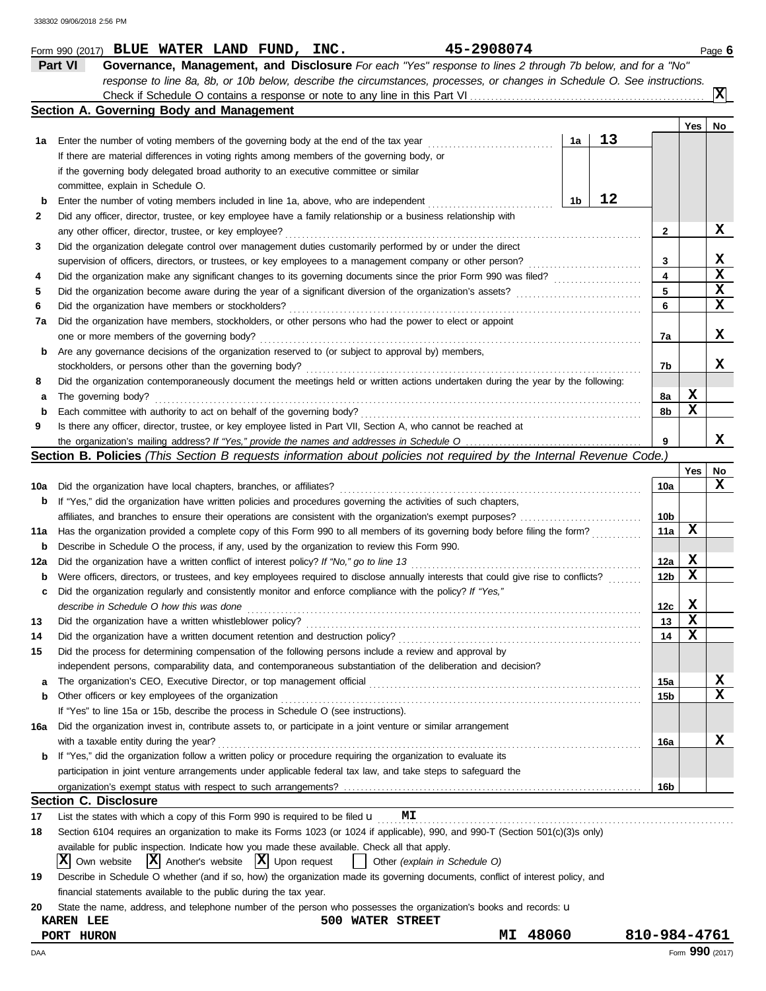|          | Part VI<br>Governance, Management, and Disclosure For each "Yes" response to lines 2 through 7b below, and for a "No"               |    |    |                 |             |                         |
|----------|-------------------------------------------------------------------------------------------------------------------------------------|----|----|-----------------|-------------|-------------------------|
|          | response to line 8a, 8b, or 10b below, describe the circumstances, processes, or changes in Schedule O. See instructions.           |    |    |                 |             |                         |
|          |                                                                                                                                     |    |    |                 |             | $\overline{\mathbf{x}}$ |
|          | Section A. Governing Body and Management                                                                                            |    |    |                 |             |                         |
|          |                                                                                                                                     |    |    |                 | Yes         | No                      |
| 1а       |                                                                                                                                     | 1a | 13 |                 |             |                         |
|          | If there are material differences in voting rights among members of the governing body, or                                          |    |    |                 |             |                         |
|          | if the governing body delegated broad authority to an executive committee or similar                                                |    |    |                 |             |                         |
|          | committee, explain in Schedule O.                                                                                                   |    |    |                 |             |                         |
| b        | Enter the number of voting members included in line 1a, above, who are independent                                                  | 1b | 12 |                 |             |                         |
| 2        | Did any officer, director, trustee, or key employee have a family relationship or a business relationship with                      |    |    |                 |             |                         |
|          | any other officer, director, trustee, or key employee?                                                                              |    |    | $\mathbf{2}$    |             | X                       |
| 3        | Did the organization delegate control over management duties customarily performed by or under the direct                           |    |    |                 |             |                         |
|          | supervision of officers, directors, or trustees, or key employees to a management company or other person?                          |    |    | 3               |             | X                       |
| 4        |                                                                                                                                     |    |    | 4               |             | X                       |
| 5        |                                                                                                                                     |    |    | 5               |             | X                       |
| 6        | Did the organization have members or stockholders?                                                                                  |    |    | 6               |             | X                       |
| 7a       | Did the organization have members, stockholders, or other persons who had the power to elect or appoint                             |    |    |                 |             |                         |
|          | one or more members of the governing body?                                                                                          |    |    | 7a              |             | х                       |
| b        | Are any governance decisions of the organization reserved to (or subject to approval by) members,                                   |    |    |                 |             |                         |
|          | stockholders, or persons other than the governing body?                                                                             |    |    | 7b              |             | x                       |
| 8        | Did the organization contemporaneously document the meetings held or written actions undertaken during the year by the following:   |    |    |                 |             |                         |
| а        | The governing body?                                                                                                                 |    |    | 8a              | х           |                         |
| b        |                                                                                                                                     |    |    | 8b              | X           |                         |
| 9        | Is there any officer, director, trustee, or key employee listed in Part VII, Section A, who cannot be reached at                    |    |    |                 |             |                         |
|          |                                                                                                                                     |    |    | 9               |             | X                       |
|          | Section B. Policies (This Section B requests information about policies not required by the Internal Revenue Code.)                 |    |    |                 |             |                         |
|          |                                                                                                                                     |    |    |                 | Yes         | No<br>x                 |
| 10a      | Did the organization have local chapters, branches, or affiliates?                                                                  |    |    | 10a             |             |                         |
| b        | If "Yes," did the organization have written policies and procedures governing the activities of such chapters,                      |    |    | 10 <sub>b</sub> |             |                         |
|          | Has the organization provided a complete copy of this Form 990 to all members of its governing body before filing the form?         |    |    | 11a             | х           |                         |
| 11a      | Describe in Schedule O the process, if any, used by the organization to review this Form 990.                                       |    |    |                 |             |                         |
| b        |                                                                                                                                     |    |    | 12a             | X           |                         |
| 12a<br>b | Were officers, directors, or trustees, and key employees required to disclose annually interests that could give rise to conflicts? |    |    | 12 <sub>b</sub> | X           |                         |
| c        | Did the organization regularly and consistently monitor and enforce compliance with the policy? If "Yes,"                           |    |    |                 |             |                         |
|          | describe in Schedule O how this was done                                                                                            |    |    | 12c             | х           |                         |
| 13       | Did the organization have a written whistleblower policy?                                                                           |    |    | 13              | $\mathbf x$ |                         |
| 14       |                                                                                                                                     |    |    | 14              | X           |                         |
| 15       | Did the process for determining compensation of the following persons include a review and approval by                              |    |    |                 |             |                         |
|          | independent persons, comparability data, and contemporaneous substantiation of the deliberation and decision?                       |    |    |                 |             |                         |
| a        |                                                                                                                                     |    |    | 15a             |             | X                       |
| b        | Other officers or key employees of the organization                                                                                 |    |    | 15b             |             | x                       |
|          | If "Yes" to line 15a or 15b, describe the process in Schedule O (see instructions).                                                 |    |    |                 |             |                         |
| 16a      | Did the organization invest in, contribute assets to, or participate in a joint venture or similar arrangement                      |    |    |                 |             |                         |
|          | with a taxable entity during the year?                                                                                              |    |    | 16a             |             | X                       |
| b        | If "Yes," did the organization follow a written policy or procedure requiring the organization to evaluate its                      |    |    |                 |             |                         |
|          | participation in joint venture arrangements under applicable federal tax law, and take steps to safeguard the                       |    |    |                 |             |                         |
|          |                                                                                                                                     |    |    | 16b             |             |                         |
|          | Section C. Disclosure                                                                                                               |    |    |                 |             |                         |
| 17       | List the states with which a copy of this Form 990 is required to be filed $\mathbf u$<br>MΙ                                        |    |    |                 |             |                         |
| 18       | Section 6104 requires an organization to make its Forms 1023 (or 1024 if applicable), 990, and 990-T (Section 501(c)(3)s only)      |    |    |                 |             |                         |
|          | available for public inspection. Indicate how you made these available. Check all that apply.                                       |    |    |                 |             |                         |
|          | $ \mathbf{X} $ Upon request<br>IX.<br>$ \mathbf{X} $ Another's website<br>Own website<br>Other (explain in Schedule O)              |    |    |                 |             |                         |
| 19       | Describe in Schedule O whether (and if so, how) the organization made its governing documents, conflict of interest policy, and     |    |    |                 |             |                         |
|          | financial statements available to the public during the tax year.                                                                   |    |    |                 |             |                         |
| 20       | State the name, address, and telephone number of the person who possesses the organization's books and records: <b>u</b>            |    |    |                 |             |                         |
|          | <b>KAREN LEE</b><br><b>500 WATER STREET</b>                                                                                         |    |    |                 |             |                         |
|          | 48060<br>MΙ<br>PORT HURON                                                                                                           |    |    | 810-984-4761    |             |                         |
| DAA      |                                                                                                                                     |    |    |                 |             | Form 990 (2017)         |

**Form 990 (2017) BLUE WATER LAND FUND, INC.** 45-2908074 Page 6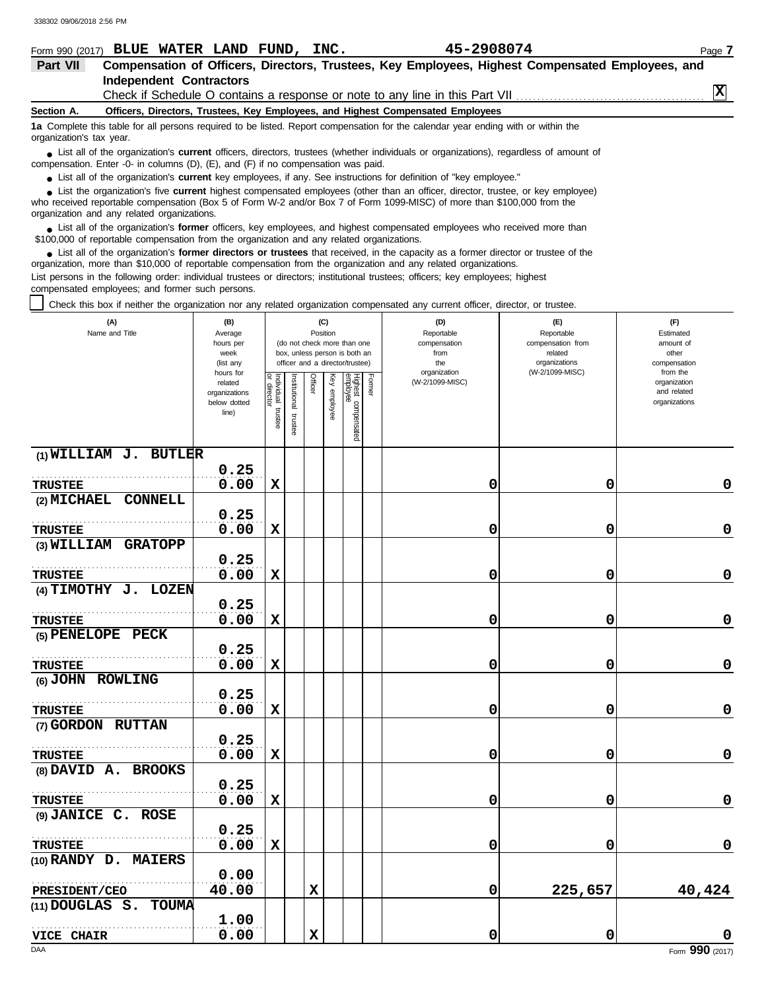| Form 990 (2017) BLUE WATER LAND FUND, INC.                                        |                                |  |                                                                                 | 45-2908074                                                                                                                                    | Page 7 |
|-----------------------------------------------------------------------------------|--------------------------------|--|---------------------------------------------------------------------------------|-----------------------------------------------------------------------------------------------------------------------------------------------|--------|
| Part VII                                                                          |                                |  |                                                                                 | Compensation of Officers, Directors, Trustees, Key Employees, Highest Compensated Employees, and                                              |        |
|                                                                                   | <b>Independent Contractors</b> |  |                                                                                 |                                                                                                                                               |        |
|                                                                                   |                                |  |                                                                                 |                                                                                                                                               | X      |
| Section A.                                                                        |                                |  | Officers, Directors, Trustees, Key Employees, and Highest Compensated Employees |                                                                                                                                               |        |
| organization's tax year.                                                          |                                |  |                                                                                 | 1a Complete this table for all persons required to be listed. Report compensation for the calendar year ending with or within the             |        |
| compensation. Enter -0- in columns (D), (E), and (F) if no compensation was paid. |                                |  |                                                                                 | • List all of the organization's <b>current</b> officers, directors, trustees (whether individuals or organizations), regardless of amount of |        |

● List all of the organization's **current** key employees, if any. See instructions for definition of "key employee."

who received reportable compensation (Box 5 of Form W-2 and/or Box 7 of Form 1099-MISC) of more than \$100,000 from the organization and any related organizations. ■ List the organization's five **current** highest compensated employees (other than an officer, director, trustee, or key employee)<br> **•** Pregiund reportable compensation (Box 5 of Ferm W 2 and/or Box 7 of Ferm 1000 MISC) o

■ List all of the organization's **former** officers, key employees, and highest compensated employees who received more than<br> **•** 00.000 of reportable compensation from the examization and any related erganizations \$100,000 of reportable compensation from the organization and any related organizations.

■ List all of the organization's **former directors or trustees** that received, in the capacity as a former director or trustee of the practization more than \$10,000 of reportable compensation from the organization and any organization, more than \$10,000 of reportable compensation from the organization and any related organizations. List persons in the following order: individual trustees or directors; institutional trustees; officers; key employees; highest compensated employees; and former such persons.

Check this box if neither the organization nor any related organization compensated any current officer, director, or trustee.

| (A)<br>Name and Title              | (B)<br>Average<br>hours per<br>week<br>(list any<br>hours for |                                      |                       | (C)<br>Position |                 | (do not check more than one<br>box, unless person is both an<br>officer and a director/trustee) | (D)<br>Reportable<br>compensation<br>from<br>the<br>organization | (E)<br>Reportable<br>compensation from<br>related<br>organizations<br>(W-2/1099-MISC) | (F)<br>Estimated<br>amount of<br>other<br>compensation<br>from the |
|------------------------------------|---------------------------------------------------------------|--------------------------------------|-----------------------|-----------------|-----------------|-------------------------------------------------------------------------------------------------|------------------------------------------------------------------|---------------------------------------------------------------------------------------|--------------------------------------------------------------------|
|                                    | related<br>organizations<br>below dotted<br>line)             | Individual<br>or director<br>trustee | hitutional<br>trustee | Officer         | Ķey<br>employee | Former<br>Highest compensated<br>employee                                                       | (W-2/1099-MISC)                                                  |                                                                                       | organization<br>and related<br>organizations                       |
| $(1)$ WILLIAM J. BUTLER            |                                                               |                                      |                       |                 |                 |                                                                                                 |                                                                  |                                                                                       |                                                                    |
|                                    | 0.25                                                          |                                      |                       |                 |                 |                                                                                                 |                                                                  |                                                                                       |                                                                    |
| <b>TRUSTEE</b>                     | 0.00                                                          | х                                    |                       |                 |                 |                                                                                                 | 0                                                                | 0                                                                                     | 0                                                                  |
| (2) MICHAEL CONNELL                |                                                               |                                      |                       |                 |                 |                                                                                                 |                                                                  |                                                                                       |                                                                    |
|                                    | 0.25                                                          |                                      |                       |                 |                 |                                                                                                 |                                                                  |                                                                                       |                                                                    |
| <b>TRUSTEE</b>                     | 0.00                                                          | X                                    |                       |                 |                 |                                                                                                 | 0                                                                | 0                                                                                     | $\pmb{0}$                                                          |
| (3) WILLIAM GRATOPP                |                                                               |                                      |                       |                 |                 |                                                                                                 |                                                                  |                                                                                       |                                                                    |
|                                    | 0.25                                                          |                                      |                       |                 |                 |                                                                                                 |                                                                  |                                                                                       |                                                                    |
| <b>TRUSTEE</b>                     | 0.00                                                          | $\mathbf x$                          |                       |                 |                 |                                                                                                 | 0                                                                | 0                                                                                     | 0                                                                  |
| (4) TIMOTHY J. LOZEN               |                                                               |                                      |                       |                 |                 |                                                                                                 |                                                                  |                                                                                       |                                                                    |
|                                    | 0.25                                                          |                                      |                       |                 |                 |                                                                                                 |                                                                  |                                                                                       |                                                                    |
| <b>TRUSTEE</b>                     | 0.00                                                          | $\mathbf x$                          |                       |                 |                 |                                                                                                 | 0                                                                | 0                                                                                     | 0                                                                  |
| (5) PENELOPE PECK                  | 0.25                                                          |                                      |                       |                 |                 |                                                                                                 |                                                                  |                                                                                       |                                                                    |
|                                    | 0.00                                                          | X                                    |                       |                 |                 |                                                                                                 | 0                                                                | 0                                                                                     | $\mathbf 0$                                                        |
| <b>TRUSTEE</b><br>(6) JOHN ROWLING |                                                               |                                      |                       |                 |                 |                                                                                                 |                                                                  |                                                                                       |                                                                    |
|                                    | 0.25                                                          |                                      |                       |                 |                 |                                                                                                 |                                                                  |                                                                                       |                                                                    |
| <b>TRUSTEE</b>                     | 0.00                                                          | $\mathbf x$                          |                       |                 |                 |                                                                                                 | 0                                                                | 0                                                                                     | $\mathbf 0$                                                        |
| (7) GORDON RUTTAN                  |                                                               |                                      |                       |                 |                 |                                                                                                 |                                                                  |                                                                                       |                                                                    |
|                                    | 0.25                                                          |                                      |                       |                 |                 |                                                                                                 |                                                                  |                                                                                       |                                                                    |
| <b>TRUSTEE</b>                     | 0.00                                                          | X                                    |                       |                 |                 |                                                                                                 | 0                                                                | 0                                                                                     | 0                                                                  |
| (8) DAVID A. BROOKS                |                                                               |                                      |                       |                 |                 |                                                                                                 |                                                                  |                                                                                       |                                                                    |
|                                    | 0.25                                                          |                                      |                       |                 |                 |                                                                                                 |                                                                  |                                                                                       |                                                                    |
| <b>TRUSTEE</b>                     | 0.00                                                          | $\mathbf x$                          |                       |                 |                 |                                                                                                 | 0                                                                | 0                                                                                     | 0                                                                  |
| (9) JANICE C. ROSE                 |                                                               |                                      |                       |                 |                 |                                                                                                 |                                                                  |                                                                                       |                                                                    |
|                                    | 0.25                                                          |                                      |                       |                 |                 |                                                                                                 |                                                                  |                                                                                       |                                                                    |
| <b>TRUSTEE</b>                     | 0.00                                                          | $\mathbf x$                          |                       |                 |                 |                                                                                                 | 0                                                                | 0                                                                                     | 0                                                                  |
| (10) RANDY D. MAIERS               |                                                               |                                      |                       |                 |                 |                                                                                                 |                                                                  |                                                                                       |                                                                    |
|                                    | 0.00                                                          |                                      |                       |                 |                 |                                                                                                 |                                                                  |                                                                                       |                                                                    |
| PRESIDENT/CEO                      | 40.00                                                         |                                      |                       | $\mathbf x$     |                 |                                                                                                 | 0                                                                | 225,657                                                                               | 40,424                                                             |
| (11) DOUGLAS S. TOUMA              |                                                               |                                      |                       |                 |                 |                                                                                                 |                                                                  |                                                                                       |                                                                    |
|                                    | 1.00                                                          |                                      |                       |                 |                 |                                                                                                 |                                                                  |                                                                                       |                                                                    |
| <b>VICE CHAIR</b>                  | 0.00                                                          |                                      |                       | $\mathbf x$     |                 |                                                                                                 | 0                                                                | 0                                                                                     | O                                                                  |
| DAA                                |                                                               |                                      |                       |                 |                 |                                                                                                 |                                                                  |                                                                                       | Form 990 (2017)                                                    |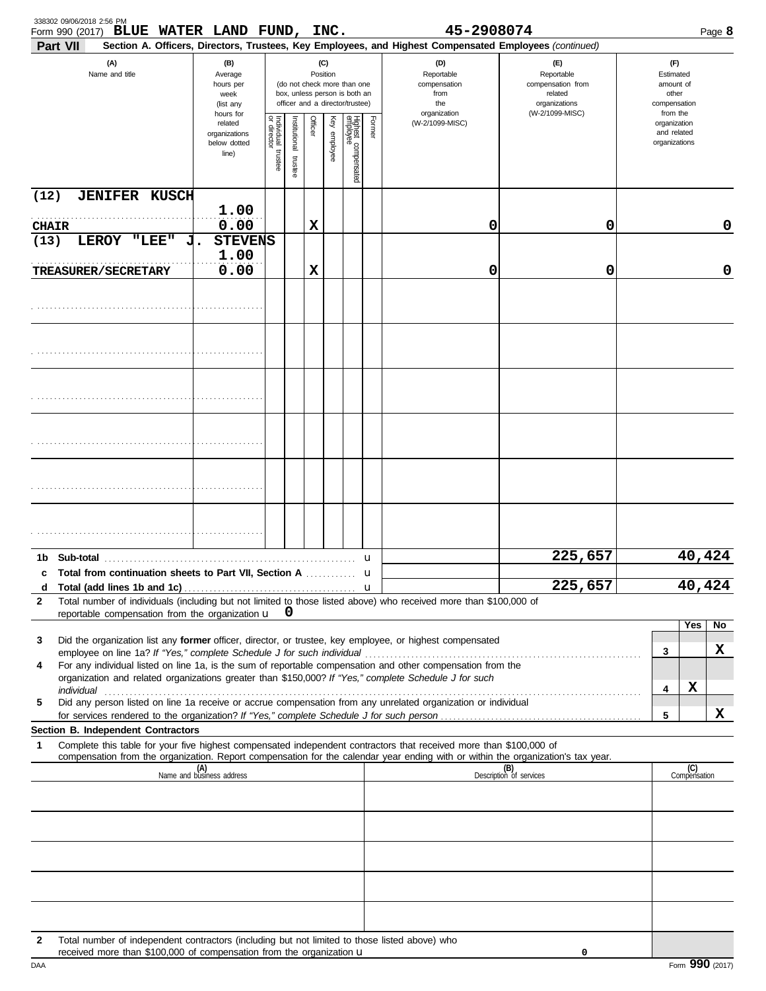| 338302 09/06/2018 2:56 PM<br>BLUE WATER LAND FUND, INC.<br>Form 990 (2017)                                                                                                                                                                                  |                                                                |                         |                          |                 |                 |                                                                                                 |                  | 45-2908074                                                                                                                                                 |                                                                    |                                                          |                     | Page 8 |
|-------------------------------------------------------------------------------------------------------------------------------------------------------------------------------------------------------------------------------------------------------------|----------------------------------------------------------------|-------------------------|--------------------------|-----------------|-----------------|-------------------------------------------------------------------------------------------------|------------------|------------------------------------------------------------------------------------------------------------------------------------------------------------|--------------------------------------------------------------------|----------------------------------------------------------|---------------------|--------|
| Part VII<br>(A)<br>Name and title                                                                                                                                                                                                                           | (B)<br>Average<br>hours per<br>week<br>(list any               |                         |                          | (C)<br>Position |                 | (do not check more than one<br>box, unless person is both an<br>officer and a director/trustee) |                  | Section A. Officers, Directors, Trustees, Key Employees, and Highest Compensated Employees (continued)<br>(D)<br>Reportable<br>compensation<br>from<br>the | (F)<br>Reportable<br>compensation from<br>related<br>organizations | (F)<br>Estimated<br>amount of<br>other<br>compensation   |                     |        |
|                                                                                                                                                                                                                                                             | hours for<br>related<br>organizations<br>below dotted<br>line) | Individual 1<br>trustee | Institutional<br>trustee | Officer         | Key<br>employee | Highest compensated<br>employee                                                                 | Former           | organization<br>(W-2/1099-MISC)                                                                                                                            | (W-2/1099-MISC)                                                    | from the<br>organization<br>and related<br>organizations |                     |        |
| (12)<br><b>JENIFER KUSCH</b>                                                                                                                                                                                                                                |                                                                |                         |                          |                 |                 |                                                                                                 |                  |                                                                                                                                                            |                                                                    |                                                          |                     |        |
| <b>CHAIR</b>                                                                                                                                                                                                                                                | 1.00<br>0.00                                                   |                         |                          | х               |                 |                                                                                                 |                  | 0                                                                                                                                                          | 0                                                                  |                                                          |                     | 0      |
| LEROY "LEE"<br>(13)                                                                                                                                                                                                                                         | <b>STEVENS</b><br>1.00<br>0.00                                 |                         |                          |                 |                 |                                                                                                 |                  |                                                                                                                                                            | 0                                                                  |                                                          |                     | 0      |
| <b>TREASURER/SECRETARY</b>                                                                                                                                                                                                                                  |                                                                |                         |                          | х               |                 |                                                                                                 |                  | 0                                                                                                                                                          |                                                                    |                                                          |                     |        |
|                                                                                                                                                                                                                                                             |                                                                |                         |                          |                 |                 |                                                                                                 |                  |                                                                                                                                                            |                                                                    |                                                          |                     |        |
|                                                                                                                                                                                                                                                             |                                                                |                         |                          |                 |                 |                                                                                                 |                  |                                                                                                                                                            |                                                                    |                                                          |                     |        |
|                                                                                                                                                                                                                                                             |                                                                |                         |                          |                 |                 |                                                                                                 |                  |                                                                                                                                                            |                                                                    |                                                          |                     |        |
|                                                                                                                                                                                                                                                             |                                                                |                         |                          |                 |                 |                                                                                                 |                  |                                                                                                                                                            |                                                                    |                                                          |                     |        |
|                                                                                                                                                                                                                                                             |                                                                |                         |                          |                 |                 |                                                                                                 |                  |                                                                                                                                                            |                                                                    |                                                          |                     |        |
|                                                                                                                                                                                                                                                             |                                                                |                         |                          |                 |                 |                                                                                                 |                  |                                                                                                                                                            |                                                                    |                                                          |                     |        |
|                                                                                                                                                                                                                                                             |                                                                |                         |                          |                 |                 |                                                                                                 | u                |                                                                                                                                                            | 225,657                                                            |                                                          |                     | 40,424 |
| c Total from continuation sheets to Part VII, Section A                                                                                                                                                                                                     |                                                                |                         |                          |                 |                 |                                                                                                 | u<br>$\mathbf u$ |                                                                                                                                                            | 225,657                                                            |                                                          |                     | 40,424 |
| Total number of individuals (including but not limited to those listed above) who received more than \$100,000 of<br>2<br>reportable compensation from the organization $\mathbf{u} \quad \mathbf{0}$                                                       |                                                                |                         |                          |                 |                 |                                                                                                 |                  |                                                                                                                                                            |                                                                    |                                                          |                     |        |
| Did the organization list any former officer, director, or trustee, key employee, or highest compensated<br>3                                                                                                                                               |                                                                |                         |                          |                 |                 |                                                                                                 |                  |                                                                                                                                                            |                                                                    |                                                          | Yes                 | No     |
| employee on line 1a? If "Yes," complete Schedule J for such individual<br>For any individual listed on line 1a, is the sum of reportable compensation and other compensation from the<br>4                                                                  |                                                                |                         |                          |                 |                 |                                                                                                 |                  |                                                                                                                                                            |                                                                    | 3                                                        |                     | X      |
| organization and related organizations greater than \$150,000? If "Yes," complete Schedule J for such<br>individual                                                                                                                                         |                                                                |                         |                          |                 |                 |                                                                                                 |                  |                                                                                                                                                            |                                                                    | 4                                                        | х                   |        |
| Did any person listed on line 1a receive or accrue compensation from any unrelated organization or individual<br>5<br>for services rendered to the organization? If "Yes," complete Schedule J for such person.                                             |                                                                |                         |                          |                 |                 |                                                                                                 |                  |                                                                                                                                                            |                                                                    | 5                                                        |                     | X      |
| Section B. Independent Contractors                                                                                                                                                                                                                          |                                                                |                         |                          |                 |                 |                                                                                                 |                  |                                                                                                                                                            |                                                                    |                                                          |                     |        |
| Complete this table for your five highest compensated independent contractors that received more than \$100,000 of<br>1<br>compensation from the organization. Report compensation for the calendar year ending with or within the organization's tax year. |                                                                |                         |                          |                 |                 |                                                                                                 |                  |                                                                                                                                                            |                                                                    |                                                          |                     |        |
|                                                                                                                                                                                                                                                             | (A)<br>Name and business address                               |                         |                          |                 |                 |                                                                                                 |                  |                                                                                                                                                            | (B)<br>Description of services                                     |                                                          | (C)<br>Compensation |        |
|                                                                                                                                                                                                                                                             |                                                                |                         |                          |                 |                 |                                                                                                 |                  |                                                                                                                                                            |                                                                    |                                                          |                     |        |
|                                                                                                                                                                                                                                                             |                                                                |                         |                          |                 |                 |                                                                                                 |                  |                                                                                                                                                            |                                                                    |                                                          |                     |        |
|                                                                                                                                                                                                                                                             |                                                                |                         |                          |                 |                 |                                                                                                 |                  |                                                                                                                                                            |                                                                    |                                                          |                     |        |
|                                                                                                                                                                                                                                                             |                                                                |                         |                          |                 |                 |                                                                                                 |                  |                                                                                                                                                            |                                                                    |                                                          |                     |        |
|                                                                                                                                                                                                                                                             |                                                                |                         |                          |                 |                 |                                                                                                 |                  |                                                                                                                                                            |                                                                    |                                                          |                     |        |
| Total number of independent contractors (including but not limited to those listed above) who<br>$\mathbf{2}$<br>received more than \$100,000 of compensation from the organization u                                                                       |                                                                |                         |                          |                 |                 |                                                                                                 |                  |                                                                                                                                                            | 0                                                                  |                                                          |                     |        |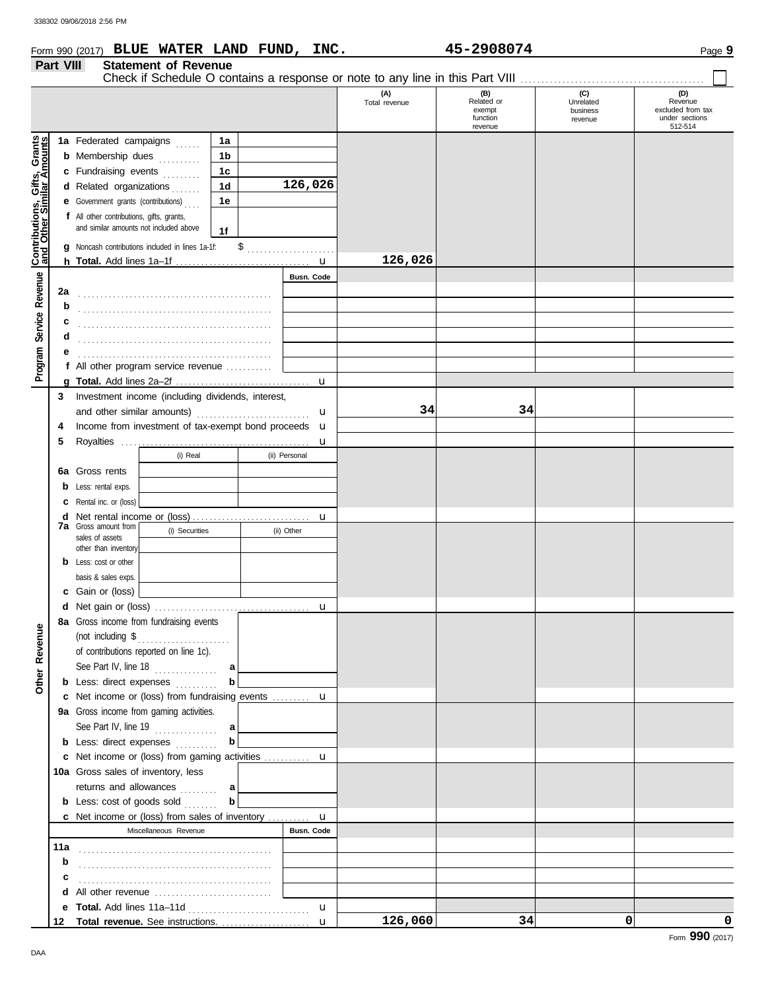| Part VIII | Form 990 (2017) BLUE WATER LAND FUND, INC.<br><b>Statement of Revenue</b>                 |               |                      | 45-2908074                                         |                                         | Page 9                                                           |
|-----------|-------------------------------------------------------------------------------------------|---------------|----------------------|----------------------------------------------------|-----------------------------------------|------------------------------------------------------------------|
|           |                                                                                           |               |                      |                                                    |                                         |                                                                  |
|           |                                                                                           |               | (A)<br>Total revenue | (B)<br>Related or<br>exempt<br>function<br>revenue | (C)<br>Unrelated<br>business<br>revenue | (D)<br>Revenue<br>excluded from tax<br>under sections<br>512-514 |
|           | 1a<br>1a Federated campaigns                                                              |               |                      |                                                    |                                         |                                                                  |
|           | 1b<br><b>b</b> Membership dues                                                            |               |                      |                                                    |                                         |                                                                  |
|           | c Fundraising events<br>1c                                                                |               |                      |                                                    |                                         |                                                                  |
|           | 1 <sub>d</sub><br>d Related organizations                                                 | 126,026       |                      |                                                    |                                         |                                                                  |
|           | 1e<br><b>e</b> Government grants (contributions)                                          |               |                      |                                                    |                                         |                                                                  |
|           | f All other contributions, gifts, grants,<br>and similar amounts not included above<br>1f |               |                      |                                                    |                                         |                                                                  |
|           | g Noncash contributions included in lines 1a-1f:                                          | $\frac{1}{2}$ |                      |                                                    |                                         |                                                                  |
|           |                                                                                           |               | 126,026              |                                                    |                                         |                                                                  |
|           |                                                                                           | Busn. Code    |                      |                                                    |                                         |                                                                  |
| 2a        |                                                                                           |               |                      |                                                    |                                         |                                                                  |
| b         |                                                                                           |               |                      |                                                    |                                         |                                                                  |
|           |                                                                                           |               |                      |                                                    |                                         |                                                                  |
| d         |                                                                                           |               |                      |                                                    |                                         |                                                                  |
|           |                                                                                           |               |                      |                                                    |                                         |                                                                  |
|           | f All other program service revenue                                                       |               |                      |                                                    |                                         |                                                                  |
|           |                                                                                           | u             |                      |                                                    |                                         |                                                                  |
| 3         | Investment income (including dividends, interest,                                         |               |                      |                                                    |                                         |                                                                  |
|           |                                                                                           | $\mathbf u$   | 34                   | 34                                                 |                                         |                                                                  |
| 4         | Income from investment of tax-exempt bond proceeds <b>u</b>                               |               |                      |                                                    |                                         |                                                                  |
| 5         |                                                                                           | u             |                      |                                                    |                                         |                                                                  |
|           | (i) Real                                                                                  | (ii) Personal |                      |                                                    |                                         |                                                                  |
|           | 6a Gross rents                                                                            |               |                      |                                                    |                                         |                                                                  |
|           | <b>b</b> Less: rental exps.                                                               |               |                      |                                                    |                                         |                                                                  |
|           | <b>c</b> Rental inc. or (loss)                                                            |               |                      |                                                    |                                         |                                                                  |
| d         | <b>7a</b> Gross amount from                                                               | u             |                      |                                                    |                                         |                                                                  |
|           | (i) Securities<br>sales of assets                                                         | (ii) Other    |                      |                                                    |                                         |                                                                  |
|           | other than inventory                                                                      |               |                      |                                                    |                                         |                                                                  |
|           | <b>b</b> Less: cost or other                                                              |               |                      |                                                    |                                         |                                                                  |
|           | basis & sales exps.                                                                       |               |                      |                                                    |                                         |                                                                  |
|           | c Gain or (loss)                                                                          |               |                      |                                                    |                                         |                                                                  |
| d         | 8a Gross income from fundraising events                                                   |               |                      |                                                    |                                         |                                                                  |
|           |                                                                                           |               |                      |                                                    |                                         |                                                                  |
|           | of contributions reported on line 1c).                                                    |               |                      |                                                    |                                         |                                                                  |
|           | See Part IV, line 18 $\ldots$<br>a                                                        |               |                      |                                                    |                                         |                                                                  |
|           | $\mathbf b$<br><b>b</b> Less: direct expenses <i>minimal</i>                              |               |                      |                                                    |                                         |                                                                  |
|           | c Net income or (loss) from fundraising events  u                                         |               |                      |                                                    |                                         |                                                                  |
|           | 9a Gross income from gaming activities.                                                   |               |                      |                                                    |                                         |                                                                  |
|           | See Part IV, line $19$<br>a                                                               |               |                      |                                                    |                                         |                                                                  |
|           | $\mathbf b$<br><b>b</b> Less: direct expenses $\ldots$                                    |               |                      |                                                    |                                         |                                                                  |
|           | c Net income or (loss) from gaming activities  u                                          |               |                      |                                                    |                                         |                                                                  |
|           | 10a Gross sales of inventory, less                                                        |               |                      |                                                    |                                         |                                                                  |
|           | returns and allowances<br>a                                                               |               |                      |                                                    |                                         |                                                                  |
|           |                                                                                           |               |                      |                                                    |                                         |                                                                  |

u

u

u

**11a b c**

Net income or (loss) from sales of inventory . . . . . . . . . . **c**

Miscellaneous Revenue **Busn. Code** 

**d** All other revenue .............................. **e Total.** Add lines 11a–11d . . . . . . . . . . . . . . . . . . . . . . . . . . . . . **Total revenue.** See instructions. . . . . . . . . . . . . . . . . . . . . . **12**

. . . . . . . . . . . . . . . . . . . . . . . . . . . . . . . . . . . . . . . . . . . . . . . . . . . . . . . . . . . . . . . . . . . . . . . . . . . . . . . . . . . . . . . . . . . . . . . . . . . . . . . . . . . . . . . . . . . . . . . . . . . . . . . . . . . . . . . . . .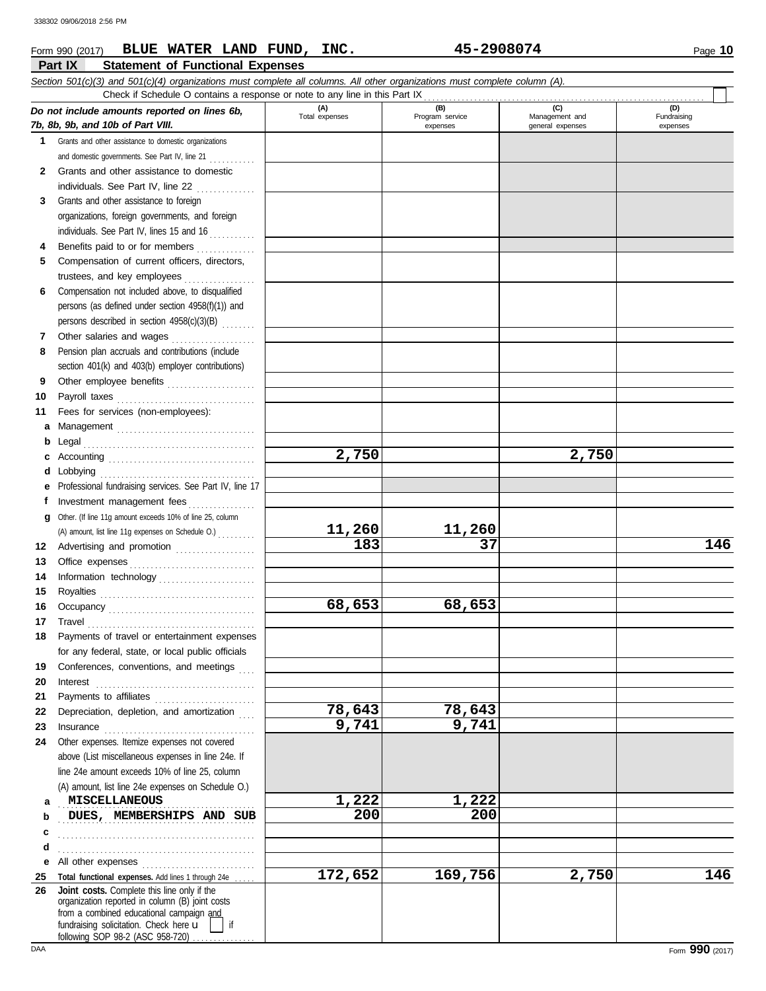### **Part IX Statement of Functional Expenses Form 990 (2017) BLUE WATER LAND FUND, INC.** 45-2908074 Page 10 *Section 501(c)(3) and 501(c)(4) organizations must complete all columns. All other organizations must complete column (A). Do not include amounts reported on lines 6b, 7b, 8b, 9b, and 10b of Part VIII.* **1 2 3 4 5 6 7 8 9 10 11 a** Management . . . . . . . . . . . . . . . . . . . . . . . . . . . . . . . . . **b c** Accounting . . . . . . . . . . . . . . . . . . . . . . . . . . . . . . . . . . . **d e f g** Other. (If line 11g amount exceeds 10% of line 25, column **12** Advertising and promotion . . . . . . . . . . . . . . . . . . . **13 14 15 16 17 18 19 20 21 22 23 24 a** Grants and other assistance to domestic organizations and domestic governments. See Part IV, line 21 ............ Grants and other assistance to domestic individuals. See Part IV, line 22 . . . . . . . . . . . . . . Grants and other assistance to foreign organizations, foreign governments, and foreign individuals. See Part IV, lines 15 and 16 Benefits paid to or for members . . . . . . . . . . . . . . . . Compensation of current officers, directors, trustees, and key employees . . . . . . . . . . . . . . . . . Compensation not included above, to disqualified persons (as defined under section 4958(f)(1)) and persons described in section 4958(c)(3)(B) . . . . . . . . Other salaries and wages . . . . . . . . . . . . . . . . . . . . Pension plan accruals and contributions (include section 401(k) and 403(b) employer contributions) Other employee benefits ..................... Payroll taxes . . . . . . . . . . . . . . . . . . . . . . . . . . . . . . . . . Fees for services (non-employees): Legal . . . . . . . . . . . . . . . . . . . . . . . . . . . . . . . . . . . . . . . . . Lobbying . . . . . . . . . . . . . . . . . . . . . . . . . . . . . . . . . . . . . Professional fundraising services. See Part IV, line 17 Investment management fees ................ Office expenses . . . . . . . . . . . . . . . . . . . . . . . . . . . . . . Information technology . . . . . . . . . . . . . . . . . . . . . . . Royalties . . . . . . . . . . . . . . . . . . . . . . . . . . . . . . . . . . . . . Occupancy . . . . . . . . . . . . . . . . . . . . . . . . . . . . . . . . . . . Travel . . . . . . . . . . . . . . . . . . . . . . . . . . . . . . . . . . . . . . . . Payments of travel or entertainment expenses for any federal, state, or local public officials Conferences, conventions, and meetings Interest . . . . . . . . . . . . . . . . . . . . . . . . . . . . . . . . . . . . . . Payments to affiliates . . . . . . . . . . . . . . . . . . . . . . . . Depreciation, depletion, and amortization Insurance . . . . . . . . . . . . . . . . . . . . . . . . . . . . . . . . . . . . Other expenses. Itemize expenses not covered above (List miscellaneous expenses in line 24e. If line 24e amount exceeds 10% of line 25, column (A) amount, list line 24e expenses on Schedule O.) **(A) (B) (C) (D)** Nanagement and expenses and general expenses (D)<br>Fundraising expenses **MISCELLANEOUS** 1,222 1,222 Check if Schedule O contains a response or note to any line in this Part IX (A) amount, list line 11g expenses on Schedule O.) . . . . . . . . . **2,750 2,750** 11,260 11,260<br>183 37 **183 37 146 68,653 68,653 78,643 78,643 9,741 9,741** 338302 09/06/2018 2:56 PM

### **b c d e** All other expenses . . . . . . . . . . . . . . . . . . . . . . . . . . . **25 26** Total functional expenses. Add lines 1 through 24e . fundraising solicitation. Check here  $\mathbf{u}$  | if organization reported in column (B) joint costs from a combined educational campaign and following SOP 98-2 (ASC 958-720) **DUES, MEMBERSHIPS AND SUB** 200 **200** . . . . . . . . . . . . . . . . . . . . . . . . . . . . . . . . . . . . . . . . . . . . . . . . . . . . . . . . . . . . . . . . . . . . . . . . . . . . . . . . . . . . . . . . . . . . . . **Joint costs.** Complete this line only if the **172,652 169,756 2,750 146**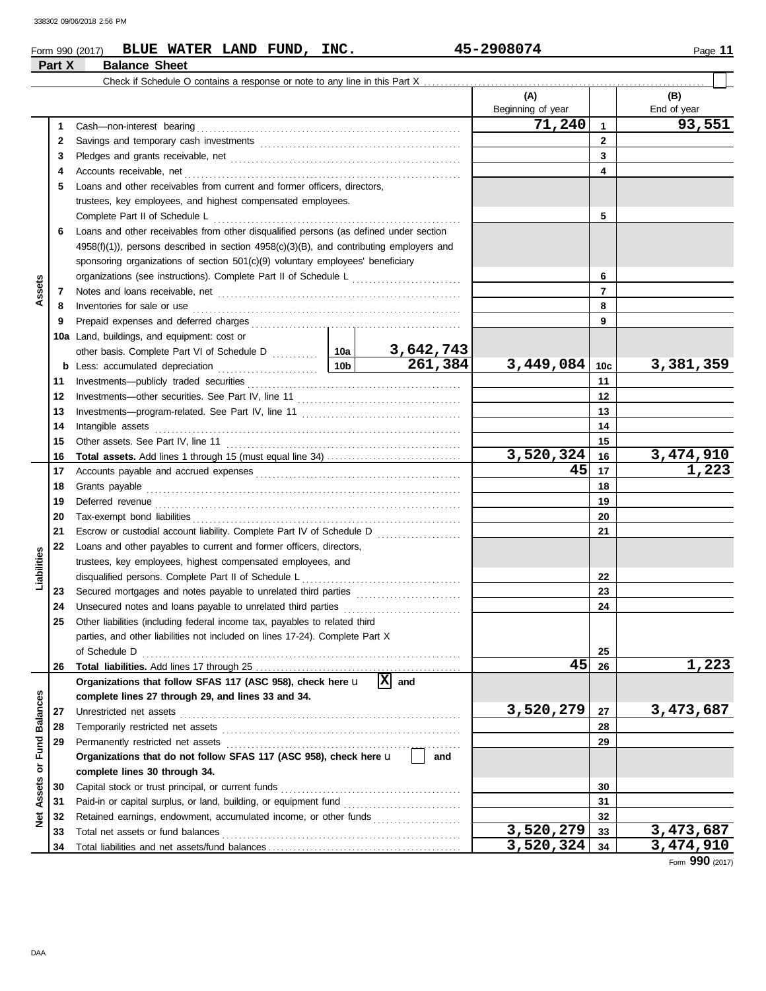### **Form 990 (2017) BLUE WATER LAND FUND, INC.** 45-2908074 Page 11 **Part X Balance Sheet**

|                      |    |                                                                                                                                                                                                                                     |    |                       | (A)               |                | (B)         |
|----------------------|----|-------------------------------------------------------------------------------------------------------------------------------------------------------------------------------------------------------------------------------------|----|-----------------------|-------------------|----------------|-------------|
|                      |    |                                                                                                                                                                                                                                     |    |                       | Beginning of year |                | End of year |
|                      | 1  |                                                                                                                                                                                                                                     |    |                       | 71,240            | $\mathbf{1}$   | 93,551      |
|                      | 2  |                                                                                                                                                                                                                                     |    |                       |                   | $\mathbf{2}$   |             |
|                      | 3  |                                                                                                                                                                                                                                     |    |                       |                   | 3              |             |
|                      | 4  |                                                                                                                                                                                                                                     |    |                       |                   | 4              |             |
|                      | 5  | Loans and other receivables from current and former officers, directors,                                                                                                                                                            |    |                       |                   |                |             |
|                      |    | trustees, key employees, and highest compensated employees.                                                                                                                                                                         |    |                       |                   |                |             |
|                      |    | Complete Part II of Schedule L                                                                                                                                                                                                      |    | 5                     |                   |                |             |
|                      | 6  | Loans and other receivables from other disqualified persons (as defined under section                                                                                                                                               |    |                       |                   |                |             |
|                      |    | 4958(f)(1)), persons described in section 4958(c)(3)(B), and contributing employers and                                                                                                                                             |    |                       |                   |                |             |
|                      |    | sponsoring organizations of section 501(c)(9) voluntary employees' beneficiary                                                                                                                                                      |    |                       |                   |                |             |
|                      |    | organizations (see instructions). Complete Part II of Schedule L [1111111111111111111111111111111111                                                                                                                                |    |                       |                   | 6              |             |
| Assets               | 7  |                                                                                                                                                                                                                                     |    |                       |                   | $\overline{7}$ |             |
|                      | 8  | Inventories for sale or use <i>communication</i> and the contract of the contract of the contract of the contract of the contract of the contract of the contract of the contract of the contract of the contract of the contract o |    |                       |                   | 8              |             |
|                      | 9  |                                                                                                                                                                                                                                     |    |                       |                   | 9              |             |
|                      |    | 10a Land, buildings, and equipment: cost or                                                                                                                                                                                         |    |                       |                   |                |             |
|                      |    |                                                                                                                                                                                                                                     |    | 3,642,743             |                   |                |             |
|                      | b  |                                                                                                                                                                                                                                     |    | 261,384               | 3,449,084         | 10c            | 3,381,359   |
|                      | 11 |                                                                                                                                                                                                                                     |    |                       |                   | 11             |             |
|                      | 12 |                                                                                                                                                                                                                                     |    |                       |                   | 12             |             |
|                      | 13 |                                                                                                                                                                                                                                     |    |                       | 13                |                |             |
|                      | 14 | Intangible assets                                                                                                                                                                                                                   |    |                       | 14                |                |             |
|                      | 15 |                                                                                                                                                                                                                                     |    | 15                    |                   |                |             |
|                      | 16 |                                                                                                                                                                                                                                     |    | 3,520,324             | 16                | 3,474,910      |             |
|                      | 17 |                                                                                                                                                                                                                                     | 45 | 17                    | 1,223             |                |             |
|                      | 18 | Grants payable                                                                                                                                                                                                                      |    |                       | 18                |                |             |
|                      | 19 |                                                                                                                                                                                                                                     |    |                       | 19                |                |             |
|                      | 20 |                                                                                                                                                                                                                                     |    |                       | 20                |                |             |
|                      | 21 |                                                                                                                                                                                                                                     |    |                       |                   | 21             |             |
|                      | 22 | Loans and other payables to current and former officers, directors,                                                                                                                                                                 |    |                       |                   |                |             |
|                      |    | trustees, key employees, highest compensated employees, and                                                                                                                                                                         |    |                       |                   |                |             |
| Liabilities          |    | disqualified persons. Complete Part II of Schedule L                                                                                                                                                                                |    |                       |                   | 22             |             |
|                      | 23 | Secured mortgages and notes payable to unrelated third parties [[[[[[[[[[[[[[[[[[[[[[[[[[[[[]]]]]]]]                                                                                                                                |    |                       |                   | 23             |             |
|                      | 24 |                                                                                                                                                                                                                                     |    |                       |                   | 24             |             |
|                      | 25 | Other liabilities (including federal income tax, payables to related third                                                                                                                                                          |    |                       |                   |                |             |
|                      |    | parties, and other liabilities not included on lines 17-24). Complete Part X                                                                                                                                                        |    |                       |                   |                |             |
|                      | 26 | of Schedule D                                                                                                                                                                                                                       |    |                       | 45                | 25<br>26       | 1,223       |
|                      |    | Organizations that follow SFAS 117 (ASC 958), check here u                                                                                                                                                                          |    | $ \mathbf{x} $<br>and |                   |                |             |
|                      |    | complete lines 27 through 29, and lines 33 and 34.                                                                                                                                                                                  |    |                       |                   |                |             |
|                      | 27 | Unrestricted net assets                                                                                                                                                                                                             |    |                       | 3,520,279         | 27             | 3,473,687   |
| <b>Balances</b>      | 28 |                                                                                                                                                                                                                                     |    |                       |                   | 28             |             |
|                      | 29 | Permanently restricted net assets                                                                                                                                                                                                   |    |                       |                   | 29             |             |
| Fund                 |    | Organizations that do not follow SFAS 117 (ASC 958), check here u                                                                                                                                                                   |    | and                   |                   |                |             |
| ŏ                    |    | complete lines 30 through 34.                                                                                                                                                                                                       |    |                       |                   |                |             |
| Assets               | 30 | Capital stock or trust principal, or current funds                                                                                                                                                                                  |    |                       |                   | 30             |             |
|                      | 31 |                                                                                                                                                                                                                                     |    |                       |                   | 31             |             |
| $\mathbf{\tilde{g}}$ | 32 | Retained earnings, endowment, accumulated income, or other funds                                                                                                                                                                    |    |                       |                   | 32             |             |
|                      | 33 | Total net assets or fund balances                                                                                                                                                                                                   |    |                       | 3,520,279         | 33             | 3,473,687   |
|                      | 34 |                                                                                                                                                                                                                                     |    | 3,520,324             | 34                | 3,474,910      |             |

Form **990** (2017)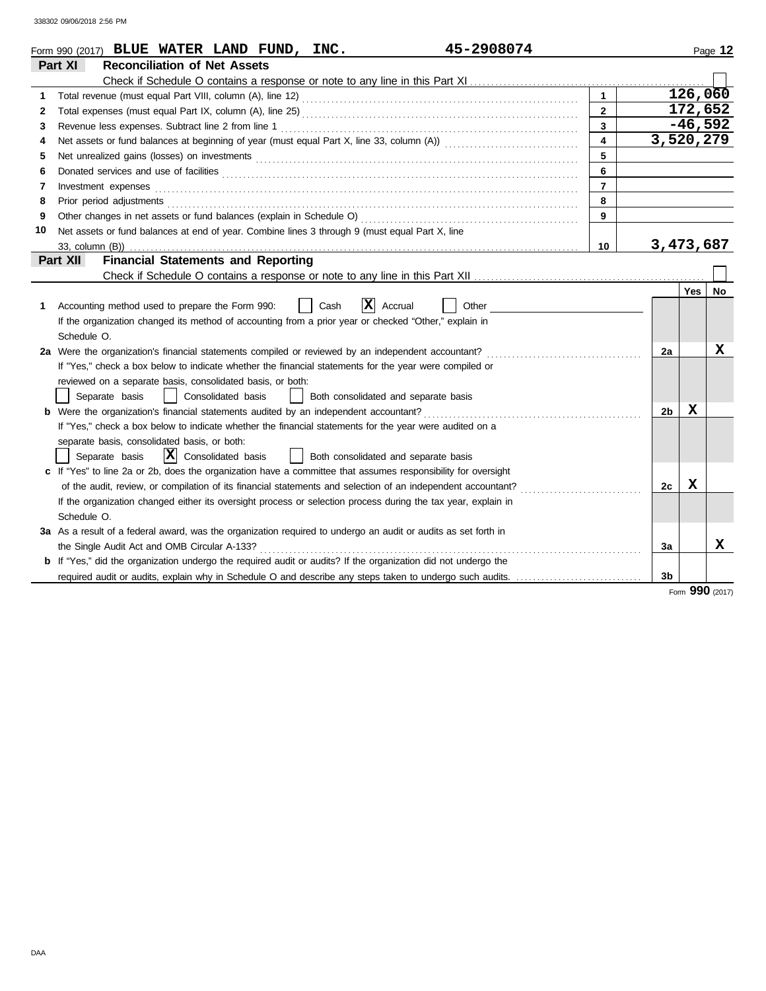|    | 45-2908074<br>Form 990 (2017) BLUE WATER LAND FUND, INC.                                                                                                                                                                             |                         |                |           | Page 12 |
|----|--------------------------------------------------------------------------------------------------------------------------------------------------------------------------------------------------------------------------------------|-------------------------|----------------|-----------|---------|
|    | Part XI<br><b>Reconciliation of Net Assets</b>                                                                                                                                                                                       |                         |                |           |         |
|    |                                                                                                                                                                                                                                      |                         |                |           |         |
| 1  |                                                                                                                                                                                                                                      | $\mathbf{1}$            |                | 126,060   |         |
| 2  |                                                                                                                                                                                                                                      | $\overline{2}$          |                | 172,652   |         |
| 3  |                                                                                                                                                                                                                                      | $\overline{\mathbf{3}}$ |                | $-46,592$ |         |
| 4  |                                                                                                                                                                                                                                      | $\overline{4}$          | 3,520,279      |           |         |
| 5  |                                                                                                                                                                                                                                      | 5                       |                |           |         |
| 6  | Donated services and use of facilities <b>constant of the constant of the constant of the constant of the constant of the constant of the constant of the constant of the constant of the constant of the constant of the consta</b> | 6                       |                |           |         |
| 7  | Investment expenses                                                                                                                                                                                                                  | $\overline{7}$          |                |           |         |
| 8  | Prior period adjustments [11] production and the contract of the contract of the contract of the contract of the contract of the contract of the contract of the contract of the contract of the contract of the contract of t       | 8                       |                |           |         |
| 9  |                                                                                                                                                                                                                                      | 9                       |                |           |         |
| 10 | Net assets or fund balances at end of year. Combine lines 3 through 9 (must equal Part X, line                                                                                                                                       |                         |                |           |         |
|    |                                                                                                                                                                                                                                      | 10                      | 3,473,687      |           |         |
|    | <b>Financial Statements and Reporting</b><br>Part XII                                                                                                                                                                                |                         |                |           |         |
|    |                                                                                                                                                                                                                                      |                         |                |           |         |
|    |                                                                                                                                                                                                                                      |                         |                | Yes       | No      |
| 1  | ΙXΙ<br>Accounting method used to prepare the Form 990:<br>Accrual<br>Cash<br>Other                                                                                                                                                   |                         |                |           |         |
|    | If the organization changed its method of accounting from a prior year or checked "Other," explain in                                                                                                                                |                         |                |           |         |
|    | Schedule O.                                                                                                                                                                                                                          |                         |                |           |         |
|    | 2a Were the organization's financial statements compiled or reviewed by an independent accountant?                                                                                                                                   |                         | 2a             |           | X       |
|    | If "Yes," check a box below to indicate whether the financial statements for the year were compiled or                                                                                                                               |                         |                |           |         |
|    | reviewed on a separate basis, consolidated basis, or both:                                                                                                                                                                           |                         |                |           |         |
|    | Separate basis<br>Consolidated basis<br>Both consolidated and separate basis                                                                                                                                                         |                         |                |           |         |
|    | Were the organization's financial statements audited by an independent accountant?                                                                                                                                                   |                         | 2 <sub>b</sub> | x         |         |
|    | If "Yes," check a box below to indicate whether the financial statements for the year were audited on a                                                                                                                              |                         |                |           |         |
|    | separate basis, consolidated basis, or both:                                                                                                                                                                                         |                         |                |           |         |
|    | $ \mathbf{\overline{X}} $ Consolidated basis<br>Separate basis<br>Both consolidated and separate basis                                                                                                                               |                         |                |           |         |
|    | c If "Yes" to line 2a or 2b, does the organization have a committee that assumes responsibility for oversight                                                                                                                        |                         |                |           |         |
|    | of the audit, review, or compilation of its financial statements and selection of an independent accountant?                                                                                                                         |                         | 2c             | x         |         |
|    | If the organization changed either its oversight process or selection process during the tax year, explain in                                                                                                                        |                         |                |           |         |
|    | Schedule O.                                                                                                                                                                                                                          |                         |                |           |         |
|    | 3a As a result of a federal award, was the organization required to undergo an audit or audits as set forth in                                                                                                                       |                         |                |           |         |
|    | the Single Audit Act and OMB Circular A-133?                                                                                                                                                                                         |                         | За             |           | x       |
|    | <b>b</b> If "Yes," did the organization undergo the required audit or audits? If the organization did not undergo the                                                                                                                |                         |                |           |         |
|    | required audit or audits, explain why in Schedule O and describe any steps taken to undergo such audits.                                                                                                                             |                         | 3 <sub>b</sub> |           |         |
|    |                                                                                                                                                                                                                                      |                         |                |           |         |

Form **990** (2017)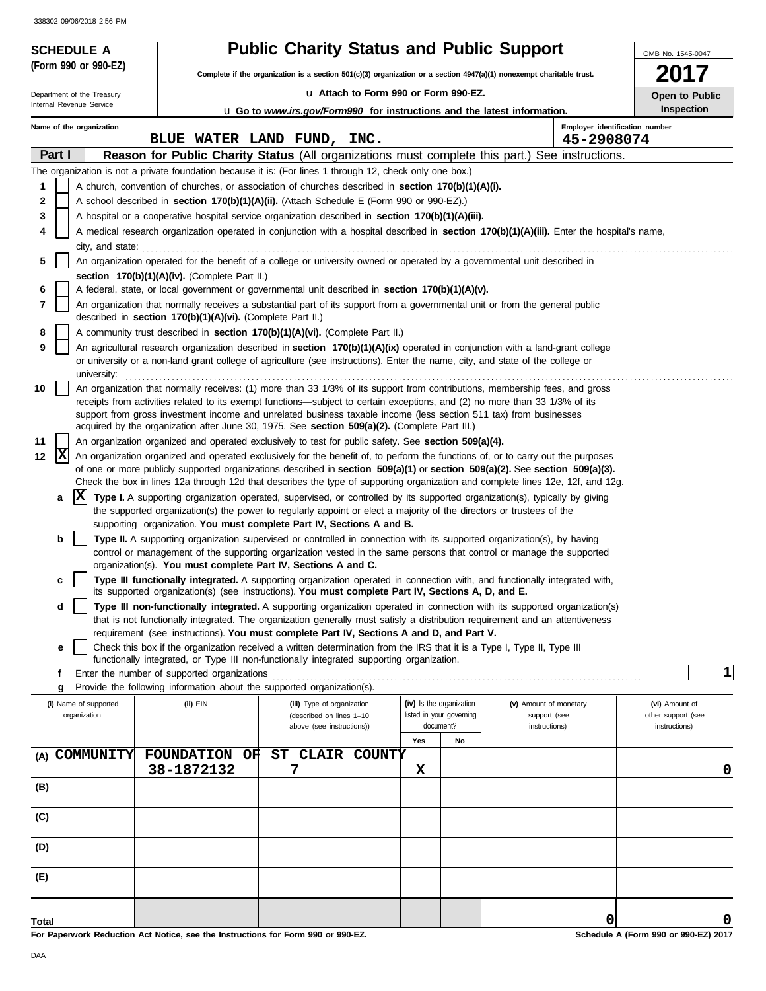| <b>SCHEDULE A</b>                                      |                                                                        | <b>Public Charity Status and Public Support</b>                                                                                                                                                                                                                                                                              |                                                      |                                                                                                                                            | OMB No. 1545-0047                   |
|--------------------------------------------------------|------------------------------------------------------------------------|------------------------------------------------------------------------------------------------------------------------------------------------------------------------------------------------------------------------------------------------------------------------------------------------------------------------------|------------------------------------------------------|--------------------------------------------------------------------------------------------------------------------------------------------|-------------------------------------|
| (Form 990 or 990-EZ)                                   |                                                                        | Complete if the organization is a section 501(c)(3) organization or a section $4947(a)(1)$ nonexempt charitable trust.                                                                                                                                                                                                       |                                                      |                                                                                                                                            |                                     |
|                                                        |                                                                        | La Attach to Form 990 or Form 990-EZ.                                                                                                                                                                                                                                                                                        |                                                      |                                                                                                                                            |                                     |
| Department of the Treasury<br>Internal Revenue Service |                                                                        | <b>u</b> Go to www.irs.gov/Form990 for instructions and the latest information.                                                                                                                                                                                                                                              |                                                      |                                                                                                                                            | Open to Public<br>Inspection        |
| Name of the organization                               |                                                                        |                                                                                                                                                                                                                                                                                                                              |                                                      | Employer identification number                                                                                                             |                                     |
|                                                        |                                                                        | BLUE WATER LAND FUND, INC.                                                                                                                                                                                                                                                                                                   |                                                      | 45-2908074                                                                                                                                 |                                     |
| Part I                                                 |                                                                        |                                                                                                                                                                                                                                                                                                                              |                                                      | Reason for Public Charity Status (All organizations must complete this part.) See instructions.                                            |                                     |
|                                                        |                                                                        | The organization is not a private foundation because it is: (For lines 1 through 12, check only one box.)                                                                                                                                                                                                                    |                                                      |                                                                                                                                            |                                     |
| 1                                                      |                                                                        | A church, convention of churches, or association of churches described in section 170(b)(1)(A)(i).                                                                                                                                                                                                                           |                                                      |                                                                                                                                            |                                     |
| 2<br>3                                                 |                                                                        | A school described in section 170(b)(1)(A)(ii). (Attach Schedule E (Form 990 or 990-EZ).)<br>A hospital or a cooperative hospital service organization described in section 170(b)(1)(A)(iii).                                                                                                                               |                                                      |                                                                                                                                            |                                     |
| 4                                                      |                                                                        |                                                                                                                                                                                                                                                                                                                              |                                                      | A medical research organization operated in conjunction with a hospital described in section 170(b)(1)(A)(iii). Enter the hospital's name, |                                     |
| city, and state:                                       |                                                                        |                                                                                                                                                                                                                                                                                                                              |                                                      |                                                                                                                                            |                                     |
| 5                                                      |                                                                        | An organization operated for the benefit of a college or university owned or operated by a governmental unit described in                                                                                                                                                                                                    |                                                      |                                                                                                                                            |                                     |
|                                                        | section 170(b)(1)(A)(iv). (Complete Part II.)                          |                                                                                                                                                                                                                                                                                                                              |                                                      |                                                                                                                                            |                                     |
| 6                                                      |                                                                        | A federal, state, or local government or governmental unit described in section 170(b)(1)(A)(v).                                                                                                                                                                                                                             |                                                      |                                                                                                                                            |                                     |
| 7                                                      |                                                                        | An organization that normally receives a substantial part of its support from a governmental unit or from the general public                                                                                                                                                                                                 |                                                      |                                                                                                                                            |                                     |
| 8                                                      | described in section 170(b)(1)(A)(vi). (Complete Part II.)             | A community trust described in section 170(b)(1)(A)(vi). (Complete Part II.)                                                                                                                                                                                                                                                 |                                                      |                                                                                                                                            |                                     |
| 9                                                      |                                                                        | An agricultural research organization described in section 170(b)(1)(A)(ix) operated in conjunction with a land-grant college                                                                                                                                                                                                |                                                      |                                                                                                                                            |                                     |
| university:                                            |                                                                        | or university or a non-land grant college of agriculture (see instructions). Enter the name, city, and state of the college or                                                                                                                                                                                               |                                                      |                                                                                                                                            |                                     |
| 10                                                     |                                                                        | An organization that normally receives: (1) more than 33 1/3% of its support from contributions, membership fees, and gross                                                                                                                                                                                                  |                                                      |                                                                                                                                            |                                     |
|                                                        |                                                                        | receipts from activities related to its exempt functions—subject to certain exceptions, and (2) no more than 33 1/3% of its                                                                                                                                                                                                  |                                                      |                                                                                                                                            |                                     |
|                                                        |                                                                        | support from gross investment income and unrelated business taxable income (less section 511 tax) from businesses<br>acquired by the organization after June 30, 1975. See <b>section 509(a)(2).</b> (Complete Part III.)                                                                                                    |                                                      |                                                                                                                                            |                                     |
| 11                                                     |                                                                        | An organization organized and operated exclusively to test for public safety. See section 509(a)(4).                                                                                                                                                                                                                         |                                                      |                                                                                                                                            |                                     |
| X<br>12                                                |                                                                        |                                                                                                                                                                                                                                                                                                                              |                                                      | An organization organized and operated exclusively for the benefit of, to perform the functions of, or to carry out the purposes           |                                     |
|                                                        |                                                                        |                                                                                                                                                                                                                                                                                                                              |                                                      | of one or more publicly supported organizations described in section $509(a)(1)$ or section $509(a)(2)$ . See section $509(a)(3)$ .        |                                     |
| X                                                      |                                                                        |                                                                                                                                                                                                                                                                                                                              |                                                      | Check the box in lines 12a through 12d that describes the type of supporting organization and complete lines 12e, 12f, and 12g.            |                                     |
| a                                                      |                                                                        | Type I. A supporting organization operated, supervised, or controlled by its supported organization(s), typically by giving<br>the supported organization(s) the power to regularly appoint or elect a majority of the directors or trustees of the<br>supporting organization. You must complete Part IV, Sections A and B. |                                                      |                                                                                                                                            |                                     |
| b                                                      |                                                                        | Type II. A supporting organization supervised or controlled in connection with its supported organization(s), by having                                                                                                                                                                                                      |                                                      |                                                                                                                                            |                                     |
|                                                        |                                                                        | control or management of the supporting organization vested in the same persons that control or manage the supported                                                                                                                                                                                                         |                                                      |                                                                                                                                            |                                     |
|                                                        | organization(s). You must complete Part IV, Sections A and C.          |                                                                                                                                                                                                                                                                                                                              |                                                      |                                                                                                                                            |                                     |
| c                                                      |                                                                        | its supported organization(s) (see instructions). You must complete Part IV, Sections A, D, and E.                                                                                                                                                                                                                           |                                                      | Type III functionally integrated. A supporting organization operated in connection with, and functionally integrated with,                 |                                     |
| d                                                      |                                                                        |                                                                                                                                                                                                                                                                                                                              |                                                      | Type III non-functionally integrated. A supporting organization operated in connection with its supported organization(s)                  |                                     |
|                                                        |                                                                        |                                                                                                                                                                                                                                                                                                                              |                                                      | that is not functionally integrated. The organization generally must satisfy a distribution requirement and an attentiveness               |                                     |
|                                                        |                                                                        | requirement (see instructions). You must complete Part IV, Sections A and D, and Part V.                                                                                                                                                                                                                                     |                                                      |                                                                                                                                            |                                     |
| е                                                      |                                                                        | Check this box if the organization received a written determination from the IRS that it is a Type I, Type II, Type III<br>functionally integrated, or Type III non-functionally integrated supporting organization.                                                                                                         |                                                      |                                                                                                                                            |                                     |
| f                                                      | Enter the number of supported organizations                            |                                                                                                                                                                                                                                                                                                                              |                                                      |                                                                                                                                            | $\mathbf{1}$                        |
| g                                                      | Provide the following information about the supported organization(s). |                                                                                                                                                                                                                                                                                                                              |                                                      |                                                                                                                                            |                                     |
| (i) Name of supported                                  | (ii) EIN                                                               | (iii) Type of organization<br>(described on lines 1-10                                                                                                                                                                                                                                                                       | (iv) Is the organization<br>listed in your governing | (v) Amount of monetary                                                                                                                     | (vi) Amount of                      |
| organization                                           |                                                                        | above (see instructions))                                                                                                                                                                                                                                                                                                    | document?                                            | support (see<br>instructions)                                                                                                              | other support (see<br>instructions) |
|                                                        |                                                                        |                                                                                                                                                                                                                                                                                                                              | Yes<br>No                                            |                                                                                                                                            |                                     |
| <b>COMMUNITY</b><br>(A)                                | <b>FOUNDATION</b><br>ОF                                                | CLAIR COUNTY<br>ST                                                                                                                                                                                                                                                                                                           |                                                      |                                                                                                                                            |                                     |
|                                                        | 38-1872132                                                             | 7                                                                                                                                                                                                                                                                                                                            | X                                                    |                                                                                                                                            | 0                                   |
| (B)                                                    |                                                                        |                                                                                                                                                                                                                                                                                                                              |                                                      |                                                                                                                                            |                                     |
| (C)                                                    |                                                                        |                                                                                                                                                                                                                                                                                                                              |                                                      |                                                                                                                                            |                                     |
|                                                        |                                                                        |                                                                                                                                                                                                                                                                                                                              |                                                      |                                                                                                                                            |                                     |
| (D)                                                    |                                                                        |                                                                                                                                                                                                                                                                                                                              |                                                      |                                                                                                                                            |                                     |
| (E)                                                    |                                                                        |                                                                                                                                                                                                                                                                                                                              |                                                      |                                                                                                                                            |                                     |
|                                                        |                                                                        |                                                                                                                                                                                                                                                                                                                              |                                                      |                                                                                                                                            |                                     |
| Total                                                  |                                                                        |                                                                                                                                                                                                                                                                                                                              |                                                      | 0                                                                                                                                          | 0                                   |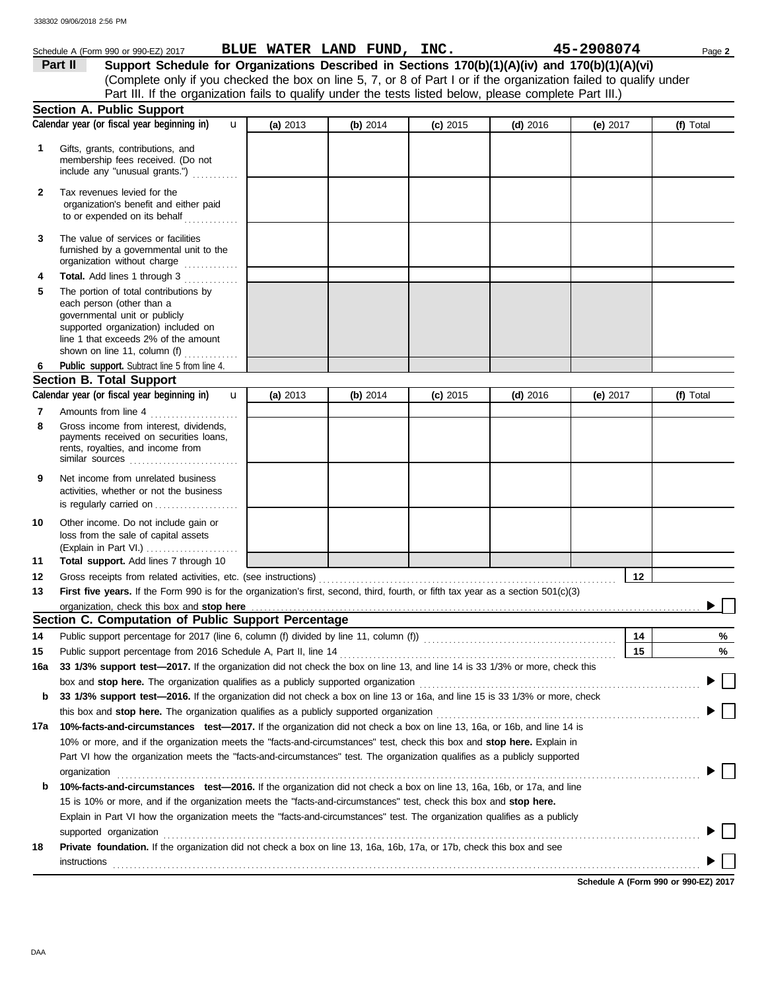|          | Schedule A (Form 990 or 990-EZ) 2017                                                                                                                                                                                        |          | BLUE WATER LAND FUND, INC. |            |            | 45-2908074 | Page 2    |
|----------|-----------------------------------------------------------------------------------------------------------------------------------------------------------------------------------------------------------------------------|----------|----------------------------|------------|------------|------------|-----------|
|          | Support Schedule for Organizations Described in Sections 170(b)(1)(A)(iv) and 170(b)(1)(A)(vi)<br>Part II                                                                                                                   |          |                            |            |            |            |           |
|          | (Complete only if you checked the box on line 5, 7, or 8 of Part I or if the organization failed to qualify under                                                                                                           |          |                            |            |            |            |           |
|          | Part III. If the organization fails to qualify under the tests listed below, please complete Part III.)                                                                                                                     |          |                            |            |            |            |           |
|          | Section A. Public Support                                                                                                                                                                                                   |          |                            |            |            |            |           |
|          | Calendar year (or fiscal year beginning in)<br>$\mathbf{u}$                                                                                                                                                                 | (a) 2013 | (b) $2014$                 | $(c)$ 2015 | $(d)$ 2016 | (e) $2017$ | (f) Total |
| 1        | Gifts, grants, contributions, and<br>membership fees received. (Do not<br>include any "unusual grants.")                                                                                                                    |          |                            |            |            |            |           |
| 2        | Tax revenues levied for the<br>organization's benefit and either paid<br>to or expended on its behalf                                                                                                                       |          |                            |            |            |            |           |
| 3        | The value of services or facilities<br>furnished by a governmental unit to the<br>organization without charge                                                                                                               |          |                            |            |            |            |           |
| 4        | Total. Add lines 1 through 3                                                                                                                                                                                                |          |                            |            |            |            |           |
| 5        | The portion of total contributions by<br>each person (other than a<br>governmental unit or publicly<br>supported organization) included on<br>line 1 that exceeds 2% of the amount<br>shown on line 11, column (f) $\ldots$ |          |                            |            |            |            |           |
| 6        | Public support. Subtract line 5 from line 4.                                                                                                                                                                                |          |                            |            |            |            |           |
|          | <b>Section B. Total Support</b>                                                                                                                                                                                             |          |                            |            |            |            |           |
|          | Calendar year (or fiscal year beginning in)<br>$\mathbf{u}$                                                                                                                                                                 | (a) 2013 | (b) 2014                   | $(c)$ 2015 | $(d)$ 2016 | (e) 2017   | (f) Total |
| 7        | Amounts from line 4                                                                                                                                                                                                         |          |                            |            |            |            |           |
| 8        | Gross income from interest, dividends,<br>payments received on securities loans,<br>rents, royalties, and income from<br>similar sources                                                                                    |          |                            |            |            |            |           |
| 9        | Net income from unrelated business<br>activities, whether or not the business<br>is regularly carried on                                                                                                                    |          |                            |            |            |            |           |
| 10<br>11 | Other income. Do not include gain or<br>loss from the sale of capital assets<br>(Explain in Part VI.)<br>Total support. Add lines 7 through 10                                                                              |          |                            |            |            |            |           |
| 12       |                                                                                                                                                                                                                             |          |                            |            |            | 12         |           |
| 13       | First five years. If the Form 990 is for the organization's first, second, third, fourth, or fifth tax year as a section $501(c)(3)$                                                                                        |          |                            |            |            |            |           |
|          | organization, check this box and stop here                                                                                                                                                                                  |          |                            |            |            |            |           |
|          | Section C. Computation of Public Support Percentage                                                                                                                                                                         |          |                            |            |            |            |           |
| 14       |                                                                                                                                                                                                                             |          |                            |            |            | 14         | %         |
| 15       | Public support percentage from 2016 Schedule A, Part II, line 14                                                                                                                                                            |          |                            |            |            | 15         | %         |
| 16a      | 33 1/3% support test-2017. If the organization did not check the box on line 13, and line 14 is 33 1/3% or more, check this                                                                                                 |          |                            |            |            |            |           |
|          | box and stop here. The organization qualifies as a publicly supported organization                                                                                                                                          |          |                            |            |            |            |           |
| b        | 33 1/3% support test-2016. If the organization did not check a box on line 13 or 16a, and line 15 is 33 1/3% or more, check                                                                                                 |          |                            |            |            |            |           |
|          | this box and <b>stop here.</b> The organization qualifies as a publicly supported organization                                                                                                                              |          |                            |            |            |            |           |
| 17a      | 10%-facts-and-circumstances test-2017. If the organization did not check a box on line 13, 16a, or 16b, and line 14 is                                                                                                      |          |                            |            |            |            |           |
|          | 10% or more, and if the organization meets the "facts-and-circumstances" test, check this box and <b>stop here.</b> Explain in                                                                                              |          |                            |            |            |            |           |
|          | Part VI how the organization meets the "facts-and-circumstances" test. The organization qualifies as a publicly supported                                                                                                   |          |                            |            |            |            |           |
|          | organization                                                                                                                                                                                                                |          |                            |            |            |            |           |
| b        | 10%-facts-and-circumstances test-2016. If the organization did not check a box on line 13, 16a, 16b, or 17a, and line                                                                                                       |          |                            |            |            |            |           |
|          | 15 is 10% or more, and if the organization meets the "facts-and-circumstances" test, check this box and stop here.                                                                                                          |          |                            |            |            |            |           |
|          | Explain in Part VI how the organization meets the "facts-and-circumstances" test. The organization qualifies as a publicly                                                                                                  |          |                            |            |            |            |           |
|          | supported organization                                                                                                                                                                                                      |          |                            |            |            |            |           |
| 18       | <b>Private foundation.</b> If the organization did not check a box on line 13, 16a, 16b, 17a, or 17b, check this box and see                                                                                                |          |                            |            |            |            |           |
|          | instructions                                                                                                                                                                                                                |          |                            |            |            |            |           |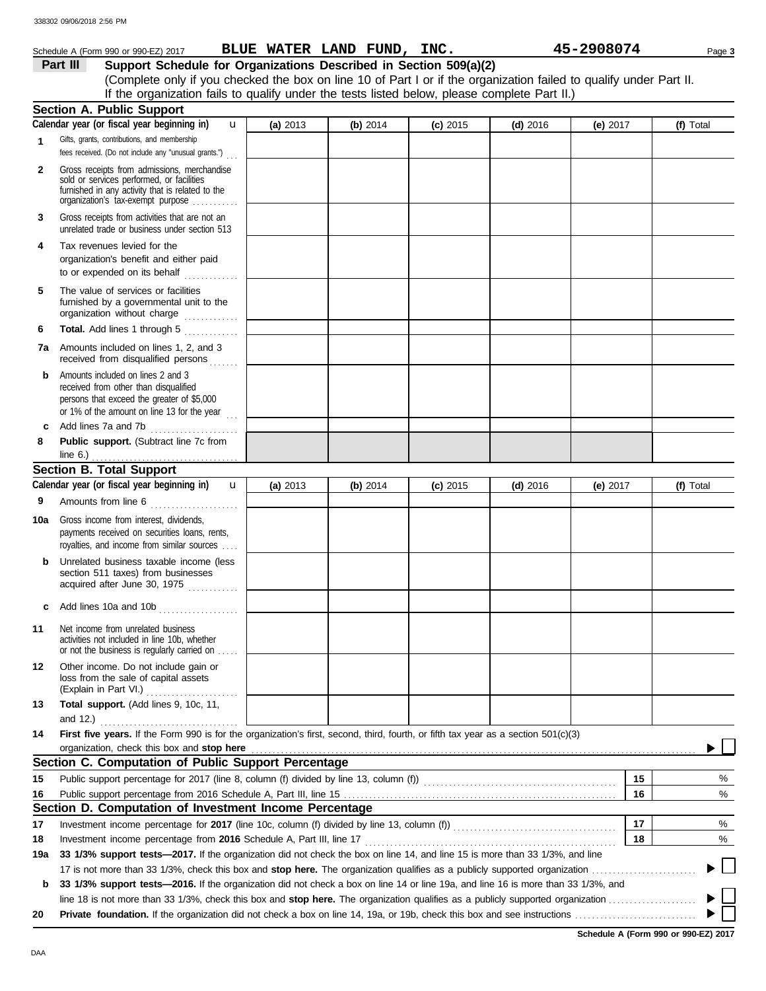|              | Schedule A (Form 990 or 990-EZ) 2017                                                                                                                                              |          | BLUE WATER LAND FUND, INC. |            |            | 45-2908074 | Page 3    |  |  |
|--------------|-----------------------------------------------------------------------------------------------------------------------------------------------------------------------------------|----------|----------------------------|------------|------------|------------|-----------|--|--|
|              | Support Schedule for Organizations Described in Section 509(a)(2)<br>Part III                                                                                                     |          |                            |            |            |            |           |  |  |
|              | (Complete only if you checked the box on line 10 of Part I or if the organization failed to qualify under Part II.                                                                |          |                            |            |            |            |           |  |  |
|              | If the organization fails to qualify under the tests listed below, please complete Part II.)                                                                                      |          |                            |            |            |            |           |  |  |
|              | <b>Section A. Public Support</b>                                                                                                                                                  |          |                            |            |            |            |           |  |  |
|              | Calendar year (or fiscal year beginning in)<br>$\mathbf{u}$                                                                                                                       | (a) 2013 | (b) 2014                   | $(c)$ 2015 | $(d)$ 2016 | (e) $2017$ | (f) Total |  |  |
| 1            | Gifts, grants, contributions, and membership<br>fees received. (Do not include any "unusual grants.")                                                                             |          |                            |            |            |            |           |  |  |
| $\mathbf{2}$ | Gross receipts from admissions, merchandise<br>sold or services performed, or facilities<br>furnished in any activity that is related to the<br>organization's tax-exempt purpose |          |                            |            |            |            |           |  |  |
| 3            | Gross receipts from activities that are not an<br>unrelated trade or business under section 513                                                                                   |          |                            |            |            |            |           |  |  |
| 4            | Tax revenues levied for the<br>organization's benefit and either paid<br>to or expended on its behalf                                                                             |          |                            |            |            |            |           |  |  |
| 5            | The value of services or facilities<br>furnished by a governmental unit to the<br>organization without charge                                                                     |          |                            |            |            |            |           |  |  |
| 6            | Total. Add lines 1 through 5                                                                                                                                                      |          |                            |            |            |            |           |  |  |
|              | 7a Amounts included on lines 1, 2, and 3<br>received from disqualified persons                                                                                                    |          |                            |            |            |            |           |  |  |
| b            | Amounts included on lines 2 and 3<br>received from other than disqualified<br>persons that exceed the greater of \$5,000<br>or 1% of the amount on line 13 for the year           |          |                            |            |            |            |           |  |  |
| c            | Add lines 7a and 7b<br>.                                                                                                                                                          |          |                            |            |            |            |           |  |  |
| 8            | Public support. (Subtract line 7c from<br>line $6.$ )                                                                                                                             |          |                            |            |            |            |           |  |  |
|              | <b>Section B. Total Support</b>                                                                                                                                                   |          |                            |            |            |            |           |  |  |
|              | Calendar year (or fiscal year beginning in)<br>$\mathbf{u}$                                                                                                                       | (a) 2013 | (b) 2014                   | $(c)$ 2015 | $(d)$ 2016 | (e) $2017$ | (f) Total |  |  |
| 9            | Amounts from line 6                                                                                                                                                               |          |                            |            |            |            |           |  |  |
| 10a          | Gross income from interest, dividends,<br>payments received on securities loans, rents,<br>royalties, and income from similar sources                                             |          |                            |            |            |            |           |  |  |
|              | Unrelated business taxable income (less<br>section 511 taxes) from businesses<br>acquired after June 30, 1975                                                                     |          |                            |            |            |            |           |  |  |
|              | Add lines 10a and 10b                                                                                                                                                             |          |                            |            |            |            |           |  |  |
| 11           | Net income from unrelated business<br>activities not included in line 10b, whether<br>or not the business is regularly carried on                                                 |          |                            |            |            |            |           |  |  |
| 12           | Other income. Do not include gain or<br>loss from the sale of capital assets<br>(Explain in Part VI.)                                                                             |          |                            |            |            |            |           |  |  |
| 13           | Total support. (Add lines 9, 10c, 11,<br>and 12.)                                                                                                                                 |          |                            |            |            |            |           |  |  |
| 14           | First five years. If the Form 990 is for the organization's first, second, third, fourth, or fifth tax year as a section 501(c)(3)<br>organization, check this box and stop here  |          |                            |            |            |            |           |  |  |
|              | Section C. Computation of Public Support Percentage                                                                                                                               |          |                            |            |            |            |           |  |  |
|              |                                                                                                                                                                                   |          |                            |            |            |            |           |  |  |
| 15           | Public support percentage for 2017 (line 8, column (f) divided by line 13, column (f)) [[[[[[[[[[[[[[[[[[[[[[                                                                     |          |                            |            |            | 15         | %         |  |  |
| 16           |                                                                                                                                                                                   |          |                            |            |            | 16         | $\%$      |  |  |
|              | Section D. Computation of Investment Income Percentage                                                                                                                            |          |                            |            |            |            |           |  |  |
| 17           |                                                                                                                                                                                   |          |                            |            |            | 17         | %         |  |  |
| 18           | Investment income percentage from 2016 Schedule A, Part III, line 17                                                                                                              |          |                            |            |            | 18         | %         |  |  |
| 19a          | 33 1/3% support tests-2017. If the organization did not check the box on line 14, and line 15 is more than 33 1/3%, and line                                                      |          |                            |            |            |            |           |  |  |
|              |                                                                                                                                                                                   |          |                            |            |            |            |           |  |  |
| b            | 33 1/3% support tests—2016. If the organization did not check a box on line 14 or line 19a, and line 16 is more than 33 1/3%, and                                                 |          |                            |            |            |            |           |  |  |
|              |                                                                                                                                                                                   |          |                            |            |            |            |           |  |  |
| 20           |                                                                                                                                                                                   |          |                            |            |            |            |           |  |  |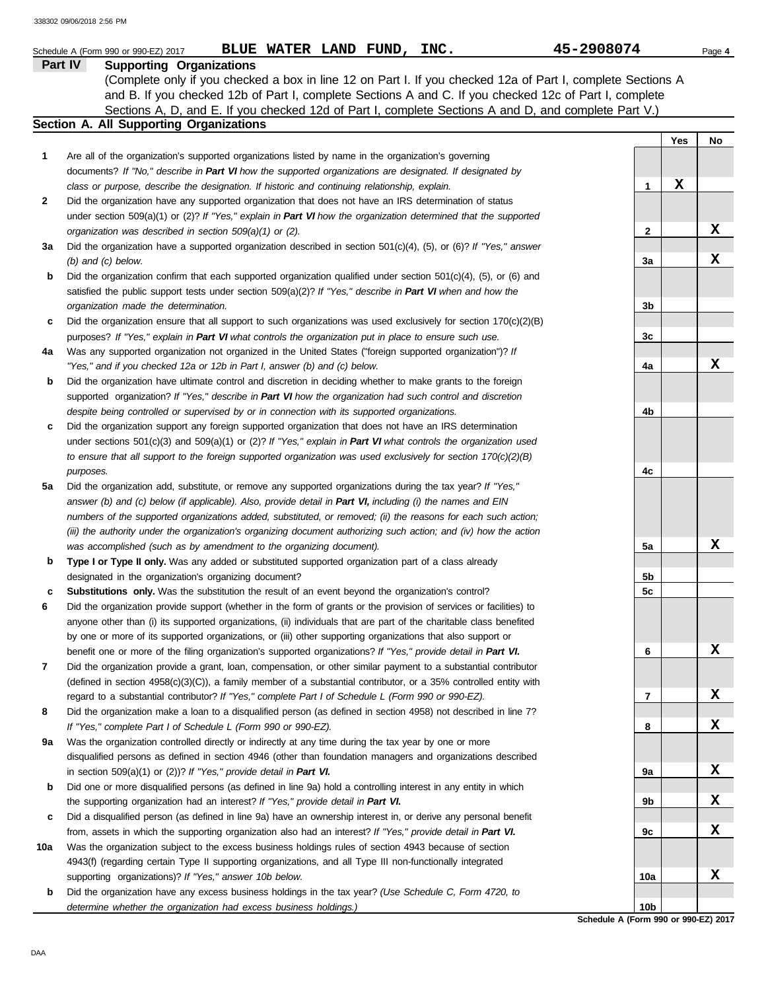|     | 45-2908074<br>BLUE WATER LAND FUND, INC.<br>Schedule A (Form 990 or 990-EZ) 2017                                                                                                                                                                                    |                 |     | Page 4 |
|-----|---------------------------------------------------------------------------------------------------------------------------------------------------------------------------------------------------------------------------------------------------------------------|-----------------|-----|--------|
|     | Part IV<br><b>Supporting Organizations</b><br>(Complete only if you checked a box in line 12 on Part I. If you checked 12a of Part I, complete Sections A<br>and B. If you checked 12b of Part I, complete Sections A and C. If you checked 12c of Part I, complete |                 |     |        |
|     | Sections A, D, and E. If you checked 12d of Part I, complete Sections A and D, and complete Part V.)                                                                                                                                                                |                 |     |        |
|     | Section A. All Supporting Organizations                                                                                                                                                                                                                             |                 |     |        |
|     |                                                                                                                                                                                                                                                                     |                 | Yes | No     |
| 1   | Are all of the organization's supported organizations listed by name in the organization's governing                                                                                                                                                                |                 |     |        |
|     | documents? If "No," describe in Part VI how the supported organizations are designated. If designated by                                                                                                                                                            |                 |     |        |
|     | class or purpose, describe the designation. If historic and continuing relationship, explain.                                                                                                                                                                       | 1               | X   |        |
| 2   | Did the organization have any supported organization that does not have an IRS determination of status                                                                                                                                                              |                 |     |        |
|     | under section $509(a)(1)$ or (2)? If "Yes," explain in Part VI how the organization determined that the supported<br>organization was described in section 509(a)(1) or (2).                                                                                        | 2               |     | х      |
| За  | Did the organization have a supported organization described in section $501(c)(4)$ , (5), or (6)? If "Yes," answer                                                                                                                                                 |                 |     |        |
|     | $(b)$ and $(c)$ below.                                                                                                                                                                                                                                              | 3a              |     | х      |
| b   | Did the organization confirm that each supported organization qualified under section 501(c)(4), (5), or (6) and                                                                                                                                                    |                 |     |        |
|     | satisfied the public support tests under section $509(a)(2)$ ? If "Yes," describe in Part VI when and how the                                                                                                                                                       |                 |     |        |
|     | organization made the determination.                                                                                                                                                                                                                                | 3b              |     |        |
| c   | Did the organization ensure that all support to such organizations was used exclusively for section $170(c)(2)(B)$                                                                                                                                                  |                 |     |        |
|     | purposes? If "Yes," explain in Part VI what controls the organization put in place to ensure such use.                                                                                                                                                              | 3c              |     |        |
| 4a  | Was any supported organization not organized in the United States ("foreign supported organization")? If                                                                                                                                                            |                 |     |        |
|     | "Yes," and if you checked 12a or 12b in Part I, answer (b) and (c) below.                                                                                                                                                                                           | 4a              |     | х      |
| b   | Did the organization have ultimate control and discretion in deciding whether to make grants to the foreign                                                                                                                                                         |                 |     |        |
|     | supported organization? If "Yes," describe in Part VI how the organization had such control and discretion                                                                                                                                                          |                 |     |        |
|     | despite being controlled or supervised by or in connection with its supported organizations.                                                                                                                                                                        | 4b              |     |        |
| c   | Did the organization support any foreign supported organization that does not have an IRS determination                                                                                                                                                             |                 |     |        |
|     | under sections $501(c)(3)$ and $509(a)(1)$ or (2)? If "Yes," explain in Part VI what controls the organization used                                                                                                                                                 |                 |     |        |
|     | to ensure that all support to the foreign supported organization was used exclusively for section $170(c)(2)(B)$                                                                                                                                                    |                 |     |        |
|     | purposes.                                                                                                                                                                                                                                                           | 4c              |     |        |
| 5a  | Did the organization add, substitute, or remove any supported organizations during the tax year? If "Yes,"                                                                                                                                                          |                 |     |        |
|     | answer (b) and (c) below (if applicable). Also, provide detail in Part VI, including (i) the names and EIN                                                                                                                                                          |                 |     |        |
|     | numbers of the supported organizations added, substituted, or removed; (ii) the reasons for each such action;                                                                                                                                                       |                 |     |        |
|     | (iii) the authority under the organization's organizing document authorizing such action; and (iv) how the action                                                                                                                                                   |                 |     | х      |
| b   | was accomplished (such as by amendment to the organizing document).<br>Type I or Type II only. Was any added or substituted supported organization part of a class already                                                                                          | 5a              |     |        |
|     | designated in the organization's organizing document?                                                                                                                                                                                                               | 5b              |     |        |
| c   | <b>Substitutions only.</b> Was the substitution the result of an event beyond the organization's control?                                                                                                                                                           | 5c              |     |        |
| 6   | Did the organization provide support (whether in the form of grants or the provision of services or facilities) to                                                                                                                                                  |                 |     |        |
|     | anyone other than (i) its supported organizations, (ii) individuals that are part of the charitable class benefited                                                                                                                                                 |                 |     |        |
|     | by one or more of its supported organizations, or (iii) other supporting organizations that also support or                                                                                                                                                         |                 |     |        |
|     | benefit one or more of the filing organization's supported organizations? If "Yes," provide detail in Part VI.                                                                                                                                                      | 6               |     | x      |
| 7   | Did the organization provide a grant, loan, compensation, or other similar payment to a substantial contributor                                                                                                                                                     |                 |     |        |
|     | (defined in section 4958(c)(3)(C)), a family member of a substantial contributor, or a 35% controlled entity with                                                                                                                                                   |                 |     |        |
|     | regard to a substantial contributor? If "Yes," complete Part I of Schedule L (Form 990 or 990-EZ).                                                                                                                                                                  | 7               |     | X      |
| 8   | Did the organization make a loan to a disqualified person (as defined in section 4958) not described in line 7?                                                                                                                                                     |                 |     |        |
|     | If "Yes," complete Part I of Schedule L (Form 990 or 990-EZ).                                                                                                                                                                                                       | 8               |     | X      |
| 9а  | Was the organization controlled directly or indirectly at any time during the tax year by one or more                                                                                                                                                               |                 |     |        |
|     | disqualified persons as defined in section 4946 (other than foundation managers and organizations described                                                                                                                                                         |                 |     |        |
|     | in section $509(a)(1)$ or $(2)$ ? If "Yes," provide detail in Part VI.                                                                                                                                                                                              | 9а              |     | X      |
| b   | Did one or more disqualified persons (as defined in line 9a) hold a controlling interest in any entity in which                                                                                                                                                     |                 |     |        |
|     | the supporting organization had an interest? If "Yes," provide detail in Part VI.                                                                                                                                                                                   | 9b              |     | X      |
| c   | Did a disqualified person (as defined in line 9a) have an ownership interest in, or derive any personal benefit                                                                                                                                                     |                 |     | X      |
| 10a | from, assets in which the supporting organization also had an interest? If "Yes," provide detail in Part VI.                                                                                                                                                        | 9c              |     |        |
|     | Was the organization subject to the excess business holdings rules of section 4943 because of section<br>4943(f) (regarding certain Type II supporting organizations, and all Type III non-functionally integrated                                                  |                 |     |        |
|     | supporting organizations)? If "Yes," answer 10b below.                                                                                                                                                                                                              | 10a             |     | X      |
| b   | Did the organization have any excess business holdings in the tax year? (Use Schedule C, Form 4720, to                                                                                                                                                              |                 |     |        |
|     | determine whether the organization had excess business holdings.)                                                                                                                                                                                                   | 10 <sub>b</sub> |     |        |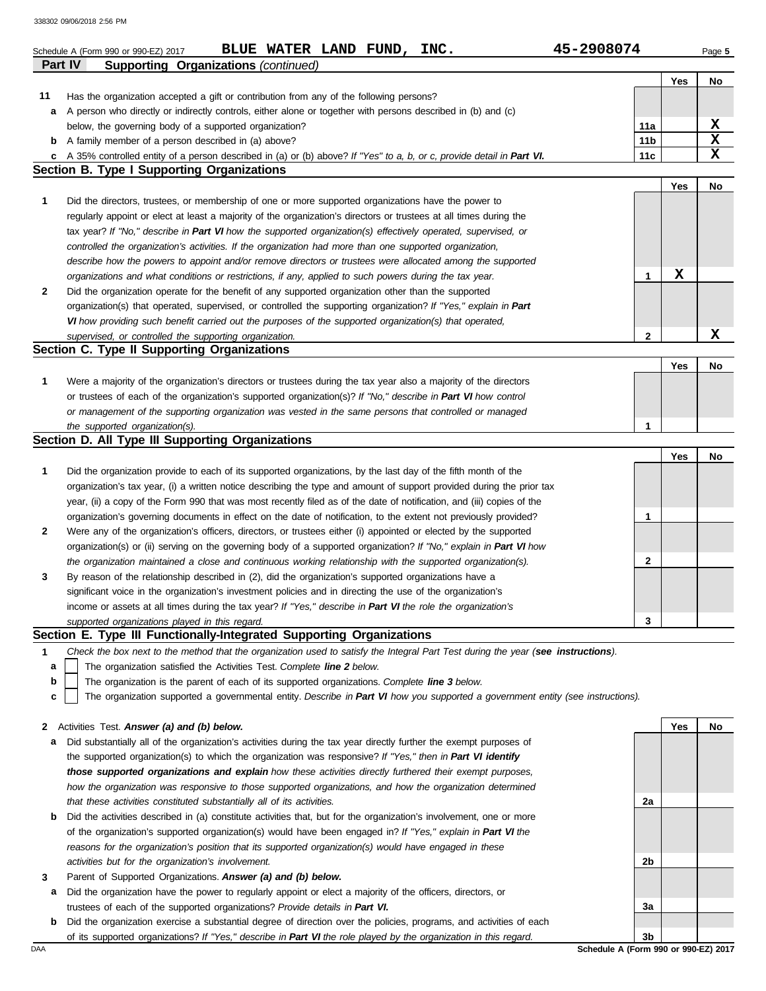|                | 45-2908074<br>BLUE WATER LAND FUND, INC.<br>Schedule A (Form 990 or 990-EZ) 2017                                                                                                              |                        |     | Page 5 |
|----------------|-----------------------------------------------------------------------------------------------------------------------------------------------------------------------------------------------|------------------------|-----|--------|
| <b>Part IV</b> | <b>Supporting Organizations (continued)</b>                                                                                                                                                   |                        |     |        |
|                |                                                                                                                                                                                               |                        | Yes | No     |
| 11             | Has the organization accepted a gift or contribution from any of the following persons?                                                                                                       |                        |     |        |
| а              | A person who directly or indirectly controls, either alone or together with persons described in (b) and (c)                                                                                  |                        |     | x      |
| b              | below, the governing body of a supported organization?<br>A family member of a person described in (a) above?                                                                                 | 11a<br>11 <sub>b</sub> |     | X      |
| c              | A 35% controlled entity of a person described in (a) or (b) above? If "Yes" to a, b, or c, provide detail in Part VI.                                                                         | 11c                    |     | X      |
|                | Section B. Type I Supporting Organizations                                                                                                                                                    |                        |     |        |
|                |                                                                                                                                                                                               |                        | Yes | No     |
| 1              | Did the directors, trustees, or membership of one or more supported organizations have the power to                                                                                           |                        |     |        |
|                | regularly appoint or elect at least a majority of the organization's directors or trustees at all times during the                                                                            |                        |     |        |
|                | tax year? If "No," describe in Part VI how the supported organization(s) effectively operated, supervised, or                                                                                 |                        |     |        |
|                | controlled the organization's activities. If the organization had more than one supported organization,                                                                                       |                        |     |        |
|                | describe how the powers to appoint and/or remove directors or trustees were allocated among the supported                                                                                     |                        |     |        |
|                | organizations and what conditions or restrictions, if any, applied to such powers during the tax year.                                                                                        | 1                      | х   |        |
| 2              | Did the organization operate for the benefit of any supported organization other than the supported                                                                                           |                        |     |        |
|                | organization(s) that operated, supervised, or controlled the supporting organization? If "Yes," explain in Part                                                                               |                        |     |        |
|                | VI how providing such benefit carried out the purposes of the supported organization(s) that operated,                                                                                        |                        |     |        |
|                | supervised, or controlled the supporting organization.                                                                                                                                        | 2                      |     | х      |
|                | Section C. Type II Supporting Organizations                                                                                                                                                   |                        |     |        |
|                |                                                                                                                                                                                               |                        | Yes | No     |
| 1              | Were a majority of the organization's directors or trustees during the tax year also a majority of the directors                                                                              |                        |     |        |
|                | or trustees of each of the organization's supported organization(s)? If "No," describe in Part VI how control                                                                                 |                        |     |        |
|                | or management of the supporting organization was vested in the same persons that controlled or managed                                                                                        |                        |     |        |
|                | the supported organization(s).<br>Section D. All Type III Supporting Organizations                                                                                                            | 1                      |     |        |
|                |                                                                                                                                                                                               |                        | Yes | No     |
| 1              | Did the organization provide to each of its supported organizations, by the last day of the fifth month of the                                                                                |                        |     |        |
|                | organization's tax year, (i) a written notice describing the type and amount of support provided during the prior tax                                                                         |                        |     |        |
|                | year, (ii) a copy of the Form 990 that was most recently filed as of the date of notification, and (iii) copies of the                                                                        |                        |     |        |
|                | organization's governing documents in effect on the date of notification, to the extent not previously provided?                                                                              | 1                      |     |        |
| 2              | Were any of the organization's officers, directors, or trustees either (i) appointed or elected by the supported                                                                              |                        |     |        |
|                | organization(s) or (ii) serving on the governing body of a supported organization? If "No," explain in Part VI how                                                                            |                        |     |        |
|                | the organization maintained a close and continuous working relationship with the supported organization(s).                                                                                   | 2                      |     |        |
| 3              | By reason of the relationship described in (2), did the organization's supported organizations have a                                                                                         |                        |     |        |
|                | significant voice in the organization's investment policies and in directing the use of the organization's                                                                                    |                        |     |        |
|                | income or assets at all times during the tax year? If "Yes," describe in Part VI the role the organization's                                                                                  |                        |     |        |
|                | supported organizations played in this regard.                                                                                                                                                | 3                      |     |        |
|                | Section E. Type III Functionally-Integrated Supporting Organizations                                                                                                                          |                        |     |        |
| 1              | Check the box next to the method that the organization used to satisfy the Integral Part Test during the year (see instructions).                                                             |                        |     |        |
| а              | The organization satisfied the Activities Test. Complete line 2 below.                                                                                                                        |                        |     |        |
| b              | The organization is the parent of each of its supported organizations. Complete line 3 below.                                                                                                 |                        |     |        |
| c              | The organization supported a governmental entity. Describe in Part VI how you supported a government entity (see instructions).                                                               |                        |     |        |
|                |                                                                                                                                                                                               |                        |     |        |
| $\mathbf{z}$   | Activities Test. Answer (a) and (b) below.                                                                                                                                                    |                        | Yes | No     |
| а              | Did substantially all of the organization's activities during the tax year directly further the exempt purposes of                                                                            |                        |     |        |
|                | the supported organization(s) to which the organization was responsive? If "Yes," then in Part VI identify                                                                                    |                        |     |        |
|                | those supported organizations and explain how these activities directly furthered their exempt purposes,                                                                                      |                        |     |        |
|                | how the organization was responsive to those supported organizations, and how the organization determined                                                                                     |                        |     |        |
|                | that these activities constituted substantially all of its activities.<br>Did the activities described in (a) constitute activities that, but for the organization's involvement, one or more | 2a                     |     |        |
| b              | of the organization's supported organization(s) would have been engaged in? If "Yes," explain in Part VI the                                                                                  |                        |     |        |
|                | reasons for the organization's position that its supported organization(s) would have engaged in these                                                                                        |                        |     |        |
|                | activities but for the organization's involvement.                                                                                                                                            | 2b                     |     |        |
| 3              | Parent of Supported Organizations. Answer (a) and (b) below.                                                                                                                                  |                        |     |        |
| а              | Did the organization have the power to regularly appoint or elect a majority of the officers, directors, or                                                                                   |                        |     |        |
|                | trustees of each of the supported organizations? Provide details in Part VI.                                                                                                                  | За                     |     |        |
| b              | Did the organization exercise a substantial degree of direction over the policies, programs, and activities of each                                                                           |                        |     |        |
|                | of its supported organizations? If "Yes," describe in Part VI the role played by the organization in this regard.                                                                             | 3b                     |     |        |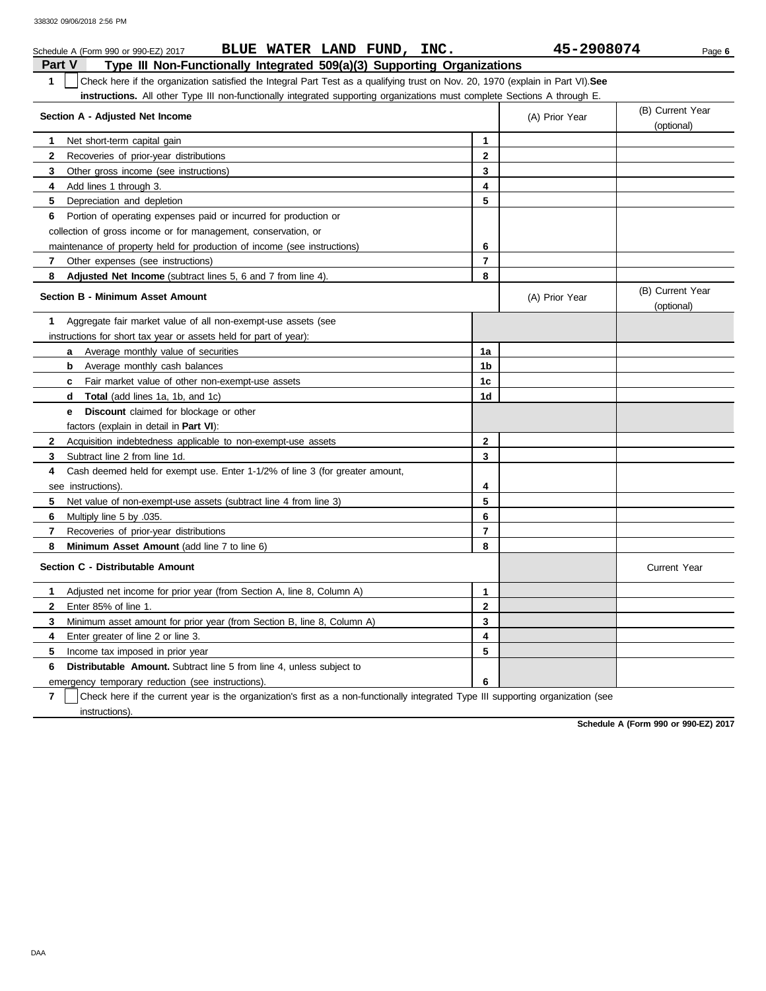|               | BLUE WATER LAND FUND, INC.<br>Schedule A (Form 990 or 990-EZ) 2017                                                               |                | 45-2908074     | Page 6                         |
|---------------|----------------------------------------------------------------------------------------------------------------------------------|----------------|----------------|--------------------------------|
| <b>Part V</b> | Type III Non-Functionally Integrated 509(a)(3) Supporting Organizations                                                          |                |                |                                |
| $\mathbf 1$   | Check here if the organization satisfied the Integral Part Test as a qualifying trust on Nov. 20, 1970 (explain in Part VI). See |                |                |                                |
|               | <b>instructions.</b> All other Type III non-functionally integrated supporting organizations must complete Sections A through E. |                |                |                                |
|               | Section A - Adjusted Net Income                                                                                                  |                | (A) Prior Year | (B) Current Year               |
|               |                                                                                                                                  |                |                | (optional)                     |
| 1             | Net short-term capital gain                                                                                                      | 1              |                |                                |
| $\mathbf{2}$  | Recoveries of prior-year distributions                                                                                           | $\mathbf{2}$   |                |                                |
| 3             | Other gross income (see instructions)                                                                                            | 3              |                |                                |
| 4             | Add lines 1 through 3.                                                                                                           | 4              |                |                                |
| 5             | Depreciation and depletion                                                                                                       | 5              |                |                                |
| 6             | Portion of operating expenses paid or incurred for production or                                                                 |                |                |                                |
|               | collection of gross income or for management, conservation, or                                                                   |                |                |                                |
|               | maintenance of property held for production of income (see instructions)                                                         | 6              |                |                                |
| 7             | Other expenses (see instructions)                                                                                                | $\overline{7}$ |                |                                |
| 8             | Adjusted Net Income (subtract lines 5, 6 and 7 from line 4).                                                                     | 8              |                |                                |
|               | <b>Section B - Minimum Asset Amount</b>                                                                                          |                | (A) Prior Year | (B) Current Year<br>(optional) |
| 1             | Aggregate fair market value of all non-exempt-use assets (see                                                                    |                |                |                                |
|               | instructions for short tax year or assets held for part of year):                                                                |                |                |                                |
|               | a Average monthly value of securities                                                                                            | 1a             |                |                                |
|               | Average monthly cash balances<br>b                                                                                               | 1b             |                |                                |
|               | <b>c</b> Fair market value of other non-exempt-use assets                                                                        | 1c             |                |                                |
|               | <b>Total</b> (add lines 1a, 1b, and 1c)<br>d                                                                                     | 1d             |                |                                |
|               | Discount claimed for blockage or other<br>е                                                                                      |                |                |                                |
|               | factors (explain in detail in Part VI):                                                                                          |                |                |                                |
| $\mathbf{2}$  | Acquisition indebtedness applicable to non-exempt-use assets                                                                     | $\mathbf{2}$   |                |                                |
| 3             | Subtract line 2 from line 1d.                                                                                                    | 3              |                |                                |
| 4             | Cash deemed held for exempt use. Enter 1-1/2% of line 3 (for greater amount,                                                     |                |                |                                |
|               | see instructions).                                                                                                               | 4              |                |                                |
| 5             | Net value of non-exempt-use assets (subtract line 4 from line 3)                                                                 | 5              |                |                                |
| 6             | Multiply line 5 by .035.                                                                                                         | 6              |                |                                |
| $\mathbf{7}$  | Recoveries of prior-year distributions                                                                                           | $\overline{7}$ |                |                                |
| 8             | Minimum Asset Amount (add line 7 to line 6)                                                                                      | 8              |                |                                |
|               | Section C - Distributable Amount                                                                                                 |                |                | <b>Current Year</b>            |
| $\mathbf{1}$  | Adjusted net income for prior year (from Section A, line 8, Column A)                                                            | 1              |                |                                |
| $\mathbf{2}$  | Enter 85% of line 1.                                                                                                             | $\mathbf{2}$   |                |                                |
| 3             | Minimum asset amount for prior year (from Section B, line 8, Column A)                                                           | 3              |                |                                |
| 4             | Enter greater of line 2 or line 3.                                                                                               | 4              |                |                                |
| 5             | Income tax imposed in prior year                                                                                                 | 5              |                |                                |
| 6             | <b>Distributable Amount.</b> Subtract line 5 from line 4, unless subject to                                                      |                |                |                                |
|               | emergency temporary reduction (see instructions).                                                                                | 6              |                |                                |

**7** | Check here if the current year is the organization's first as a non-functionally integrated Type III supporting organization (see instructions).

**Schedule A (Form 990 or 990-EZ) 2017**

DAA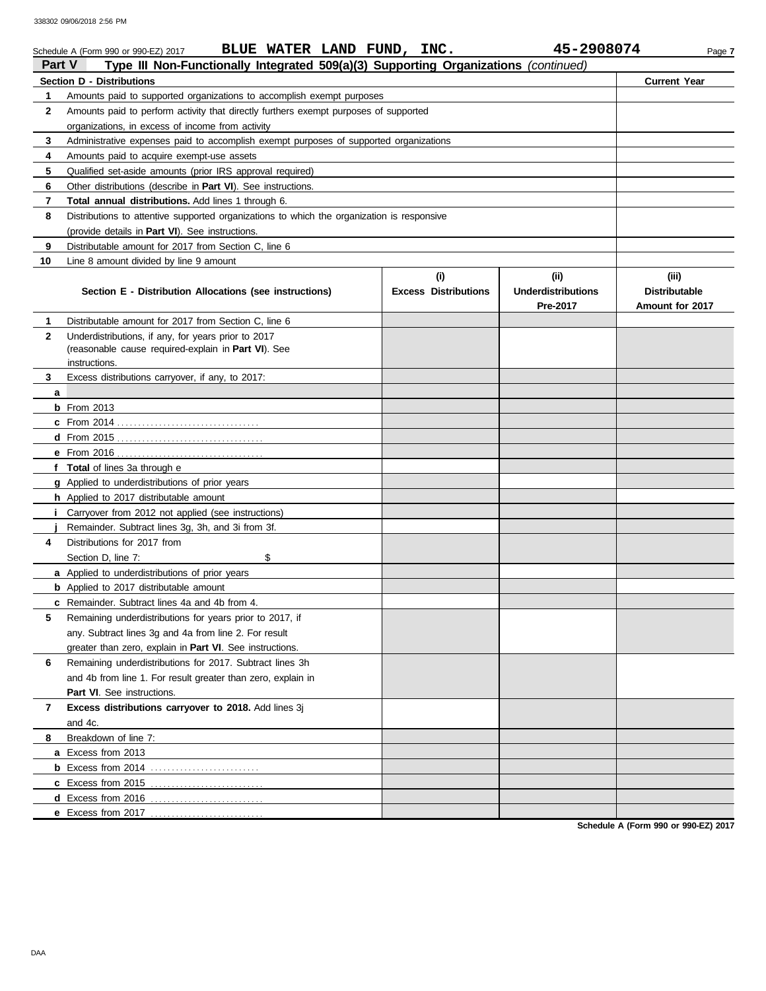|               | BLUE WATER LAND FUND, INC.<br>Schedule A (Form 990 or 990-EZ) 2017                                         |                             | 45-2908074                | Page 7               |
|---------------|------------------------------------------------------------------------------------------------------------|-----------------------------|---------------------------|----------------------|
| <b>Part V</b> | Type III Non-Functionally Integrated 509(a)(3) Supporting Organizations (continued)                        |                             |                           |                      |
|               | Section D - Distributions                                                                                  |                             |                           | <b>Current Year</b>  |
| 1             | Amounts paid to supported organizations to accomplish exempt purposes                                      |                             |                           |                      |
| 2             | Amounts paid to perform activity that directly furthers exempt purposes of supported                       |                             |                           |                      |
|               | organizations, in excess of income from activity                                                           |                             |                           |                      |
| 3             | Administrative expenses paid to accomplish exempt purposes of supported organizations                      |                             |                           |                      |
| 4             | Amounts paid to acquire exempt-use assets                                                                  |                             |                           |                      |
| 5             | Qualified set-aside amounts (prior IRS approval required)                                                  |                             |                           |                      |
| 6             | Other distributions (describe in <b>Part VI</b> ). See instructions.                                       |                             |                           |                      |
| 7             | Total annual distributions. Add lines 1 through 6.                                                         |                             |                           |                      |
| 8             | Distributions to attentive supported organizations to which the organization is responsive                 |                             |                           |                      |
|               | (provide details in Part VI). See instructions.                                                            |                             |                           |                      |
| 9             | Distributable amount for 2017 from Section C, line 6                                                       |                             |                           |                      |
| 10            | Line 8 amount divided by line 9 amount                                                                     |                             |                           |                      |
|               |                                                                                                            | (i)                         | (iii)                     | (iii)                |
|               | Section E - Distribution Allocations (see instructions)                                                    | <b>Excess Distributions</b> | <b>Underdistributions</b> | <b>Distributable</b> |
|               |                                                                                                            |                             | Pre-2017                  | Amount for 2017      |
| 1.            | Distributable amount for 2017 from Section C, line 6                                                       |                             |                           |                      |
| $\mathbf{2}$  | Underdistributions, if any, for years prior to 2017<br>(reasonable cause required-explain in Part VI). See |                             |                           |                      |
|               | instructions                                                                                               |                             |                           |                      |
| 3             | Excess distributions carryover, if any, to 2017:                                                           |                             |                           |                      |
| а             |                                                                                                            |                             |                           |                      |
|               | $b$ From 2013                                                                                              |                             |                           |                      |
|               |                                                                                                            |                             |                           |                      |
|               | $d$ From 2015                                                                                              |                             |                           |                      |
|               | <b>e</b> From 2016                                                                                         |                             |                           |                      |
|               | f Total of lines 3a through e                                                                              |                             |                           |                      |
|               | g Applied to underdistributions of prior years                                                             |                             |                           |                      |
|               | h Applied to 2017 distributable amount                                                                     |                             |                           |                      |
| j.            | Carryover from 2012 not applied (see instructions)                                                         |                             |                           |                      |
|               | Remainder. Subtract lines 3g, 3h, and 3i from 3f.                                                          |                             |                           |                      |
| 4             | Distributions for 2017 from                                                                                |                             |                           |                      |
|               | Section D, line 7:<br>\$                                                                                   |                             |                           |                      |
|               | <b>a</b> Applied to underdistributions of prior years                                                      |                             |                           |                      |
|               | <b>b</b> Applied to 2017 distributable amount                                                              |                             |                           |                      |
|               | c Remainder. Subtract lines 4a and 4b from 4                                                               |                             |                           |                      |
| 5             | Remaining underdistributions for years prior to 2017, if                                                   |                             |                           |                      |
|               | any. Subtract lines 3q and 4a from line 2. For result                                                      |                             |                           |                      |
|               | greater than zero, explain in Part VI. See instructions.                                                   |                             |                           |                      |
| 6             | Remaining underdistributions for 2017. Subtract lines 3h                                                   |                             |                           |                      |
|               | and 4b from line 1. For result greater than zero, explain in                                               |                             |                           |                      |
|               | <b>Part VI.</b> See instructions.                                                                          |                             |                           |                      |
| 7             | Excess distributions carryover to 2018. Add lines 3j                                                       |                             |                           |                      |
|               | and 4c.                                                                                                    |                             |                           |                      |
| 8             | Breakdown of line 7:                                                                                       |                             |                           |                      |
|               | a Excess from 2013                                                                                         |                             |                           |                      |
|               |                                                                                                            |                             |                           |                      |
|               | c Excess from 2015                                                                                         |                             |                           |                      |
|               | d Excess from 2016                                                                                         |                             |                           |                      |
|               | e Excess from 2017                                                                                         |                             |                           |                      |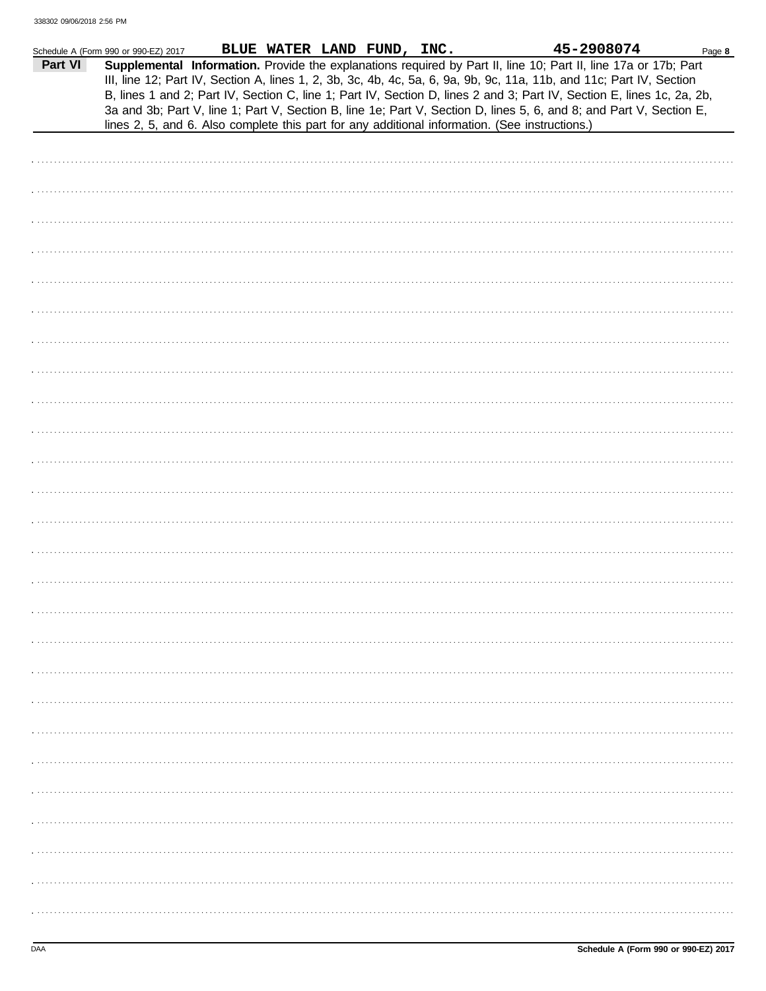|         | Schedule A (Form 990 or 990-EZ) 2017                                                                                                                                                                                                                                                                                                            | BLUE WATER LAND FUND, INC. |  |  | 45-2908074 | Page 8 |
|---------|-------------------------------------------------------------------------------------------------------------------------------------------------------------------------------------------------------------------------------------------------------------------------------------------------------------------------------------------------|----------------------------|--|--|------------|--------|
| Part VI | Supplemental Information. Provide the explanations required by Part II, line 10; Part II, line 17a or 17b; Part<br>III, line 12; Part IV, Section A, lines 1, 2, 3b, 3c, 4b, 4c, 5a, 6, 9a, 9b, 9c, 11a, 11b, and 11c; Part IV, Section                                                                                                         |                            |  |  |            |        |
|         | B, lines 1 and 2; Part IV, Section C, line 1; Part IV, Section D, lines 2 and 3; Part IV, Section E, lines 1c, 2a, 2b,<br>3a and 3b; Part V, line 1; Part V, Section B, line 1e; Part V, Section D, lines 5, 6, and 8; and Part V, Section E,<br>lines 2, 5, and 6. Also complete this part for any additional information. (See instructions.) |                            |  |  |            |        |
|         |                                                                                                                                                                                                                                                                                                                                                 |                            |  |  |            |        |
|         |                                                                                                                                                                                                                                                                                                                                                 |                            |  |  |            |        |
|         |                                                                                                                                                                                                                                                                                                                                                 |                            |  |  |            |        |
|         |                                                                                                                                                                                                                                                                                                                                                 |                            |  |  |            |        |
|         |                                                                                                                                                                                                                                                                                                                                                 |                            |  |  |            |        |
|         |                                                                                                                                                                                                                                                                                                                                                 |                            |  |  |            |        |
|         |                                                                                                                                                                                                                                                                                                                                                 |                            |  |  |            |        |
|         |                                                                                                                                                                                                                                                                                                                                                 |                            |  |  |            |        |
|         |                                                                                                                                                                                                                                                                                                                                                 |                            |  |  |            |        |
|         |                                                                                                                                                                                                                                                                                                                                                 |                            |  |  |            |        |
|         |                                                                                                                                                                                                                                                                                                                                                 |                            |  |  |            |        |
|         |                                                                                                                                                                                                                                                                                                                                                 |                            |  |  |            |        |
|         |                                                                                                                                                                                                                                                                                                                                                 |                            |  |  |            |        |
|         |                                                                                                                                                                                                                                                                                                                                                 |                            |  |  |            |        |
|         |                                                                                                                                                                                                                                                                                                                                                 |                            |  |  |            |        |
|         |                                                                                                                                                                                                                                                                                                                                                 |                            |  |  |            |        |
|         |                                                                                                                                                                                                                                                                                                                                                 |                            |  |  |            |        |
|         |                                                                                                                                                                                                                                                                                                                                                 |                            |  |  |            |        |
|         |                                                                                                                                                                                                                                                                                                                                                 |                            |  |  |            |        |
|         |                                                                                                                                                                                                                                                                                                                                                 |                            |  |  |            |        |
|         |                                                                                                                                                                                                                                                                                                                                                 |                            |  |  |            |        |
|         |                                                                                                                                                                                                                                                                                                                                                 |                            |  |  |            |        |
|         |                                                                                                                                                                                                                                                                                                                                                 |                            |  |  |            |        |
|         |                                                                                                                                                                                                                                                                                                                                                 |                            |  |  |            |        |
|         |                                                                                                                                                                                                                                                                                                                                                 |                            |  |  |            |        |
|         |                                                                                                                                                                                                                                                                                                                                                 |                            |  |  |            |        |
|         |                                                                                                                                                                                                                                                                                                                                                 |                            |  |  |            |        |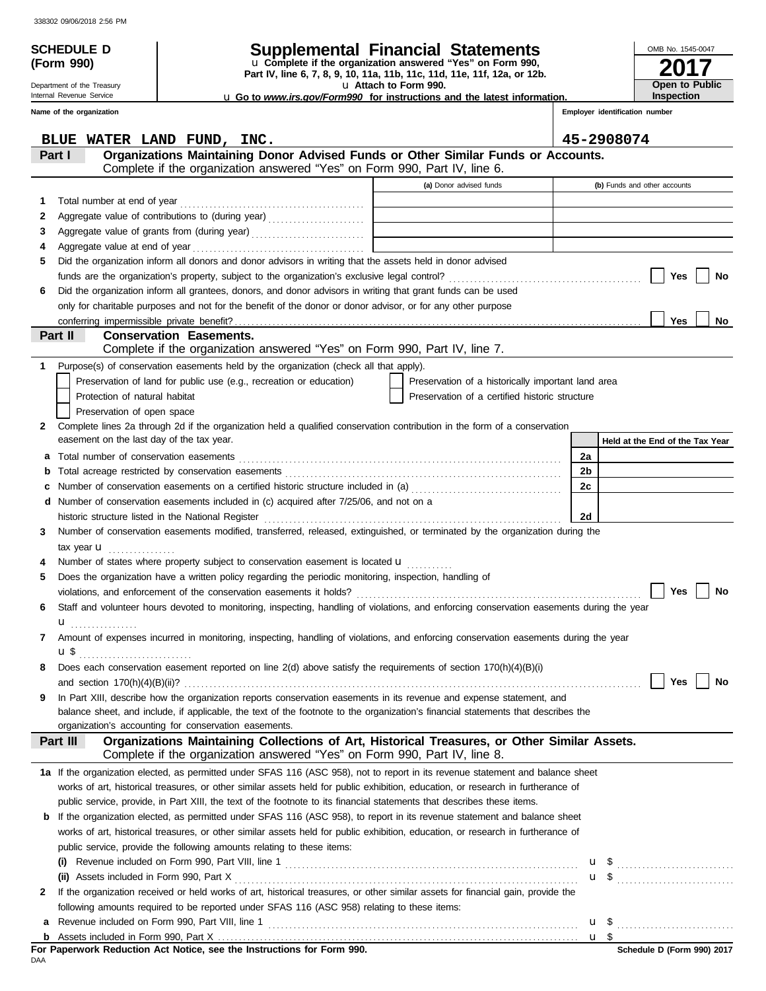Department of the Treasury Internal Revenue Service

**(Form 990)**

# **SCHEDULE D Supplemental Financial Statements**

**Part IV, line 6, 7, 8, 9, 10, 11a, 11b, 11c, 11d, 11e, 11f, 12a, or 12b.** u **Complete if the organization answered "Yes" on Form 990,**

u **Attach to Form 990.** 

u **Go to** *www.irs.gov/Form990* **for instructions and the latest information.**

**2017 Open to Public Inspection**

OMB No. 1545-0047

|   | Name of the organization                                                                                                                                                              |                                                    |    | Employer identification number  |
|---|---------------------------------------------------------------------------------------------------------------------------------------------------------------------------------------|----------------------------------------------------|----|---------------------------------|
|   | BLUE WATER LAND FUND, INC.                                                                                                                                                            |                                                    |    | 45-2908074                      |
|   | Organizations Maintaining Donor Advised Funds or Other Similar Funds or Accounts.<br>Part I<br>Complete if the organization answered "Yes" on Form 990, Part IV, line 6.              |                                                    |    |                                 |
|   |                                                                                                                                                                                       | (a) Donor advised funds                            |    | (b) Funds and other accounts    |
|   |                                                                                                                                                                                       |                                                    |    |                                 |
| 1 |                                                                                                                                                                                       |                                                    |    |                                 |
| 2 |                                                                                                                                                                                       |                                                    |    |                                 |
| 3 |                                                                                                                                                                                       |                                                    |    |                                 |
| 4 | Aggregate value at end of year<br>Did the organization inform all donors and donor advisors in writing that the assets held in donor advised                                          |                                                    |    |                                 |
| 5 |                                                                                                                                                                                       |                                                    |    | Yes<br>No                       |
|   | Did the organization inform all grantees, donors, and donor advisors in writing that grant funds can be used                                                                          |                                                    |    |                                 |
| 6 | only for charitable purposes and not for the benefit of the donor or donor advisor, or for any other purpose                                                                          |                                                    |    |                                 |
|   | conferring impermissible private benefit?                                                                                                                                             |                                                    |    | <b>Yes</b><br><b>No</b>         |
|   | Part II<br><b>Conservation Easements.</b>                                                                                                                                             |                                                    |    |                                 |
|   | Complete if the organization answered "Yes" on Form 990, Part IV, line 7.                                                                                                             |                                                    |    |                                 |
| 1 | Purpose(s) of conservation easements held by the organization (check all that apply).                                                                                                 |                                                    |    |                                 |
|   | Preservation of land for public use (e.g., recreation or education)                                                                                                                   | Preservation of a historically important land area |    |                                 |
|   | Protection of natural habitat                                                                                                                                                         | Preservation of a certified historic structure     |    |                                 |
|   | Preservation of open space                                                                                                                                                            |                                                    |    |                                 |
| 2 | Complete lines 2a through 2d if the organization held a qualified conservation contribution in the form of a conservation                                                             |                                                    |    |                                 |
|   | easement on the last day of the tax year.                                                                                                                                             |                                                    |    | Held at the End of the Tax Year |
| а |                                                                                                                                                                                       |                                                    | 2a |                                 |
|   | b                                                                                                                                                                                     |                                                    | 2b |                                 |
| c | Number of conservation easements on a certified historic structure included in (a) [[[[[[[[[[[[[[[[[[[[[[[[[]]]]]]]                                                                   |                                                    | 2c |                                 |
|   | Number of conservation easements included in (c) acquired after 7/25/06, and not on a                                                                                                 |                                                    |    |                                 |
|   | historic structure listed in the National Register [11, 12] And The Structure of the National Register [11, 12                                                                        |                                                    | 2d |                                 |
| 3 | Number of conservation easements modified, transferred, released, extinguished, or terminated by the organization during the                                                          |                                                    |    |                                 |
|   | tax year <b>u</b>                                                                                                                                                                     |                                                    |    |                                 |
|   | Number of states where property subject to conservation easement is located $\mathbf{u}$                                                                                              |                                                    |    |                                 |
| 5 | Does the organization have a written policy regarding the periodic monitoring, inspection, handling of                                                                                |                                                    |    |                                 |
|   |                                                                                                                                                                                       |                                                    |    | <b>Yes</b><br>No                |
| 6 | Staff and volunteer hours devoted to monitoring, inspecting, handling of violations, and enforcing conservation easements during the year                                             |                                                    |    |                                 |
|   | .                                                                                                                                                                                     |                                                    |    |                                 |
|   | Amount of expenses incurred in monitoring, inspecting, handling of violations, and enforcing conservation easements during the year                                                   |                                                    |    |                                 |
|   | u \$                                                                                                                                                                                  |                                                    |    |                                 |
|   | Does each conservation easement reported on line 2(d) above satisfy the requirements of section 170(h)(4)(B)(i)                                                                       |                                                    |    |                                 |
|   | and section $170(h)(4)(B)(ii)$ ?                                                                                                                                                      |                                                    |    | <b>Yes</b><br>No                |
| 9 | In Part XIII, describe how the organization reports conservation easements in its revenue and expense statement, and                                                                  |                                                    |    |                                 |
|   | balance sheet, and include, if applicable, the text of the footnote to the organization's financial statements that describes the                                                     |                                                    |    |                                 |
|   | organization's accounting for conservation easements.                                                                                                                                 |                                                    |    |                                 |
|   | Organizations Maintaining Collections of Art, Historical Treasures, or Other Similar Assets.<br>Part III<br>Complete if the organization answered "Yes" on Form 990, Part IV, line 8. |                                                    |    |                                 |
|   | 1a If the organization elected, as permitted under SFAS 116 (ASC 958), not to report in its revenue statement and balance sheet                                                       |                                                    |    |                                 |
|   | works of art, historical treasures, or other similar assets held for public exhibition, education, or research in furtherance of                                                      |                                                    |    |                                 |
|   | public service, provide, in Part XIII, the text of the footnote to its financial statements that describes these items.                                                               |                                                    |    |                                 |
| b | If the organization elected, as permitted under SFAS 116 (ASC 958), to report in its revenue statement and balance sheet                                                              |                                                    |    |                                 |
|   | works of art, historical treasures, or other similar assets held for public exhibition, education, or research in furtherance of                                                      |                                                    |    |                                 |
|   | public service, provide the following amounts relating to these items:                                                                                                                |                                                    |    |                                 |
|   |                                                                                                                                                                                       |                                                    |    |                                 |
|   | (ii) Assets included in Form 990, Part X                                                                                                                                              |                                                    |    |                                 |
| 2 | If the organization received or held works of art, historical treasures, or other similar assets for financial gain, provide the                                                      |                                                    |    |                                 |
|   | following amounts required to be reported under SFAS 116 (ASC 958) relating to these items:                                                                                           |                                                    |    |                                 |
| а |                                                                                                                                                                                       |                                                    |    |                                 |
|   |                                                                                                                                                                                       |                                                    |    | u <sub>s</sub>                  |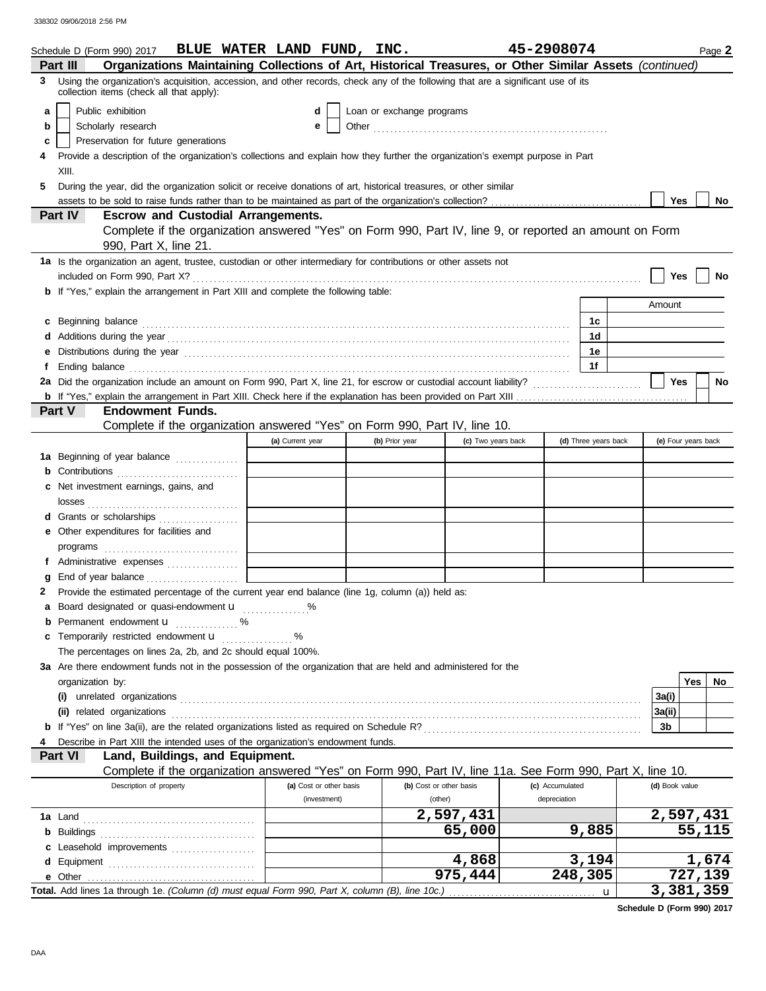| Organizations Maintaining Collections of Art, Historical Treasures, or Other Similar Assets (continued)<br>Part III<br>Using the organization's acquisition, accession, and other records, check any of the following that are a significant use of its<br>3<br>collection items (check all that apply):<br>Public exhibition<br>Loan or exchange programs<br>d<br>a<br>Scholarly research<br>b<br>e<br>Preservation for future generations<br>c<br>Provide a description of the organization's collections and explain how they further the organization's exempt purpose in Part<br>XIII.<br>5<br>During the year, did the organization solicit or receive donations of art, historical treasures, or other similar<br><b>Yes</b><br>No<br>Part IV<br><b>Escrow and Custodial Arrangements.</b><br>Complete if the organization answered "Yes" on Form 990, Part IV, line 9, or reported an amount on Form<br>990, Part X, line 21.<br>1a Is the organization an agent, trustee, custodian or other intermediary for contributions or other assets not<br>Yes<br>No<br><b>b</b> If "Yes," explain the arrangement in Part XIII and complete the following table:<br>Amount<br>1c<br>c Beginning balance <b>contract the contract of the contract of the contract of the contract of the contract of the contract of the contract of the contract of the contract of the contract of the contract of the contract of </b><br>1d<br>d Additions during the year<br>interaction continuous continuous continuous during the year contract of the year and an interaction of the state of Additions during the year contract of Additional Section 1999 and 2009 and 2<br>1e<br>е<br>1f<br>f Ending balance <b>construction and the construction of the construction</b> of the construction of the construction of the construction of the construction of the construction of the construction of the construction of the co<br><b>Yes</b><br>No<br><b>Endowment Funds.</b><br><b>Part V</b><br>Complete if the organization answered "Yes" on Form 990, Part IV, line 10.<br>(d) Three years back<br>(e) Four years back<br>(a) Current year<br>(b) Prior year<br>(c) Two years back<br>1a Beginning of year balance<br>c Net investment earnings, gains, and<br>d Grants or scholarships<br>e Other expenditures for facilities and<br>f Administrative expenses<br>g End of year balance<br>2 Provide the estimated percentage of the current year end balance (line 1g, column (a)) held as:<br>a Board designated or quasi-endowment <b>u</b><br><b>b</b> Permanent endowment $\mathbf{u}$ %<br>c Temporarily restricted endowment <b>u</b> %<br>The percentages on lines 2a, 2b, and 2c should equal 100%.<br>3a Are there endowment funds not in the possession of the organization that are held and administered for the<br>Yes<br>No.<br>organization by:<br>3a(i)<br>(ii) related organizations entertainment and a set of the contract of the contract or the contract or the contract or the contract or the contract or the contract or the contract of the contract or the contract or the cont<br>3a(ii)<br>3b<br>Describe in Part XIII the intended uses of the organization's endowment funds.<br>Land, Buildings, and Equipment.<br>Part VI<br>Complete if the organization answered "Yes" on Form 990, Part IV, line 11a. See Form 990, Part X, line 10.<br>Description of property<br>(a) Cost or other basis<br>(b) Cost or other basis<br>(c) Accumulated<br>(d) Book value<br>(investment)<br>(other)<br>depreciation<br>2,597,431<br>2,597,431<br>9,885<br>55,115<br>65,000<br>c Leasehold improvements<br>1,674<br>4,868<br>3,194<br>975,444<br>248,305<br>727,139<br>3,381,359<br>Total. Add lines 1a through 1e. (Column (d) must equal Form 990, Part X, column (B), line 10c.)<br>u | Schedule D (Form 990) 2017 BLUE WATER LAND FUND, INC. |  |  | 45-2908074 |  | Page 2 |
|-------------------------------------------------------------------------------------------------------------------------------------------------------------------------------------------------------------------------------------------------------------------------------------------------------------------------------------------------------------------------------------------------------------------------------------------------------------------------------------------------------------------------------------------------------------------------------------------------------------------------------------------------------------------------------------------------------------------------------------------------------------------------------------------------------------------------------------------------------------------------------------------------------------------------------------------------------------------------------------------------------------------------------------------------------------------------------------------------------------------------------------------------------------------------------------------------------------------------------------------------------------------------------------------------------------------------------------------------------------------------------------------------------------------------------------------------------------------------------------------------------------------------------------------------------------------------------------------------------------------------------------------------------------------------------------------------------------------------------------------------------------------------------------------------------------------------------------------------------------------------------------------------------------------------------------------------------------------------------------------------------------------------------------------------------------------------------------------------------------------------------------------------------------------------------------------------------------------------------------------------------------------------------------------------------------------------------------------------------------------------------------------------------------------------------------------------------------------------------------------------------------------------------------------------------------------------------------------------------------------------------------------------------------------------------------------------------------------------------------------------------------------------------------------------------------------------------------------------------------------------------------------------------------------------------------------------------------------------------------------------------------------------------------------------------------------------------------------------------------------------------------------------------------------------------------------------------------------------------------------------------------------------------------------------------------------------------------------------------------------------------------------------------------------------------------------------------------------------------------------------------------------------------------------------------------------------------------------------------------------------------------------------------------------------------------------------------------------------------------------------------------------------------------------------------------------|-------------------------------------------------------|--|--|------------|--|--------|
|                                                                                                                                                                                                                                                                                                                                                                                                                                                                                                                                                                                                                                                                                                                                                                                                                                                                                                                                                                                                                                                                                                                                                                                                                                                                                                                                                                                                                                                                                                                                                                                                                                                                                                                                                                                                                                                                                                                                                                                                                                                                                                                                                                                                                                                                                                                                                                                                                                                                                                                                                                                                                                                                                                                                                                                                                                                                                                                                                                                                                                                                                                                                                                                                                                                                                                                                                                                                                                                                                                                                                                                                                                                                                                                                                                                                                   |                                                       |  |  |            |  |        |
|                                                                                                                                                                                                                                                                                                                                                                                                                                                                                                                                                                                                                                                                                                                                                                                                                                                                                                                                                                                                                                                                                                                                                                                                                                                                                                                                                                                                                                                                                                                                                                                                                                                                                                                                                                                                                                                                                                                                                                                                                                                                                                                                                                                                                                                                                                                                                                                                                                                                                                                                                                                                                                                                                                                                                                                                                                                                                                                                                                                                                                                                                                                                                                                                                                                                                                                                                                                                                                                                                                                                                                                                                                                                                                                                                                                                                   |                                                       |  |  |            |  |        |
|                                                                                                                                                                                                                                                                                                                                                                                                                                                                                                                                                                                                                                                                                                                                                                                                                                                                                                                                                                                                                                                                                                                                                                                                                                                                                                                                                                                                                                                                                                                                                                                                                                                                                                                                                                                                                                                                                                                                                                                                                                                                                                                                                                                                                                                                                                                                                                                                                                                                                                                                                                                                                                                                                                                                                                                                                                                                                                                                                                                                                                                                                                                                                                                                                                                                                                                                                                                                                                                                                                                                                                                                                                                                                                                                                                                                                   |                                                       |  |  |            |  |        |
|                                                                                                                                                                                                                                                                                                                                                                                                                                                                                                                                                                                                                                                                                                                                                                                                                                                                                                                                                                                                                                                                                                                                                                                                                                                                                                                                                                                                                                                                                                                                                                                                                                                                                                                                                                                                                                                                                                                                                                                                                                                                                                                                                                                                                                                                                                                                                                                                                                                                                                                                                                                                                                                                                                                                                                                                                                                                                                                                                                                                                                                                                                                                                                                                                                                                                                                                                                                                                                                                                                                                                                                                                                                                                                                                                                                                                   |                                                       |  |  |            |  |        |
|                                                                                                                                                                                                                                                                                                                                                                                                                                                                                                                                                                                                                                                                                                                                                                                                                                                                                                                                                                                                                                                                                                                                                                                                                                                                                                                                                                                                                                                                                                                                                                                                                                                                                                                                                                                                                                                                                                                                                                                                                                                                                                                                                                                                                                                                                                                                                                                                                                                                                                                                                                                                                                                                                                                                                                                                                                                                                                                                                                                                                                                                                                                                                                                                                                                                                                                                                                                                                                                                                                                                                                                                                                                                                                                                                                                                                   |                                                       |  |  |            |  |        |
|                                                                                                                                                                                                                                                                                                                                                                                                                                                                                                                                                                                                                                                                                                                                                                                                                                                                                                                                                                                                                                                                                                                                                                                                                                                                                                                                                                                                                                                                                                                                                                                                                                                                                                                                                                                                                                                                                                                                                                                                                                                                                                                                                                                                                                                                                                                                                                                                                                                                                                                                                                                                                                                                                                                                                                                                                                                                                                                                                                                                                                                                                                                                                                                                                                                                                                                                                                                                                                                                                                                                                                                                                                                                                                                                                                                                                   |                                                       |  |  |            |  |        |
|                                                                                                                                                                                                                                                                                                                                                                                                                                                                                                                                                                                                                                                                                                                                                                                                                                                                                                                                                                                                                                                                                                                                                                                                                                                                                                                                                                                                                                                                                                                                                                                                                                                                                                                                                                                                                                                                                                                                                                                                                                                                                                                                                                                                                                                                                                                                                                                                                                                                                                                                                                                                                                                                                                                                                                                                                                                                                                                                                                                                                                                                                                                                                                                                                                                                                                                                                                                                                                                                                                                                                                                                                                                                                                                                                                                                                   |                                                       |  |  |            |  |        |
|                                                                                                                                                                                                                                                                                                                                                                                                                                                                                                                                                                                                                                                                                                                                                                                                                                                                                                                                                                                                                                                                                                                                                                                                                                                                                                                                                                                                                                                                                                                                                                                                                                                                                                                                                                                                                                                                                                                                                                                                                                                                                                                                                                                                                                                                                                                                                                                                                                                                                                                                                                                                                                                                                                                                                                                                                                                                                                                                                                                                                                                                                                                                                                                                                                                                                                                                                                                                                                                                                                                                                                                                                                                                                                                                                                                                                   |                                                       |  |  |            |  |        |
|                                                                                                                                                                                                                                                                                                                                                                                                                                                                                                                                                                                                                                                                                                                                                                                                                                                                                                                                                                                                                                                                                                                                                                                                                                                                                                                                                                                                                                                                                                                                                                                                                                                                                                                                                                                                                                                                                                                                                                                                                                                                                                                                                                                                                                                                                                                                                                                                                                                                                                                                                                                                                                                                                                                                                                                                                                                                                                                                                                                                                                                                                                                                                                                                                                                                                                                                                                                                                                                                                                                                                                                                                                                                                                                                                                                                                   |                                                       |  |  |            |  |        |
|                                                                                                                                                                                                                                                                                                                                                                                                                                                                                                                                                                                                                                                                                                                                                                                                                                                                                                                                                                                                                                                                                                                                                                                                                                                                                                                                                                                                                                                                                                                                                                                                                                                                                                                                                                                                                                                                                                                                                                                                                                                                                                                                                                                                                                                                                                                                                                                                                                                                                                                                                                                                                                                                                                                                                                                                                                                                                                                                                                                                                                                                                                                                                                                                                                                                                                                                                                                                                                                                                                                                                                                                                                                                                                                                                                                                                   |                                                       |  |  |            |  |        |
|                                                                                                                                                                                                                                                                                                                                                                                                                                                                                                                                                                                                                                                                                                                                                                                                                                                                                                                                                                                                                                                                                                                                                                                                                                                                                                                                                                                                                                                                                                                                                                                                                                                                                                                                                                                                                                                                                                                                                                                                                                                                                                                                                                                                                                                                                                                                                                                                                                                                                                                                                                                                                                                                                                                                                                                                                                                                                                                                                                                                                                                                                                                                                                                                                                                                                                                                                                                                                                                                                                                                                                                                                                                                                                                                                                                                                   |                                                       |  |  |            |  |        |
|                                                                                                                                                                                                                                                                                                                                                                                                                                                                                                                                                                                                                                                                                                                                                                                                                                                                                                                                                                                                                                                                                                                                                                                                                                                                                                                                                                                                                                                                                                                                                                                                                                                                                                                                                                                                                                                                                                                                                                                                                                                                                                                                                                                                                                                                                                                                                                                                                                                                                                                                                                                                                                                                                                                                                                                                                                                                                                                                                                                                                                                                                                                                                                                                                                                                                                                                                                                                                                                                                                                                                                                                                                                                                                                                                                                                                   |                                                       |  |  |            |  |        |
|                                                                                                                                                                                                                                                                                                                                                                                                                                                                                                                                                                                                                                                                                                                                                                                                                                                                                                                                                                                                                                                                                                                                                                                                                                                                                                                                                                                                                                                                                                                                                                                                                                                                                                                                                                                                                                                                                                                                                                                                                                                                                                                                                                                                                                                                                                                                                                                                                                                                                                                                                                                                                                                                                                                                                                                                                                                                                                                                                                                                                                                                                                                                                                                                                                                                                                                                                                                                                                                                                                                                                                                                                                                                                                                                                                                                                   |                                                       |  |  |            |  |        |
|                                                                                                                                                                                                                                                                                                                                                                                                                                                                                                                                                                                                                                                                                                                                                                                                                                                                                                                                                                                                                                                                                                                                                                                                                                                                                                                                                                                                                                                                                                                                                                                                                                                                                                                                                                                                                                                                                                                                                                                                                                                                                                                                                                                                                                                                                                                                                                                                                                                                                                                                                                                                                                                                                                                                                                                                                                                                                                                                                                                                                                                                                                                                                                                                                                                                                                                                                                                                                                                                                                                                                                                                                                                                                                                                                                                                                   |                                                       |  |  |            |  |        |
|                                                                                                                                                                                                                                                                                                                                                                                                                                                                                                                                                                                                                                                                                                                                                                                                                                                                                                                                                                                                                                                                                                                                                                                                                                                                                                                                                                                                                                                                                                                                                                                                                                                                                                                                                                                                                                                                                                                                                                                                                                                                                                                                                                                                                                                                                                                                                                                                                                                                                                                                                                                                                                                                                                                                                                                                                                                                                                                                                                                                                                                                                                                                                                                                                                                                                                                                                                                                                                                                                                                                                                                                                                                                                                                                                                                                                   |                                                       |  |  |            |  |        |
|                                                                                                                                                                                                                                                                                                                                                                                                                                                                                                                                                                                                                                                                                                                                                                                                                                                                                                                                                                                                                                                                                                                                                                                                                                                                                                                                                                                                                                                                                                                                                                                                                                                                                                                                                                                                                                                                                                                                                                                                                                                                                                                                                                                                                                                                                                                                                                                                                                                                                                                                                                                                                                                                                                                                                                                                                                                                                                                                                                                                                                                                                                                                                                                                                                                                                                                                                                                                                                                                                                                                                                                                                                                                                                                                                                                                                   |                                                       |  |  |            |  |        |
|                                                                                                                                                                                                                                                                                                                                                                                                                                                                                                                                                                                                                                                                                                                                                                                                                                                                                                                                                                                                                                                                                                                                                                                                                                                                                                                                                                                                                                                                                                                                                                                                                                                                                                                                                                                                                                                                                                                                                                                                                                                                                                                                                                                                                                                                                                                                                                                                                                                                                                                                                                                                                                                                                                                                                                                                                                                                                                                                                                                                                                                                                                                                                                                                                                                                                                                                                                                                                                                                                                                                                                                                                                                                                                                                                                                                                   |                                                       |  |  |            |  |        |
|                                                                                                                                                                                                                                                                                                                                                                                                                                                                                                                                                                                                                                                                                                                                                                                                                                                                                                                                                                                                                                                                                                                                                                                                                                                                                                                                                                                                                                                                                                                                                                                                                                                                                                                                                                                                                                                                                                                                                                                                                                                                                                                                                                                                                                                                                                                                                                                                                                                                                                                                                                                                                                                                                                                                                                                                                                                                                                                                                                                                                                                                                                                                                                                                                                                                                                                                                                                                                                                                                                                                                                                                                                                                                                                                                                                                                   |                                                       |  |  |            |  |        |
|                                                                                                                                                                                                                                                                                                                                                                                                                                                                                                                                                                                                                                                                                                                                                                                                                                                                                                                                                                                                                                                                                                                                                                                                                                                                                                                                                                                                                                                                                                                                                                                                                                                                                                                                                                                                                                                                                                                                                                                                                                                                                                                                                                                                                                                                                                                                                                                                                                                                                                                                                                                                                                                                                                                                                                                                                                                                                                                                                                                                                                                                                                                                                                                                                                                                                                                                                                                                                                                                                                                                                                                                                                                                                                                                                                                                                   |                                                       |  |  |            |  |        |
|                                                                                                                                                                                                                                                                                                                                                                                                                                                                                                                                                                                                                                                                                                                                                                                                                                                                                                                                                                                                                                                                                                                                                                                                                                                                                                                                                                                                                                                                                                                                                                                                                                                                                                                                                                                                                                                                                                                                                                                                                                                                                                                                                                                                                                                                                                                                                                                                                                                                                                                                                                                                                                                                                                                                                                                                                                                                                                                                                                                                                                                                                                                                                                                                                                                                                                                                                                                                                                                                                                                                                                                                                                                                                                                                                                                                                   |                                                       |  |  |            |  |        |
|                                                                                                                                                                                                                                                                                                                                                                                                                                                                                                                                                                                                                                                                                                                                                                                                                                                                                                                                                                                                                                                                                                                                                                                                                                                                                                                                                                                                                                                                                                                                                                                                                                                                                                                                                                                                                                                                                                                                                                                                                                                                                                                                                                                                                                                                                                                                                                                                                                                                                                                                                                                                                                                                                                                                                                                                                                                                                                                                                                                                                                                                                                                                                                                                                                                                                                                                                                                                                                                                                                                                                                                                                                                                                                                                                                                                                   |                                                       |  |  |            |  |        |
|                                                                                                                                                                                                                                                                                                                                                                                                                                                                                                                                                                                                                                                                                                                                                                                                                                                                                                                                                                                                                                                                                                                                                                                                                                                                                                                                                                                                                                                                                                                                                                                                                                                                                                                                                                                                                                                                                                                                                                                                                                                                                                                                                                                                                                                                                                                                                                                                                                                                                                                                                                                                                                                                                                                                                                                                                                                                                                                                                                                                                                                                                                                                                                                                                                                                                                                                                                                                                                                                                                                                                                                                                                                                                                                                                                                                                   |                                                       |  |  |            |  |        |
|                                                                                                                                                                                                                                                                                                                                                                                                                                                                                                                                                                                                                                                                                                                                                                                                                                                                                                                                                                                                                                                                                                                                                                                                                                                                                                                                                                                                                                                                                                                                                                                                                                                                                                                                                                                                                                                                                                                                                                                                                                                                                                                                                                                                                                                                                                                                                                                                                                                                                                                                                                                                                                                                                                                                                                                                                                                                                                                                                                                                                                                                                                                                                                                                                                                                                                                                                                                                                                                                                                                                                                                                                                                                                                                                                                                                                   |                                                       |  |  |            |  |        |
|                                                                                                                                                                                                                                                                                                                                                                                                                                                                                                                                                                                                                                                                                                                                                                                                                                                                                                                                                                                                                                                                                                                                                                                                                                                                                                                                                                                                                                                                                                                                                                                                                                                                                                                                                                                                                                                                                                                                                                                                                                                                                                                                                                                                                                                                                                                                                                                                                                                                                                                                                                                                                                                                                                                                                                                                                                                                                                                                                                                                                                                                                                                                                                                                                                                                                                                                                                                                                                                                                                                                                                                                                                                                                                                                                                                                                   |                                                       |  |  |            |  |        |
|                                                                                                                                                                                                                                                                                                                                                                                                                                                                                                                                                                                                                                                                                                                                                                                                                                                                                                                                                                                                                                                                                                                                                                                                                                                                                                                                                                                                                                                                                                                                                                                                                                                                                                                                                                                                                                                                                                                                                                                                                                                                                                                                                                                                                                                                                                                                                                                                                                                                                                                                                                                                                                                                                                                                                                                                                                                                                                                                                                                                                                                                                                                                                                                                                                                                                                                                                                                                                                                                                                                                                                                                                                                                                                                                                                                                                   |                                                       |  |  |            |  |        |
|                                                                                                                                                                                                                                                                                                                                                                                                                                                                                                                                                                                                                                                                                                                                                                                                                                                                                                                                                                                                                                                                                                                                                                                                                                                                                                                                                                                                                                                                                                                                                                                                                                                                                                                                                                                                                                                                                                                                                                                                                                                                                                                                                                                                                                                                                                                                                                                                                                                                                                                                                                                                                                                                                                                                                                                                                                                                                                                                                                                                                                                                                                                                                                                                                                                                                                                                                                                                                                                                                                                                                                                                                                                                                                                                                                                                                   |                                                       |  |  |            |  |        |
|                                                                                                                                                                                                                                                                                                                                                                                                                                                                                                                                                                                                                                                                                                                                                                                                                                                                                                                                                                                                                                                                                                                                                                                                                                                                                                                                                                                                                                                                                                                                                                                                                                                                                                                                                                                                                                                                                                                                                                                                                                                                                                                                                                                                                                                                                                                                                                                                                                                                                                                                                                                                                                                                                                                                                                                                                                                                                                                                                                                                                                                                                                                                                                                                                                                                                                                                                                                                                                                                                                                                                                                                                                                                                                                                                                                                                   |                                                       |  |  |            |  |        |
|                                                                                                                                                                                                                                                                                                                                                                                                                                                                                                                                                                                                                                                                                                                                                                                                                                                                                                                                                                                                                                                                                                                                                                                                                                                                                                                                                                                                                                                                                                                                                                                                                                                                                                                                                                                                                                                                                                                                                                                                                                                                                                                                                                                                                                                                                                                                                                                                                                                                                                                                                                                                                                                                                                                                                                                                                                                                                                                                                                                                                                                                                                                                                                                                                                                                                                                                                                                                                                                                                                                                                                                                                                                                                                                                                                                                                   |                                                       |  |  |            |  |        |
|                                                                                                                                                                                                                                                                                                                                                                                                                                                                                                                                                                                                                                                                                                                                                                                                                                                                                                                                                                                                                                                                                                                                                                                                                                                                                                                                                                                                                                                                                                                                                                                                                                                                                                                                                                                                                                                                                                                                                                                                                                                                                                                                                                                                                                                                                                                                                                                                                                                                                                                                                                                                                                                                                                                                                                                                                                                                                                                                                                                                                                                                                                                                                                                                                                                                                                                                                                                                                                                                                                                                                                                                                                                                                                                                                                                                                   |                                                       |  |  |            |  |        |
|                                                                                                                                                                                                                                                                                                                                                                                                                                                                                                                                                                                                                                                                                                                                                                                                                                                                                                                                                                                                                                                                                                                                                                                                                                                                                                                                                                                                                                                                                                                                                                                                                                                                                                                                                                                                                                                                                                                                                                                                                                                                                                                                                                                                                                                                                                                                                                                                                                                                                                                                                                                                                                                                                                                                                                                                                                                                                                                                                                                                                                                                                                                                                                                                                                                                                                                                                                                                                                                                                                                                                                                                                                                                                                                                                                                                                   |                                                       |  |  |            |  |        |
|                                                                                                                                                                                                                                                                                                                                                                                                                                                                                                                                                                                                                                                                                                                                                                                                                                                                                                                                                                                                                                                                                                                                                                                                                                                                                                                                                                                                                                                                                                                                                                                                                                                                                                                                                                                                                                                                                                                                                                                                                                                                                                                                                                                                                                                                                                                                                                                                                                                                                                                                                                                                                                                                                                                                                                                                                                                                                                                                                                                                                                                                                                                                                                                                                                                                                                                                                                                                                                                                                                                                                                                                                                                                                                                                                                                                                   |                                                       |  |  |            |  |        |
|                                                                                                                                                                                                                                                                                                                                                                                                                                                                                                                                                                                                                                                                                                                                                                                                                                                                                                                                                                                                                                                                                                                                                                                                                                                                                                                                                                                                                                                                                                                                                                                                                                                                                                                                                                                                                                                                                                                                                                                                                                                                                                                                                                                                                                                                                                                                                                                                                                                                                                                                                                                                                                                                                                                                                                                                                                                                                                                                                                                                                                                                                                                                                                                                                                                                                                                                                                                                                                                                                                                                                                                                                                                                                                                                                                                                                   |                                                       |  |  |            |  |        |
|                                                                                                                                                                                                                                                                                                                                                                                                                                                                                                                                                                                                                                                                                                                                                                                                                                                                                                                                                                                                                                                                                                                                                                                                                                                                                                                                                                                                                                                                                                                                                                                                                                                                                                                                                                                                                                                                                                                                                                                                                                                                                                                                                                                                                                                                                                                                                                                                                                                                                                                                                                                                                                                                                                                                                                                                                                                                                                                                                                                                                                                                                                                                                                                                                                                                                                                                                                                                                                                                                                                                                                                                                                                                                                                                                                                                                   |                                                       |  |  |            |  |        |
|                                                                                                                                                                                                                                                                                                                                                                                                                                                                                                                                                                                                                                                                                                                                                                                                                                                                                                                                                                                                                                                                                                                                                                                                                                                                                                                                                                                                                                                                                                                                                                                                                                                                                                                                                                                                                                                                                                                                                                                                                                                                                                                                                                                                                                                                                                                                                                                                                                                                                                                                                                                                                                                                                                                                                                                                                                                                                                                                                                                                                                                                                                                                                                                                                                                                                                                                                                                                                                                                                                                                                                                                                                                                                                                                                                                                                   |                                                       |  |  |            |  |        |
|                                                                                                                                                                                                                                                                                                                                                                                                                                                                                                                                                                                                                                                                                                                                                                                                                                                                                                                                                                                                                                                                                                                                                                                                                                                                                                                                                                                                                                                                                                                                                                                                                                                                                                                                                                                                                                                                                                                                                                                                                                                                                                                                                                                                                                                                                                                                                                                                                                                                                                                                                                                                                                                                                                                                                                                                                                                                                                                                                                                                                                                                                                                                                                                                                                                                                                                                                                                                                                                                                                                                                                                                                                                                                                                                                                                                                   |                                                       |  |  |            |  |        |
|                                                                                                                                                                                                                                                                                                                                                                                                                                                                                                                                                                                                                                                                                                                                                                                                                                                                                                                                                                                                                                                                                                                                                                                                                                                                                                                                                                                                                                                                                                                                                                                                                                                                                                                                                                                                                                                                                                                                                                                                                                                                                                                                                                                                                                                                                                                                                                                                                                                                                                                                                                                                                                                                                                                                                                                                                                                                                                                                                                                                                                                                                                                                                                                                                                                                                                                                                                                                                                                                                                                                                                                                                                                                                                                                                                                                                   |                                                       |  |  |            |  |        |
|                                                                                                                                                                                                                                                                                                                                                                                                                                                                                                                                                                                                                                                                                                                                                                                                                                                                                                                                                                                                                                                                                                                                                                                                                                                                                                                                                                                                                                                                                                                                                                                                                                                                                                                                                                                                                                                                                                                                                                                                                                                                                                                                                                                                                                                                                                                                                                                                                                                                                                                                                                                                                                                                                                                                                                                                                                                                                                                                                                                                                                                                                                                                                                                                                                                                                                                                                                                                                                                                                                                                                                                                                                                                                                                                                                                                                   |                                                       |  |  |            |  |        |
|                                                                                                                                                                                                                                                                                                                                                                                                                                                                                                                                                                                                                                                                                                                                                                                                                                                                                                                                                                                                                                                                                                                                                                                                                                                                                                                                                                                                                                                                                                                                                                                                                                                                                                                                                                                                                                                                                                                                                                                                                                                                                                                                                                                                                                                                                                                                                                                                                                                                                                                                                                                                                                                                                                                                                                                                                                                                                                                                                                                                                                                                                                                                                                                                                                                                                                                                                                                                                                                                                                                                                                                                                                                                                                                                                                                                                   |                                                       |  |  |            |  |        |
|                                                                                                                                                                                                                                                                                                                                                                                                                                                                                                                                                                                                                                                                                                                                                                                                                                                                                                                                                                                                                                                                                                                                                                                                                                                                                                                                                                                                                                                                                                                                                                                                                                                                                                                                                                                                                                                                                                                                                                                                                                                                                                                                                                                                                                                                                                                                                                                                                                                                                                                                                                                                                                                                                                                                                                                                                                                                                                                                                                                                                                                                                                                                                                                                                                                                                                                                                                                                                                                                                                                                                                                                                                                                                                                                                                                                                   |                                                       |  |  |            |  |        |
|                                                                                                                                                                                                                                                                                                                                                                                                                                                                                                                                                                                                                                                                                                                                                                                                                                                                                                                                                                                                                                                                                                                                                                                                                                                                                                                                                                                                                                                                                                                                                                                                                                                                                                                                                                                                                                                                                                                                                                                                                                                                                                                                                                                                                                                                                                                                                                                                                                                                                                                                                                                                                                                                                                                                                                                                                                                                                                                                                                                                                                                                                                                                                                                                                                                                                                                                                                                                                                                                                                                                                                                                                                                                                                                                                                                                                   |                                                       |  |  |            |  |        |
|                                                                                                                                                                                                                                                                                                                                                                                                                                                                                                                                                                                                                                                                                                                                                                                                                                                                                                                                                                                                                                                                                                                                                                                                                                                                                                                                                                                                                                                                                                                                                                                                                                                                                                                                                                                                                                                                                                                                                                                                                                                                                                                                                                                                                                                                                                                                                                                                                                                                                                                                                                                                                                                                                                                                                                                                                                                                                                                                                                                                                                                                                                                                                                                                                                                                                                                                                                                                                                                                                                                                                                                                                                                                                                                                                                                                                   |                                                       |  |  |            |  |        |
|                                                                                                                                                                                                                                                                                                                                                                                                                                                                                                                                                                                                                                                                                                                                                                                                                                                                                                                                                                                                                                                                                                                                                                                                                                                                                                                                                                                                                                                                                                                                                                                                                                                                                                                                                                                                                                                                                                                                                                                                                                                                                                                                                                                                                                                                                                                                                                                                                                                                                                                                                                                                                                                                                                                                                                                                                                                                                                                                                                                                                                                                                                                                                                                                                                                                                                                                                                                                                                                                                                                                                                                                                                                                                                                                                                                                                   |                                                       |  |  |            |  |        |
|                                                                                                                                                                                                                                                                                                                                                                                                                                                                                                                                                                                                                                                                                                                                                                                                                                                                                                                                                                                                                                                                                                                                                                                                                                                                                                                                                                                                                                                                                                                                                                                                                                                                                                                                                                                                                                                                                                                                                                                                                                                                                                                                                                                                                                                                                                                                                                                                                                                                                                                                                                                                                                                                                                                                                                                                                                                                                                                                                                                                                                                                                                                                                                                                                                                                                                                                                                                                                                                                                                                                                                                                                                                                                                                                                                                                                   |                                                       |  |  |            |  |        |
|                                                                                                                                                                                                                                                                                                                                                                                                                                                                                                                                                                                                                                                                                                                                                                                                                                                                                                                                                                                                                                                                                                                                                                                                                                                                                                                                                                                                                                                                                                                                                                                                                                                                                                                                                                                                                                                                                                                                                                                                                                                                                                                                                                                                                                                                                                                                                                                                                                                                                                                                                                                                                                                                                                                                                                                                                                                                                                                                                                                                                                                                                                                                                                                                                                                                                                                                                                                                                                                                                                                                                                                                                                                                                                                                                                                                                   |                                                       |  |  |            |  |        |
|                                                                                                                                                                                                                                                                                                                                                                                                                                                                                                                                                                                                                                                                                                                                                                                                                                                                                                                                                                                                                                                                                                                                                                                                                                                                                                                                                                                                                                                                                                                                                                                                                                                                                                                                                                                                                                                                                                                                                                                                                                                                                                                                                                                                                                                                                                                                                                                                                                                                                                                                                                                                                                                                                                                                                                                                                                                                                                                                                                                                                                                                                                                                                                                                                                                                                                                                                                                                                                                                                                                                                                                                                                                                                                                                                                                                                   |                                                       |  |  |            |  |        |
|                                                                                                                                                                                                                                                                                                                                                                                                                                                                                                                                                                                                                                                                                                                                                                                                                                                                                                                                                                                                                                                                                                                                                                                                                                                                                                                                                                                                                                                                                                                                                                                                                                                                                                                                                                                                                                                                                                                                                                                                                                                                                                                                                                                                                                                                                                                                                                                                                                                                                                                                                                                                                                                                                                                                                                                                                                                                                                                                                                                                                                                                                                                                                                                                                                                                                                                                                                                                                                                                                                                                                                                                                                                                                                                                                                                                                   |                                                       |  |  |            |  |        |
|                                                                                                                                                                                                                                                                                                                                                                                                                                                                                                                                                                                                                                                                                                                                                                                                                                                                                                                                                                                                                                                                                                                                                                                                                                                                                                                                                                                                                                                                                                                                                                                                                                                                                                                                                                                                                                                                                                                                                                                                                                                                                                                                                                                                                                                                                                                                                                                                                                                                                                                                                                                                                                                                                                                                                                                                                                                                                                                                                                                                                                                                                                                                                                                                                                                                                                                                                                                                                                                                                                                                                                                                                                                                                                                                                                                                                   |                                                       |  |  |            |  |        |
|                                                                                                                                                                                                                                                                                                                                                                                                                                                                                                                                                                                                                                                                                                                                                                                                                                                                                                                                                                                                                                                                                                                                                                                                                                                                                                                                                                                                                                                                                                                                                                                                                                                                                                                                                                                                                                                                                                                                                                                                                                                                                                                                                                                                                                                                                                                                                                                                                                                                                                                                                                                                                                                                                                                                                                                                                                                                                                                                                                                                                                                                                                                                                                                                                                                                                                                                                                                                                                                                                                                                                                                                                                                                                                                                                                                                                   |                                                       |  |  |            |  |        |
|                                                                                                                                                                                                                                                                                                                                                                                                                                                                                                                                                                                                                                                                                                                                                                                                                                                                                                                                                                                                                                                                                                                                                                                                                                                                                                                                                                                                                                                                                                                                                                                                                                                                                                                                                                                                                                                                                                                                                                                                                                                                                                                                                                                                                                                                                                                                                                                                                                                                                                                                                                                                                                                                                                                                                                                                                                                                                                                                                                                                                                                                                                                                                                                                                                                                                                                                                                                                                                                                                                                                                                                                                                                                                                                                                                                                                   |                                                       |  |  |            |  |        |
|                                                                                                                                                                                                                                                                                                                                                                                                                                                                                                                                                                                                                                                                                                                                                                                                                                                                                                                                                                                                                                                                                                                                                                                                                                                                                                                                                                                                                                                                                                                                                                                                                                                                                                                                                                                                                                                                                                                                                                                                                                                                                                                                                                                                                                                                                                                                                                                                                                                                                                                                                                                                                                                                                                                                                                                                                                                                                                                                                                                                                                                                                                                                                                                                                                                                                                                                                                                                                                                                                                                                                                                                                                                                                                                                                                                                                   |                                                       |  |  |            |  |        |
|                                                                                                                                                                                                                                                                                                                                                                                                                                                                                                                                                                                                                                                                                                                                                                                                                                                                                                                                                                                                                                                                                                                                                                                                                                                                                                                                                                                                                                                                                                                                                                                                                                                                                                                                                                                                                                                                                                                                                                                                                                                                                                                                                                                                                                                                                                                                                                                                                                                                                                                                                                                                                                                                                                                                                                                                                                                                                                                                                                                                                                                                                                                                                                                                                                                                                                                                                                                                                                                                                                                                                                                                                                                                                                                                                                                                                   |                                                       |  |  |            |  |        |

**Schedule D (Form 990) 2017**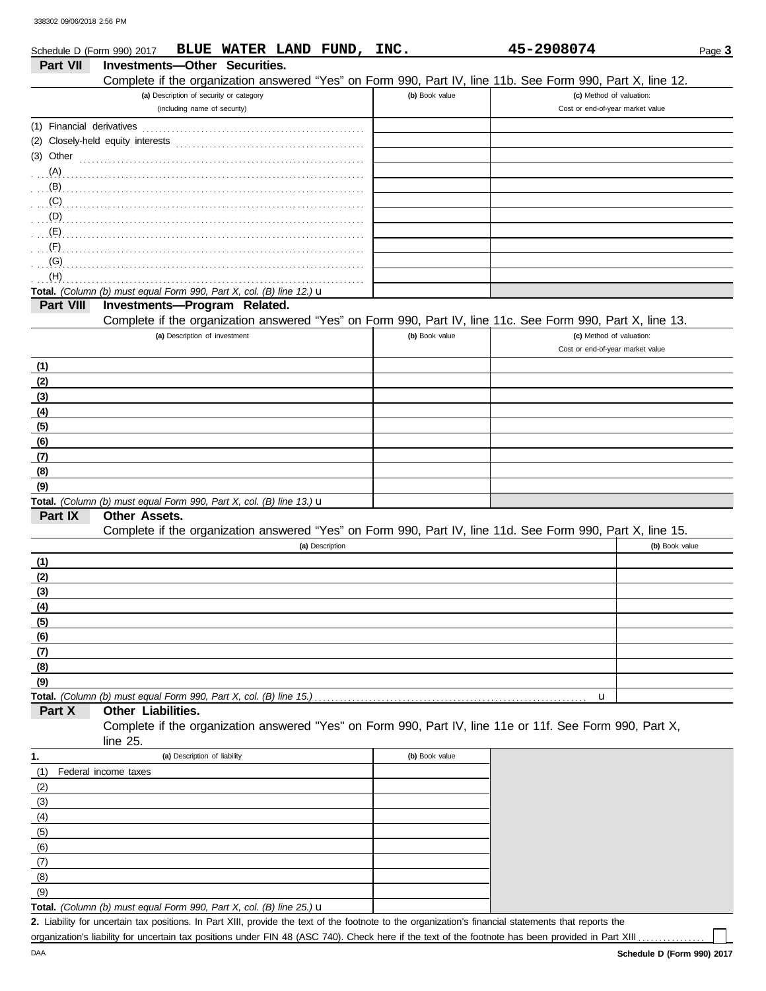| Schedule D (Form 990) 2017 | BLUE WATER LAND FUND, INC.                                                                                 |                | 45-2908074                       | Page 3         |
|----------------------------|------------------------------------------------------------------------------------------------------------|----------------|----------------------------------|----------------|
| <b>Part VII</b>            | Investments-Other Securities.                                                                              |                |                                  |                |
|                            | Complete if the organization answered "Yes" on Form 990, Part IV, line 11b. See Form 990, Part X, line 12. |                |                                  |                |
|                            | (a) Description of security or category                                                                    | (b) Book value | (c) Method of valuation:         |                |
|                            | (including name of security)                                                                               |                | Cost or end-of-year market value |                |
|                            |                                                                                                            |                |                                  |                |
|                            | (2) Closely-held equity interests                                                                          |                |                                  |                |
| (3) Other                  |                                                                                                            |                |                                  |                |
| (A)                        |                                                                                                            |                |                                  |                |
| (B)                        |                                                                                                            |                |                                  |                |
| (C)                        |                                                                                                            |                |                                  |                |
| (D)                        |                                                                                                            |                |                                  |                |
| (E)                        |                                                                                                            |                |                                  |                |
| (F)                        |                                                                                                            |                |                                  |                |
| (G)                        |                                                                                                            |                |                                  |                |
| (H)                        |                                                                                                            |                |                                  |                |
|                            | Total. (Column (b) must equal Form 990, Part X, col. (B) line 12.) u                                       |                |                                  |                |
| Part VIII                  | Investments-Program Related.                                                                               |                |                                  |                |
|                            | Complete if the organization answered "Yes" on Form 990, Part IV, line 11c. See Form 990, Part X, line 13. |                |                                  |                |
|                            | (a) Description of investment                                                                              | (b) Book value | (c) Method of valuation:         |                |
|                            |                                                                                                            |                | Cost or end-of-year market value |                |
| (1)                        |                                                                                                            |                |                                  |                |
| (2)                        |                                                                                                            |                |                                  |                |
| (3)                        |                                                                                                            |                |                                  |                |
| (4)                        |                                                                                                            |                |                                  |                |
| (5)                        |                                                                                                            |                |                                  |                |
| (6)                        |                                                                                                            |                |                                  |                |
| (7)                        |                                                                                                            |                |                                  |                |
| (8)                        |                                                                                                            |                |                                  |                |
| (9)                        |                                                                                                            |                |                                  |                |
|                            | Total. (Column (b) must equal Form 990, Part X, col. (B) line 13.) u                                       |                |                                  |                |
| Part IX                    | Other Assets.                                                                                              |                |                                  |                |
|                            | Complete if the organization answered "Yes" on Form 990, Part IV, line 11d. See Form 990, Part X, line 15. |                |                                  |                |
|                            | (a) Description                                                                                            |                |                                  | (b) Book value |
| (1)                        |                                                                                                            |                |                                  |                |
| (2)                        |                                                                                                            |                |                                  |                |
| (3)                        |                                                                                                            |                |                                  |                |
| $\frac{(4)}{2}$            |                                                                                                            |                |                                  |                |
| (5)                        |                                                                                                            |                |                                  |                |
| (6)                        |                                                                                                            |                |                                  |                |
| (7)                        |                                                                                                            |                |                                  |                |
| (8)<br>(9)                 |                                                                                                            |                |                                  |                |
|                            | Total. (Column (b) must equal Form 990, Part X, col. (B) line 15.)                                         |                | u                                |                |
| Part X                     | Other Liabilities.                                                                                         |                |                                  |                |
|                            | Complete if the organization answered "Yes" on Form 990, Part IV, line 11e or 11f. See Form 990, Part X,   |                |                                  |                |
|                            | line 25.                                                                                                   |                |                                  |                |
| 1.                         | (a) Description of liability                                                                               | (b) Book value |                                  |                |
| (1)                        | Federal income taxes                                                                                       |                |                                  |                |
| (2)                        |                                                                                                            |                |                                  |                |
| (3)                        |                                                                                                            |                |                                  |                |
| (4)                        |                                                                                                            |                |                                  |                |
| (5)                        |                                                                                                            |                |                                  |                |
| (6)                        |                                                                                                            |                |                                  |                |
| (7)                        |                                                                                                            |                |                                  |                |
| (8)                        |                                                                                                            |                |                                  |                |
| (9)                        |                                                                                                            |                |                                  |                |

**Total.** *(Column (b) must equal Form 990, Part X, col. (B) line 25.)* u

Liability for uncertain tax positions. In Part XIII, provide the text of the footnote to the organization's financial statements that reports the **2.** organization's liability for uncertain tax positions under FIN 48 (ASC 740). Check here if the text of the footnote has been provided in Part XIII .

DAA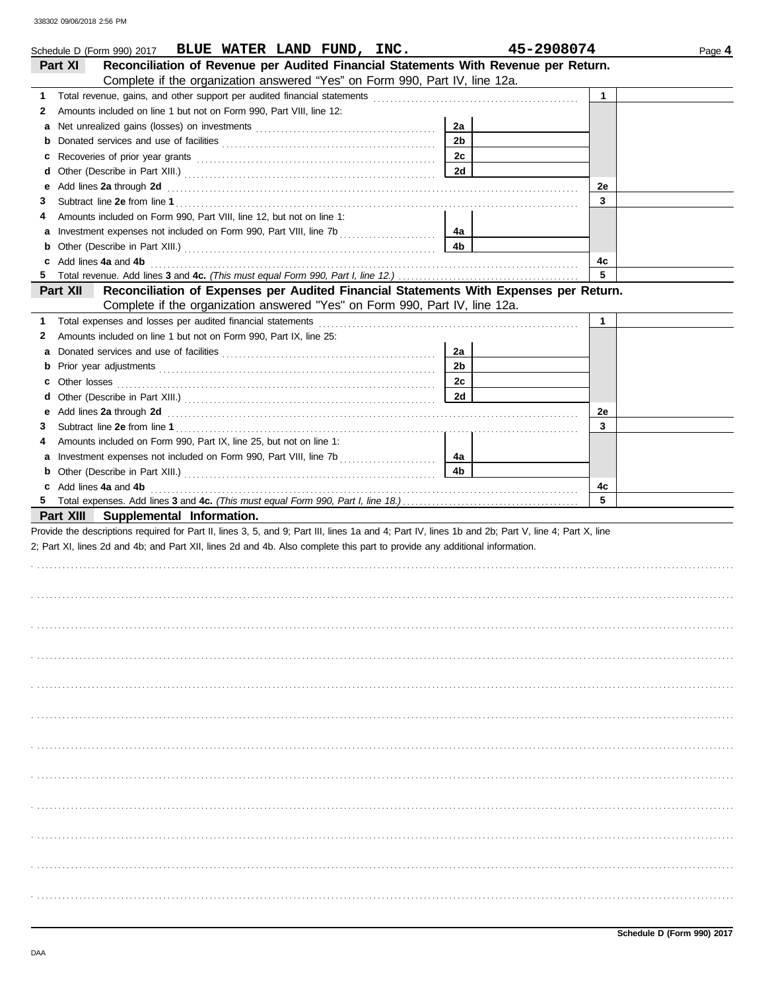| Schedule D (Form 990) 2017 BLUE WATER LAND FUND, INC.                                                                                                                                                                                   |                | 45-2908074  | Page 4 |
|-----------------------------------------------------------------------------------------------------------------------------------------------------------------------------------------------------------------------------------------|----------------|-------------|--------|
| Reconciliation of Revenue per Audited Financial Statements With Revenue per Return.<br>Part XI                                                                                                                                          |                |             |        |
| Complete if the organization answered "Yes" on Form 990, Part IV, line 12a.                                                                                                                                                             |                |             |        |
| 1.                                                                                                                                                                                                                                      |                | $\mathbf 1$ |        |
| Amounts included on line 1 but not on Form 990, Part VIII, line 12:<br>2                                                                                                                                                                |                |             |        |
| а                                                                                                                                                                                                                                       | 2a             |             |        |
| b                                                                                                                                                                                                                                       | 2 <sub>b</sub> |             |        |
| c                                                                                                                                                                                                                                       | 2c             |             |        |
| d                                                                                                                                                                                                                                       | 2d             |             |        |
| Add lines 2a through 2d <b>Martin Community Community</b> and the set of the set of the set of the set of the set of the set of the set of the set of the set of the set of the set of the set of the set of the set of the set of<br>е |                | 2e          |        |
| 3                                                                                                                                                                                                                                       |                | 3           |        |
| Amounts included on Form 990, Part VIII, line 12, but not on line 1:<br>4                                                                                                                                                               |                |             |        |
| a                                                                                                                                                                                                                                       | 4a             |             |        |
| b                                                                                                                                                                                                                                       | 4b             |             |        |
| Add lines 4a and 4b<br>c                                                                                                                                                                                                                |                | 4c          |        |
|                                                                                                                                                                                                                                         |                | 5           |        |
| Reconciliation of Expenses per Audited Financial Statements With Expenses per Return.<br>Part XII                                                                                                                                       |                |             |        |
| Complete if the organization answered "Yes" on Form 990, Part IV, line 12a.                                                                                                                                                             |                |             |        |
| 1.                                                                                                                                                                                                                                      |                | 1           |        |
| Amounts included on line 1 but not on Form 990, Part IX, line 25:<br>2                                                                                                                                                                  |                |             |        |
|                                                                                                                                                                                                                                         | 2a             |             |        |
| а                                                                                                                                                                                                                                       | 2 <sub>b</sub> |             |        |
| b                                                                                                                                                                                                                                       |                |             |        |
| c                                                                                                                                                                                                                                       | 2c             |             |        |
| d                                                                                                                                                                                                                                       | 2d             |             |        |
| Add lines 2a through 2d <b>Martin Community Community</b> and the set of the set of the set of the set of the set of the set of the set of the set of the set of the set of the set of the set of the set of the set of the set of<br>е |                | 2e          |        |
| 3                                                                                                                                                                                                                                       |                | 3           |        |
| Amounts included on Form 990, Part IX, line 25, but not on line 1:<br>4                                                                                                                                                                 |                |             |        |
| a                                                                                                                                                                                                                                       | 4a             |             |        |
| b                                                                                                                                                                                                                                       | 4 <sub>b</sub> |             |        |
| Add lines 4a and 4b<br>c                                                                                                                                                                                                                |                | 4c<br>5     |        |
|                                                                                                                                                                                                                                         |                |             |        |
| Part XIII<br>Supplemental Information.                                                                                                                                                                                                  |                |             |        |
| Provide the descriptions required for Part II, lines 3, 5, and 9; Part III, lines 1a and 4; Part IV, lines 1b and 2b; Part V, line 4; Part X, line                                                                                      |                |             |        |
| 2; Part XI, lines 2d and 4b; and Part XII, lines 2d and 4b. Also complete this part to provide any additional information.                                                                                                              |                |             |        |
|                                                                                                                                                                                                                                         |                |             |        |
|                                                                                                                                                                                                                                         |                |             |        |
|                                                                                                                                                                                                                                         |                |             |        |
|                                                                                                                                                                                                                                         |                |             |        |
|                                                                                                                                                                                                                                         |                |             |        |
|                                                                                                                                                                                                                                         |                |             |        |
|                                                                                                                                                                                                                                         |                |             |        |
|                                                                                                                                                                                                                                         |                |             |        |
|                                                                                                                                                                                                                                         |                |             |        |
|                                                                                                                                                                                                                                         |                |             |        |
|                                                                                                                                                                                                                                         |                |             |        |
|                                                                                                                                                                                                                                         |                |             |        |
|                                                                                                                                                                                                                                         |                |             |        |
|                                                                                                                                                                                                                                         |                |             |        |
|                                                                                                                                                                                                                                         |                |             |        |
|                                                                                                                                                                                                                                         |                |             |        |
|                                                                                                                                                                                                                                         |                |             |        |
|                                                                                                                                                                                                                                         |                |             |        |
|                                                                                                                                                                                                                                         |                |             |        |
|                                                                                                                                                                                                                                         |                |             |        |
|                                                                                                                                                                                                                                         |                |             |        |
|                                                                                                                                                                                                                                         |                |             |        |
|                                                                                                                                                                                                                                         |                |             |        |
|                                                                                                                                                                                                                                         |                |             |        |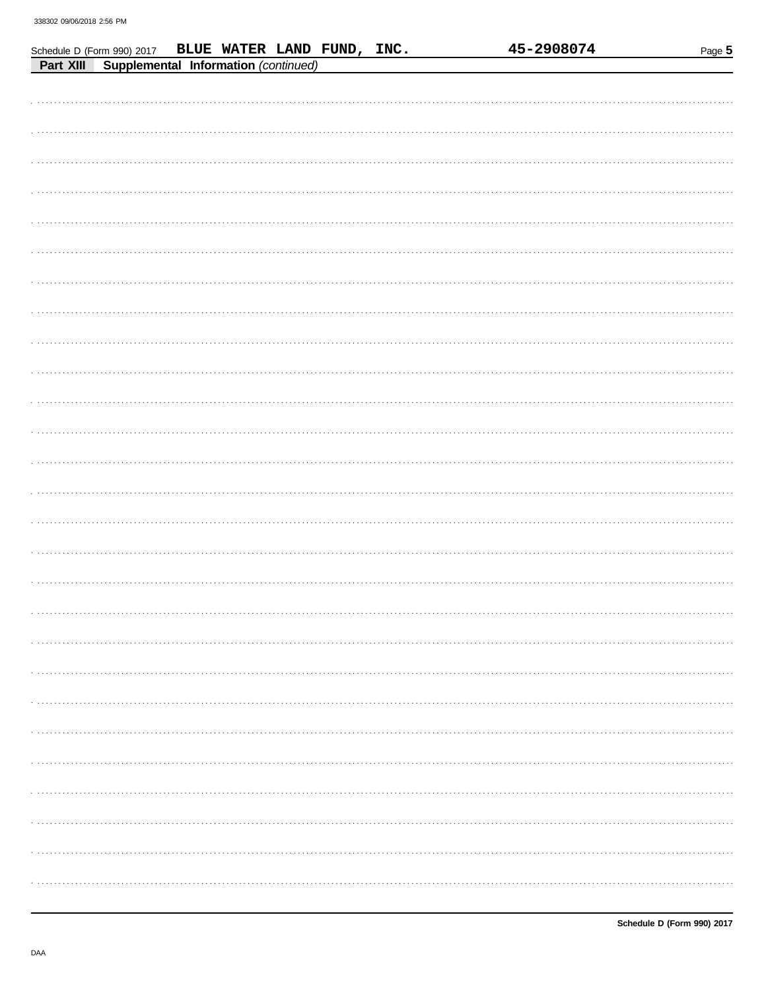|           | Schedule D (Form 990) 2017                  | BLUE WATER LAND FUND, INC. |  |  | 45-2908074 | Page 5 |
|-----------|---------------------------------------------|----------------------------|--|--|------------|--------|
| Part XIII | <b>Supplemental Information (continued)</b> |                            |  |  |            |        |
|           |                                             |                            |  |  |            |        |
|           |                                             |                            |  |  |            |        |
|           |                                             |                            |  |  |            |        |
|           |                                             |                            |  |  |            |        |
|           |                                             |                            |  |  |            |        |
|           |                                             |                            |  |  |            |        |
|           |                                             |                            |  |  |            |        |
|           |                                             |                            |  |  |            |        |
|           |                                             |                            |  |  |            |        |
|           |                                             |                            |  |  |            |        |
|           |                                             |                            |  |  |            |        |
|           |                                             |                            |  |  |            |        |
|           |                                             |                            |  |  |            |        |
|           |                                             |                            |  |  |            |        |
|           |                                             |                            |  |  |            |        |
|           |                                             |                            |  |  |            |        |
|           |                                             |                            |  |  |            |        |
|           |                                             |                            |  |  |            |        |
|           |                                             |                            |  |  |            |        |
|           |                                             |                            |  |  |            |        |
|           |                                             |                            |  |  |            |        |
|           |                                             |                            |  |  |            |        |
|           |                                             |                            |  |  |            |        |
|           |                                             |                            |  |  |            |        |
|           |                                             |                            |  |  |            |        |
|           |                                             |                            |  |  |            |        |
|           |                                             |                            |  |  |            |        |
|           |                                             |                            |  |  |            |        |
|           |                                             |                            |  |  |            |        |
|           |                                             |                            |  |  |            |        |
|           |                                             |                            |  |  |            |        |
|           |                                             |                            |  |  |            |        |
|           |                                             |                            |  |  |            |        |
|           |                                             |                            |  |  |            |        |
|           |                                             |                            |  |  |            |        |
|           |                                             |                            |  |  |            |        |
|           |                                             |                            |  |  |            |        |
|           |                                             |                            |  |  |            |        |
|           |                                             |                            |  |  |            |        |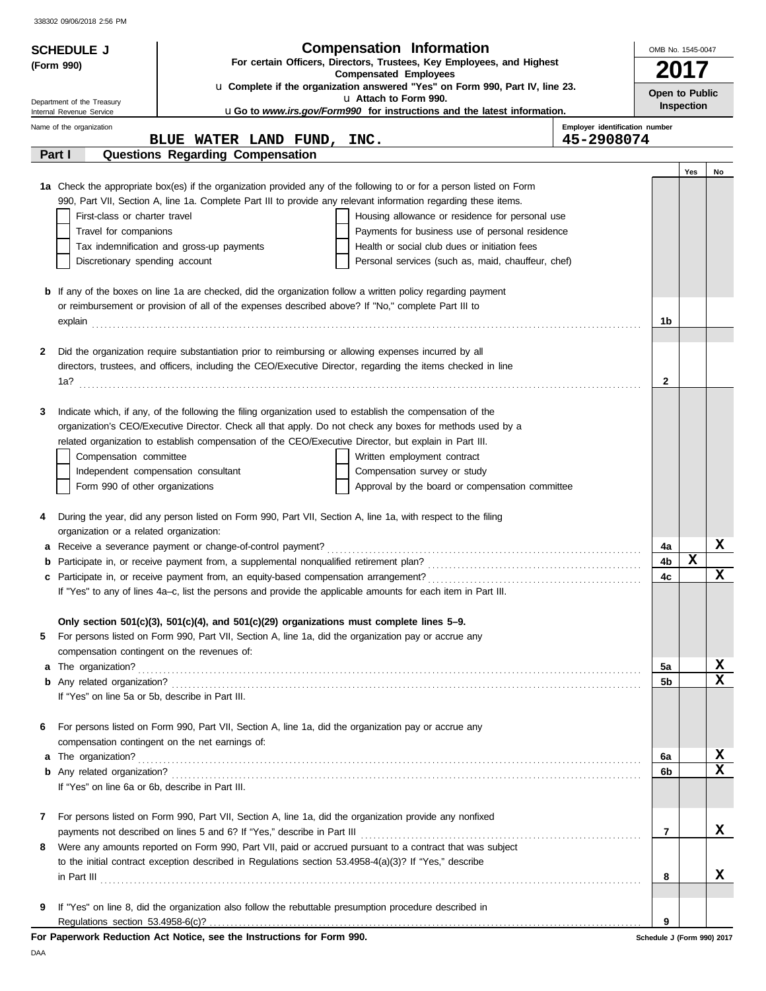| <b>SCHEDULE J</b>                                |                                                                                                                                                                                                                         | <b>Compensation Information</b>                                                                                                                                                                                                                                                                                                                                                                                                 |                                | OMB No. 1545-0047          |                   |    |
|--------------------------------------------------|-------------------------------------------------------------------------------------------------------------------------------------------------------------------------------------------------------------------------|---------------------------------------------------------------------------------------------------------------------------------------------------------------------------------------------------------------------------------------------------------------------------------------------------------------------------------------------------------------------------------------------------------------------------------|--------------------------------|----------------------------|-------------------|----|
| (Form 990)                                       | For certain Officers, Directors, Trustees, Key Employees, and Highest                                                                                                                                                   |                                                                                                                                                                                                                                                                                                                                                                                                                                 |                                |                            |                   |    |
|                                                  | <b>Compensated Employees</b><br>u Complete if the organization answered "Yes" on Form 990, Part IV, line 23.                                                                                                            |                                                                                                                                                                                                                                                                                                                                                                                                                                 |                                | 2017                       |                   |    |
| Department of the Treasury                       |                                                                                                                                                                                                                         | u Attach to Form 990.                                                                                                                                                                                                                                                                                                                                                                                                           |                                | Open to Public             |                   |    |
| Internal Revenue Service                         |                                                                                                                                                                                                                         | uGo to www.irs.gov/Form990 for instructions and the latest information.                                                                                                                                                                                                                                                                                                                                                         |                                |                            | <b>Inspection</b> |    |
| Name of the organization                         |                                                                                                                                                                                                                         |                                                                                                                                                                                                                                                                                                                                                                                                                                 | Employer identification number |                            |                   |    |
|                                                  | BLUE WATER LAND FUND, INC.                                                                                                                                                                                              |                                                                                                                                                                                                                                                                                                                                                                                                                                 | 45-2908074                     |                            |                   |    |
| Part I                                           | Questions Regarding Compensation                                                                                                                                                                                        |                                                                                                                                                                                                                                                                                                                                                                                                                                 |                                |                            |                   |    |
|                                                  |                                                                                                                                                                                                                         | 1a Check the appropriate box(es) if the organization provided any of the following to or for a person listed on Form                                                                                                                                                                                                                                                                                                            |                                |                            | Yes               | No |
|                                                  | 990, Part VII, Section A, line 1a. Complete Part III to provide any relevant information regarding these items.                                                                                                         |                                                                                                                                                                                                                                                                                                                                                                                                                                 |                                |                            |                   |    |
| First-class or charter travel                    |                                                                                                                                                                                                                         | Housing allowance or residence for personal use                                                                                                                                                                                                                                                                                                                                                                                 |                                |                            |                   |    |
| Travel for companions                            |                                                                                                                                                                                                                         | Payments for business use of personal residence                                                                                                                                                                                                                                                                                                                                                                                 |                                |                            |                   |    |
|                                                  | Tax indemnification and gross-up payments                                                                                                                                                                               | Health or social club dues or initiation fees                                                                                                                                                                                                                                                                                                                                                                                   |                                |                            |                   |    |
| Discretionary spending account                   |                                                                                                                                                                                                                         | Personal services (such as, maid, chauffeur, chef)                                                                                                                                                                                                                                                                                                                                                                              |                                |                            |                   |    |
|                                                  |                                                                                                                                                                                                                         |                                                                                                                                                                                                                                                                                                                                                                                                                                 |                                |                            |                   |    |
|                                                  | <b>b</b> If any of the boxes on line 1a are checked, did the organization follow a written policy regarding payment                                                                                                     |                                                                                                                                                                                                                                                                                                                                                                                                                                 |                                |                            |                   |    |
|                                                  | or reimbursement or provision of all of the expenses described above? If "No," complete Part III to                                                                                                                     |                                                                                                                                                                                                                                                                                                                                                                                                                                 |                                | 1b                         |                   |    |
|                                                  |                                                                                                                                                                                                                         |                                                                                                                                                                                                                                                                                                                                                                                                                                 |                                |                            |                   |    |
| 2                                                | Did the organization require substantiation prior to reimbursing or allowing expenses incurred by all                                                                                                                   |                                                                                                                                                                                                                                                                                                                                                                                                                                 |                                |                            |                   |    |
|                                                  | directors, trustees, and officers, including the CEO/Executive Director, regarding the items checked in line                                                                                                            |                                                                                                                                                                                                                                                                                                                                                                                                                                 |                                |                            |                   |    |
|                                                  |                                                                                                                                                                                                                         |                                                                                                                                                                                                                                                                                                                                                                                                                                 |                                | $\mathbf{2}$               |                   |    |
|                                                  |                                                                                                                                                                                                                         |                                                                                                                                                                                                                                                                                                                                                                                                                                 |                                |                            |                   |    |
| 3                                                | Indicate which, if any, of the following the filing organization used to establish the compensation of the<br>organization's CEO/Executive Director. Check all that apply. Do not check any boxes for methods used by a |                                                                                                                                                                                                                                                                                                                                                                                                                                 |                                |                            |                   |    |
|                                                  | related organization to establish compensation of the CEO/Executive Director, but explain in Part III.                                                                                                                  |                                                                                                                                                                                                                                                                                                                                                                                                                                 |                                |                            |                   |    |
| Compensation committee                           |                                                                                                                                                                                                                         | Written employment contract                                                                                                                                                                                                                                                                                                                                                                                                     |                                |                            |                   |    |
|                                                  | Independent compensation consultant                                                                                                                                                                                     | Compensation survey or study                                                                                                                                                                                                                                                                                                                                                                                                    |                                |                            |                   |    |
| Form 990 of other organizations                  |                                                                                                                                                                                                                         | Approval by the board or compensation committee                                                                                                                                                                                                                                                                                                                                                                                 |                                |                            |                   |    |
|                                                  |                                                                                                                                                                                                                         |                                                                                                                                                                                                                                                                                                                                                                                                                                 |                                |                            |                   |    |
| 4                                                | During the year, did any person listed on Form 990, Part VII, Section A, line 1a, with respect to the filing                                                                                                            |                                                                                                                                                                                                                                                                                                                                                                                                                                 |                                |                            |                   |    |
| organization or a related organization:          |                                                                                                                                                                                                                         |                                                                                                                                                                                                                                                                                                                                                                                                                                 |                                |                            |                   |    |
|                                                  | a Receive a severance payment or change-of-control payment?                                                                                                                                                             |                                                                                                                                                                                                                                                                                                                                                                                                                                 |                                | 4a                         |                   | x  |
| b                                                |                                                                                                                                                                                                                         |                                                                                                                                                                                                                                                                                                                                                                                                                                 |                                | 4b<br>4c                   | x                 | x  |
| c                                                | If "Yes" to any of lines 4a-c, list the persons and provide the applicable amounts for each item in Part III.                                                                                                           |                                                                                                                                                                                                                                                                                                                                                                                                                                 |                                |                            |                   |    |
|                                                  |                                                                                                                                                                                                                         |                                                                                                                                                                                                                                                                                                                                                                                                                                 |                                |                            |                   |    |
|                                                  | Only section 501(c)(3), 501(c)(4), and 501(c)(29) organizations must complete lines 5-9.                                                                                                                                |                                                                                                                                                                                                                                                                                                                                                                                                                                 |                                |                            |                   |    |
| 5                                                | For persons listed on Form 990, Part VII, Section A, line 1a, did the organization pay or accrue any                                                                                                                    |                                                                                                                                                                                                                                                                                                                                                                                                                                 |                                |                            |                   |    |
| compensation contingent on the revenues of:      |                                                                                                                                                                                                                         |                                                                                                                                                                                                                                                                                                                                                                                                                                 |                                |                            |                   |    |
|                                                  |                                                                                                                                                                                                                         |                                                                                                                                                                                                                                                                                                                                                                                                                                 |                                | 5a                         |                   | x  |
|                                                  |                                                                                                                                                                                                                         |                                                                                                                                                                                                                                                                                                                                                                                                                                 |                                | 5b                         |                   | X  |
| If "Yes" on line 5a or 5b, describe in Part III. |                                                                                                                                                                                                                         |                                                                                                                                                                                                                                                                                                                                                                                                                                 |                                |                            |                   |    |
| 6                                                | For persons listed on Form 990, Part VII, Section A, line 1a, did the organization pay or accrue any                                                                                                                    |                                                                                                                                                                                                                                                                                                                                                                                                                                 |                                |                            |                   |    |
|                                                  | compensation contingent on the net earnings of:                                                                                                                                                                         |                                                                                                                                                                                                                                                                                                                                                                                                                                 |                                |                            |                   |    |
| a The organization?                              |                                                                                                                                                                                                                         |                                                                                                                                                                                                                                                                                                                                                                                                                                 |                                | 6a                         |                   | X  |
|                                                  |                                                                                                                                                                                                                         |                                                                                                                                                                                                                                                                                                                                                                                                                                 |                                | 6b                         |                   | X  |
| If "Yes" on line 6a or 6b, describe in Part III. |                                                                                                                                                                                                                         |                                                                                                                                                                                                                                                                                                                                                                                                                                 |                                |                            |                   |    |
|                                                  |                                                                                                                                                                                                                         |                                                                                                                                                                                                                                                                                                                                                                                                                                 |                                |                            |                   |    |
| 7                                                | For persons listed on Form 990, Part VII, Section A, line 1a, did the organization provide any nonfixed                                                                                                                 |                                                                                                                                                                                                                                                                                                                                                                                                                                 |                                |                            |                   | x  |
| 8                                                | Were any amounts reported on Form 990, Part VII, paid or accrued pursuant to a contract that was subject                                                                                                                |                                                                                                                                                                                                                                                                                                                                                                                                                                 |                                | 7                          |                   |    |
|                                                  | to the initial contract exception described in Regulations section 53.4958-4(a)(3)? If "Yes," describe                                                                                                                  |                                                                                                                                                                                                                                                                                                                                                                                                                                 |                                |                            |                   |    |
|                                                  |                                                                                                                                                                                                                         |                                                                                                                                                                                                                                                                                                                                                                                                                                 |                                | 8                          |                   | x  |
|                                                  |                                                                                                                                                                                                                         | $\quad \  \  \, \text{in Part III} \, \, \ldots \, \, \ldots \, \, \ldots \, \, \ldots \, \, \ldots \, \, \ldots \, \, \ldots \, \, \ldots \, \, \ldots \, \, \ldots \, \, \ldots \, \, \ldots \, \, \ldots \, \, \ldots \, \, \ldots \, \, \ldots \, \, \ldots \, \, \ldots \, \, \ldots \, \, \ldots \, \, \ldots \, \, \ldots \, \, \ldots \, \, \ldots \, \, \ldots \, \, \ldots \, \, \ldots \, \, \ldots \, \, \ldots \,$ |                                |                            |                   |    |
| 9                                                | If "Yes" on line 8, did the organization also follow the rebuttable presumption procedure described in                                                                                                                  |                                                                                                                                                                                                                                                                                                                                                                                                                                 |                                |                            |                   |    |
|                                                  |                                                                                                                                                                                                                         |                                                                                                                                                                                                                                                                                                                                                                                                                                 |                                | 9                          |                   |    |
|                                                  | For Paperwork Reduction Act Notice, see the Instructions for Form 990.                                                                                                                                                  |                                                                                                                                                                                                                                                                                                                                                                                                                                 |                                | Schedule J (Form 990) 2017 |                   |    |

DAA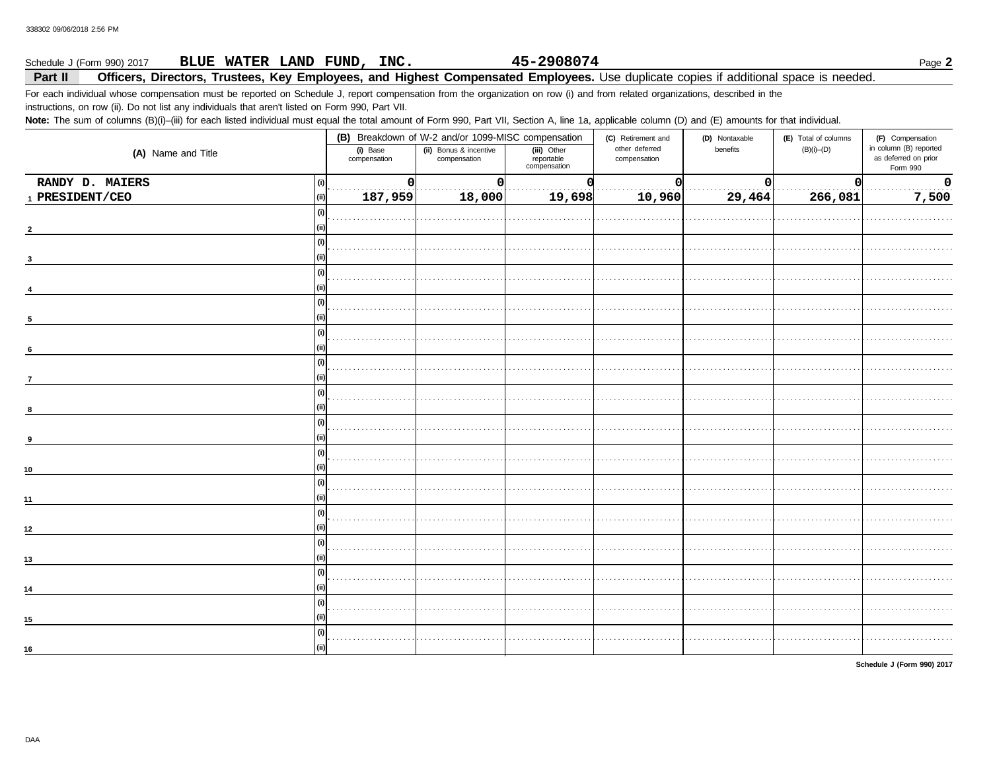### 45-2908074 BLUE WATER LAND FUND, INC. Schedule J (Form 990) 2017 Page 2

### Part II Officers, Directors, Trustees, Key Employees, and Highest Compensated Employees. Use duplicate copies if additional space is needed.

For each individual whose compensation must be reported on Schedule J, report compensation from the organization on row (i) and from related organizations, described in the instructions, on row (ii). Do not list any individuals that aren't listed on Form 990, Part VII.

Note: The sum of columns (B)(i)-(iii) for each listed individual must equal the total amount of Form 990, Part VII, Section A, line 1a, applicable column (D) and (E) amounts for that individual.

|                          |                          | (B) Breakdown of W-2 and/or 1099-MISC compensation |                                           | (C) Retirement and             | (D) Nontaxable | (E) Total of columns | (F) Compensation<br>in column (B) reported<br>as deferred on prior<br>Form 990 |  |
|--------------------------|--------------------------|----------------------------------------------------|-------------------------------------------|--------------------------------|----------------|----------------------|--------------------------------------------------------------------------------|--|
| (A) Name and Title       | (i) Base<br>compensation | (ii) Bonus & incentive<br>compensation             | (iii) Other<br>reportable<br>compensation | other deferred<br>compensation | benefits       | $(B)(i)$ - $(D)$     |                                                                                |  |
| RANDY D. MAIERS          | 0                        | <sup>0</sup>                                       |                                           | $\mathbf 0$                    | $\Omega$       | O                    | $\mathbf 0$                                                                    |  |
| $_{\rm 1}$ PRESIDENT/CEO | 187,959                  | 18,000                                             | 19,698                                    | 10,960                         | 29,464         | 266,081              | 7,500                                                                          |  |
|                          |                          |                                                    |                                           |                                |                |                      |                                                                                |  |
| $\overline{2}$           |                          |                                                    |                                           |                                |                |                      |                                                                                |  |
|                          |                          |                                                    |                                           |                                |                |                      |                                                                                |  |
|                          |                          |                                                    |                                           |                                |                |                      |                                                                                |  |
|                          |                          |                                                    |                                           |                                |                |                      |                                                                                |  |
|                          |                          |                                                    |                                           |                                |                |                      |                                                                                |  |
| (i)                      |                          |                                                    |                                           |                                |                |                      |                                                                                |  |
| 5                        |                          |                                                    |                                           |                                |                |                      |                                                                                |  |
|                          |                          |                                                    |                                           |                                |                |                      |                                                                                |  |
| 6                        |                          |                                                    |                                           |                                |                |                      |                                                                                |  |
| (i)                      |                          |                                                    |                                           |                                |                |                      |                                                                                |  |
| $\overline{7}$           |                          |                                                    |                                           |                                |                |                      |                                                                                |  |
|                          |                          |                                                    |                                           |                                |                |                      |                                                                                |  |
| -8                       |                          |                                                    |                                           |                                |                |                      |                                                                                |  |
|                          |                          |                                                    |                                           |                                |                |                      |                                                                                |  |
|                          |                          |                                                    |                                           |                                |                |                      |                                                                                |  |
|                          |                          |                                                    |                                           |                                |                |                      |                                                                                |  |
| 10                       |                          |                                                    |                                           |                                |                |                      |                                                                                |  |
|                          |                          |                                                    |                                           |                                |                |                      |                                                                                |  |
| 11                       |                          |                                                    |                                           |                                |                |                      |                                                                                |  |
|                          |                          |                                                    |                                           |                                |                |                      |                                                                                |  |
| 12                       |                          |                                                    |                                           |                                |                |                      |                                                                                |  |
|                          |                          |                                                    |                                           |                                |                |                      |                                                                                |  |
| 13                       |                          |                                                    |                                           |                                |                |                      |                                                                                |  |
|                          |                          |                                                    |                                           |                                |                |                      |                                                                                |  |
| 14                       |                          |                                                    |                                           |                                |                |                      |                                                                                |  |
|                          |                          |                                                    |                                           |                                |                |                      |                                                                                |  |
| 15                       |                          |                                                    |                                           |                                |                |                      |                                                                                |  |
|                          |                          |                                                    |                                           |                                |                |                      |                                                                                |  |
| 16                       |                          |                                                    |                                           |                                |                |                      |                                                                                |  |

Schedule J (Form 990) 2017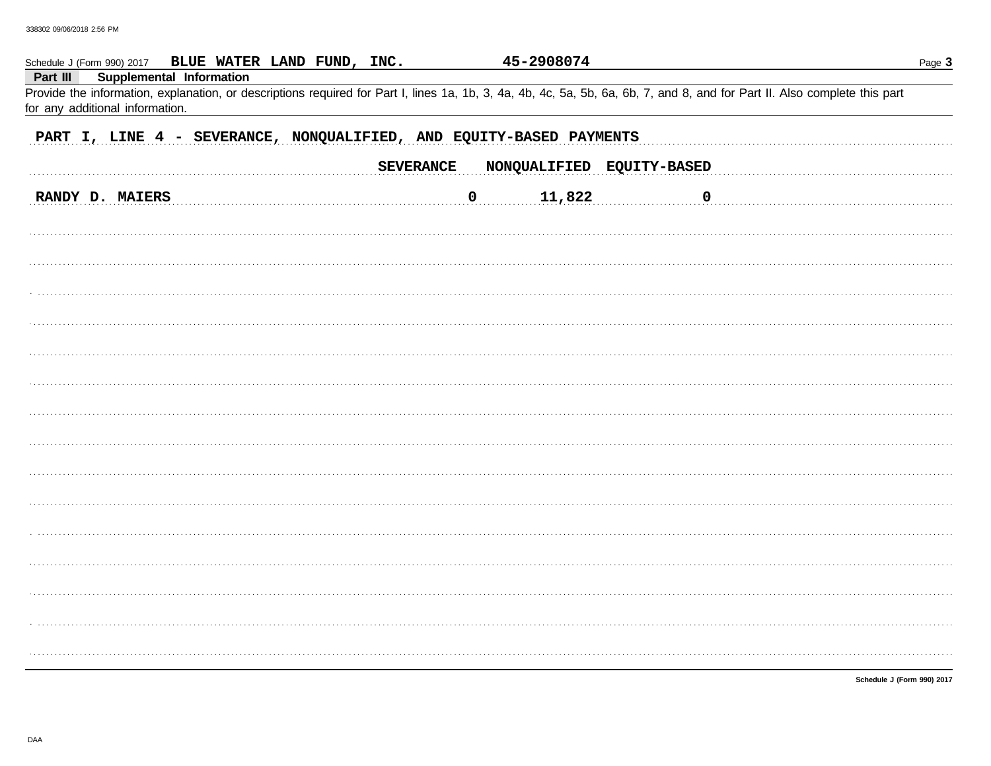| Schedule J (Form 990) 2017 BLUE WATER LAND FUND, INC.                                                                                                                                                                                                 | 45-2908074                                    | Page 3                                      |  |  |  |  |  |
|-------------------------------------------------------------------------------------------------------------------------------------------------------------------------------------------------------------------------------------------------------|-----------------------------------------------|---------------------------------------------|--|--|--|--|--|
| Supplemental Information<br>Part III<br>Provide the information, explanation, or descriptions required for Part I, lines 1a, 1b, 3, 4a, 4b, 4c, 5a, 5b, 6a, 6b, 7, and 8, and for Part II. Also complete this part<br>for any additional information. |                                               |                                             |  |  |  |  |  |
| PART I, LINE 4 - SEVERANCE, NONQUALIFIED, AND EQUITY-BASED PAYMENTS                                                                                                                                                                                   |                                               |                                             |  |  |  |  |  |
|                                                                                                                                                                                                                                                       | <b>SEVERANCE</b><br>NONQUALIFIED EQUITY-BASED |                                             |  |  |  |  |  |
| RANDY D. MAIERS                                                                                                                                                                                                                                       | 11,822<br>$\overline{0}$                      | $\begin{array}{ccc} 0 & \cdots \end{array}$ |  |  |  |  |  |
|                                                                                                                                                                                                                                                       |                                               |                                             |  |  |  |  |  |
|                                                                                                                                                                                                                                                       |                                               |                                             |  |  |  |  |  |
|                                                                                                                                                                                                                                                       |                                               |                                             |  |  |  |  |  |
|                                                                                                                                                                                                                                                       |                                               |                                             |  |  |  |  |  |
|                                                                                                                                                                                                                                                       |                                               |                                             |  |  |  |  |  |
|                                                                                                                                                                                                                                                       |                                               |                                             |  |  |  |  |  |
|                                                                                                                                                                                                                                                       |                                               |                                             |  |  |  |  |  |
|                                                                                                                                                                                                                                                       |                                               |                                             |  |  |  |  |  |
|                                                                                                                                                                                                                                                       |                                               |                                             |  |  |  |  |  |
|                                                                                                                                                                                                                                                       |                                               |                                             |  |  |  |  |  |
|                                                                                                                                                                                                                                                       |                                               |                                             |  |  |  |  |  |
|                                                                                                                                                                                                                                                       |                                               |                                             |  |  |  |  |  |
|                                                                                                                                                                                                                                                       |                                               |                                             |  |  |  |  |  |
|                                                                                                                                                                                                                                                       |                                               |                                             |  |  |  |  |  |
|                                                                                                                                                                                                                                                       |                                               |                                             |  |  |  |  |  |
|                                                                                                                                                                                                                                                       |                                               | Schedule J (Form 990) 2017                  |  |  |  |  |  |

DAA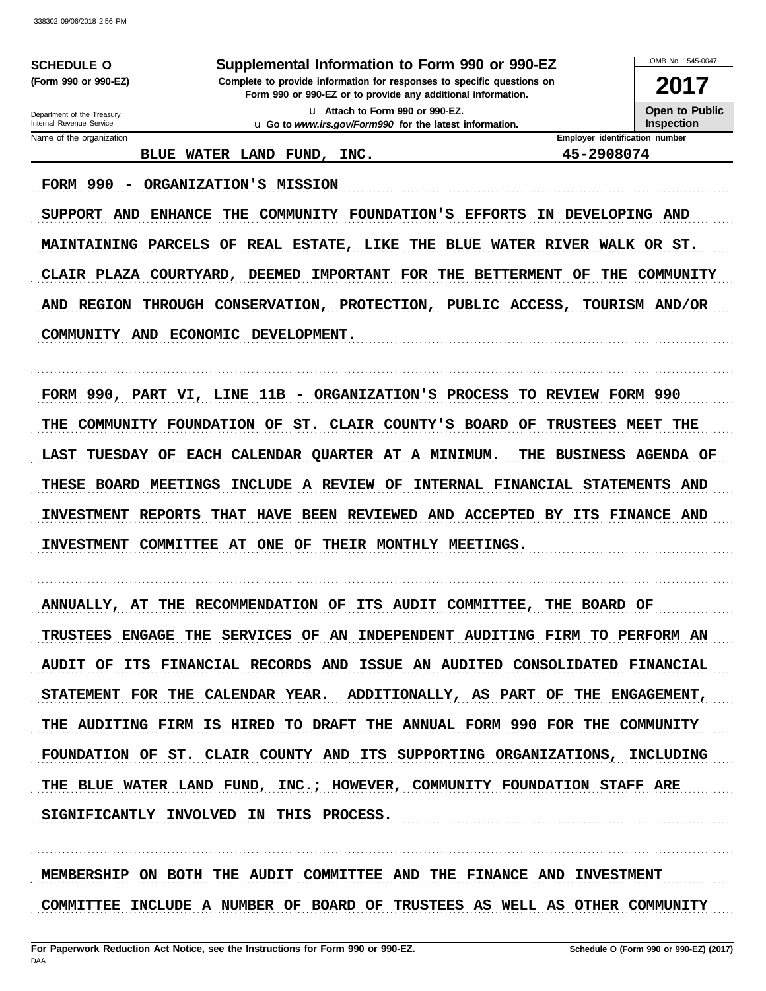**SCHEDULE O** (Form 990 or 990-EZ) Supplemental Information to Form 990 or 990-EZ

Complete to provide information for responses to specific questions on Form 990 or 990-EZ or to provide any additional information. u Attach to Form 990 or 990-EZ.

u Go to www.irs.gov/Form990 for the latest information.

OMB No 1545-0047

2017 Open to Public

Inspection

### BLUE WATER LAND FUND, INC.

FORM 990 - ORGANIZATION'S MISSION

Employer identification number 45-2908074

SUPPORT AND ENHANCE THE COMMUNITY FOUNDATION'S EFFORTS IN DEVELOPING AND MAINTAINING PARCELS OF REAL ESTATE, LIKE THE BLUE WATER RIVER WALK OR ST. CLAIR PLAZA COURTYARD, DEEMED IMPORTANT FOR THE BETTERMENT OF THE COMMUNITY AND REGION THROUGH CONSERVATION, PROTECTION, PUBLIC ACCESS, TOURISM AND/OR COMMUNITY AND ECONOMIC DEVELOPMENT.

FORM 990, PART VI, LINE 11B - ORGANIZATION'S PROCESS TO REVIEW FORM 990 THE COMMUNITY FOUNDATION OF ST. CLAIR COUNTY'S BOARD OF TRUSTEES MEET THE LAST TUESDAY OF EACH CALENDAR QUARTER AT A MINIMUM. THE BUSINESS AGENDA OF THESE BOARD MEETINGS INCLUDE A REVIEW OF INTERNAL FINANCIAL STATEMENTS AND INVESTMENT REPORTS THAT HAVE BEEN REVIEWED AND ACCEPTED BY ITS FINANCE AND INVESTMENT COMMITTEE AT ONE OF THEIR MONTHLY MEETINGS.

ANNUALLY, AT THE RECOMMENDATION OF ITS AUDIT COMMITTEE, THE BOARD OF TRUSTEES ENGAGE THE SERVICES OF AN INDEPENDENT AUDITING FIRM TO PERFORM AN AUDIT OF ITS FINANCIAL RECORDS AND ISSUE AN AUDITED CONSOLIDATED FINANCIAL ADDITIONALLY, AS PART OF THE ENGAGEMENT, STATEMENT FOR THE CALENDAR YEAR. THE AUDITING FIRM IS HIRED TO DRAFT THE ANNUAL FORM 990 FOR THE COMMUNITY FOUNDATION OF ST. CLAIR COUNTY AND ITS SUPPORTING ORGANIZATIONS, INCLUDING THE BLUE WATER LAND FUND, INC.; HOWEVER, COMMUNITY FOUNDATION STAFF ARE SIGNIFICANTLY INVOLVED IN THIS PROCESS.

MEMBERSHIP ON BOTH THE AUDIT COMMITTEE AND THE FINANCE AND INVESTMENT COMMITTEE INCLUDE A NUMBER OF BOARD OF TRUSTEES AS WELL AS OTHER COMMUNITY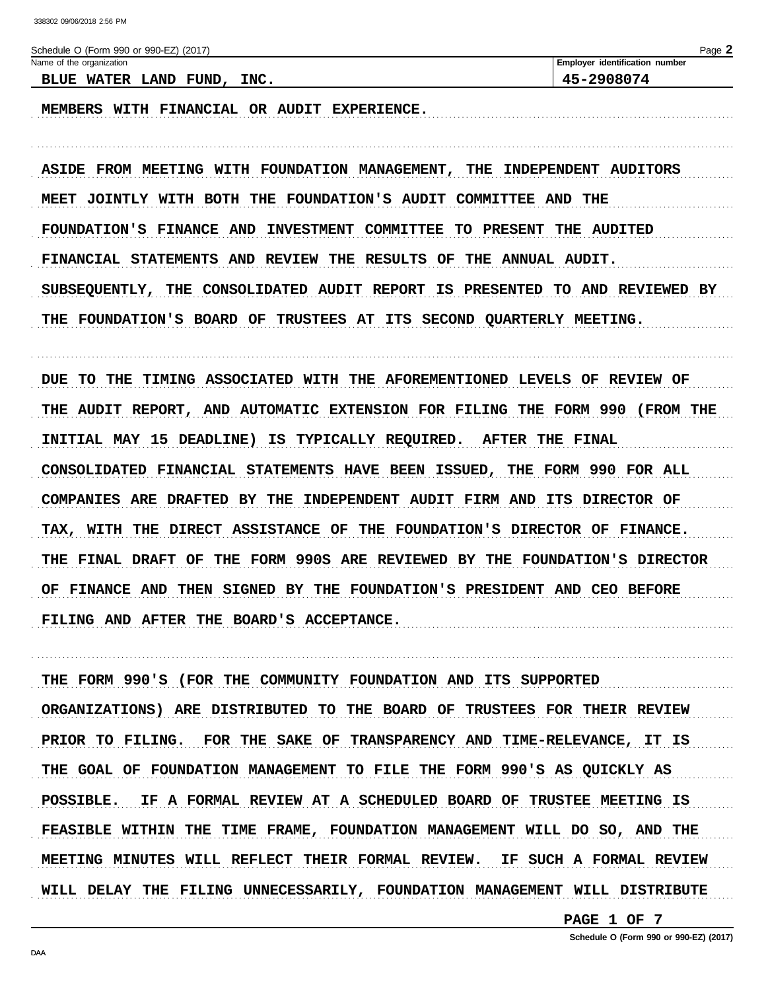| Schedule O (Form 990 or 990-EZ) (2017)                                  | Page 2                                    |
|-------------------------------------------------------------------------|-------------------------------------------|
| Name of the organization                                                | Employer identification number            |
| BLUE WATER LAND FUND, INC.                                              | 45-2908074                                |
| WITH FINANCIAL OR AUDIT EXPERIENCE.<br>MEMBERS                          |                                           |
| ASIDE FROM MEETING WITH FOUNDATION MANAGEMENT, THE                      | INDEPENDENT AUDITORS                      |
| MEET JOINTLY WITH BOTH THE FOUNDATION'S AUDIT                           | <b>COMMITTEE AND</b><br>THE               |
| FOUNDATION'S FINANCE AND<br>INVESTMENT COMMITTEE                        | TO PRESENT<br>THE AUDITED                 |
| FINANCIAL STATEMENTS AND REVIEW THE RESULTS<br>OF                       | THE ANNUAL AUDIT.                         |
| CONSOLIDATED AUDIT REPORT<br><b>SUBSEQUENTLY,</b><br>THE<br>IS          | <b>PRESENTED</b><br>TO AND REVIEWED BY    |
| FOUNDATION'S BOARD OF<br>TRUSTEES AT<br><b>SECOND</b><br>ITS<br>THE     | <b>OUARTERLY MEETING.</b>                 |
| <b>DUE TO THE</b><br>TIMING ASSOCIATED WITH THE AFOREMENTIONED          | LEVELS<br>OF<br><b>REVIEW OF</b>          |
| AND AUTOMATIC EXTENSION FOR FILING<br>THE AUDIT REPORT,                 | <b>THE FORM 990</b><br>(FROM THE          |
| INITIAL MAY 15 DEADLINE)<br>IS TYPICALLY REQUIRED.                      | <b>AFTER</b><br>THE FINAL                 |
| CONSOLIDATED FINANCIAL STATEMENTS HAVE BEEN ISSUED,                     | THE FORM 990 FOR ALL                      |
| ARE DRAFTED BY THE<br><b>COMPANIES</b><br>INDEPENDENT AUDIT FIRM AND    | ITS DIRECTOR OF                           |
| <b>DIRECT</b><br><b>ASSISTANCE OF</b><br><b>TAX, WITH</b><br>THE<br>THE | FOUNDATION'S DIRECTOR OF FINANCE.         |
| THE FORM 990S ARE REVIEWED BY THE<br>FINAL DRAFT<br>OF<br>THE           | FOUNDATION'S DIRECTOR                     |
| THEN SIGNED BY<br>OF<br><b>FINANCE AND</b>                              | THE FOUNDATION'S PRESIDENT AND CEO BEFORE |

FILING AND AFTER THE BOARD'S ACCEPTANCE.

THE FORM 990'S (FOR THE COMMUNITY FOUNDATION AND ITS SUPPORTED ORGANIZATIONS) ARE DISTRIBUTED TO THE BOARD OF TRUSTEES FOR THEIR REVIEW PRIOR TO FILING. FOR THE SAKE OF TRANSPARENCY AND TIME-RELEVANCE, IT IS THE GOAL OF FOUNDATION MANAGEMENT TO FILE THE FORM 990'S AS QUICKLY AS POSSIBLE. IF A FORMAL REVIEW AT A SCHEDULED BOARD OF TRUSTEE MEETING IS FEASIBLE WITHIN THE TIME FRAME, FOUNDATION MANAGEMENT WILL DO SO, AND THE MEETING MINUTES WILL REFLECT THEIR FORMAL REVIEW. IF SUCH A FORMAL REVIEW WILL DELAY THE FILING UNNECESSARILY, FOUNDATION MANAGEMENT WILL DISTRIBUTE

PAGE 1 OF 7

DAA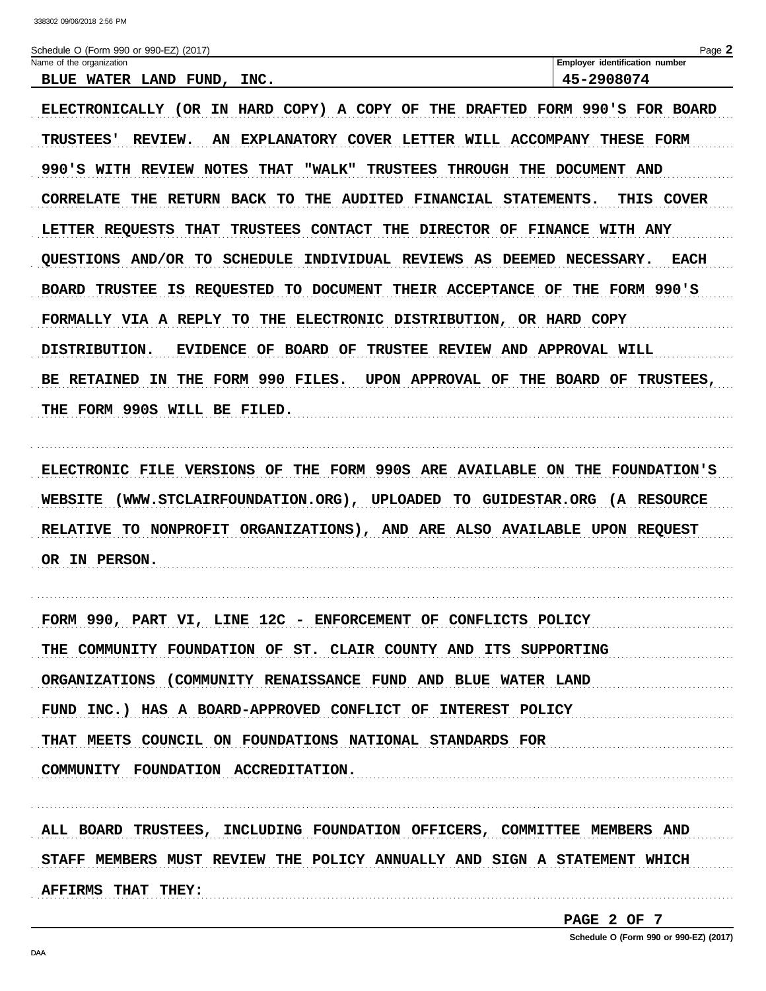| Schedule O (Form 990 or 990-EZ) (2017)                                                        | Page 2                           |
|-----------------------------------------------------------------------------------------------|----------------------------------|
| Name of the organization                                                                      | Employer identification number   |
| BLUE WATER LAND FUND, INC.                                                                    | 45-2908074                       |
| ELECTRONICALLY (OR IN HARD COPY) A COPY OF THE DRAFTED FORM 990'S FOR BOARD                   |                                  |
| AN EXPLANATORY COVER LETTER WILL ACCOMPANY<br><b>TRUSTEES'</b><br><b>REVIEW.</b>              | THESE FORM                       |
| <b>THAT</b><br><b>TRUSTEES</b><br>990'S WITH REVIEW NOTES<br>"WALK"<br>THROUGH                | THE DOCUMENT<br><b>AND</b>       |
| CORRELATE THE RETURN BACK TO THE AUDITED FINANCIAL STATEMENTS.                                | THIS COVER                       |
| <b>TRUSTEES CONTACT</b><br>THE DIRECTOR OF<br>LETTER REQUESTS THAT                            | <b>FINANCE WITH ANY</b>          |
| <b>QUESTIONS AND/OR TO SCHEDULE INDIVIDUAL REVIEWS AS</b>                                     | DEEMED NECESSARY.<br><b>EACH</b> |
| IS REQUESTED TO DOCUMENT<br><b>BOARD TRUSTEE</b><br>THEIR ACCEPTANCE OF                       | THE FORM 990'S                   |
| ELECTRONIC DISTRIBUTION, OR HARD COPY<br>FORMALLY VIA A REPLY TO THE                          |                                  |
| <b>BOARD OF</b><br>TRUSTEE REVIEW AND APPROVAL WILL<br>DISTRIBUTION.<br><b>EVIDENCE</b><br>OF |                                  |
| THE FORM 990 FILES.<br>UPON APPROVAL OF<br><b>BE RETAINED</b><br>ΙN.                          | THE BOARD OF TRUSTEES,           |
| THE FORM 990S WILL BE FILED.                                                                  |                                  |
|                                                                                               |                                  |
| THE FORM 990S ARE AVAILABLE<br>ELECTRONIC FILE VERSIONS<br>OF                                 | ON THE FOUNDATION'S              |
| <b>WEBSITE</b><br>(WWW.STCLAIRFOUNDATION.ORG), UPLOADED TO GUIDESTAR.ORG (A RESOURCE          |                                  |
| TO NONPROFIT ORGANIZATIONS), AND ARE ALSO AVAILABLE UPON REQUEST<br><b>RELATIVE</b>           |                                  |
| OR IN PERSON.                                                                                 |                                  |

FORM 990, PART VI, LINE 12C - ENFORCEMENT OF CONFLICTS POLICY THE COMMUNITY FOUNDATION OF ST. CLAIR COUNTY AND ITS SUPPORTING ORGANIZATIONS (COMMUNITY RENAISSANCE FUND AND BLUE WATER LAND FUND INC.) HAS A BOARD-APPROVED CONFLICT OF INTEREST POLICY THAT MEETS COUNCIL ON FOUNDATIONS NATIONAL STANDARDS FOR COMMUNITY FOUNDATION ACCREDITATION. 

ALL BOARD TRUSTEES, INCLUDING FOUNDATION OFFICERS, COMMITTEE MEMBERS AND STAFF MEMBERS MUST REVIEW THE POLICY ANNUALLY AND SIGN A STATEMENT WHICH AFFIRMS THAT THEY: 

PAGE 2 OF 7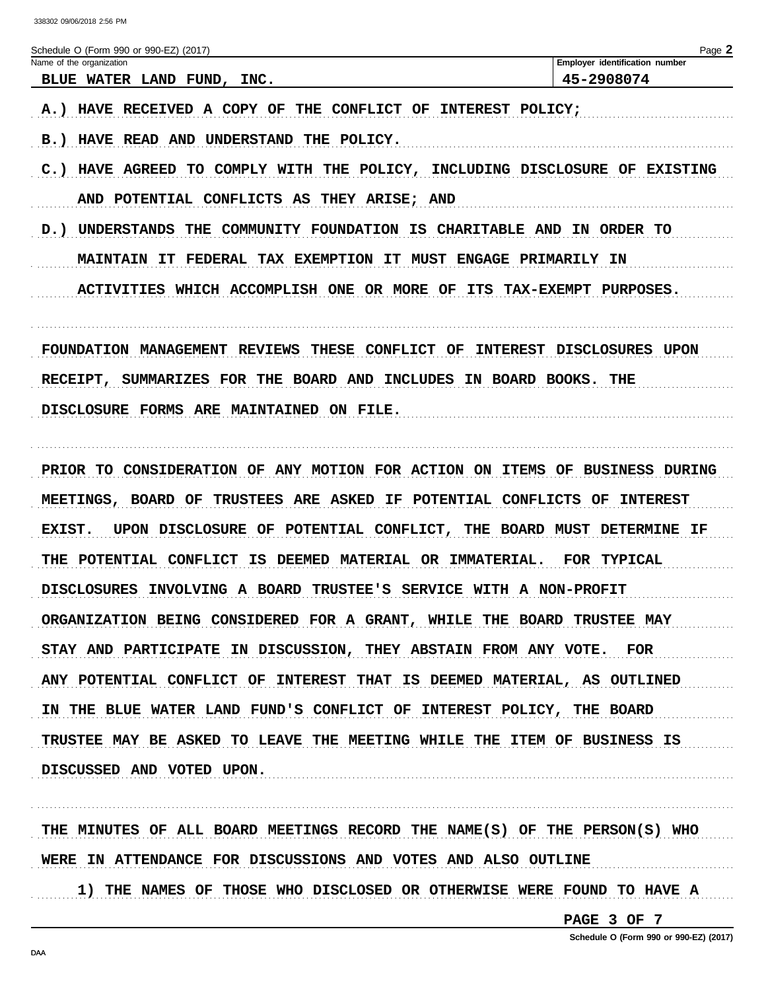| Name of the organization<br>BLUE WATER LAND FUND, INC.<br>THE<br><b>CONFLICT OF</b><br>A.) HAVE RECEIVED A COPY OF<br>INTEREST POLICY;<br>HAVE READ AND UNDERSTAND THE POLICY.<br>B.)                                                                                                                                                                                                                                                                                                                                                                                                                                                                                                                                                                 | Employer identification number<br>45-2908074                         |
|-------------------------------------------------------------------------------------------------------------------------------------------------------------------------------------------------------------------------------------------------------------------------------------------------------------------------------------------------------------------------------------------------------------------------------------------------------------------------------------------------------------------------------------------------------------------------------------------------------------------------------------------------------------------------------------------------------------------------------------------------------|----------------------------------------------------------------------|
|                                                                                                                                                                                                                                                                                                                                                                                                                                                                                                                                                                                                                                                                                                                                                       |                                                                      |
| TO COMPLY WITH THE POLICY, INCLUDING DISCLOSURE OF EXISTING<br>$C.$ )<br><b>HAVE AGREED</b><br>AND POTENTIAL CONFLICTS AS<br>THEY ARISE; AND<br>D.) UNDERSTANDS<br>THE COMMUNITY FOUNDATION IS CHARITABLE AND<br><b>MAINTAIN IT</b><br>FEDERAL TAX EXEMPTION IT MUST ENGAGE PRIMARILY IN<br><b>ACTIVITIES</b><br>WHICH ACCOMPLISH ONE OR MORE OF<br>ITS                                                                                                                                                                                                                                                                                                                                                                                               | IN ORDER TO<br>TAX-EXEMPT PURPOSES.                                  |
| <b>FOUNDATION MANAGEMENT</b><br>THESE<br><b>CONFLICT OF</b><br><b>INTEREST</b><br><b>REVIEWS</b><br>SUMMARIZES FOR THE BOARD AND INCLUDES<br>IN BOARD BOOKS.<br><b>RECEIPT,</b><br>DISCLOSURE FORMS ARE MAINTAINED ON FILE.                                                                                                                                                                                                                                                                                                                                                                                                                                                                                                                           | DISCLOSURES UPON<br>THE                                              |
| PRIOR TO CONSIDERATION OF ANY MOTION FOR ACTION ON ITEMS<br>MEETINGS, BOARD OF<br><b>TRUSTEES ARE ASKED</b><br>IF POTENTIAL CONFLICTS<br>EXIST.<br>UPON DISCLOSURE OF POTENTIAL CONFLICT, THE BOARD MUST DETERMINE IF<br>POTENTIAL CONFLICT<br>IS DEEMED MATERIAL OR IMMATERIAL.<br>THE<br><b>DISCLOSURES</b><br>INVOLVING A BOARD TRUSTEE'S SERVICE WITH A NON-PROFIT<br>ORGANIZATION BEING CONSIDERED FOR A GRANT, WHILE THE BOARD TRUSTEE MAY<br>STAY AND PARTICIPATE IN DISCUSSION, THEY ABSTAIN FROM ANY VOTE. FOR<br>ANY POTENTIAL CONFLICT OF INTEREST THAT IS DEEMED MATERIAL, AS OUTLINED<br>IN THE BLUE WATER LAND FUND'S CONFLICT OF INTEREST POLICY, THE BOARD<br>TRUSTEE MAY BE ASKED TO LEAVE THE MEETING WHILE THE ITEM OF BUSINESS IS | OF<br><b>BUSINESS DURING</b><br>OF<br><b>INTEREST</b><br>FOR TYPICAL |

WERE IN ATTENDANCE FOR DISCUSSIONS AND VOTES AND ALSO OUTLINE

1) THE NAMES OF THOSE WHO DISCLOSED OR OTHERWISE WERE FOUND TO HAVE A

PAGE 3 OF 7

Schedule O (Form 990 or 990-EZ) (2017)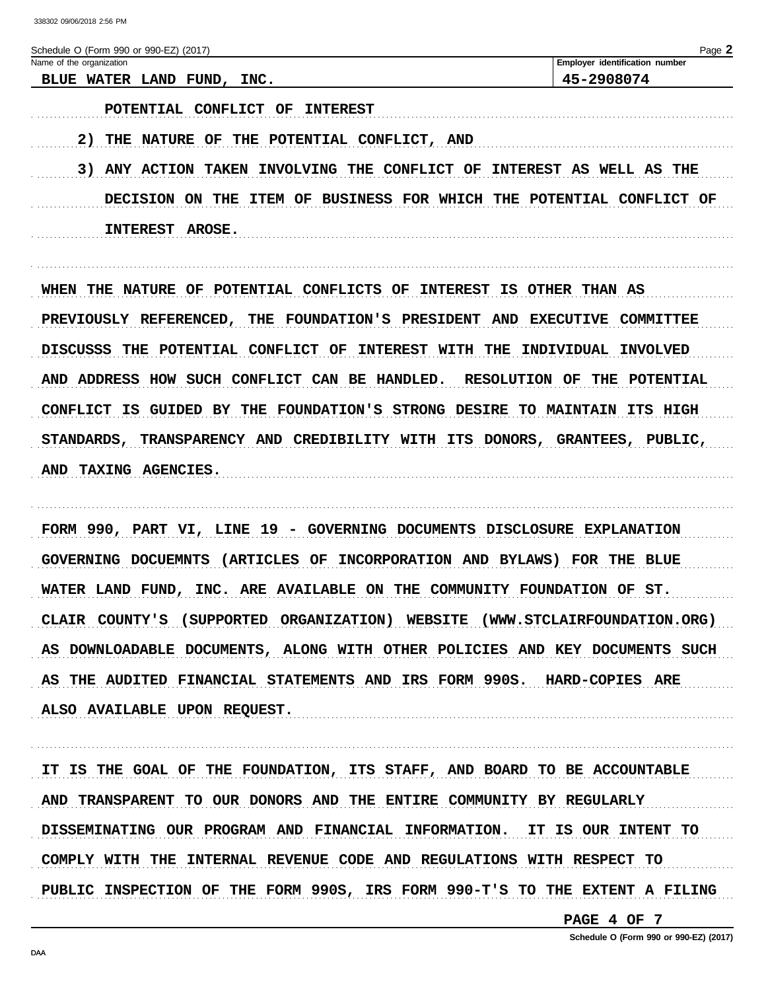| Schedule O (Form 990 or 990-EZ) (2017)                                               | Page 2                                             |
|--------------------------------------------------------------------------------------|----------------------------------------------------|
| Name of the organization                                                             | Employer identification number                     |
| BLUE WATER LAND FUND, INC.                                                           | 45-2908074                                         |
| POTENTIAL CONFLICT<br>OF<br><b>INTEREST</b>                                          |                                                    |
| 2) THE NATURE OF THE POTENTIAL CONFLICT, AND                                         |                                                    |
| 3) ANY ACTION TAKEN INVOLVING THE CONFLICT OF                                        | INTEREST AS WELL AS THE                            |
| <b>DECISION</b><br><b>THE</b><br><b>BUSINESS FOR WHICH</b><br>ON.<br>ITEM<br>OF      | THE<br><b>POTENTIAL</b><br>CONFLICT OF             |
| INTEREST AROSE.                                                                      |                                                    |
|                                                                                      |                                                    |
| OF POTENTIAL CONFLICTS OF<br>WHEN<br>THE<br><b>NATURE</b>                            | INTEREST IS OTHER THAN AS                          |
| PREVIOUSLY REFERENCED, THE FOUNDATION'S PRESIDENT AND                                | <b>EXECUTIVE</b><br>COMMITTEE                      |
| <b>DISCUSSS</b><br>POTENTIAL CONFLICT<br>THE<br>OF<br><b>INTEREST</b><br><b>WITH</b> | THE<br>INDIVIDUAL<br><b>INVOLVED</b>               |
| AND ADDRESS HOW SUCH CONFLICT CAN BE HANDLED.                                        | <b>RESOLUTION</b><br>OF<br><b>POTENTIAL</b><br>THE |
|                                                                                      |                                                    |

CONFLICT IS GUIDED BY THE FOUNDATION'S STRONG DESIRE TO MAINTAIN ITS HIGH STANDARDS, TRANSPARENCY AND CREDIBILITY WITH ITS DONORS, GRANTEES, PUBLIC, AND TAXING AGENCIES.

FORM 990, PART VI, LINE 19 - GOVERNING DOCUMENTS DISCLOSURE EXPLANATION GOVERNING DOCUEMNTS (ARTICLES OF INCORPORATION AND BYLAWS) FOR THE BLUE WATER LAND FUND, INC. ARE AVAILABLE ON THE COMMUNITY FOUNDATION OF ST. CLAIR COUNTY'S (SUPPORTED ORGANIZATION) WEBSITE (WWW.STCLAIRFOUNDATION.ORG) AS DOWNLOADABLE DOCUMENTS, ALONG WITH OTHER POLICIES AND KEY DOCUMENTS SUCH AS THE AUDITED FINANCIAL STATEMENTS AND IRS FORM 990S. HARD-COPIES ARE ALSO AVAILABLE UPON REQUEST.

IT IS THE GOAL OF THE FOUNDATION, ITS STAFF, AND BOARD TO BE ACCOUNTABLE AND TRANSPARENT TO OUR DONORS AND THE ENTIRE COMMUNITY BY REGULARLY DISSEMINATING OUR PROGRAM AND FINANCIAL INFORMATION. IT IS OUR INTENT TO COMPLY WITH THE INTERNAL REVENUE CODE AND REGULATIONS WITH RESPECT TO PUBLIC INSPECTION OF THE FORM 990S, IRS FORM 990-T'S TO THE EXTENT A FILING

PAGE 4 OF 7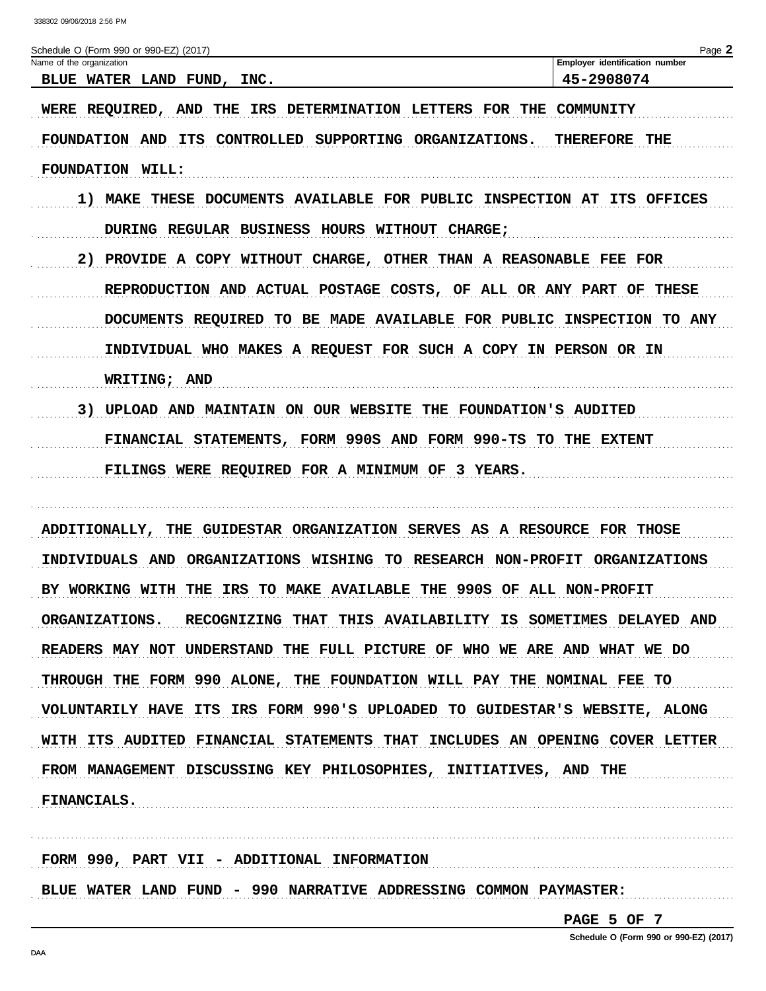| Schedule O (Form 990 or 990-EZ) (2017)<br>Name of the organization                | Page 2<br>Employer identification number |
|-----------------------------------------------------------------------------------|------------------------------------------|
| BLUE WATER LAND FUND, INC.                                                        | 45-2908074                               |
| WERE REQUIRED, AND THE IRS DETERMINATION LETTERS<br><b>FOR THE</b>                | COMMUNITY                                |
| FOUNDATION AND<br>ITS<br>CONTROLLED SUPPORTING ORGANIZATIONS.                     | <b>THEREFORE</b><br>THE                  |
| <b>FOUNDATION WILL:</b>                                                           |                                          |
| THESE DOCUMENTS AVAILABLE FOR PUBLIC INSPECTION AT ITS OFFICES<br>1) MAKE         |                                          |
| DURING REGULAR BUSINESS HOURS WITHOUT CHARGE;                                     |                                          |
| PROVIDE A COPY WITHOUT CHARGE, OTHER THAN A REASONABLE FEE FOR<br>2)              |                                          |
| REPRODUCTION AND ACTUAL POSTAGE COSTS, OF ALL OR ANY PART OF                      | <b>THESE</b>                             |
| DOCUMENTS REQUIRED TO BE MADE AVAILABLE FOR PUBLIC INSPECTION TO ANY              |                                          |
| INDIVIDUAL WHO MAKES A REQUEST FOR SUCH A COPY IN PERSON OR IN                    |                                          |
| WRITING; AND                                                                      |                                          |
| 3) UPLOAD AND MAINTAIN ON OUR WEBSITE THE FOUNDATION'S AUDITED                    |                                          |
| FINANCIAL STATEMENTS, FORM 990S AND FORM 990-TS TO THE EXTENT                     |                                          |
| FILINGS WERE REQUIRED FOR A MINIMUM OF 3 YEARS.                                   |                                          |
|                                                                                   |                                          |
| THE GUIDESTAR ORGANIZATION SERVES AS A RESOURCE FOR THOSE<br><b>ADDITIONALLY,</b> |                                          |
| INDIVIDUALS AND ORGANIZATIONS WISHING TO RESEARCH NON-PROFIT                      | <b>ORGANIZATIONS</b>                     |
| BY WORKING WITH THE IRS TO MAKE AVAILABLE THE 990S OF ALL NON-PROFIT              |                                          |
| ORGANIZATIONS. RECOGNIZING THAT THIS AVAILABILITY IS SOMETIMES DELAYED AND        |                                          |
| READERS MAY NOT UNDERSTAND THE FULL PICTURE OF WHO WE ARE AND WHAT WE DO          |                                          |
| THROUGH THE FORM 990 ALONE, THE FOUNDATION WILL PAY THE NOMINAL FEE TO            |                                          |
| VOLUNTARILY HAVE ITS IRS FORM 990'S UPLOADED TO GUIDESTAR'S WEBSITE, ALONG        |                                          |
| WITH ITS AUDITED FINANCIAL STATEMENTS THAT INCLUDES AN OPENING COVER LETTER       |                                          |
| FROM MANAGEMENT DISCUSSING KEY PHILOSOPHIES, INITIATIVES, AND THE                 |                                          |
| FINANCIALS.                                                                       |                                          |
|                                                                                   |                                          |
| FORM 990, PART VII - ADDITIONAL INFORMATION                                       |                                          |
|                                                                                   |                                          |

BLUE WATER LAND FUND - 990 NARRATIVE ADDRESSING COMMON PAYMASTER:

PAGE 5 OF 7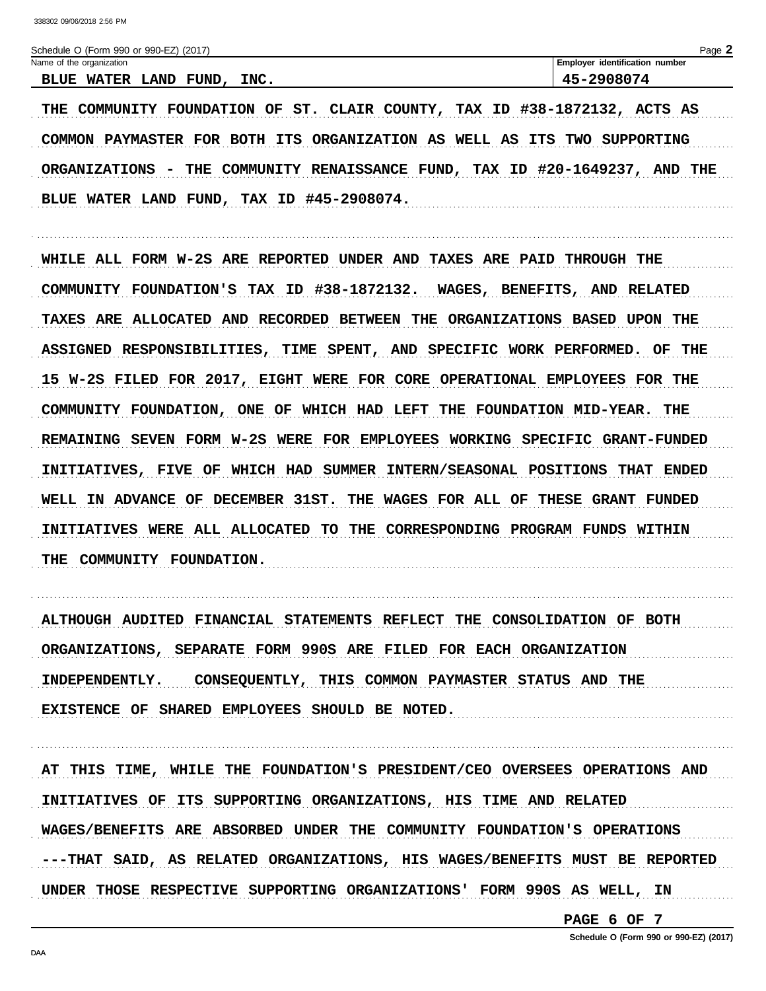Schedule O (Form 990 or 990-EZ) (2017) Name of the organization Employer identification number 45-2908074 BLUE WATER LAND FUND, INC. THE COMMUNITY FOUNDATION OF ST. CLAIR COUNTY, TAX ID #38-1872132, ACTS AS

COMMON PAYMASTER FOR BOTH ITS ORGANIZATION AS WELL AS ITS TWO SUPPORTING ORGANIZATIONS - THE COMMUNITY RENAISSANCE FUND, TAX ID #20-1649237, AND THE BLUE WATER LAND FUND, TAX ID #45-2908074.

WHILE ALL FORM W-2S ARE REPORTED UNDER AND TAXES ARE PAID THROUGH THE COMMUNITY FOUNDATION'S TAX ID #38-1872132. WAGES, BENEFITS, AND RELATED TAXES ARE ALLOCATED AND RECORDED BETWEEN THE ORGANIZATIONS BASED UPON THE ASSIGNED RESPONSIBILITIES, TIME SPENT, AND SPECIFIC WORK PERFORMED. OF THE 15 W-2S FILED FOR 2017, EIGHT WERE FOR CORE OPERATIONAL EMPLOYEES FOR THE COMMUNITY FOUNDATION, ONE OF WHICH HAD LEFT THE FOUNDATION MID-YEAR. THE REMAINING SEVEN FORM W-2S WERE FOR EMPLOYEES WORKING SPECIFIC GRANT-FUNDED INITIATIVES, FIVE OF WHICH HAD SUMMER INTERN/SEASONAL POSITIONS THAT ENDED WELL IN ADVANCE OF DECEMBER 31ST. THE WAGES FOR ALL OF THESE GRANT FUNDED INITIATIVES WERE ALL ALLOCATED TO THE CORRESPONDING PROGRAM FUNDS WITHIN THE COMMUNITY FOUNDATION.

ALTHOUGH AUDITED FINANCIAL STATEMENTS REFLECT THE CONSOLIDATION OF BOTH ORGANIZATIONS, SEPARATE FORM 990S ARE FILED FOR EACH ORGANIZATION INDEPENDENTLY. CONSEQUENTLY, THIS COMMON PAYMASTER STATUS AND THE EXISTENCE OF SHARED EMPLOYEES SHOULD BE NOTED.

AT THIS TIME, WHILE THE FOUNDATION'S PRESIDENT/CEO OVERSEES OPERATIONS AND INITIATIVES OF ITS SUPPORTING ORGANIZATIONS, HIS TIME AND RELATED WAGES/BENEFITS ARE ABSORBED UNDER THE COMMUNITY FOUNDATION'S OPERATIONS ---THAT SAID, AS RELATED ORGANIZATIONS, HIS WAGES/BENEFITS MUST BE REPORTED UNDER THOSE RESPECTIVE SUPPORTING ORGANIZATIONS' FORM 990S AS WELL, IN

PAGE 6 OF 7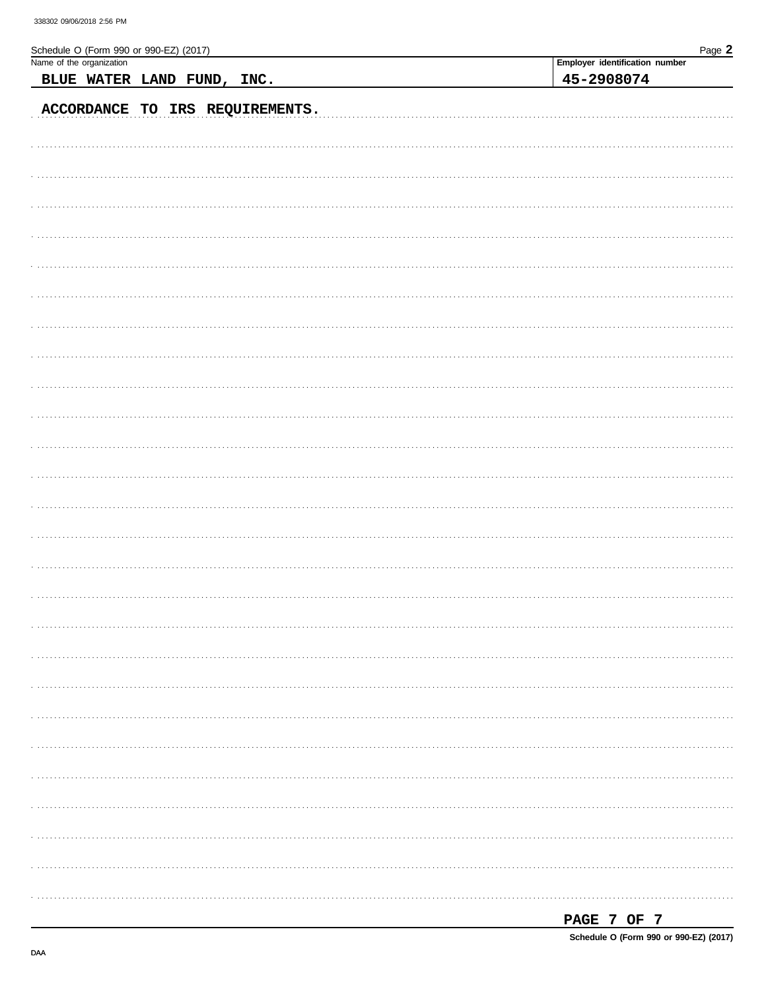| Schedule O (Form 990 or 990-EZ) (2017) | Page 2                         |
|----------------------------------------|--------------------------------|
| Name of the organization               | Employer identification number |
| BLUE WATER LAND FUND, INC.             | 45-2908074                     |
| ACCORDANCE TO IRS REQUIREMENTS.        |                                |
|                                        |                                |
|                                        |                                |
|                                        |                                |
|                                        |                                |
|                                        |                                |
|                                        |                                |
|                                        |                                |
|                                        |                                |
|                                        |                                |
|                                        |                                |
|                                        |                                |
|                                        |                                |
|                                        |                                |
|                                        |                                |
|                                        |                                |
|                                        |                                |
|                                        |                                |
|                                        |                                |
|                                        |                                |
|                                        |                                |
|                                        |                                |
|                                        |                                |
|                                        |                                |
|                                        |                                |
|                                        |                                |
|                                        |                                |
|                                        |                                |

| PAGE |  |  |  |  |
|------|--|--|--|--|
|------|--|--|--|--|

Schedule O (Form 990 or 990-EZ) (2017)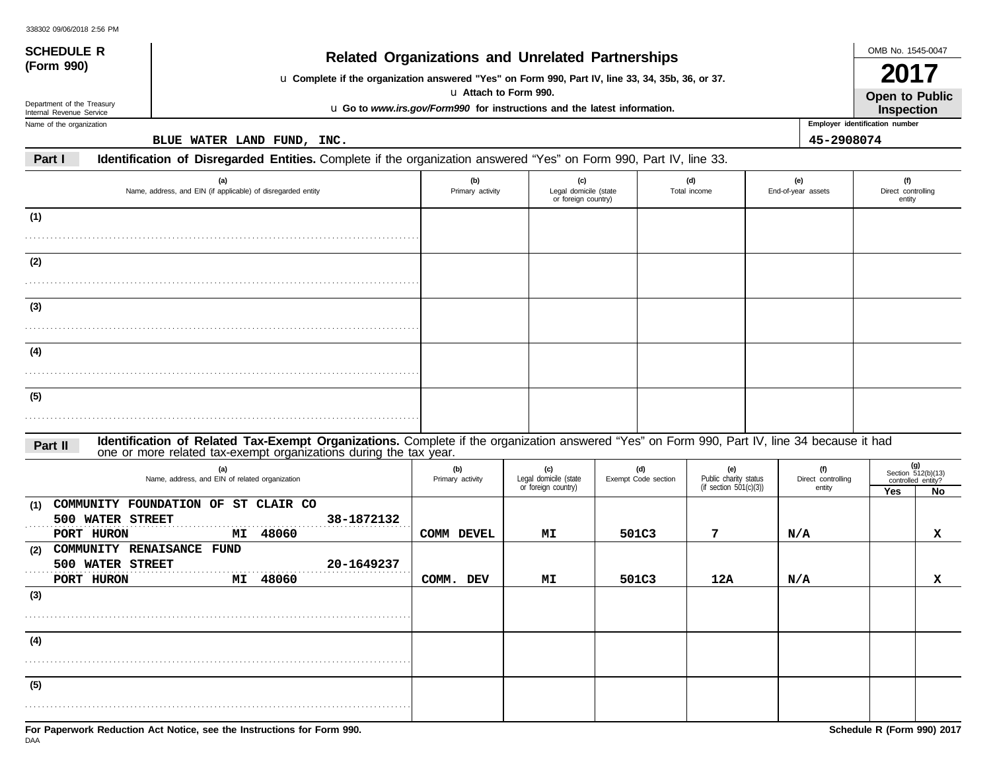| <b>SCHEDULE R</b>                                      |                                                                                                                                                                                                                   | <b>Related Organizations and Unrelated Partnerships</b>                  |                                                     |                            |                              |                           |                           | OMB No. 1545-0047                        |     |
|--------------------------------------------------------|-------------------------------------------------------------------------------------------------------------------------------------------------------------------------------------------------------------------|--------------------------------------------------------------------------|-----------------------------------------------------|----------------------------|------------------------------|---------------------------|---------------------------|------------------------------------------|-----|
| (Form 990)                                             | u Complete if the organization answered "Yes" on Form 990, Part IV, line 33, 34, 35b, 36, or 37.                                                                                                                  | u Attach to Form 990.                                                    |                                                     |                            |                              |                           |                           | 20<br><b>Open to Public</b>              |     |
| Department of the Treasury<br>Internal Revenue Service |                                                                                                                                                                                                                   | u Go to www.irs.gov/Form990 for instructions and the latest information. |                                                     |                            |                              |                           |                           | Inspection                               |     |
| Name of the organization                               |                                                                                                                                                                                                                   |                                                                          |                                                     |                            |                              |                           |                           | Employer identification number           |     |
| Part I                                                 | BLUE WATER LAND FUND, INC.<br>Identification of Disregarded Entities. Complete if the organization answered "Yes" on Form 990, Part IV, line 33.                                                                  |                                                                          |                                                     |                            |                              |                           | 45-2908074                |                                          |     |
|                                                        |                                                                                                                                                                                                                   |                                                                          |                                                     |                            |                              |                           |                           |                                          |     |
|                                                        | (a)<br>Name, address, and EIN (if applicable) of disregarded entity                                                                                                                                               | (b)<br>Primary activity                                                  | (c)<br>Legal domicile (state<br>or foreign country) |                            | (d)<br>Total income          | (e)<br>End-of-year assets |                           | (f)<br>Direct controlling<br>entity      |     |
| (1)                                                    |                                                                                                                                                                                                                   |                                                                          |                                                     |                            |                              |                           |                           |                                          |     |
|                                                        |                                                                                                                                                                                                                   |                                                                          |                                                     |                            |                              |                           |                           |                                          |     |
| (2)                                                    |                                                                                                                                                                                                                   |                                                                          |                                                     |                            |                              |                           |                           |                                          |     |
|                                                        |                                                                                                                                                                                                                   |                                                                          |                                                     |                            |                              |                           |                           |                                          |     |
|                                                        |                                                                                                                                                                                                                   |                                                                          |                                                     |                            |                              |                           |                           |                                          |     |
| (3)                                                    |                                                                                                                                                                                                                   |                                                                          |                                                     |                            |                              |                           |                           |                                          |     |
|                                                        |                                                                                                                                                                                                                   |                                                                          |                                                     |                            |                              |                           |                           |                                          |     |
| (4)                                                    |                                                                                                                                                                                                                   |                                                                          |                                                     |                            |                              |                           |                           |                                          |     |
|                                                        |                                                                                                                                                                                                                   |                                                                          |                                                     |                            |                              |                           |                           |                                          |     |
| (5)                                                    |                                                                                                                                                                                                                   |                                                                          |                                                     |                            |                              |                           |                           |                                          |     |
|                                                        |                                                                                                                                                                                                                   |                                                                          |                                                     |                            |                              |                           |                           |                                          |     |
| Part II                                                | Identification of Related Tax-Exempt Organizations. Complete if the organization answered "Yes" on Form 990, Part IV, line 34 because it had<br>one or more related tax-exempt organizations during the tax year. |                                                                          |                                                     |                            |                              |                           |                           |                                          |     |
|                                                        | (a)<br>Name, address, and EIN of related organization                                                                                                                                                             | (b)<br>Primary activity                                                  | (c)<br>Legal domicile (state                        | (d)<br>Exempt Code section | (e)<br>Public charity status |                           | (f)<br>Direct controlling | Section 512(b)(13)<br>controlled entity? | (g) |
|                                                        |                                                                                                                                                                                                                   |                                                                          | or foreign country)                                 |                            | (if section $501(c)(3)$ )    |                           | entity                    | Yes                                      | No  |
| (1)                                                    | COMMUNITY FOUNDATION OF ST CLAIR CO                                                                                                                                                                               |                                                                          |                                                     |                            |                              |                           |                           |                                          |     |
| PORT HURON                                             | 500 WATER STREET<br>38-1872132<br>48060<br>МI                                                                                                                                                                     | COMM DEVEL                                                               | MI                                                  | 501C3                      | 7                            | N/A                       |                           |                                          | x   |
| (2)                                                    | COMMUNITY RENAISANCE FUND                                                                                                                                                                                         |                                                                          |                                                     |                            |                              |                           |                           |                                          |     |
|                                                        | 500 WATER STREET<br>20-1649237                                                                                                                                                                                    |                                                                          |                                                     |                            |                              |                           |                           |                                          |     |
| PORT HURON<br>(3)                                      | 48060<br>МI                                                                                                                                                                                                       | COMM. DEV                                                                | МI                                                  | 501C3                      | 12A                          | N/A                       |                           |                                          | x   |
|                                                        |                                                                                                                                                                                                                   |                                                                          |                                                     |                            |                              |                           |                           |                                          |     |
|                                                        |                                                                                                                                                                                                                   |                                                                          |                                                     |                            |                              |                           |                           |                                          |     |
| (4)                                                    |                                                                                                                                                                                                                   |                                                                          |                                                     |                            |                              |                           |                           |                                          |     |
|                                                        |                                                                                                                                                                                                                   |                                                                          |                                                     |                            |                              |                           |                           |                                          |     |
| (5)                                                    |                                                                                                                                                                                                                   |                                                                          |                                                     |                            |                              |                           |                           |                                          |     |
|                                                        |                                                                                                                                                                                                                   |                                                                          |                                                     |                            |                              |                           |                           |                                          |     |
|                                                        |                                                                                                                                                                                                                   |                                                                          |                                                     |                            |                              |                           |                           |                                          |     |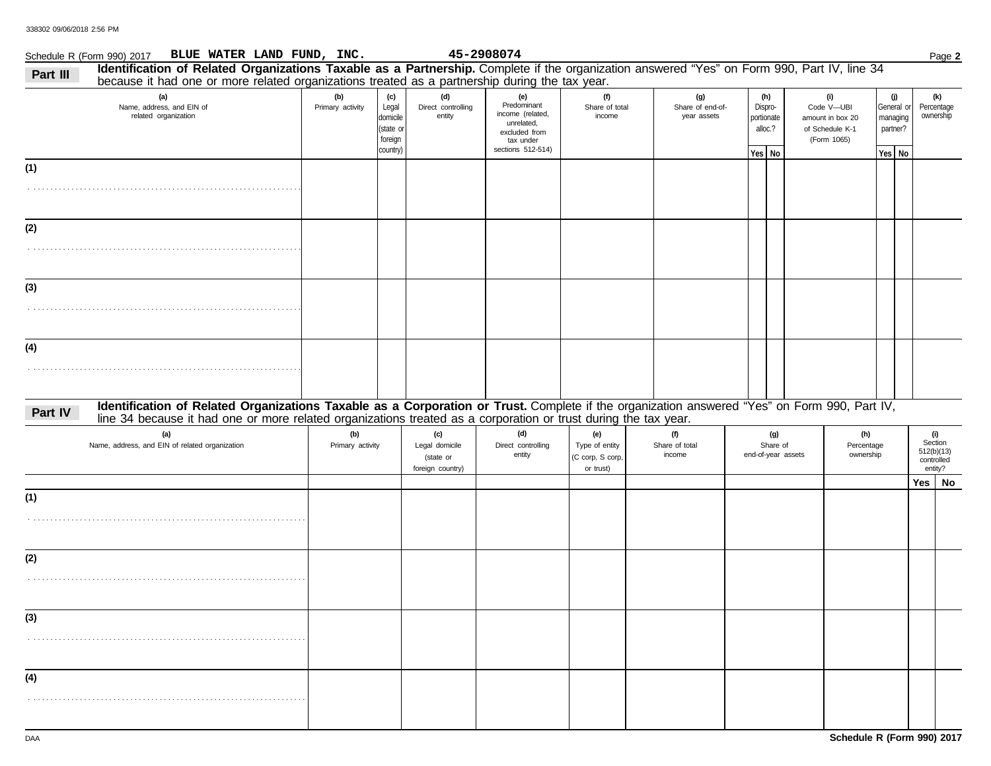|          | Schedule R (Form 990) 2017 BLUE WATER LAND FUND, INC.                                                                                                                                                                                                           |                         |                                                             |                                                        | 45-2908074                                                                                              |                                                        |                                        |                                                   |                                                                         |                             |                        | Page 2                                                |  |
|----------|-----------------------------------------------------------------------------------------------------------------------------------------------------------------------------------------------------------------------------------------------------------------|-------------------------|-------------------------------------------------------------|--------------------------------------------------------|---------------------------------------------------------------------------------------------------------|--------------------------------------------------------|----------------------------------------|---------------------------------------------------|-------------------------------------------------------------------------|-----------------------------|------------------------|-------------------------------------------------------|--|
| Part III | Identification of Related Organizations Taxable as a Partnership. Complete if the organization answered "Yes" on Form 990, Part IV, line 34<br>because it had one or more related organizations treated as a partnership during the tax year.                   |                         |                                                             |                                                        |                                                                                                         |                                                        |                                        |                                                   |                                                                         |                             |                        |                                                       |  |
|          | (a)<br>Name, address, and EIN of<br>related organization                                                                                                                                                                                                        | (b)<br>Primary activity | (c)<br>Legal<br>domicile<br>state or<br>foreign<br>country) | (d)<br>Direct controlling<br>entity                    | (e)<br>Predominant<br>income (related,<br>unrelated,<br>excluded from<br>tax under<br>sections 512-514) | (f)<br>Share of total<br>income                        | (g)<br>Share of end-of-<br>year assets | (h)<br>Dispro-<br>portionate<br>alloc.?<br>Yes No | (i)<br>Code V-UBI<br>amount in box 20<br>of Schedule K-1<br>(Form 1065) | (j)<br>partner?<br>$Yes$ No | General or<br>managing | (k)<br>Percentage<br>ownership                        |  |
| (1)      |                                                                                                                                                                                                                                                                 |                         |                                                             |                                                        |                                                                                                         |                                                        |                                        |                                                   |                                                                         |                             |                        |                                                       |  |
| (2)      |                                                                                                                                                                                                                                                                 |                         |                                                             |                                                        |                                                                                                         |                                                        |                                        |                                                   |                                                                         |                             |                        |                                                       |  |
| (3)      |                                                                                                                                                                                                                                                                 |                         |                                                             |                                                        |                                                                                                         |                                                        |                                        |                                                   |                                                                         |                             |                        |                                                       |  |
| (4)      |                                                                                                                                                                                                                                                                 |                         |                                                             |                                                        |                                                                                                         |                                                        |                                        |                                                   |                                                                         |                             |                        |                                                       |  |
| Part IV  | Identification of Related Organizations Taxable as a Corporation or Trust. Complete if the organization answered "Yes" on Form 990, Part IV,<br>line 34 because it had one or more related organizations treated as a corporation or trust during the tax year. |                         |                                                             |                                                        |                                                                                                         |                                                        |                                        |                                                   |                                                                         |                             |                        |                                                       |  |
|          | (a)<br>Name, address, and EIN of related organization                                                                                                                                                                                                           | (b)<br>Primary activity |                                                             | (c)<br>Legal domicile<br>(state or<br>foreign country) | (d)<br>Direct controlling<br>entity                                                                     | (e)<br>Type of entity<br>(C corp, S corp,<br>or trust) | (f)<br>Share of total<br>income        | (g)<br>Share of<br>end-of-year assets             | (h)<br>Percentage<br>ownership                                          |                             |                        | (i)<br>Section<br>512(b)(13)<br>controlled<br>entity? |  |
| (1)      |                                                                                                                                                                                                                                                                 |                         |                                                             |                                                        |                                                                                                         |                                                        |                                        |                                                   |                                                                         |                             |                        | Yes   No                                              |  |
| (2)      |                                                                                                                                                                                                                                                                 |                         |                                                             |                                                        |                                                                                                         |                                                        |                                        |                                                   |                                                                         |                             |                        |                                                       |  |
| (3)      |                                                                                                                                                                                                                                                                 |                         |                                                             |                                                        |                                                                                                         |                                                        |                                        |                                                   |                                                                         |                             |                        |                                                       |  |
| (4)      |                                                                                                                                                                                                                                                                 |                         |                                                             |                                                        |                                                                                                         |                                                        |                                        |                                                   |                                                                         |                             |                        |                                                       |  |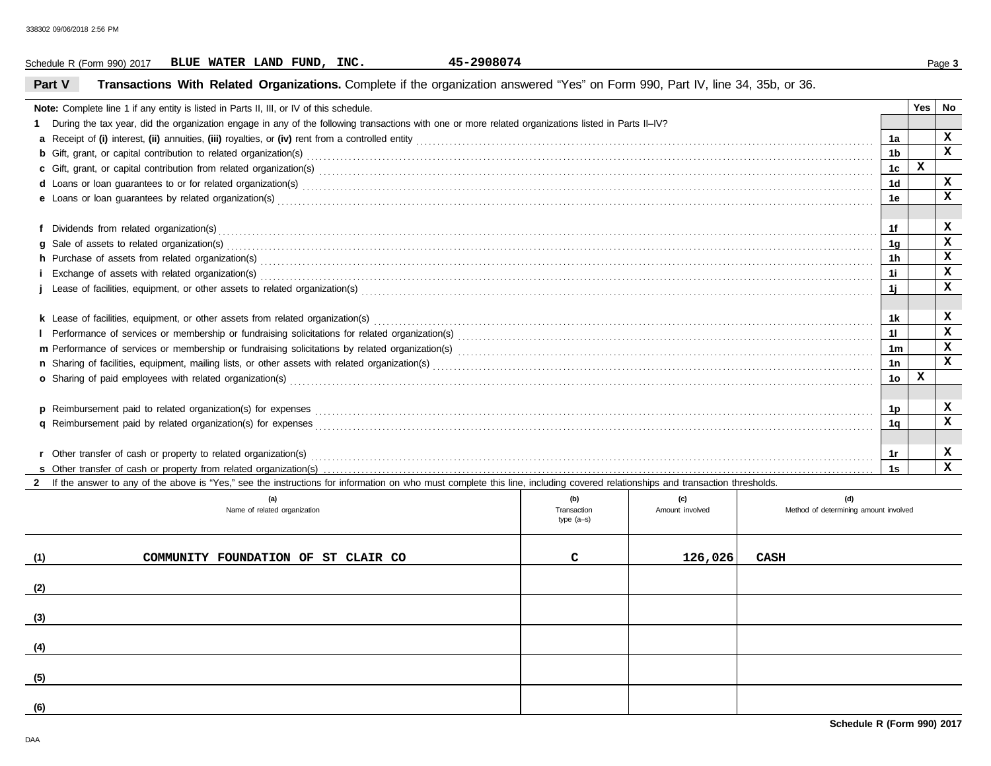|        | Schedule R (Form 990) 2017                                                                                                                                                                                                          |  |  |     | BLUE WATER LAND FUND, INC.          |  |  |  |  | 45-2908074 |  |                           |  |                 |         |      |  |                                       |                |     | Page 3       |
|--------|-------------------------------------------------------------------------------------------------------------------------------------------------------------------------------------------------------------------------------------|--|--|-----|-------------------------------------|--|--|--|--|------------|--|---------------------------|--|-----------------|---------|------|--|---------------------------------------|----------------|-----|--------------|
| Part V | Transactions With Related Organizations. Complete if the organization answered "Yes" on Form 990, Part IV, line 34, 35b, or 36.                                                                                                     |  |  |     |                                     |  |  |  |  |            |  |                           |  |                 |         |      |  |                                       |                |     |              |
|        | Note: Complete line 1 if any entity is listed in Parts II, III, or IV of this schedule.                                                                                                                                             |  |  |     |                                     |  |  |  |  |            |  |                           |  |                 |         |      |  |                                       |                | Yes | No           |
|        | 1 During the tax year, did the organization engage in any of the following transactions with one or more related organizations listed in Parts II-IV?                                                                               |  |  |     |                                     |  |  |  |  |            |  |                           |  |                 |         |      |  |                                       |                |     |              |
|        |                                                                                                                                                                                                                                     |  |  |     |                                     |  |  |  |  |            |  |                           |  |                 |         |      |  |                                       | 1a             |     | x            |
|        | <b>b</b> Gift, grant, or capital contribution to related organization(s) encourse contained and contained and contribution to related organization(s) encourse contained and contained and contained and contained and contained an |  |  |     |                                     |  |  |  |  |            |  |                           |  |                 |         |      |  |                                       | 1 <sub>b</sub> |     | $\mathbf x$  |
|        |                                                                                                                                                                                                                                     |  |  |     |                                     |  |  |  |  |            |  |                           |  |                 |         |      |  |                                       | 1c             | x   |              |
|        | d Loans or loan guarantees to or for related organization(s) encourance contained and contained and contained and contained and contained and contained and contained and contained and contained and contained and contained       |  |  |     |                                     |  |  |  |  |            |  |                           |  |                 |         |      |  |                                       | 1 <sub>d</sub> |     | x            |
|        | e Loans or loan guarantees by related organization(s) encourance contained and contained and contained and contained and contained and contained and contained and contained and contained and contained and contained and con      |  |  |     |                                     |  |  |  |  |            |  |                           |  |                 |         |      |  |                                       | 1e             |     | x            |
|        |                                                                                                                                                                                                                                     |  |  |     |                                     |  |  |  |  |            |  |                           |  |                 |         |      |  |                                       | 1f             |     | x            |
|        |                                                                                                                                                                                                                                     |  |  |     |                                     |  |  |  |  |            |  |                           |  |                 |         |      |  |                                       | 1 <sub>g</sub> |     | x            |
|        | h Purchase of assets from related organization(s) encourance contains and contains a container and container and container and container and container and container and container and container and container and container a      |  |  |     |                                     |  |  |  |  |            |  |                           |  |                 |         |      |  |                                       | 1 <sub>h</sub> |     | x            |
|        |                                                                                                                                                                                                                                     |  |  |     |                                     |  |  |  |  |            |  |                           |  |                 |         |      |  |                                       | 11             |     | x            |
|        | Lease of facilities, equipment, or other assets to related organization(s) enconverse contains an experience contains a container and facilities, equipment, or other assets to related organization(s)                             |  |  |     |                                     |  |  |  |  |            |  |                           |  |                 |         |      |  |                                       | 1j             |     | x            |
|        |                                                                                                                                                                                                                                     |  |  |     |                                     |  |  |  |  |            |  |                           |  |                 |         |      |  |                                       |                |     |              |
|        |                                                                                                                                                                                                                                     |  |  |     |                                     |  |  |  |  |            |  |                           |  |                 |         |      |  |                                       | 1k             |     | x            |
|        |                                                                                                                                                                                                                                     |  |  |     |                                     |  |  |  |  |            |  |                           |  |                 |         |      |  |                                       | 11             |     | x            |
|        |                                                                                                                                                                                                                                     |  |  |     |                                     |  |  |  |  |            |  |                           |  |                 |         |      |  |                                       | 1 <sub>m</sub> |     | x            |
|        |                                                                                                                                                                                                                                     |  |  |     |                                     |  |  |  |  |            |  |                           |  |                 |         |      |  |                                       | 1n             |     | x            |
|        |                                                                                                                                                                                                                                     |  |  |     |                                     |  |  |  |  |            |  |                           |  |                 |         |      |  |                                       | 1 <sub>o</sub> | x   |              |
|        |                                                                                                                                                                                                                                     |  |  |     |                                     |  |  |  |  |            |  |                           |  |                 |         |      |  |                                       |                |     |              |
|        | p Reimbursement paid to related organization(s) for expenses <b>construction and construction and construction</b> construction and a report of the construction of the construction of the construction of the construction of the |  |  |     |                                     |  |  |  |  |            |  |                           |  |                 |         |      |  |                                       | 1p             |     | x            |
|        |                                                                                                                                                                                                                                     |  |  |     |                                     |  |  |  |  |            |  |                           |  |                 |         |      |  |                                       | 1 <sub>q</sub> |     | x            |
|        |                                                                                                                                                                                                                                     |  |  |     |                                     |  |  |  |  |            |  |                           |  |                 |         |      |  |                                       |                |     |              |
|        |                                                                                                                                                                                                                                     |  |  |     |                                     |  |  |  |  |            |  |                           |  |                 |         |      |  |                                       | 1r             |     | x            |
|        |                                                                                                                                                                                                                                     |  |  |     |                                     |  |  |  |  |            |  |                           |  |                 |         |      |  |                                       | 1s             |     | $\mathbf{x}$ |
|        | If the answer to any of the above is "Yes," see the instructions for information on who must complete this line, including covered relationships and transaction thresholds.                                                        |  |  |     |                                     |  |  |  |  |            |  |                           |  |                 |         |      |  |                                       |                |     |              |
|        |                                                                                                                                                                                                                                     |  |  | (a) |                                     |  |  |  |  |            |  | (b)                       |  | (c)             |         |      |  | (d)                                   |                |     |              |
|        |                                                                                                                                                                                                                                     |  |  |     | Name of related organization        |  |  |  |  |            |  | Transaction<br>type (a-s) |  | Amount involved |         |      |  | Method of determining amount involved |                |     |              |
| (1)    |                                                                                                                                                                                                                                     |  |  |     | COMMUNITY FOUNDATION OF ST CLAIR CO |  |  |  |  |            |  | C                         |  |                 | 126,026 | CASH |  |                                       |                |     |              |
| (2)    |                                                                                                                                                                                                                                     |  |  |     |                                     |  |  |  |  |            |  |                           |  |                 |         |      |  |                                       |                |     |              |
| (3)    |                                                                                                                                                                                                                                     |  |  |     |                                     |  |  |  |  |            |  |                           |  |                 |         |      |  |                                       |                |     |              |
| (4)    |                                                                                                                                                                                                                                     |  |  |     |                                     |  |  |  |  |            |  |                           |  |                 |         |      |  |                                       |                |     |              |
| (5)    |                                                                                                                                                                                                                                     |  |  |     |                                     |  |  |  |  |            |  |                           |  |                 |         |      |  |                                       |                |     |              |
|        |                                                                                                                                                                                                                                     |  |  |     |                                     |  |  |  |  |            |  |                           |  |                 |         |      |  |                                       |                |     |              |
| (6)    |                                                                                                                                                                                                                                     |  |  |     |                                     |  |  |  |  |            |  |                           |  |                 |         |      |  |                                       |                |     |              |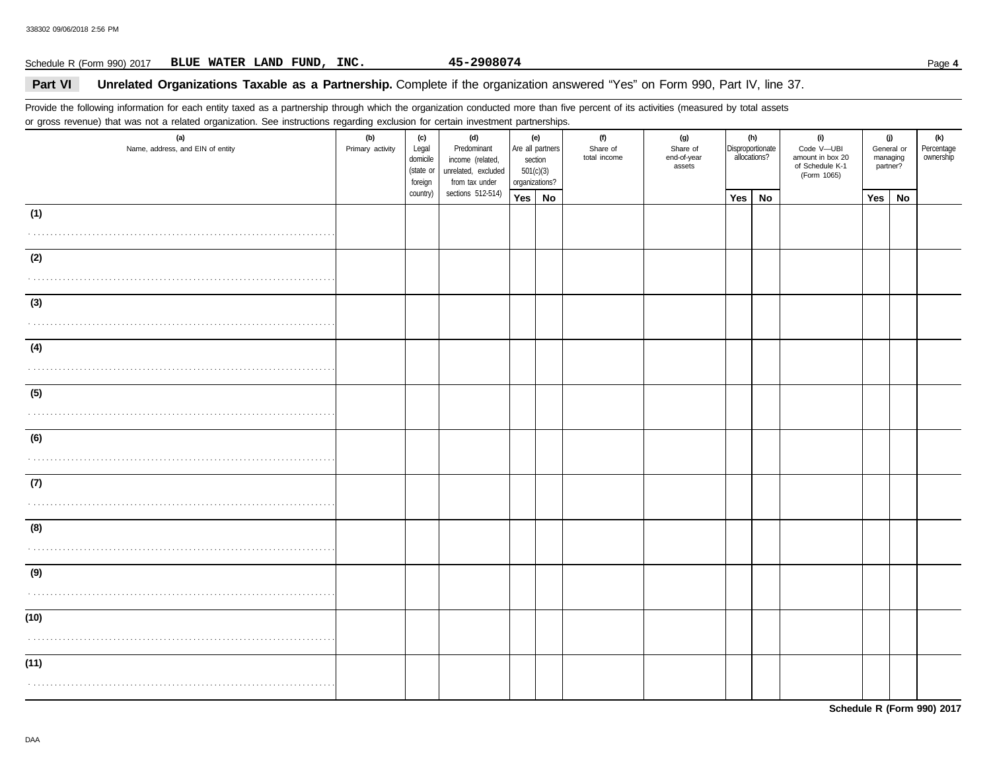### Schedule R (Form 990) 2017 Page **4 BLUE WATER LAND FUND, INC. 45-2908074**

### **Part VI** Unrelated Organizations Taxable as a Partnership. Complete if the organization answered "Yes" on Form 990, Part IV, line 37.

Provide the following information for each entity taxed as a partnership through which the organization conducted more than five percent of its activities (measured by total assets or gross revenue) that was not a related organization. See instructions regarding exclusion for certain investment partnerships.

| (a)<br>Name, address, and EIN of entity | (b)<br>Primary activity | (c)<br>Legal<br>domicile<br>(state or<br>foreign | (d)<br>Predominant<br>income (related,<br>unrelated, excluded<br>from tax under | (e)<br>Are all partners<br>section<br>501(c)(3)<br>organizations? |    | (f)<br>Share of<br>total income | (g)<br>Share of<br>end-of-year<br>assets | Disproportionate<br>allocations? | (h)       | (i)<br>Code V-UBI<br>amount in box 20<br>of Schedule K-1<br>(Form 1065) | managing<br>partner? | (j)<br>General or | (k)<br>Percentage<br>ownership |
|-----------------------------------------|-------------------------|--------------------------------------------------|---------------------------------------------------------------------------------|-------------------------------------------------------------------|----|---------------------------------|------------------------------------------|----------------------------------|-----------|-------------------------------------------------------------------------|----------------------|-------------------|--------------------------------|
|                                         |                         | country)                                         | sections 512-514)                                                               | Yes                                                               | No |                                 |                                          | Yes                              | <b>No</b> |                                                                         | Yes                  | <b>No</b>         |                                |
| (1)                                     |                         |                                                  |                                                                                 |                                                                   |    |                                 |                                          |                                  |           |                                                                         |                      |                   |                                |
| (2)                                     |                         |                                                  |                                                                                 |                                                                   |    |                                 |                                          |                                  |           |                                                                         |                      |                   |                                |
| (3)                                     |                         |                                                  |                                                                                 |                                                                   |    |                                 |                                          |                                  |           |                                                                         |                      |                   |                                |
| (4)                                     |                         |                                                  |                                                                                 |                                                                   |    |                                 |                                          |                                  |           |                                                                         |                      |                   |                                |
| (5)                                     |                         |                                                  |                                                                                 |                                                                   |    |                                 |                                          |                                  |           |                                                                         |                      |                   |                                |
| (6)                                     |                         |                                                  |                                                                                 |                                                                   |    |                                 |                                          |                                  |           |                                                                         |                      |                   |                                |
| (7)                                     |                         |                                                  |                                                                                 |                                                                   |    |                                 |                                          |                                  |           |                                                                         |                      |                   |                                |
| (8)                                     |                         |                                                  |                                                                                 |                                                                   |    |                                 |                                          |                                  |           |                                                                         |                      |                   |                                |
| (9)                                     |                         |                                                  |                                                                                 |                                                                   |    |                                 |                                          |                                  |           |                                                                         |                      |                   |                                |
| (10)                                    |                         |                                                  |                                                                                 |                                                                   |    |                                 |                                          |                                  |           |                                                                         |                      |                   |                                |
| (11)                                    |                         |                                                  |                                                                                 |                                                                   |    |                                 |                                          |                                  |           |                                                                         |                      |                   |                                |

**Schedule R (Form 990) 2017**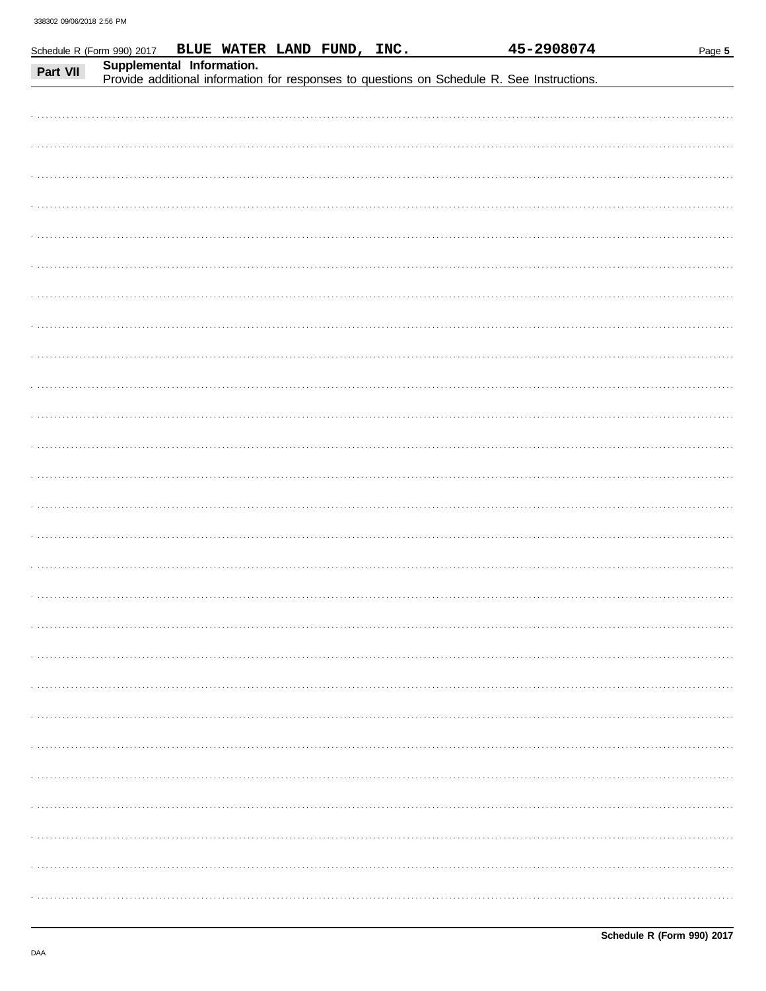| Supplemental Information.<br>Part VII<br>Provide additional information for responses to questions on Schedule R. See Instructions. | Schedule R (Form 990) 2017 | BLUE WATER LAND FUND, INC. |  | 45-2908074 | Page 5 |
|-------------------------------------------------------------------------------------------------------------------------------------|----------------------------|----------------------------|--|------------|--------|
|                                                                                                                                     |                            |                            |  |            |        |
|                                                                                                                                     |                            |                            |  |            |        |
|                                                                                                                                     |                            |                            |  |            |        |
|                                                                                                                                     |                            |                            |  |            |        |
|                                                                                                                                     |                            |                            |  |            |        |
|                                                                                                                                     |                            |                            |  |            |        |
|                                                                                                                                     |                            |                            |  |            |        |
|                                                                                                                                     |                            |                            |  |            |        |
|                                                                                                                                     |                            |                            |  |            |        |
|                                                                                                                                     |                            |                            |  |            |        |
|                                                                                                                                     |                            |                            |  |            |        |
|                                                                                                                                     |                            |                            |  |            |        |
|                                                                                                                                     |                            |                            |  |            |        |
|                                                                                                                                     |                            |                            |  |            |        |
|                                                                                                                                     |                            |                            |  |            |        |
|                                                                                                                                     |                            |                            |  |            |        |
|                                                                                                                                     |                            |                            |  |            |        |
|                                                                                                                                     |                            |                            |  |            |        |
|                                                                                                                                     |                            |                            |  |            |        |
|                                                                                                                                     |                            |                            |  |            |        |
|                                                                                                                                     |                            |                            |  |            |        |
|                                                                                                                                     |                            |                            |  |            |        |
|                                                                                                                                     |                            |                            |  |            |        |
|                                                                                                                                     |                            |                            |  |            |        |
|                                                                                                                                     |                            |                            |  |            |        |
|                                                                                                                                     |                            |                            |  |            |        |
|                                                                                                                                     |                            |                            |  |            |        |
|                                                                                                                                     |                            |                            |  |            |        |
|                                                                                                                                     |                            |                            |  |            |        |
|                                                                                                                                     |                            |                            |  |            |        |
|                                                                                                                                     |                            |                            |  |            |        |
|                                                                                                                                     |                            |                            |  |            |        |
|                                                                                                                                     |                            |                            |  |            |        |
|                                                                                                                                     |                            |                            |  |            |        |
|                                                                                                                                     |                            |                            |  |            |        |
|                                                                                                                                     |                            |                            |  |            |        |
|                                                                                                                                     |                            |                            |  |            |        |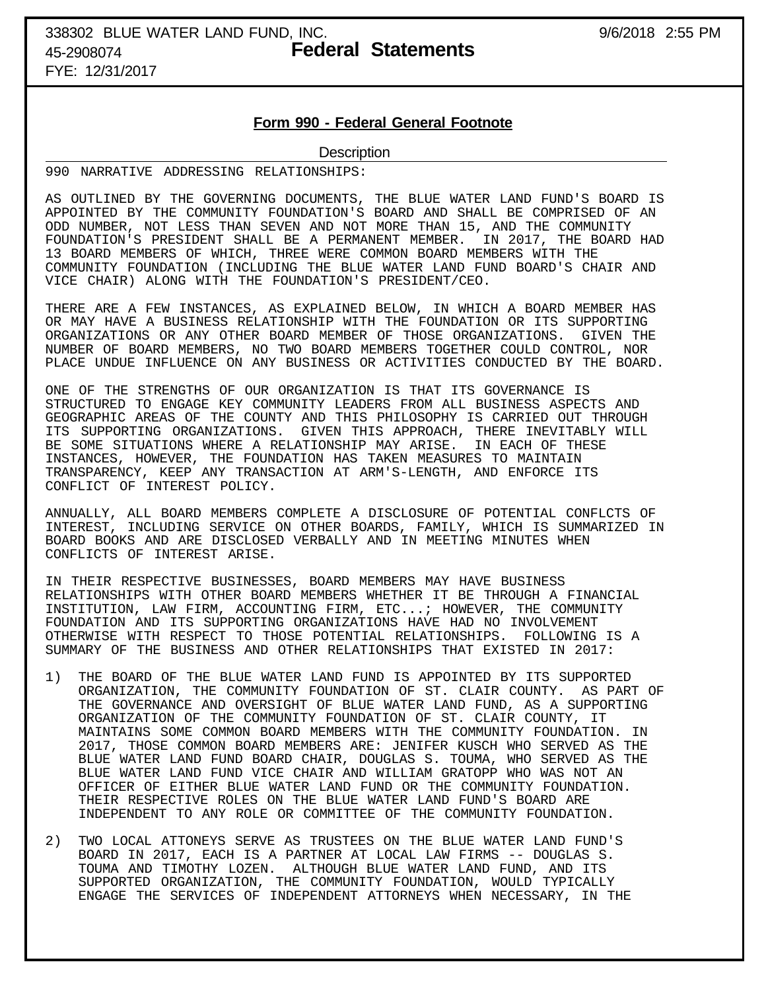# 338302 BLUE WATER LAND FUND, INC. 9/6/2018 2:55 PM 45-2908074 **Federal Statements**

FYE: 12/31/2017

## **Form 990 - Federal General Footnote**

### **Description**

990 NARRATIVE ADDRESSING RELATIONSHIPS:

AS OUTLINED BY THE GOVERNING DOCUMENTS, THE BLUE WATER LAND FUND'S BOARD IS APPOINTED BY THE COMMUNITY FOUNDATION'S BOARD AND SHALL BE COMPRISED OF AN ODD NUMBER, NOT LESS THAN SEVEN AND NOT MORE THAN 15, AND THE COMMUNITY FOUNDATION'S PRESIDENT SHALL BE A PERMANENT MEMBER. IN 2017, THE BOARD HAD 13 BOARD MEMBERS OF WHICH, THREE WERE COMMON BOARD MEMBERS WITH THE COMMUNITY FOUNDATION (INCLUDING THE BLUE WATER LAND FUND BOARD'S CHAIR AND VICE CHAIR) ALONG WITH THE FOUNDATION'S PRESIDENT/CEO.

THERE ARE A FEW INSTANCES, AS EXPLAINED BELOW, IN WHICH A BOARD MEMBER HAS OR MAY HAVE A BUSINESS RELATIONSHIP WITH THE FOUNDATION OR ITS SUPPORTING ORGANIZATIONS OR ANY OTHER BOARD MEMBER OF THOSE ORGANIZATIONS. GIVEN THE NUMBER OF BOARD MEMBERS, NO TWO BOARD MEMBERS TOGETHER COULD CONTROL, NOR PLACE UNDUE INFLUENCE ON ANY BUSINESS OR ACTIVITIES CONDUCTED BY THE BOARD.

ONE OF THE STRENGTHS OF OUR ORGANIZATION IS THAT ITS GOVERNANCE IS STRUCTURED TO ENGAGE KEY COMMUNITY LEADERS FROM ALL BUSINESS ASPECTS AND GEOGRAPHIC AREAS OF THE COUNTY AND THIS PHILOSOPHY IS CARRIED OUT THROUGH ITS SUPPORTING ORGANIZATIONS. GIVEN THIS APPROACH, THERE INEVITABLY WILL BE SOME SITUATIONS WHERE A RELATIONSHIP MAY ARISE. IN EACH OF THESE INSTANCES, HOWEVER, THE FOUNDATION HAS TAKEN MEASURES TO MAINTAIN TRANSPARENCY, KEEP ANY TRANSACTION AT ARM'S-LENGTH, AND ENFORCE ITS CONFLICT OF INTEREST POLICY.

ANNUALLY, ALL BOARD MEMBERS COMPLETE A DISCLOSURE OF POTENTIAL CONFLCTS OF INTEREST, INCLUDING SERVICE ON OTHER BOARDS, FAMILY, WHICH IS SUMMARIZED IN BOARD BOOKS AND ARE DISCLOSED VERBALLY AND IN MEETING MINUTES WHEN CONFLICTS OF INTEREST ARISE.

IN THEIR RESPECTIVE BUSINESSES, BOARD MEMBERS MAY HAVE BUSINESS RELATIONSHIPS WITH OTHER BOARD MEMBERS WHETHER IT BE THROUGH A FINANCIAL INSTITUTION, LAW FIRM, ACCOUNTING FIRM, ETC...; HOWEVER, THE COMMUNITY FOUNDATION AND ITS SUPPORTING ORGANIZATIONS HAVE HAD NO INVOLVEMENT OTHERWISE WITH RESPECT TO THOSE POTENTIAL RELATIONSHIPS. FOLLOWING IS A SUMMARY OF THE BUSINESS AND OTHER RELATIONSHIPS THAT EXISTED IN 2017:

- 1) THE BOARD OF THE BLUE WATER LAND FUND IS APPOINTED BY ITS SUPPORTED ORGANIZATION, THE COMMUNITY FOUNDATION OF ST. CLAIR COUNTY. AS PART OF THE GOVERNANCE AND OVERSIGHT OF BLUE WATER LAND FUND, AS A SUPPORTING ORGANIZATION OF THE COMMUNITY FOUNDATION OF ST. CLAIR COUNTY, IT MAINTAINS SOME COMMON BOARD MEMBERS WITH THE COMMUNITY FOUNDATION. IN 2017, THOSE COMMON BOARD MEMBERS ARE: JENIFER KUSCH WHO SERVED AS THE BLUE WATER LAND FUND BOARD CHAIR, DOUGLAS S. TOUMA, WHO SERVED AS THE BLUE WATER LAND FUND VICE CHAIR AND WILLIAM GRATOPP WHO WAS NOT AN OFFICER OF EITHER BLUE WATER LAND FUND OR THE COMMUNITY FOUNDATION. THEIR RESPECTIVE ROLES ON THE BLUE WATER LAND FUND'S BOARD ARE INDEPENDENT TO ANY ROLE OR COMMITTEE OF THE COMMUNITY FOUNDATION.
- 2) TWO LOCAL ATTONEYS SERVE AS TRUSTEES ON THE BLUE WATER LAND FUND'S BOARD IN 2017, EACH IS A PARTNER AT LOCAL LAW FIRMS -- DOUGLAS S. TOUMA AND TIMOTHY LOZEN. ALTHOUGH BLUE WATER LAND FUND, AND ITS SUPPORTED ORGANIZATION, THE COMMUNITY FOUNDATION, WOULD TYPICALLY ENGAGE THE SERVICES OF INDEPENDENT ATTORNEYS WHEN NECESSARY, IN THE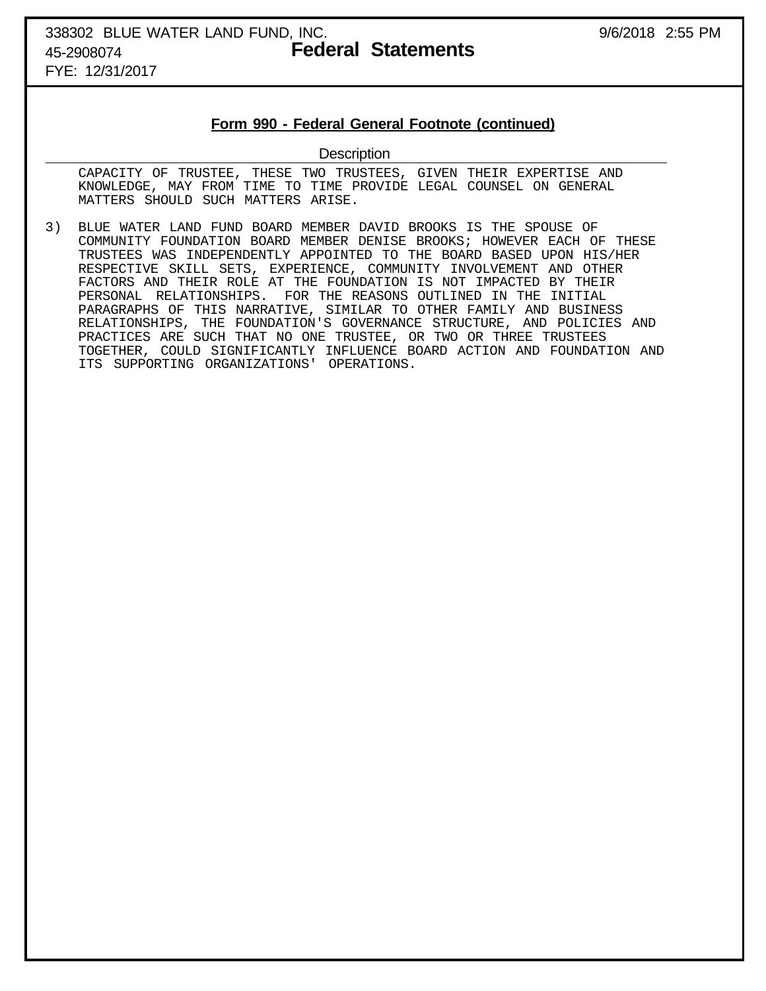# 338302 BLUE WATER LAND FUND, INC. 9/6/2018 2:55 PM 45-2908074 **Federal Statements**

FYE: 12/31/2017

### **Form 990 - Federal General Footnote (continued)**

### **Description**

 CAPACITY OF TRUSTEE, THESE TWO TRUSTEES, GIVEN THEIR EXPERTISE AND KNOWLEDGE, MAY FROM TIME TO TIME PROVIDE LEGAL COUNSEL ON GENERAL MATTERS SHOULD SUCH MATTERS ARISE.

3) BLUE WATER LAND FUND BOARD MEMBER DAVID BROOKS IS THE SPOUSE OF COMMUNITY FOUNDATION BOARD MEMBER DENISE BROOKS; HOWEVER EACH OF THESE TRUSTEES WAS INDEPENDENTLY APPOINTED TO THE BOARD BASED UPON HIS/HER RESPECTIVE SKILL SETS, EXPERIENCE, COMMUNITY INVOLVEMENT AND OTHER FACTORS AND THEIR ROLE AT THE FOUNDATION IS NOT IMPACTED BY THEIR PERSONAL RELATIONSHIPS. FOR THE REASONS OUTLINED IN THE INITIAL PARAGRAPHS OF THIS NARRATIVE, SIMILAR TO OTHER FAMILY AND BUSINESS RELATIONSHIPS, THE FOUNDATION'S GOVERNANCE STRUCTURE, AND POLICIES AND PRACTICES ARE SUCH THAT NO ONE TRUSTEE, OR TWO OR THREE TRUSTEES TOGETHER, COULD SIGNIFICANTLY INFLUENCE BOARD ACTION AND FOUNDATION AND ITS SUPPORTING ORGANIZATIONS' OPERATIONS.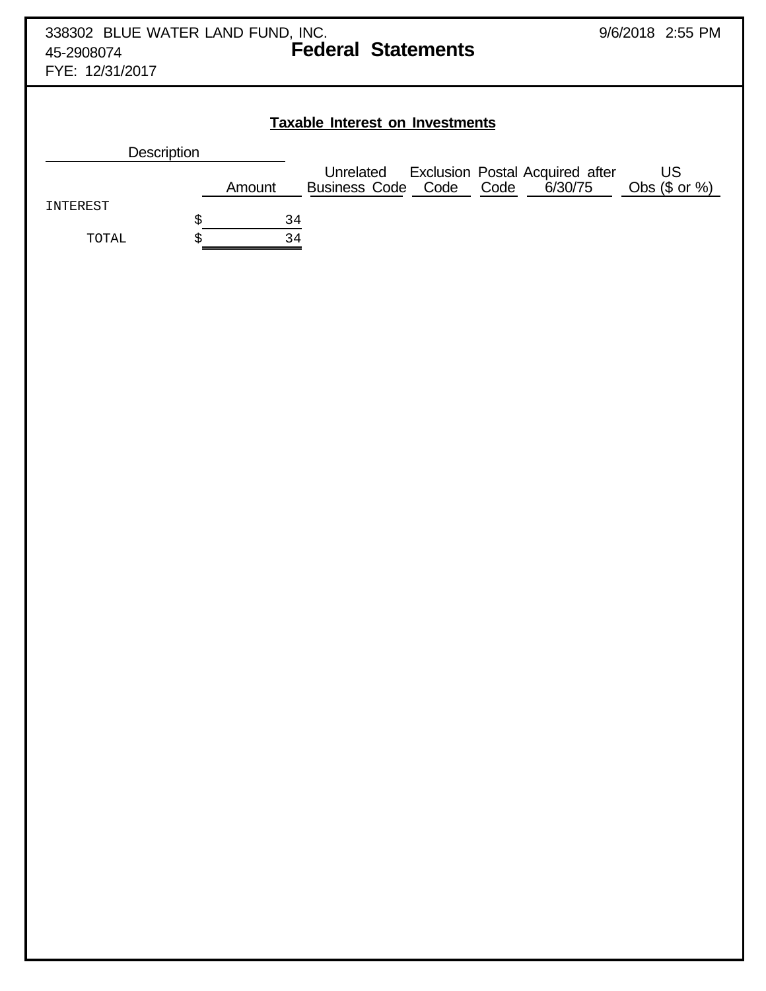|                               | 338302 BLUE WATER LAND FUND, INC.<br>9/6/2018 2:55 PM<br><b>Federal Statements</b>                                                                 |
|-------------------------------|----------------------------------------------------------------------------------------------------------------------------------------------------|
| 45-2908074<br>FYE: 12/31/2017 |                                                                                                                                                    |
|                               |                                                                                                                                                    |
|                               |                                                                                                                                                    |
|                               | <b>Taxable Interest on Investments</b>                                                                                                             |
|                               | Description                                                                                                                                        |
|                               | Unrelated Exclusion Postal Acquired after<br>usiness Code Code Code 6/30/75<br><b>US</b><br><b>Business Code Code</b><br>Obs $($ or  %)$<br>Amount |
| INTEREST                      |                                                                                                                                                    |
| TOTAL                         | \$<br>34<br>\$<br>34                                                                                                                               |
|                               |                                                                                                                                                    |
|                               |                                                                                                                                                    |
|                               |                                                                                                                                                    |
|                               |                                                                                                                                                    |
|                               |                                                                                                                                                    |
|                               |                                                                                                                                                    |
|                               |                                                                                                                                                    |
|                               |                                                                                                                                                    |
|                               |                                                                                                                                                    |
|                               |                                                                                                                                                    |
|                               |                                                                                                                                                    |
|                               |                                                                                                                                                    |
|                               |                                                                                                                                                    |
|                               |                                                                                                                                                    |
|                               |                                                                                                                                                    |
|                               |                                                                                                                                                    |
|                               |                                                                                                                                                    |
|                               |                                                                                                                                                    |
|                               |                                                                                                                                                    |
|                               |                                                                                                                                                    |
|                               |                                                                                                                                                    |
|                               |                                                                                                                                                    |
|                               |                                                                                                                                                    |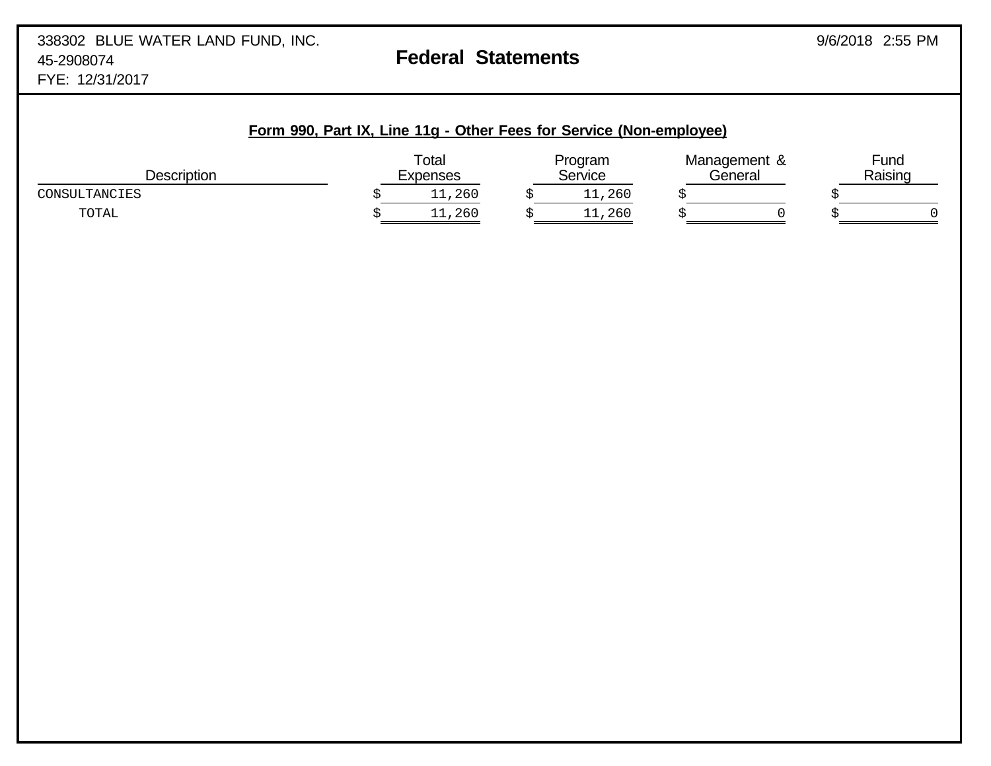|                    | Form 990, Part IX, Line 11g - Other Fees for Service (Non-employee) |                   |                    |                         |                 |
|--------------------|---------------------------------------------------------------------|-------------------|--------------------|-------------------------|-----------------|
| <b>Description</b> |                                                                     | Total<br>Expenses | Program<br>Service | Management &<br>General | Fund<br>Raising |
| CONSULTANCIES      |                                                                     | 11,260            | 11,260             |                         |                 |
| TOTAL              |                                                                     | 11,260            | 11,260             |                         |                 |